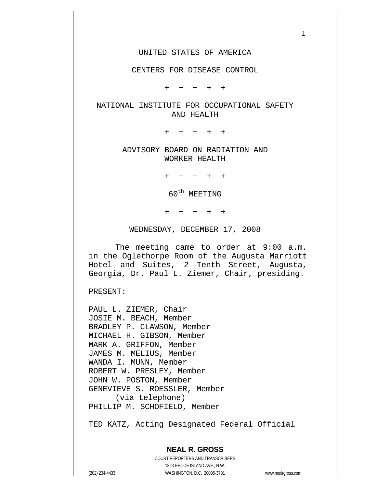#### UNITED STATES OF AMERICA

 $1$ 

#### CENTERS FOR DISEASE CONTROL

+ + + + +

### NATIONAL INSTITUTE FOR OCCUPATIONAL SAFETY AND HEALTH

+ + + + +

### ADVISORY BOARD ON RADIATION AND WORKER HEALTH

+ + + + +

60<sup>th</sup> MEETING

+ + + + +

WEDNESDAY, DECEMBER 17, 2008

 The meeting came to order at 9:00 a.m. in the Oglethorpe Room of the Augusta Marriott Hotel and Suites, 2 Tenth Street, Augusta, Georgia, Dr. Paul L. Ziemer, Chair, presiding.

PRESENT:

PAUL L. ZIEMER, Chair JOSIE M. BEACH, Member BRADLEY P. CLAWSON, Member MICHAEL H. GIBSON, Member MARK A. GRIFFON, Member JAMES M. MELIUS, Member WANDA I. MUNN, Member ROBERT W. PRESLEY, Member JOHN W. POSTON, Member GENEVIEVE S. ROESSLER, Member (via telephone) PHILLIP M. SCHOFIELD, Member

TED KATZ, Acting Designated Federal Official

## **NEAL R. GROSS**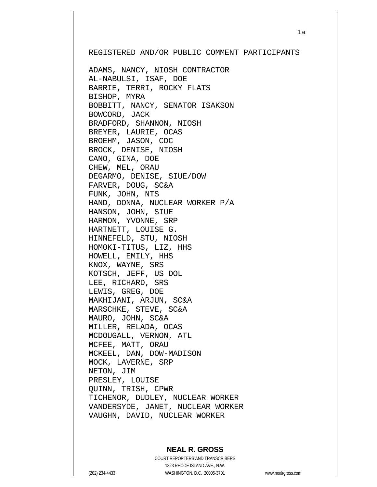REGISTERED AND/OR PUBLIC COMMENT PARTICIPANTS

ADAMS, NANCY, NIOSH CONTRACTOR AL-NABULSI, ISAF, DOE BARRIE, TERRI, ROCKY FLATS BISHOP, MYRA BOBBITT, NANCY, SENATOR ISAKSON BOWCORD, JACK BRADFORD, SHANNON, NIOSH BREYER, LAURIE, OCAS BROEHM, JASON, CDC BROCK, DENISE, NIOSH CANO, GINA, DOE CHEW, MEL, ORAU DEGARMO, DENISE, SIUE/DOW FARVER, DOUG, SC&A FUNK, JOHN, NTS HAND, DONNA, NUCLEAR WORKER P/A HANSON, JOHN, SIUE HARMON, YVONNE, SRP HARTNETT, LOUISE G. HINNEFELD, STU, NIOSH HOMOKI-TITUS, LIZ, HHS HOWELL, EMILY, HHS KNOX, WAYNE, SRS KOTSCH, JEFF, US DOL LEE, RICHARD, SRS LEWIS, GREG, DOE MAKHIJANI, ARJUN, SC&A MARSCHKE, STEVE, SC&A MAURO, JOHN, SC&A MILLER, RELADA, OCAS MCDOUGALL, VERNON, ATL MCFEE, MATT, ORAU MCKEEL, DAN, DOW-MADISON MOCK, LAVERNE, SRP NETON, JIM PRESLEY, LOUISE QUINN, TRISH, CPWR TICHENOR, DUDLEY, NUCLEAR WORKER VANDERSYDE, JANET, NUCLEAR WORKER VAUGHN, DAVID, NUCLEAR WORKER

### **NEAL R. GROSS**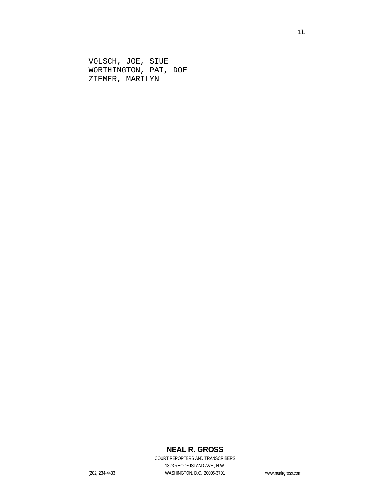VOLSCH, JOE, SIUE WORTHINGTON, PAT, DOE ZIEMER, MARILYN

## **NEAL R. GROSS**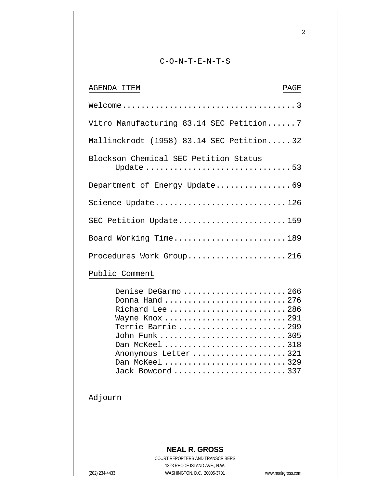### C-O-N-T-E-N-T-S

| AGENDA ITEM<br>PAGE                                                                                                                                                                            |
|------------------------------------------------------------------------------------------------------------------------------------------------------------------------------------------------|
|                                                                                                                                                                                                |
| Vitro Manufacturing 83.14 SEC Petition 7                                                                                                                                                       |
| Mallinckrodt (1958) 83.14 SEC Petition32                                                                                                                                                       |
| Blockson Chemical SEC Petition Status<br>Update 53                                                                                                                                             |
| Department of Energy Update69                                                                                                                                                                  |
| Science Update126                                                                                                                                                                              |
| SEC Petition Update159                                                                                                                                                                         |
| Board Working Time189                                                                                                                                                                          |
| Procedures Work Group216                                                                                                                                                                       |
| Public Comment                                                                                                                                                                                 |
| Denise DeGarmo 266<br>Donna Hand 276<br>Richard Lee 286<br>Wayne Knox 291<br>Terrie Barrie299<br>John Funk 305<br>Dan McKeel 318<br>Anonymous Letter 321<br>Dan McKeel 329<br>Jack Bowcord 337 |

Adjourn

# **NEAL R. GROSS**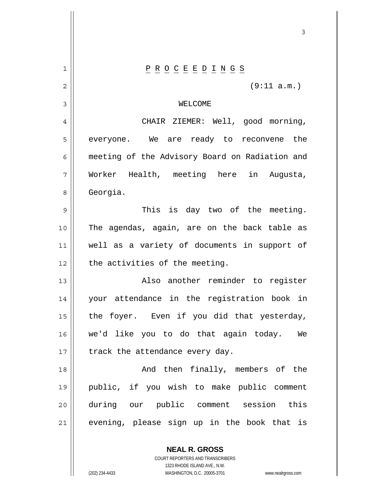| 1  | $\underline{P} \underline{R} \underline{O} \underline{C} \underline{E} \underline{E} \underline{D} \underline{I} \underline{N} \underline{G} \underline{S}$ |
|----|-------------------------------------------------------------------------------------------------------------------------------------------------------------|
| 2  | (9:11 a.m.)                                                                                                                                                 |
| 3  | WELCOME                                                                                                                                                     |
| 4  | CHAIR ZIEMER: Well, good morning,                                                                                                                           |
| 5  | everyone. We are ready to reconvene the                                                                                                                     |
| 6  | meeting of the Advisory Board on Radiation and                                                                                                              |
| 7  | Worker Health, meeting here in Augusta,                                                                                                                     |
| 8  | Georgia.                                                                                                                                                    |
| 9  | This is day two of the meeting.                                                                                                                             |
| 10 | The agendas, again, are on the back table as                                                                                                                |
| 11 | well as a variety of documents in support of                                                                                                                |
| 12 | the activities of the meeting.                                                                                                                              |
| 13 | Also another reminder to register                                                                                                                           |
| 14 | your attendance in the registration book in                                                                                                                 |
| 15 | the foyer. Even if you did that yesterday,                                                                                                                  |
| 16 | we'd like you to do that again today.<br>We                                                                                                                 |
| 17 | track the attendance every day.                                                                                                                             |
| 18 | And then finally, members of the                                                                                                                            |
| 19 | public, if you wish to make public comment                                                                                                                  |
| 20 | during our public comment session this                                                                                                                      |
| 21 | evening, please sign up in the book that is                                                                                                                 |
|    |                                                                                                                                                             |

 $\sim$  3

**NEAL R. GROSS** COURT REPORTERS AND TRANSCRIBERS 1323 RHODE ISLAND AVE., N.W.

 $\mathbf{I}$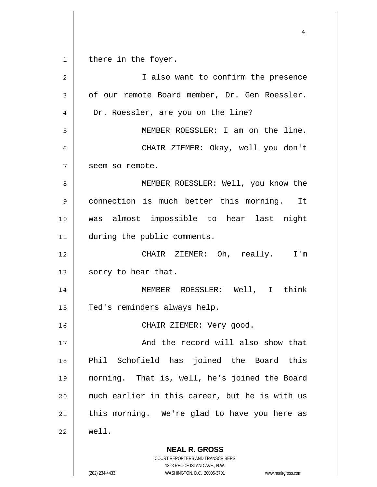**NEAL R. GROSS** COURT REPORTERS AND TRANSCRIBERS 1 2 3 4 5 6 7 8 9 10 11 12 13 14 15 16 17 18 19 20 21 22 there in the foyer. I also want to confirm the presence of our remote Board member, Dr. Gen Roessler. Dr. Roessler, are you on the line? MEMBER ROESSLER: I am on the line. CHAIR ZIEMER: Okay, well you don't seem so remote. MEMBER ROESSLER: Well, you know the connection is much better this morning. It was almost impossible to hear last night during the public comments. CHAIR ZIEMER: Oh, really. I'm sorry to hear that. MEMBER ROESSLER: Well, I think Ted's reminders always help. CHAIR ZIEMER: Very good. And the record will also show that Phil Schofield has joined the Board this morning. That is, well, he's joined the Board much earlier in this career, but he is with us this morning. We're glad to have you here as well.

4

1323 RHODE ISLAND AVE., N.W.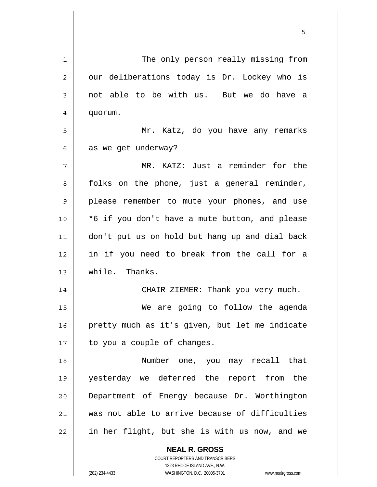| 1  | The only person really missing from                      |
|----|----------------------------------------------------------|
| 2  | our deliberations today is Dr. Lockey who is             |
| 3  | not able to be with us. But we do have a                 |
| 4  | quorum.                                                  |
| 5  | Mr. Katz, do you have any remarks                        |
| 6  | as we get underway?                                      |
| 7  | MR. KATZ: Just a reminder for the                        |
| 8  | folks on the phone, just a general reminder,             |
| 9  | please remember to mute your phones, and use             |
| 10 | *6 if you don't have a mute button, and please           |
| 11 | don't put us on hold but hang up and dial back           |
| 12 | in if you need to break from the call for a              |
| 13 | while. Thanks.                                           |
| 14 | CHAIR ZIEMER: Thank you very much.                       |
| 15 | We are going to follow the agenda                        |
| 16 | pretty much as it's given, but let me indicate           |
| 17 | to you a couple of changes.                              |
| 18 | Number one, you may recall that                          |
| 19 | yesterday we deferred the report from the                |
| 20 | Department of Energy because Dr. Worthington             |
| 21 | was not able to arrive because of difficulties           |
| 22 | in her flight, but she is with us now, and we            |
|    | <b>NEAL R. GROSS</b><br>COURT REPORTERS AND TRANSCRIBERS |

the contract of the contract of the contract of the contract of the contract of the contract of the contract of

1323 RHODE ISLAND AVE., N.W.

 $\prod$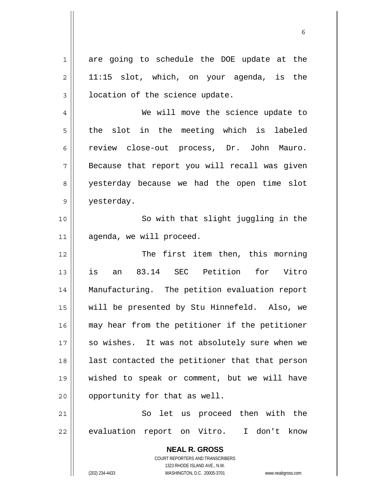1 are going to schedule the DOE update at the 11:15 slot, which, on your agenda, is the location of the science update.

 $\sim$  6.6  $\sim$  6.6  $\sim$  6.6  $\sim$  6.6  $\sim$  6.6  $\sim$  6.6  $\sim$  6.6  $\sim$  6.6  $\sim$  6.6  $\sim$  6.6  $\sim$  6.6  $\sim$  6.6  $\sim$  6.6  $\sim$  6.6  $\sim$  6.6  $\sim$  6.6  $\sim$  6.6  $\sim$  6.6  $\sim$  6.6  $\sim$  6.6  $\sim$  6.6  $\sim$  6.6  $\sim$  6.6  $\sim$  6.6  $\sim$ 

 We will move the science update to the slot in the meeting which is labeled review close-out process, Dr. John Mauro. Because that report you will recall was given yesterday because we had the open time slot yesterday.

10 11 So with that slight juggling in the agenda, we will proceed.

12 13 14 15 16 17 18 19 20 The first item then, this morning is an 83.14 SEC Petition for Vitro Manufacturing. The petition evaluation report will be presented by Stu Hinnefeld. Also, we may hear from the petitioner if the petitioner so wishes. It was not absolutely sure when we last contacted the petitioner that that person wished to speak or comment, but we will have opportunity for that as well.

21 22 So let us proceed then with the evaluation report on Vitro. I don't know

> **NEAL R. GROSS** COURT REPORTERS AND TRANSCRIBERS 1323 RHODE ISLAND AVE., N.W. (202) 234-4433 WASHINGTON, D.C. 20005-3701 www.nealrgross.com

2

3

4

5

6

7

8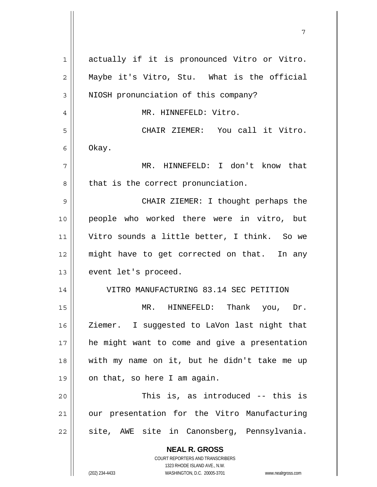| 1  | actually if it is pronounced Vitro or Vitro.                            |
|----|-------------------------------------------------------------------------|
| 2  | Maybe it's Vitro, Stu. What is the official                             |
| 3  | NIOSH pronunciation of this company?                                    |
| 4  | MR. HINNEFELD: Vitro.                                                   |
| 5  | CHAIR ZIEMER: You call it Vitro.                                        |
| 6  | Okay.                                                                   |
| 7  | MR. HINNEFELD: I don't know that                                        |
| 8  | that is the correct pronunciation.                                      |
| 9  | CHAIR ZIEMER: I thought perhaps the                                     |
| 10 | people who worked there were in vitro, but                              |
| 11 | Vitro sounds a little better, I think. So we                            |
| 12 | might have to get corrected on that. In any                             |
| 13 | event let's proceed.                                                    |
| 14 | VITRO MANUFACTURING 83.14 SEC PETITION                                  |
| 15 | MR. HINNEFELD: Thank you, Dr.                                           |
| 16 | Ziemer. I suggested to LaVon last night that                            |
| 17 | he might want to come and give a presentation                           |
| 18 | with my name on it, but he didn't take me up                            |
| 19 | on that, so here I am again.                                            |
| 20 | This is, as introduced -- this is                                       |
| 21 | our presentation for the Vitro Manufacturing                            |
| 22 | site, AWE site in Canonsberg, Pennsylvania.                             |
|    | <b>NEAL R. GROSS</b>                                                    |
|    | <b>COURT REPORTERS AND TRANSCRIBERS</b><br>1323 RHODE ISLAND AVE., N.W. |
|    | (202) 234-4433<br>WASHINGTON, D.C. 20005-3701<br>www.nealrgross.com     |

7

 $\mathsf{I}$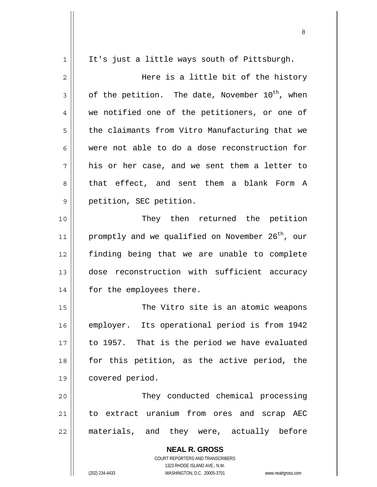| 1  | It's just a little ways south of Pittsburgh.                        |
|----|---------------------------------------------------------------------|
| 2  | Here is a little bit of the history                                 |
| 3  | of the petition. The date, November 10 <sup>th</sup> , when         |
| 4  | we notified one of the petitioners, or one of                       |
| 5  | the claimants from Vitro Manufacturing that we                      |
| 6  | were not able to do a dose reconstruction for                       |
| 7  | his or her case, and we sent them a letter to                       |
| 8  | that effect, and sent them a blank Form A                           |
| 9  | petition, SEC petition.                                             |
| 10 | They then returned the petition                                     |
| 11 | promptly and we qualified on November 26 <sup>th</sup> , our        |
| 12 | finding being that we are unable to complete                        |
| 13 | dose reconstruction with sufficient accuracy                        |
| 14 | for the employees there.                                            |
| 15 | The Vitro site is an atomic weapons                                 |
| 16 | employer. Its operational period is from 1942                       |
| 17 | to 1957. That is the period we have evaluated                       |
| 18 | for this petition, as the active period, the                        |
| 19 | covered period.                                                     |
| 20 | They conducted chemical processing                                  |
| 21 | to extract uranium from ores and scrap AEC                          |
| 22 | materials, and they were, actually before                           |
|    | <b>NEAL R. GROSS</b>                                                |
|    | <b>COURT REPORTERS AND TRANSCRIBERS</b>                             |
|    | 1323 RHODE ISLAND AVE., N.W.                                        |
|    | (202) 234-4433<br>WASHINGTON, D.C. 20005-3701<br>www.nealrgross.com |

<u>8. Album and the state of the state of the state of the state of the state of the state of the state of the sta</u>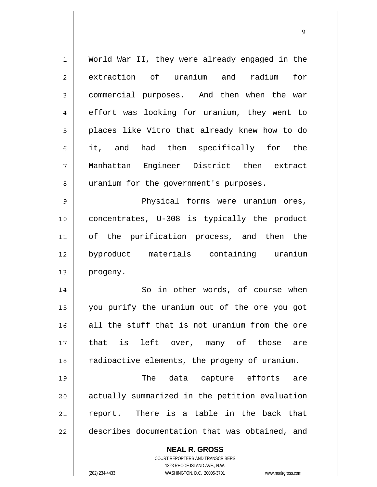| 1              | World War II, they were already engaged in the           |
|----------------|----------------------------------------------------------|
| $\overline{2}$ | extraction of uranium and radium<br>for                  |
| 3              | commercial purposes. And then when the war               |
| 4              | effort was looking for uranium, they went to             |
| 5              | places like Vitro that already knew how to do            |
| 6              | it, and had them specifically for the                    |
| 7              | Manhattan Engineer District then extract                 |
| 8              | uranium for the government's purposes.                   |
| $\mathsf 9$    | Physical forms were uranium ores,                        |
| 10             | concentrates, U-308 is typically the product             |
| 11             | of the purification process, and then the                |
| 12             | byproduct materials containing uranium                   |
| 13             | progeny.                                                 |
| 14             | So in other words, of course when                        |
| 15             | you purify the uranium out of the ore you got            |
| 16             | all the stuff that is not uranium from the ore           |
| 17             | that is left over, many of those are                     |
| 18             | radioactive elements, the progeny of uranium.            |
| 19             | The data capture efforts are                             |
| 20             | actually summarized in the petition evaluation           |
| 21             | report. There is a table in the back that                |
| 22             | describes documentation that was obtained, and           |
|                | <b>NEAL R. GROSS</b><br>COURT REPORTERS AND TRANSCRIBERS |

<u>9 de anos de la contrada de la contrada de la contrada de la contrada de la contrada de la contrada de la con</u>

1323 RHODE ISLAND AVE., N.W.

 $\begin{array}{c} \hline \end{array}$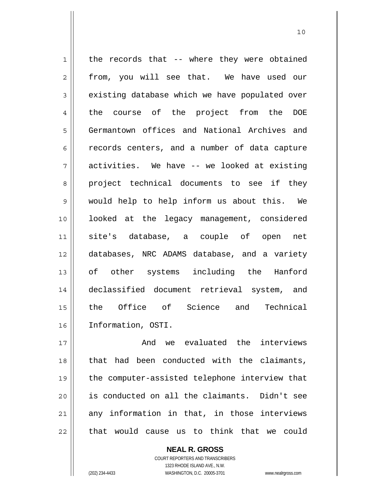1 2 3 4 5 6 7 8 9 10 11 12 13 14 15 16 the records that -- where they were obtained from, you will see that. We have used our existing database which we have populated over the course of the project from the DOE Germantown offices and National Archives and records centers, and a number of data capture activities. We have -- we looked at existing project technical documents to see if they would help to help inform us about this. We looked at the legacy management, considered site's database, a couple of open net databases, NRC ADAMS database, and a variety of other systems including the Hanford declassified document retrieval system, and the Office of Science and Technical Information, OSTI.

10

17 18 19 20 21 22 And we evaluated the interviews that had been conducted with the claimants, the computer-assisted telephone interview that is conducted on all the claimants. Didn't see any information in that, in those interviews that would cause us to think that we could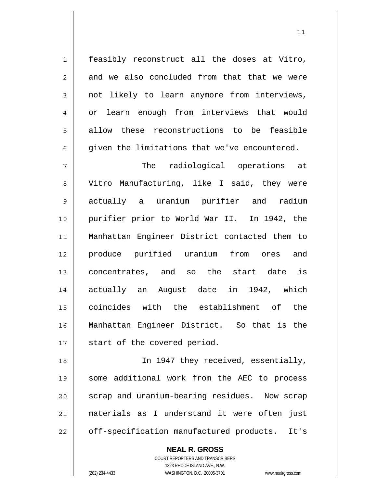feasibly reconstruct all the doses at Vitro, and we also concluded from that that we were not likely to learn anymore from interviews, or learn enough from interviews that would allow these reconstructions to be feasible given the limitations that we've encountered.

7 8 9 10 11 12 13 14 15 16 17 The radiological operations at Vitro Manufacturing, like I said, they were actually a uranium purifier and radium purifier prior to World War II. In 1942, the Manhattan Engineer District contacted them to produce purified uranium from ores and concentrates, and so the start date is actually an August date in 1942, which coincides with the establishment of the Manhattan Engineer District. So that is the start of the covered period.

18 19 20 21 22 In 1947 they received, essentially, some additional work from the AEC to process scrap and uranium-bearing residues. Now scrap materials as I understand it were often just off-specification manufactured products. It's

> **NEAL R. GROSS** COURT REPORTERS AND TRANSCRIBERS 1323 RHODE ISLAND AVE., N.W. (202) 234-4433 WASHINGTON, D.C. 20005-3701 www.nealrgross.com

1

2

3

4

5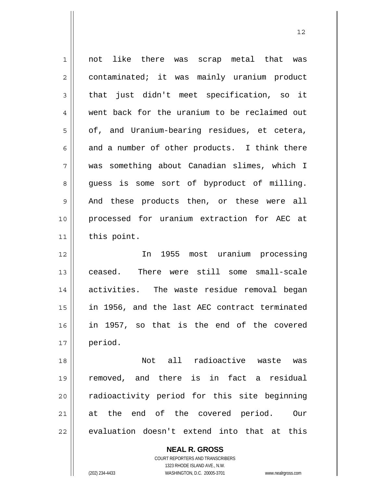| $\mathbf{1}$   | not like there was scrap metal that was       |
|----------------|-----------------------------------------------|
| $\overline{c}$ | contaminated; it was mainly uranium product   |
| $\mathfrak{Z}$ | that just didn't meet specification, so it    |
| $\overline{4}$ | went back for the uranium to be reclaimed out |
| 5              | of, and Uranium-bearing residues, et cetera,  |
| 6              | and a number of other products. I think there |
| 7              | was something about Canadian slimes, which I  |
| 8              | guess is some sort of byproduct of milling.   |
| $\mathsf 9$    | And these products then, or these were all    |
| 10             | processed for uranium extraction for AEC at   |
| 11             | this point.                                   |
|                |                                               |
| 12             | In 1955 most uranium processing               |
| 13             | ceased. There were still some small-scale     |
| 14             | activities. The waste residue removal began   |
| 15             | in 1956, and the last AEC contract terminated |
| 16             | in 1957, so that is the end of the covered    |
| 17             | period.                                       |
| 18             | Not all radioactive waste<br>was              |
| 19             | removed, and there is in fact a residual      |
| 20             | radioactivity period for this site beginning  |
| 21             | at the end of the covered period.<br>Our      |

**NEAL R. GROSS** COURT REPORTERS AND TRANSCRIBERS

1323 RHODE ISLAND AVE., N.W.

 $\mathsf{II}$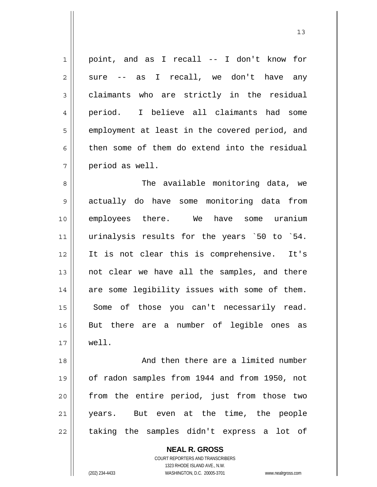1 7 point, and as I recall -- I don't know for sure -- as I recall, we don't have any claimants who are strictly in the residual period. I believe all claimants had some employment at least in the covered period, and then some of them do extend into the residual period as well.

8 9 10 11 12 13 14 15 16 17 The available monitoring data, we actually do have some monitoring data from employees there. We have some uranium urinalysis results for the years `50 to `54. It is not clear this is comprehensive. It's not clear we have all the samples, and there are some legibility issues with some of them. Some of those you can't necessarily read. But there are a number of legible ones as well.

18 19 20 21 22 And then there are a limited number of radon samples from 1944 and from 1950, not from the entire period, just from those two years. But even at the time, the people taking the samples didn't express a lot of

**NEAL R. GROSS**

2

3

4

5

6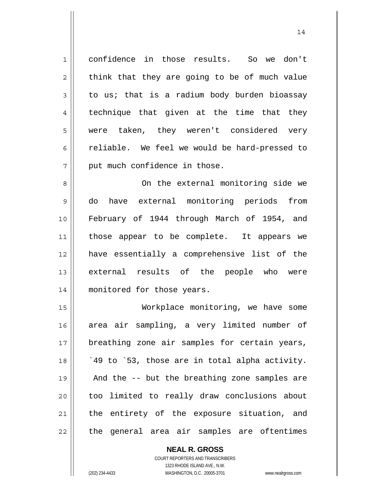1 2 3 4 5 6 7 confidence in those results. So we don't think that they are going to be of much value to us; that is a radium body burden bioassay technique that given at the time that they were taken, they weren't considered very reliable. We feel we would be hard-pressed to put much confidence in those.

8 9 10 11 12 13 14 On the external monitoring side we do have external monitoring periods from February of 1944 through March of 1954, and those appear to be complete. It appears we have essentially a comprehensive list of the external results of the people who were monitored for those years.

15 16 17 18 19 20 21 22 Workplace monitoring, we have some area air sampling, a very limited number of breathing zone air samples for certain years, `49 to `53, those are in total alpha activity. And the -- but the breathing zone samples are too limited to really draw conclusions about the entirety of the exposure situation, and the general area air samples are oftentimes

> **NEAL R. GROSS** COURT REPORTERS AND TRANSCRIBERS 1323 RHODE ISLAND AVE., N.W.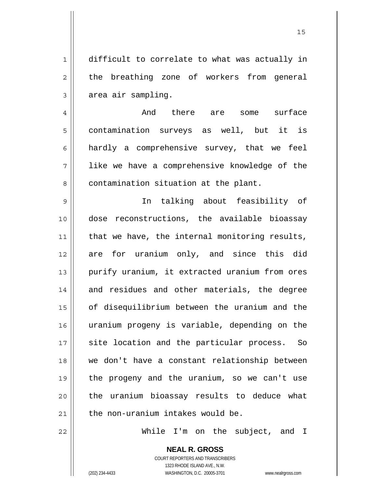1 2 3 difficult to correlate to what was actually in the breathing zone of workers from general area air sampling.

4 5 6 7 8 And there are some surface contamination surveys as well, but it is hardly a comprehensive survey, that we feel like we have a comprehensive knowledge of the contamination situation at the plant.

9 10 11 12 13 14 15 16 17 18 19 20 21 In talking about feasibility of dose reconstructions, the available bioassay that we have, the internal monitoring results, are for uranium only, and since this did purify uranium, it extracted uranium from ores and residues and other materials, the degree of disequilibrium between the uranium and the uranium progeny is variable, depending on the site location and the particular process. So we don't have a constant relationship between the progeny and the uranium, so we can't use the uranium bioassay results to deduce what the non-uranium intakes would be.

While I'm on the subject, and I

**NEAL R. GROSS** COURT REPORTERS AND TRANSCRIBERS 1323 RHODE ISLAND AVE., N.W.

22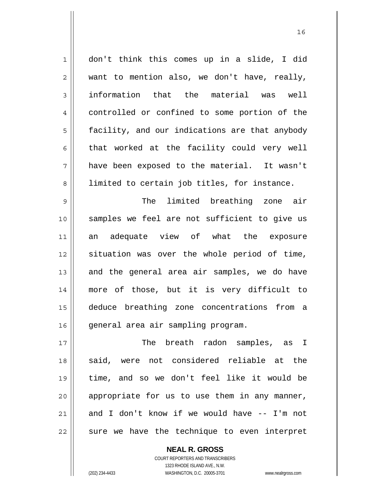1 2 3 4 5 6 7 8 don't think this comes up in a slide, I did want to mention also, we don't have, really, information that the material was well controlled or confined to some portion of the facility, and our indications are that anybody that worked at the facility could very well have been exposed to the material. It wasn't limited to certain job titles, for instance.

16

9 10 11 12 13 14 15 16 The limited breathing zone air samples we feel are not sufficient to give us an adequate view of what the exposure situation was over the whole period of time, and the general area air samples, we do have more of those, but it is very difficult to deduce breathing zone concentrations from a general area air sampling program.

17 18 19 20 21 22 The breath radon samples, as I said, were not considered reliable at the time, and so we don't feel like it would be appropriate for us to use them in any manner, and I don't know if we would have -- I'm not sure we have the technique to even interpret

> COURT REPORTERS AND TRANSCRIBERS 1323 RHODE ISLAND AVE., N.W. (202) 234-4433 WASHINGTON, D.C. 20005-3701 www.nealrgross.com

**NEAL R. GROSS**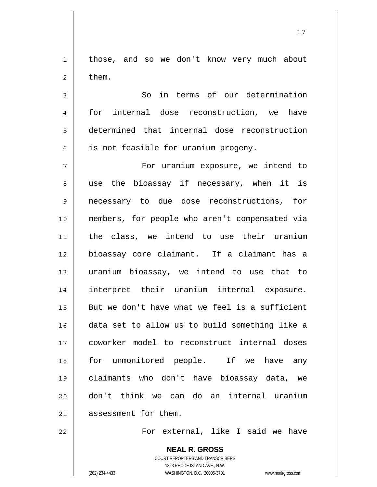1 2 those, and so we don't know very much about them.

17

 So in terms of our determination for internal dose reconstruction, we have determined that internal dose reconstruction is not feasible for uranium progeny.

7 8 9 10 11 12 13 14 15 16 17 18 19 20 21 For uranium exposure, we intend to use the bioassay if necessary, when it is necessary to due dose reconstructions, for members, for people who aren't compensated via the class, we intend to use their uranium bioassay core claimant. If a claimant has a uranium bioassay, we intend to use that to interpret their uranium internal exposure. But we don't have what we feel is a sufficient data set to allow us to build something like a coworker model to reconstruct internal doses for unmonitored people. If we have any claimants who don't have bioassay data, we don't think we can do an internal uranium assessment for them.

22

3

4

5

6

For external, like I said we have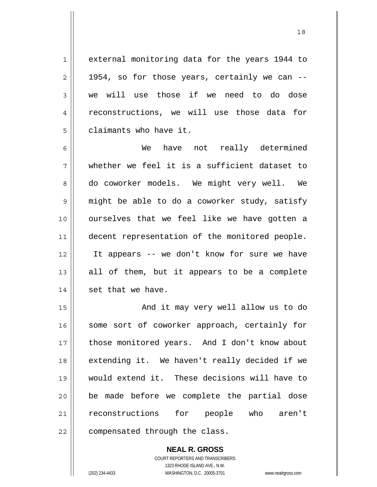external monitoring data for the years 1944 to 1954, so for those years, certainly we can - we will use those if we need to do dose reconstructions, we will use those data for claimants who have it.

6 7 8 9 10 11 12 13 14 We have not really determined whether we feel it is a sufficient dataset to do coworker models. We might very well. We might be able to do a coworker study, satisfy ourselves that we feel like we have gotten a decent representation of the monitored people. It appears -- we don't know for sure we have all of them, but it appears to be a complete set that we have.

15 16 17 18 19 20 21 22 And it may very well allow us to do some sort of coworker approach, certainly for those monitored years. And I don't know about extending it. We haven't really decided if we would extend it. These decisions will have to be made before we complete the partial dose reconstructions for people who aren't compensated through the class.

> **NEAL R. GROSS** COURT REPORTERS AND TRANSCRIBERS 1323 RHODE ISLAND AVE., N.W. (202) 234-4433 WASHINGTON, D.C. 20005-3701 www.nealrgross.com

1

2

3

4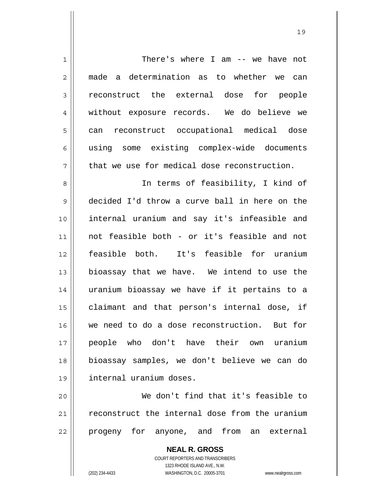| $\mathbf{1}$   | There's where I am $--$ we have not            |
|----------------|------------------------------------------------|
| $\overline{2}$ | made a determination as to whether we can      |
| $\mathsf 3$    | reconstruct the external dose for people       |
| $\overline{4}$ | without exposure records. We do believe we     |
| 5              | reconstruct occupational medical dose<br>can   |
| 6              | using some existing complex-wide documents     |
| 7              | that we use for medical dose reconstruction.   |
| 8              | In terms of feasibility, I kind of             |
| 9              | decided I'd throw a curve ball in here on the  |
| 10             | internal uranium and say it's infeasible and   |
| 11             | not feasible both - or it's feasible and not   |
| 12             | feasible both. It's feasible for uranium       |
| 13             | bioassay that we have. We intend to use the    |
| 14             | uranium bioassay we have if it pertains to a   |
| 15             | claimant and that person's internal dose, if   |
| 16             | we need to do a dose reconstruction. But for   |
| 17             | people who don't have their own uranium        |
| 18             | bioassay samples, we don't believe we can do   |
| 19             | internal uranium doses.                        |
| 20             | We don't find that it's feasible to            |
| 21             | reconstruct the internal dose from the uranium |
| 22             | progeny for anyone, and from an external       |
|                | <b>NEAL R. GROSS</b>                           |

COURT REPORTERS AND TRANSCRIBERS 1323 RHODE ISLAND AVE., N.W.

 $\mathbf{\mathsf{I}}$ 

(202) 234-4433 WASHINGTON, D.C. 20005-3701 www.nealrgross.com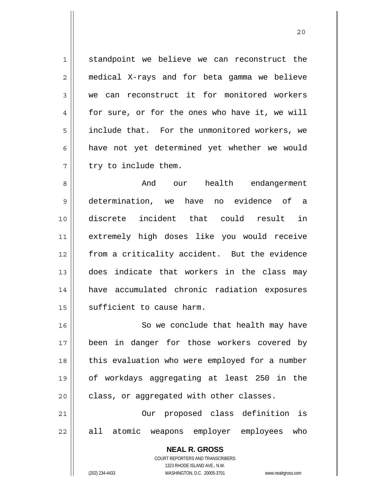1 2 3 4 5 6 7 standpoint we believe we can reconstruct the medical X-rays and for beta gamma we believe we can reconstruct it for monitored workers for sure, or for the ones who have it, we will include that. For the unmonitored workers, we have not yet determined yet whether we would try to include them.

8 9 10 11 12 13 14 15 And our health endangerment determination, we have no evidence of a discrete incident that could result in extremely high doses like you would receive from a criticality accident. But the evidence does indicate that workers in the class may have accumulated chronic radiation exposures sufficient to cause harm.

16 17 18 19 20 So we conclude that health may have been in danger for those workers covered by this evaluation who were employed for a number of workdays aggregating at least 250 in the class, or aggregated with other classes.

21 22 Our proposed class definition is all atomic weapons employer employees who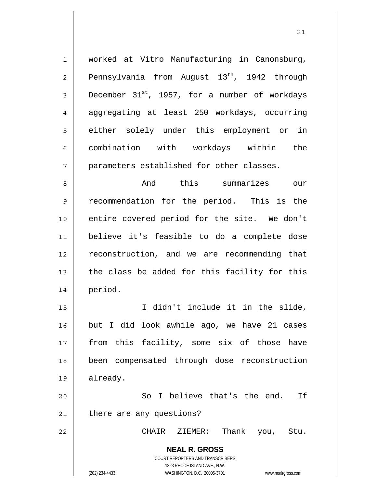worked at Vitro Manufacturing in Canonsburg, Pennsylvania from August  $13<sup>th</sup>$ , 1942 through December  $31^{st}$ , 1957, for a number of workdays aggregating at least 250 workdays, occurring either solely under this employment or in combination with workdays within the parameters established for other classes.

8 9 10 11 12 13 14 And this summarizes our recommendation for the period. This is the entire covered period for the site. We don't believe it's feasible to do a complete dose reconstruction, and we are recommending that the class be added for this facility for this period.

15 16 17 18 19 I didn't include it in the slide, but I did look awhile ago, we have 21 cases from this facility, some six of those have been compensated through dose reconstruction already.

20 21 So I believe that's the end. If there are any questions?

CHAIR ZIEMER: Thank you, Stu.

**NEAL R. GROSS** COURT REPORTERS AND TRANSCRIBERS 1323 RHODE ISLAND AVE., N.W.

22

1

2

3

4

5

6

7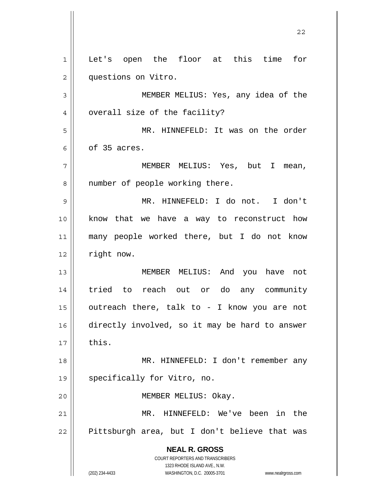**NEAL R. GROSS** COURT REPORTERS AND TRANSCRIBERS 1323 RHODE ISLAND AVE., N.W. (202) 234-4433 WASHINGTON, D.C. 20005-3701 www.nealrgross.com 1 2 3 4 5 6 7 8 9 10 11 12 13 14 15 16 17 18 19 20 21 22 Let's open the floor at this time for questions on Vitro. MEMBER MELIUS: Yes, any idea of the overall size of the facility? MR. HINNEFELD: It was on the order of 35 acres. MEMBER MELIUS: Yes, but I mean, number of people working there. MR. HINNEFELD: I do not. I don't know that we have a way to reconstruct how many people worked there, but I do not know right now. MEMBER MELIUS: And you have not tried to reach out or do any community outreach there, talk to - I know you are not directly involved, so it may be hard to answer this. MR. HINNEFELD: I don't remember any specifically for Vitro, no. MEMBER MELIUS: Okay. MR. HINNEFELD: We've been in the Pittsburgh area, but I don't believe that was

<u>22</u>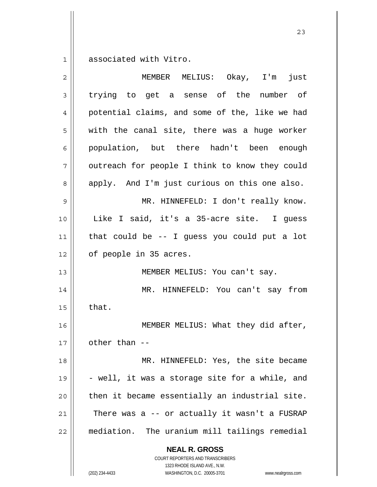1 associated with Vitro.

| $\overline{2}$ | MEMBER MELIUS: Okay, I'm<br>just                         |
|----------------|----------------------------------------------------------|
| 3              | trying to get a sense of the number of                   |
| 4              | potential claims, and some of the, like we had           |
| 5              | with the canal site, there was a huge worker             |
| 6              | population, but there hadn't been enough                 |
| 7              | outreach for people I think to know they could           |
| 8              | apply. And I'm just curious on this one also.            |
| 9              | MR. HINNEFELD: I don't really know.                      |
| 10             | Like I said, it's a 35-acre site. I guess                |
| 11             | that could be -- I guess you could put a lot             |
| 12             | of people in 35 acres.                                   |
| 13             | MEMBER MELIUS: You can't say.                            |
| 14             | MR. HINNEFELD: You can't say from                        |
| 15             | that.                                                    |
| 16             | MEMBER MELIUS: What they did after,                      |
| 17             | other than --                                            |
| 18             | MR. HINNEFELD: Yes, the site became                      |
| 19             | - well, it was a storage site for a while, and           |
| 20             | then it became essentially an industrial site.           |
| 21             | There was a -- or actually it wasn't a FUSRAP            |
| 22             | mediation. The uranium mill tailings remedial            |
|                | <b>NEAL R. GROSS</b><br>COURT REPORTERS AND TRANSCRIBERS |

1323 RHODE ISLAND AVE., N.W.

 $\mathsf{I}$  $\prod_{i=1}^{n}$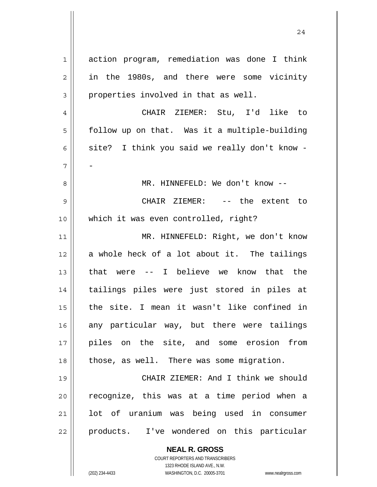1 2 3 4 5 6 7 8 9 10 11 12 13 14 15 16 17 18 19 20 21 22 action program, remediation was done I think in the 1980s, and there were some vicinity properties involved in that as well. CHAIR ZIEMER: Stu, I'd like to follow up on that. Was it a multiple-building site? I think you said we really don't know - - MR. HINNEFELD: We don't know -- CHAIR ZIEMER: -- the extent to which it was even controlled, right? MR. HINNEFELD: Right, we don't know a whole heck of a lot about it. The tailings that were -- I believe we know that the tailings piles were just stored in piles at the site. I mean it wasn't like confined in any particular way, but there were tailings piles on the site, and some erosion from those, as well. There was some migration. CHAIR ZIEMER: And I think we should recognize, this was at a time period when a lot of uranium was being used in consumer products. I've wondered on this particular

24

**NEAL R. GROSS** COURT REPORTERS AND TRANSCRIBERS

1323 RHODE ISLAND AVE., N.W.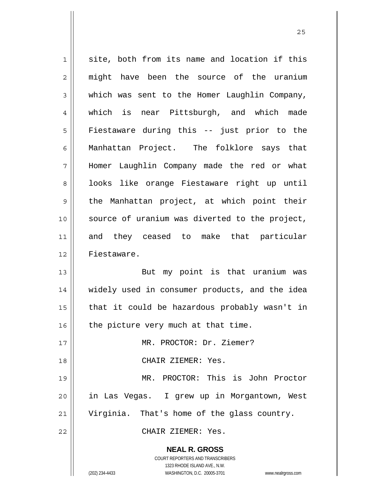| $\mathbf 1$    | site, both from its name and location if this                       |
|----------------|---------------------------------------------------------------------|
| $\overline{c}$ | might have been the source of the uranium                           |
| 3              | which was sent to the Homer Laughlin Company,                       |
| 4              | which is near Pittsburgh, and which made                            |
| 5              | Fiestaware during this -- just prior to the                         |
| 6              | Manhattan Project. The folklore says that                           |
| 7              | Homer Laughlin Company made the red or what                         |
| 8              | looks like orange Fiestaware right up until                         |
| 9              | the Manhattan project, at which point their                         |
| 10             | source of uranium was diverted to the project,                      |
| 11             | and they ceased to make that particular                             |
| 12             | Fiestaware.                                                         |
| 13             | But my point is that uranium was                                    |
| 14             | widely used in consumer products, and the idea                      |
| 15             | that it could be hazardous probably wasn't in                       |
| 16             | the picture very much at that time.                                 |
| 17             | MR. PROCTOR: Dr. Ziemer?                                            |
| 18             | CHAIR ZIEMER: Yes.                                                  |
| 19             | MR. PROCTOR: This is John Proctor                                   |
| 20             | in Las Vegas.  I grew up in Morgantown, West                        |
| 21             | Virginia. That's home of the glass country.                         |
| 22             | CHAIR ZIEMER: Yes.                                                  |
|                | <b>NEAL R. GROSS</b>                                                |
|                | COURT REPORTERS AND TRANSCRIBERS                                    |
|                | 1323 RHODE ISLAND AVE., N.W.                                        |
|                | (202) 234-4433<br>WASHINGTON, D.C. 20005-3701<br>www.nealrgross.com |

<u>25</u>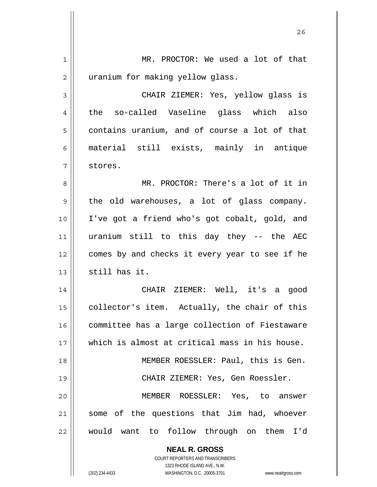| 1  | MR. PROCTOR: We used a lot of that                                  |
|----|---------------------------------------------------------------------|
| 2  | uranium for making yellow glass.                                    |
| 3  | CHAIR ZIEMER: Yes, yellow glass is                                  |
| 4  | the so-called Vaseline glass which also                             |
| 5  | contains uranium, and of course a lot of that                       |
| 6  | material still exists, mainly in antique                            |
| 7  | stores.                                                             |
| 8  | MR. PROCTOR: There's a lot of it in                                 |
| 9  | the old warehouses, a lot of glass company.                         |
| 10 | I've got a friend who's got cobalt, gold, and                       |
| 11 | uranium still to this day they -- the AEC                           |
| 12 | comes by and checks it every year to see if he                      |
| 13 | still has it.                                                       |
| 14 | CHAIR ZIEMER: Well, it's a good                                     |
| 15 | collector's item. Actually, the chair of this                       |
| 16 | committee has a large collection of Fiestaware                      |
| 17 | which is almost at critical mass in his house.                      |
| 18 | MEMBER ROESSLER: Paul, this is Gen.                                 |
| 19 | CHAIR ZIEMER: Yes, Gen Roessler.                                    |
| 20 | MEMBER ROESSLER: Yes, to answer                                     |
| 21 | some of the questions that Jim had, whoever                         |
| 22 | would want to follow through on them I'd                            |
|    | <b>NEAL R. GROSS</b>                                                |
|    | COURT REPORTERS AND TRANSCRIBERS                                    |
|    | 1323 RHODE ISLAND AVE., N.W.                                        |
|    | (202) 234-4433<br>WASHINGTON, D.C. 20005-3701<br>www.nealrgross.com |

<u>26</u>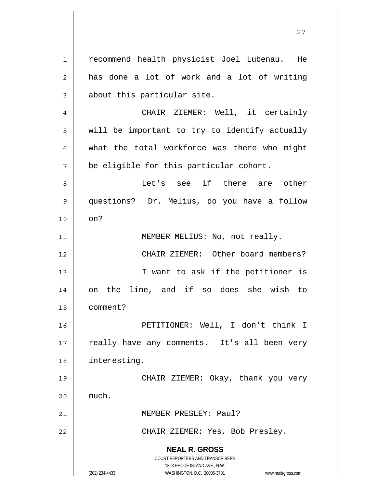**NEAL R. GROSS** COURT REPORTERS AND TRANSCRIBERS 1323 RHODE ISLAND AVE., N.W. (202) 234-4433 WASHINGTON, D.C. 20005-3701 www.nealrgross.com 1 2 3 4 5 6 7 8 9 10 11 12 13 14 15 16 17 18 19 20 21 22 recommend health physicist Joel Lubenau. He has done a lot of work and a lot of writing about this particular site. CHAIR ZIEMER: Well, it certainly will be important to try to identify actually what the total workforce was there who might be eligible for this particular cohort. Let's see if there are other questions? Dr. Melius, do you have a follow on? MEMBER MELIUS: No, not really. CHAIR ZIEMER: Other board members? I want to ask if the petitioner is on the line, and if so does she wish to comment? PETITIONER: Well, I don't think I really have any comments. It's all been very interesting. CHAIR ZIEMER: Okay, thank you very much. MEMBER PRESLEY: Paul? CHAIR ZIEMER: Yes, Bob Presley.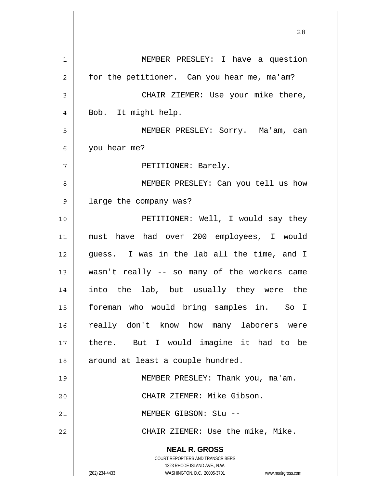**NEAL R. GROSS** COURT REPORTERS AND TRANSCRIBERS 1323 RHODE ISLAND AVE., N.W. (202) 234-4433 WASHINGTON, D.C. 20005-3701 www.nealrgross.com 1 2 3 4 5 6 7 8 9 10 11 12 13 14 15 16 17 18 19 20 21 22 MEMBER PRESLEY: I have a question for the petitioner. Can you hear me, ma'am? CHAIR ZIEMER: Use your mike there, Bob. It might help. MEMBER PRESLEY: Sorry. Ma'am, can you hear me? PETITIONER: Barely. MEMBER PRESLEY: Can you tell us how large the company was? PETITIONER: Well, I would say they must have had over 200 employees, I would guess. I was in the lab all the time, and I wasn't really -- so many of the workers came into the lab, but usually they were the foreman who would bring samples in. So I really don't know how many laborers were there. But I would imagine it had to be around at least a couple hundred. MEMBER PRESLEY: Thank you, ma'am. CHAIR ZIEMER: Mike Gibson. MEMBER GIBSON: Stu -- CHAIR ZIEMER: Use the mike, Mike.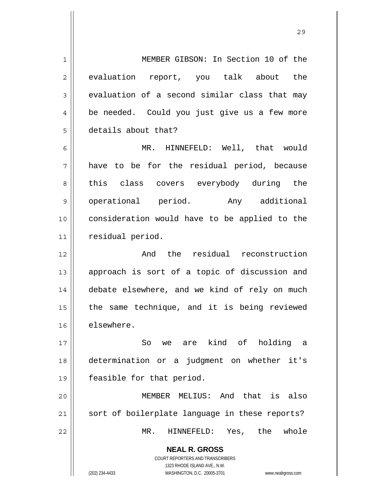1 2 3 4 5 MEMBER GIBSON: In Section 10 of the evaluation report, you talk about the evaluation of a second similar class that may be needed. Could you just give us a few more details about that?

6 7 8 9 10 11 MR. HINNEFELD: Well, that would have to be for the residual period, because this class covers everybody during the operational period. Any additional consideration would have to be applied to the residual period.

12 13 14 15 16 And the residual reconstruction approach is sort of a topic of discussion and debate elsewhere, and we kind of rely on much the same technique, and it is being reviewed elsewhere.

17 18 19 So we are kind of holding a determination or a judgment on whether it's feasible for that period.

20 21 22 MEMBER MELIUS: And that is also sort of boilerplate language in these reports? MR. HINNEFELD: Yes, the whole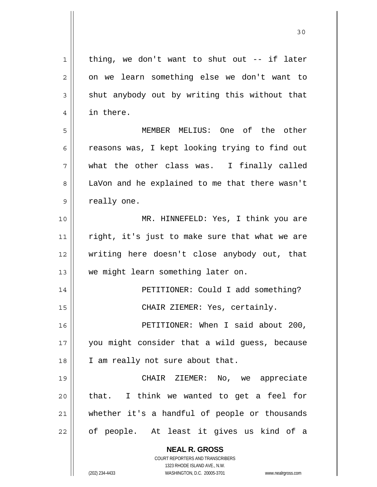**NEAL R. GROSS** COURT REPORTERS AND TRANSCRIBERS 1323 RHODE ISLAND AVE., N.W. 1 2 3 4 5 6 7 8 9 10 11 12 13 14 15 16 17 18 19 20 21 22 thing, we don't want to shut out -- if later on we learn something else we don't want to shut anybody out by writing this without that in there. MEMBER MELIUS: One of the other reasons was, I kept looking trying to find out what the other class was. I finally called LaVon and he explained to me that there wasn't really one. MR. HINNEFELD: Yes, I think you are right, it's just to make sure that what we are writing here doesn't close anybody out, that we might learn something later on. PETITIONER: Could I add something? CHAIR ZIEMER: Yes, certainly. PETITIONER: When I said about 200, you might consider that a wild guess, because I am really not sure about that. CHAIR ZIEMER: No, we appreciate that. I think we wanted to get a feel for whether it's a handful of people or thousands of people. At least it gives us kind of a

30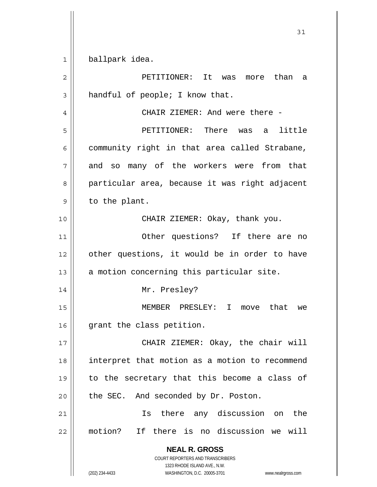1 ballpark idea.

| $\overline{2}$ | PETITIONER: It<br>was more than<br>a                                                                |
|----------------|-----------------------------------------------------------------------------------------------------|
| 3              | handful of people; I know that.                                                                     |
| 4              | CHAIR ZIEMER: And were there -                                                                      |
| 5              | PETITIONER: There was a little                                                                      |
| 6              | community right in that area called Strabane,                                                       |
| 7              | and so many of the workers were from that                                                           |
| 8              | particular area, because it was right adjacent                                                      |
| 9              | to the plant.                                                                                       |
| 10             | CHAIR ZIEMER: Okay, thank you.                                                                      |
| 11             | Other questions? If there are no                                                                    |
| 12             | other questions, it would be in order to have                                                       |
| 13             | a motion concerning this particular site.                                                           |
| 14             | Mr. Presley?                                                                                        |
| 15             | MEMBER PRESLEY: I<br>move that<br>we                                                                |
| 16             | grant the class petition.                                                                           |
| 17             | CHAIR ZIEMER: Okay, the chair will                                                                  |
| 18             | interpret that motion as a motion to recommend                                                      |
| 19             | to the secretary that this become a class of                                                        |
| 20             | the SEC. And seconded by Dr. Poston.                                                                |
| 21             | Is there any discussion on<br>the                                                                   |
|                |                                                                                                     |
| 22             | motion? If there is no discussion we will                                                           |
|                | <b>NEAL R. GROSS</b><br>COURT REPORTERS AND TRANSCRIBERS                                            |
|                | 1323 RHODE ISLAND AVE., N.W.<br>WASHINGTON, D.C. 20005-3701<br>(202) 234-4433<br>www.nealrgross.com |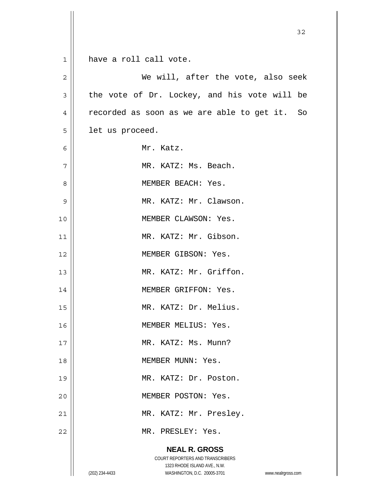|                | 32                                                                                                  |
|----------------|-----------------------------------------------------------------------------------------------------|
|                |                                                                                                     |
| $\mathbf{1}$   | have a roll call vote.                                                                              |
| $\overline{c}$ | We will, after the vote, also seek                                                                  |
| 3              | the vote of Dr. Lockey, and his vote will be                                                        |
| $\overline{4}$ | recorded as soon as we are able to get it. So                                                       |
| 5              | let us proceed.                                                                                     |
| 6              | Mr. Katz.                                                                                           |
| 7              | MR. KATZ: Ms. Beach.                                                                                |
| 8              | MEMBER BEACH: Yes.                                                                                  |
| 9              | MR. KATZ: Mr. Clawson.                                                                              |
| 10             | MEMBER CLAWSON: Yes.                                                                                |
| 11             | MR. KATZ: Mr. Gibson.                                                                               |
| 12             | MEMBER GIBSON: Yes.                                                                                 |
| 13             | MR. KATZ: Mr. Griffon.                                                                              |
| 14             | MEMBER GRIFFON: Yes.                                                                                |
| 15             | MR. KATZ: Dr. Melius.                                                                               |
| 16             | MEMBER MELIUS: Yes.                                                                                 |
| 17             | MR. KATZ: Ms. Munn?                                                                                 |
| 18             | MEMBER MUNN: Yes.                                                                                   |
| 19             | MR. KATZ: Dr. Poston.                                                                               |
| 20             | MEMBER POSTON: Yes.                                                                                 |
| 21             | MR. KATZ: Mr. Presley.                                                                              |
| 22             | MR. PRESLEY: Yes.                                                                                   |
|                | <b>NEAL R. GROSS</b>                                                                                |
|                | COURT REPORTERS AND TRANSCRIBERS                                                                    |
|                | 1323 RHODE ISLAND AVE., N.W.<br>(202) 234-4433<br>WASHINGTON, D.C. 20005-3701<br>www.nealrgross.com |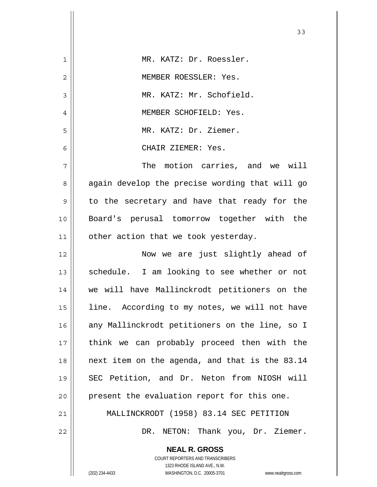| $\mathbf 1$ | MR. KATZ: Dr. Roessler.                        |
|-------------|------------------------------------------------|
| 2           | MEMBER ROESSLER: Yes.                          |
| 3           | MR. KATZ: Mr. Schofield.                       |
| 4           | MEMBER SCHOFIELD: Yes.                         |
| 5           | MR. KATZ: Dr. Ziemer.                          |
| 6           | CHAIR ZIEMER: Yes.                             |
| 7           | The motion carries, and we will                |
| 8           | again develop the precise wording that will go |
| 9           | to the secretary and have that ready for the   |
| 10          | Board's perusal tomorrow together with the     |
| 11          | other action that we took yesterday.           |
| 12          | Now we are just slightly ahead of              |
| 13          | schedule. I am looking to see whether or not   |
| 14          | we will have Mallinckrodt petitioners on the   |
| 15          | line. According to my notes, we will not have  |
| 16          | any Mallinckrodt petitioners on the line, so I |
| 17          | think we can probably proceed then with the    |
| 18          | next item on the agenda, and that is the 83.14 |
| 19          | SEC Petition, and Dr. Neton from NIOSH will    |
| 20          | present the evaluation report for this one.    |
| 21          | MALLINCKRODT (1958) 83.14 SEC PETITION         |
| 22          | NETON: Thank you, Dr. Ziemer.<br>DR.           |
|             | <b>NEAL R. GROSS</b>                           |

33

COURT REPORTERS AND TRANSCRIBERS 1323 RHODE ISLAND AVE., N.W.

 $\mathsf{II}$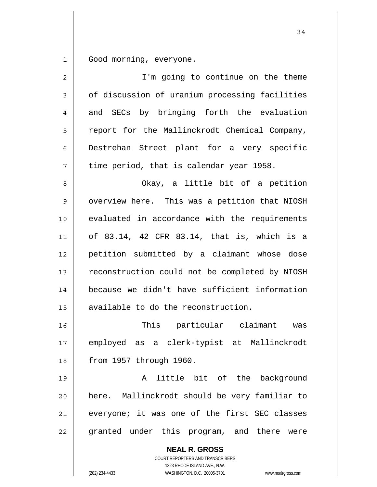1 Good morning, everyone.

| $\overline{2}$ | I'm going to continue on the theme                       |
|----------------|----------------------------------------------------------|
| 3              | of discussion of uranium processing facilities           |
| 4              | and SECs by bringing forth the evaluation                |
| 5              | report for the Mallinckrodt Chemical Company,            |
| 6              | Destrehan Street plant for a very specific               |
| 7              | time period, that is calendar year 1958.                 |
| 8              | Okay, a little bit of a petition                         |
| 9              | overview here. This was a petition that NIOSH            |
| 10             | evaluated in accordance with the requirements            |
| 11             | of 83.14, 42 CFR 83.14, that is, which is a              |
| 12             | petition submitted by a claimant whose dose              |
| 13             | reconstruction could not be completed by NIOSH           |
| 14             | because we didn't have sufficient information            |
| 15             | available to do the reconstruction.                      |
| 16             | This particular claimant<br>was                          |
| 17             | employed as a clerk-typist at Mallinckrodt               |
| 18             | from 1957 through 1960.                                  |
| 19             | little bit of the background<br>A                        |
| 20             | here. Mallinckrodt should be very familiar to            |
| 21             | everyone; it was one of the first SEC classes            |
| 22             | granted under this program, and there were               |
|                | <b>NEAL R. GROSS</b><br>COURT REPORTERS AND TRANSCRIBERS |

1323 RHODE ISLAND AVE., N.W.

 $\prod$ 

(202) 234-4433 WASHINGTON, D.C. 20005-3701 www.nealrgross.com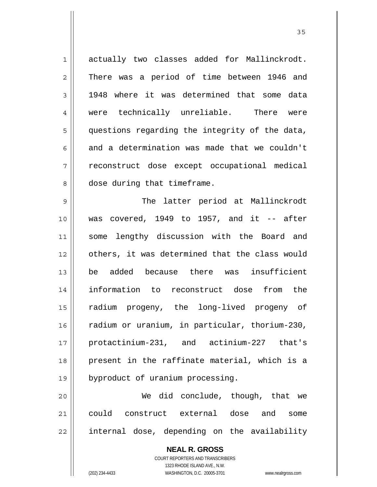| $\mathbf 1$    | actually two classes added for Mallinckrodt.       |
|----------------|----------------------------------------------------|
| $\overline{c}$ | There was a period of time between 1946 and        |
| $\mathfrak{Z}$ | 1948 where it was determined that some data        |
| 4              | were technically unreliable. There were            |
| 5              | questions regarding the integrity of the data,     |
| 6              | and a determination was made that we couldn't      |
| 7              | reconstruct dose except occupational medical       |
| 8              | dose during that timeframe.                        |
| 9              | The latter period at Mallinckrodt                  |
| 10             | was covered, $1949$ to $1957$ , and it -- after    |
| 11             | some lengthy discussion with the Board and         |
| 12             | others, it was determined that the class would     |
| 13             | be added because there was insufficient            |
| 14             | information to reconstruct dose from the           |
| 15             | radium progeny, the long-lived progeny of          |
| 16             | radium or uranium, in particular, thorium-230,     |
| 17             | protactinium-231, and actinium-227 that's          |
| 18             | present in the raffinate material, which is a      |
| 19             | byproduct of uranium processing.                   |
| 20             | We did conclude, though, that we                   |
| 21             | could<br>construct external<br>dose<br>and<br>some |

internal dose, depending on the availability

**NEAL R. GROSS** COURT REPORTERS AND TRANSCRIBERS 1323 RHODE ISLAND AVE., N.W. (202) 234-4433 WASHINGTON, D.C. 20005-3701 www.nealrgross.com

22

<u>35 and 2012</u>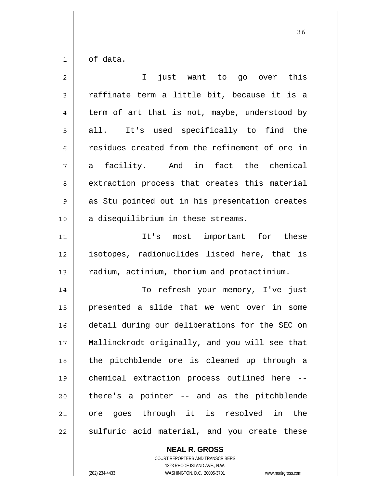1 of data.

| $\overline{2}$ | just want to go over this<br>I.                |
|----------------|------------------------------------------------|
| 3              | raffinate term a little bit, because it is a   |
| 4              | term of art that is not, maybe, understood by  |
| 5              | It's used specifically to find the<br>all. I   |
| 6              | residues created from the refinement of ore in |
| 7              | a facility. And in fact the chemical           |
| 8              | extraction process that creates this material  |
| $\mathsf 9$    | as Stu pointed out in his presentation creates |
| 10             | a disequilibrium in these streams.             |
| 11             | important for these<br>It's most               |
| 12             | isotopes, radionuclides listed here, that is   |
| 13             | radium, actinium, thorium and protactinium.    |
| 14             | To refresh your memory, I've just              |
| 15             | presented a slide that we went over in some    |
| 16             | detail during our deliberations for the SEC on |
| 17             | Mallinckrodt originally, and you will see that |
| 18             | the pitchblende ore is cleaned up through a    |
| 19             | chemical extraction process outlined here --   |
| 20             | there's a pointer -- and as the pitchblende    |
| 21             | ore goes through it is resolved in the         |
| 22             | sulfuric acid material, and you create these   |

**NEAL R. GROSS** COURT REPORTERS AND TRANSCRIBERS 1323 RHODE ISLAND AVE., N.W.

(202) 234-4433 WASHINGTON, D.C. 20005-3701 www.nealrgross.com

<u>36 and 36</u>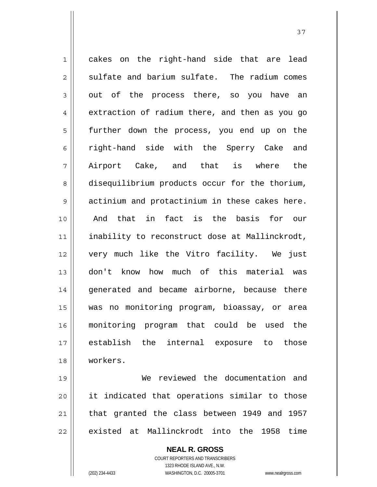1 2 3 4 5 6 7 8 9 10 11 12 13 14 15 16 17 18 cakes on the right-hand side that are lead sulfate and barium sulfate. The radium comes out of the process there, so you have an extraction of radium there, and then as you go further down the process, you end up on the right-hand side with the Sperry Cake and Airport Cake, and that is where the disequilibrium products occur for the thorium, actinium and protactinium in these cakes here. And that in fact is the basis for our inability to reconstruct dose at Mallinckrodt, very much like the Vitro facility. We just don't know how much of this material was generated and became airborne, because there was no monitoring program, bioassay, or area monitoring program that could be used the establish the internal exposure to those workers.

37

19 20 21 22 We reviewed the documentation and it indicated that operations similar to those that granted the class between 1949 and 1957 existed at Mallinckrodt into the 1958 time

> **NEAL R. GROSS** COURT REPORTERS AND TRANSCRIBERS 1323 RHODE ISLAND AVE., N.W. (202) 234-4433 WASHINGTON, D.C. 20005-3701 www.nealrgross.com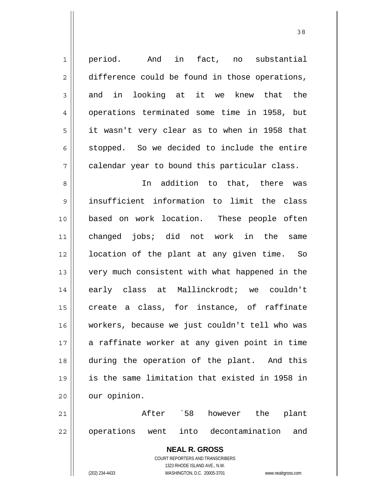| $\mathbf 1$    | And in fact, no substantial<br>period.                   |
|----------------|----------------------------------------------------------|
| $\overline{2}$ | difference could be found in those operations,           |
| 3              | in looking at it we knew that the<br>and                 |
| $\overline{4}$ | operations terminated some time in 1958, but             |
| 5              | it wasn't very clear as to when in 1958 that             |
| 6              | stopped. So we decided to include the entire             |
| 7              | calendar year to bound this particular class.            |
| 8              | In addition to that, there<br>was                        |
| 9              | insufficient information to limit the class              |
| 10             | based on work location. These people often               |
| 11             | changed jobs; did not work in the<br>same                |
| 12             | location of the plant at any given time. So              |
| 13             | very much consistent with what happened in the           |
| 14             | early class at Mallinckrodt; we couldn't                 |
| 15             | create a class, for instance, of raffinate               |
| 16             | workers, because we just couldn't tell who was           |
| 17             | a raffinate worker at any given point in time            |
| 18             | during the operation of the plant. And this              |
| 19             | is the same limitation that existed in 1958 in           |
| 20             | our opinion.                                             |
| 21             | After 58<br>however<br>the<br>plant                      |
| 22             | operations went into decontamination<br>and              |
|                | <b>NEAL R. GROSS</b><br>COURT REPORTERS AND TRANSCRIBERS |

1323 RHODE ISLAND AVE., N.W.

 $\prod$ 

(202) 234-4433 WASHINGTON, D.C. 20005-3701 www.nealrgross.com

<u>38</u>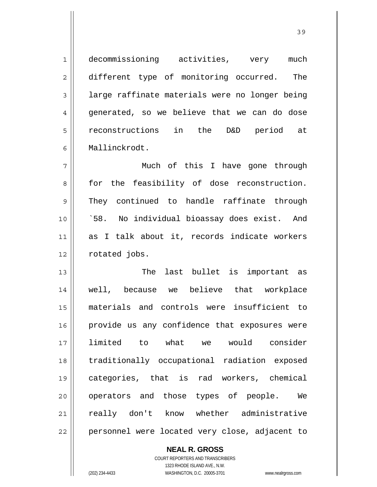| $\mathbf 1$    | decommissioning activities, very<br>much       |
|----------------|------------------------------------------------|
| $\overline{2}$ | different type of monitoring occurred.<br>The  |
| 3              | large raffinate materials were no longer being |
| 4              | generated, so we believe that we can do dose   |
| 5              | reconstructions in the<br>D&D period at        |
| 6              | Mallinckrodt.                                  |
| 7              | Much of this I have gone through               |
| 8              | for the feasibility of dose reconstruction.    |
| 9              | They continued to handle raffinate through     |
| 10             | `58. No individual bioassay does exist. And    |
| 11             | as I talk about it, records indicate workers   |
| 12             | rotated jobs.                                  |
| 13             | last bullet is important as<br>The             |
| 14             | well, because we believe that workplace        |
| 15             | materials and controls were insufficient to    |
| 16             | provide us any confidence that exposures were  |
| 17             | limited to what we would consider              |
| 18             | traditionally occupational radiation exposed   |
| 19             | categories, that is rad workers, chemical      |
| 20             | operators and those types of people. We        |
| 21             | really don't know whether administrative       |
| 22             | personnel were located very close, adjacent to |

**NEAL R. GROSS** COURT REPORTERS AND TRANSCRIBERS

1323 RHODE ISLAND AVE., N.W.

(202) 234-4433 WASHINGTON, D.C. 20005-3701 www.nealrgross.com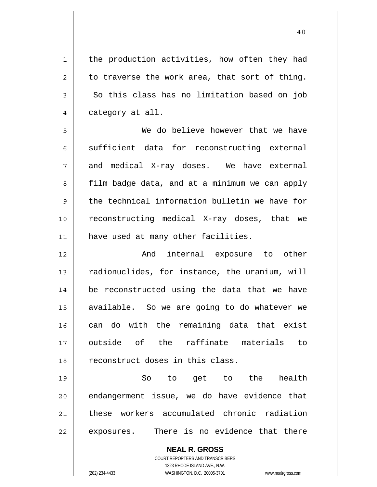the production activities, how often they had to traverse the work area, that sort of thing. So this class has no limitation based on job category at all.

5 6 7 8 9 10 11 We do believe however that we have sufficient data for reconstructing external and medical X-ray doses. We have external film badge data, and at a minimum we can apply the technical information bulletin we have for reconstructing medical X-ray doses, that we have used at many other facilities.

12 13 14 15 16 17 18 And internal exposure to other radionuclides, for instance, the uranium, will be reconstructed using the data that we have available. So we are going to do whatever we can do with the remaining data that exist outside of the raffinate materials to reconstruct doses in this class.

19 20 21 22 So to get to the health endangerment issue, we do have evidence that these workers accumulated chronic radiation exposures. There is no evidence that there

> **NEAL R. GROSS** COURT REPORTERS AND TRANSCRIBERS 1323 RHODE ISLAND AVE., N.W. (202) 234-4433 WASHINGTON, D.C. 20005-3701 www.nealrgross.com

1

2

3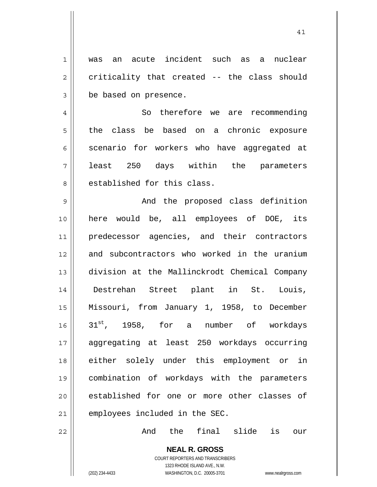1 2 3 was an acute incident such as a nuclear criticality that created -- the class should be based on presence.

4 5 6 7 8 So therefore we are recommending the class be based on a chronic exposure scenario for workers who have aggregated at least 250 days within the parameters established for this class.

9 10 11 12 13 14 15 16 17 18 19 20 21 And the proposed class definition here would be, all employees of DOE, its predecessor agencies, and their contractors and subcontractors who worked in the uranium division at the Mallinckrodt Chemical Company Destrehan Street plant in St. Louis, Missouri, from January 1, 1958, to December  $31^{st}$ , 1958, for a number of workdays aggregating at least 250 workdays occurring either solely under this employment or in combination of workdays with the parameters established for one or more other classes of employees included in the SEC.

And the final slide is our

**NEAL R. GROSS** COURT REPORTERS AND TRANSCRIBERS 1323 RHODE ISLAND AVE., N.W. (202) 234-4433 WASHINGTON, D.C. 20005-3701 www.nealrgross.com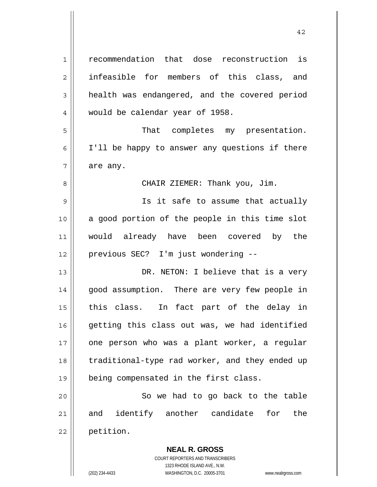| $\mathbf 1$ | recommendation that dose reconstruction is     |
|-------------|------------------------------------------------|
| 2           | infeasible for members of this class, and      |
| 3           | health was endangered, and the covered period  |
| 4           | would be calendar year of 1958.                |
| 5           | That completes my presentation.                |
| 6           | I'll be happy to answer any questions if there |
| 7           | are any.                                       |
| 8           | CHAIR ZIEMER: Thank you, Jim.                  |
| 9           | Is it safe to assume that actually             |
| 10          | a good portion of the people in this time slot |
| 11          | would already have been covered by the         |
| 12          | previous SEC? I'm just wondering --            |
| 13          | DR. NETON: I believe that is a very            |
| 14          | good assumption. There are very few people in  |
| 15          | this class. In fact part of the delay in       |
| 16          | getting this class out was, we had identified  |
| 17          | one person who was a plant worker, a regular   |
| 18          | traditional-type rad worker, and they ended up |
| 19          | being compensated in the first class.          |
| 20          | So we had to go back to the table              |
| 21          | and identify another candidate<br>for the      |
| 22          | petition.                                      |
|             | <b>NEAL R. GROSS</b>                           |

COURT REPORTERS AND TRANSCRIBERS 1323 RHODE ISLAND AVE., N.W.

 $\prod$ 

(202) 234-4433 WASHINGTON, D.C. 20005-3701 www.nealrgross.com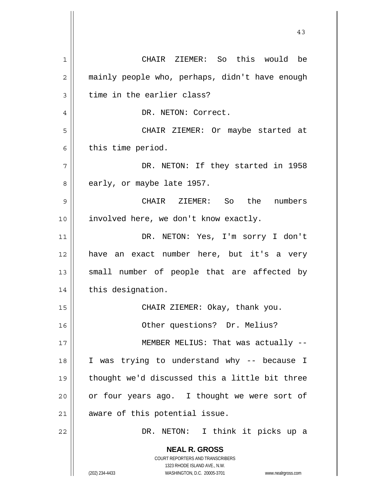| 1  | CHAIR ZIEMER: So this would be                                                                      |
|----|-----------------------------------------------------------------------------------------------------|
| 2  | mainly people who, perhaps, didn't have enough                                                      |
| 3  | time in the earlier class?                                                                          |
| 4  | DR. NETON: Correct.                                                                                 |
| 5  | CHAIR ZIEMER: Or maybe started at                                                                   |
| 6  | this time period.                                                                                   |
| 7  | DR. NETON: If they started in 1958                                                                  |
| 8  | early, or maybe late 1957.                                                                          |
| 9  | CHAIR ZIEMER: So the numbers                                                                        |
| 10 | involved here, we don't know exactly.                                                               |
| 11 | DR. NETON: Yes, I'm sorry I don't                                                                   |
| 12 | have an exact number here, but it's a very                                                          |
| 13 | small number of people that are affected by                                                         |
| 14 | this designation.                                                                                   |
| 15 | CHAIR ZIEMER: Okay, thank you.                                                                      |
| 16 | Other questions? Dr. Melius?                                                                        |
| 17 | MEMBER MELIUS: That was actually --                                                                 |
| 18 | I was trying to understand why -- because I                                                         |
| 19 | thought we'd discussed this a little bit three                                                      |
| 20 | or four years ago. I thought we were sort of                                                        |
| 21 | aware of this potential issue.                                                                      |
| 22 | DR. NETON: I think it picks up a                                                                    |
|    | <b>NEAL R. GROSS</b>                                                                                |
|    | <b>COURT REPORTERS AND TRANSCRIBERS</b>                                                             |
|    | 1323 RHODE ISLAND AVE., N.W.<br>(202) 234-4433<br>WASHINGTON, D.C. 20005-3701<br>www.nealrgross.com |

 $\mathsf{I}$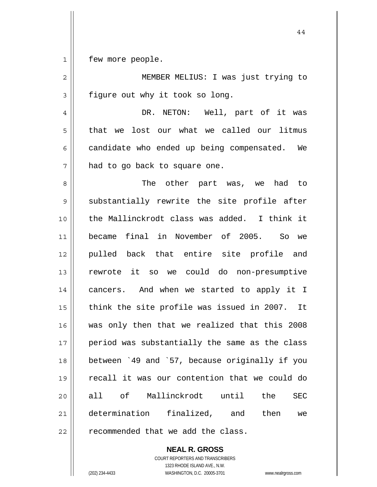1 few more people.

| $\overline{2}$ | MEMBER MELIUS: I was just trying to               |
|----------------|---------------------------------------------------|
| 3              | figure out why it took so long.                   |
| 4              | DR. NETON: Well, part of it was                   |
| 5              | that we lost our what we called our litmus        |
| 6              | candidate who ended up being compensated. We      |
| 7              | had to go back to square one.                     |
| 8              | The other part was, we had to                     |
| $\mathsf 9$    | substantially rewrite the site profile after      |
| 10             | the Mallinckrodt class was added. I think it      |
| 11             | final in November of 2005.<br>became<br>So we     |
| 12             | pulled back that entire site profile and          |
| 13             | rewrote it so we could do non-presumptive         |
| 14             | cancers. And when we started to apply it I        |
| 15             | think the site profile was issued in 2007. It     |
| 16             | was only then that we realized that this 2008     |
| 17             | period was substantially the same as the class    |
| 18             | between '49 and '57, because originally if you    |
| 19             | recall it was our contention that we could do     |
| 20             | Mallinckrodt until<br>all of<br>the<br><b>SEC</b> |
| 21             | determination finalized, and<br>then<br>we        |
| 22             | recommended that we add the class.                |

**NEAL R. GROSS** COURT REPORTERS AND TRANSCRIBERS 1323 RHODE ISLAND AVE., N.W. (202) 234-4433 WASHINGTON, D.C. 20005-3701 www.nealrgross.com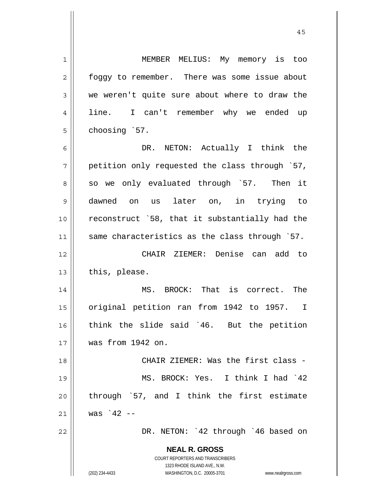**NEAL R. GROSS** COURT REPORTERS AND TRANSCRIBERS 1 2 3 4 5 6 7 8 9 10 11 12 13 14 15 16 17 18 19 20 21 22 MEMBER MELIUS: My memory is too foggy to remember. There was some issue about we weren't quite sure about where to draw the line. I can't remember why we ended up choosing `57. DR. NETON: Actually I think the petition only requested the class through `57, so we only evaluated through `57. Then it dawned on us later on, in trying to reconstruct `58, that it substantially had the same characteristics as the class through `57. CHAIR ZIEMER: Denise can add to this, please. MS. BROCK: That is correct. The original petition ran from 1942 to 1957. I think the slide said `46. But the petition was from 1942 on. CHAIR ZIEMER: Was the first class - MS. BROCK: Yes. I think I had `42 through `57, and I think the first estimate was  $42 -$ DR. NETON: `42 through `46 based on

1323 RHODE ISLAND AVE., N.W.

(202) 234-4433 WASHINGTON, D.C. 20005-3701 www.nealrgross.com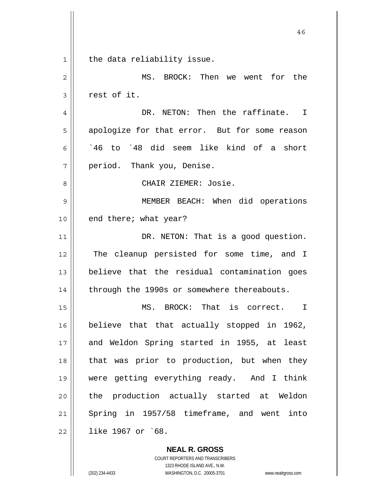46 1 2 3 4 5 6 7 8 9 10 11 12 13 14 15 16 17 18 19 20 21 22 the data reliability issue. MS. BROCK: Then we went for the rest of it. DR. NETON: Then the raffinate. I apologize for that error. But for some reason `46 to `48 did seem like kind of a short period. Thank you, Denise. CHAIR ZIEMER: Josie. MEMBER BEACH: When did operations end there; what year? DR. NETON: That is a good question. The cleanup persisted for some time, and I believe that the residual contamination goes through the 1990s or somewhere thereabouts. MS. BROCK: That is correct. I believe that that actually stopped in 1962, and Weldon Spring started in 1955, at least that was prior to production, but when they were getting everything ready. And I think the production actually started at Weldon Spring in 1957/58 timeframe, and went into like 1967 or `68.

> COURT REPORTERS AND TRANSCRIBERS 1323 RHODE ISLAND AVE., N.W. (202) 234-4433 WASHINGTON, D.C. 20005-3701 www.nealrgross.com

**NEAL R. GROSS**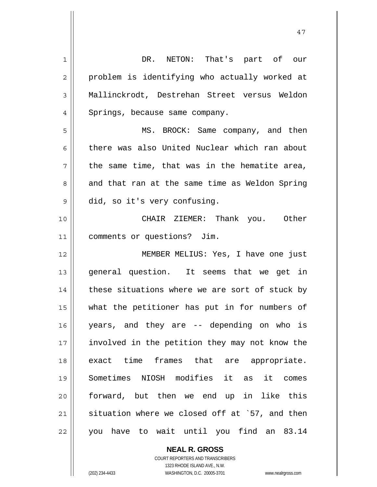| 1  | DR. NETON: That's part of our                  |
|----|------------------------------------------------|
|    |                                                |
| 2  | problem is identifying who actually worked at  |
| 3  | Mallinckrodt, Destrehan Street versus Weldon   |
| 4  | Springs, because same company.                 |
| 5  | MS. BROCK: Same company, and then              |
| 6  | there was also United Nuclear which ran about  |
| 7  | the same time, that was in the hematite area,  |
| 8  | and that ran at the same time as Weldon Spring |
| 9  | did, so it's very confusing.                   |
| 10 | CHAIR ZIEMER: Thank you. Other                 |
| 11 | comments or questions? Jim.                    |
| 12 | MEMBER MELIUS: Yes, I have one just            |
| 13 | general question. It seems that we get in      |
| 14 | these situations where we are sort of stuck by |
| 15 | what the petitioner has put in for numbers of  |
| 16 | years, and they are -- depending on who is     |
| 17 | involved in the petition they may not know the |
| 18 | exact time frames that are appropriate.        |
| 19 | Sometimes NIOSH modifies it as it comes        |
| 20 | forward, but then we end up in like this       |
| 21 | situation where we closed off at `57, and then |
| 22 | you have to wait until you find an 83.14       |

**NEAL R. GROSS** COURT REPORTERS AND TRANSCRIBERS 1323 RHODE ISLAND AVE., N.W.

(202) 234-4433 WASHINGTON, D.C. 20005-3701 www.nealrgross.com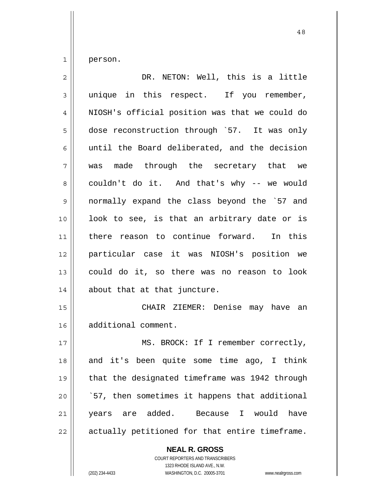1 person.

| $\overline{2}$ | DR. NETON: Well, this is a little              |
|----------------|------------------------------------------------|
| 3              | unique in this respect. If you remember,       |
| 4              | NIOSH's official position was that we could do |
| 5              | dose reconstruction through `57. It was only   |
| 6              | until the Board deliberated, and the decision  |
| 7              | was made through the secretary that we         |
| 8              | couldn't do it. And that's why -- we would     |
| 9              | normally expand the class beyond the '57 and   |
| 10             | look to see, is that an arbitrary date or is   |
| 11             | there reason to continue forward. In this      |
| 12             | particular case it was NIOSH's position we     |
| 13             | could do it, so there was no reason to look    |
| 14             | about that at that juncture.                   |
| 15             | CHAIR ZIEMER: Denise may have an               |
| 16             | additional comment.                            |
| 17             | MS. BROCK: If I remember correctly,            |
| 18             | and it's been quite some time ago, I think     |
| 19             | that the designated timeframe was 1942 through |
| 20             | `57, then sometimes it happens that additional |
| 21             | years are added. Because I would<br>have       |
| 22             | actually petitioned for that entire timeframe. |

**NEAL R. GROSS** COURT REPORTERS AND TRANSCRIBERS

1323 RHODE ISLAND AVE., N.W.

(202) 234-4433 WASHINGTON, D.C. 20005-3701 www.nealrgross.com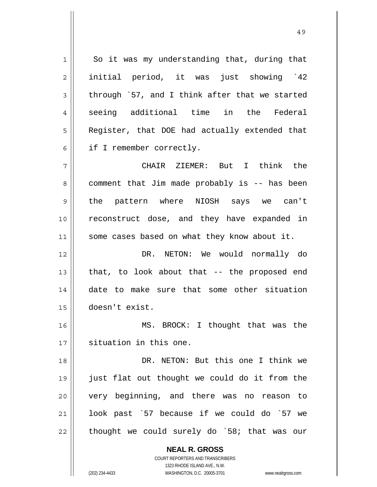**NEAL R. GROSS** 1 2 3 4 5 6 7 8 9 10 11 12 13 14 15 16 17 18 19 20 21 22 So it was my understanding that, during that initial period, it was just showing `42 through `57, and I think after that we started seeing additional time in the Federal Register, that DOE had actually extended that if I remember correctly. CHAIR ZIEMER: But I think the comment that Jim made probably is -- has been the pattern where NIOSH says we can't reconstruct dose, and they have expanded in some cases based on what they know about it. DR. NETON: We would normally do that, to look about that -- the proposed end date to make sure that some other situation doesn't exist. MS. BROCK: I thought that was the situation in this one. DR. NETON: But this one I think we just flat out thought we could do it from the very beginning, and there was no reason to look past `57 because if we could do `57 we thought we could surely do `58; that was our

> COURT REPORTERS AND TRANSCRIBERS 1323 RHODE ISLAND AVE., N.W.

(202) 234-4433 WASHINGTON, D.C. 20005-3701 www.nealrgross.com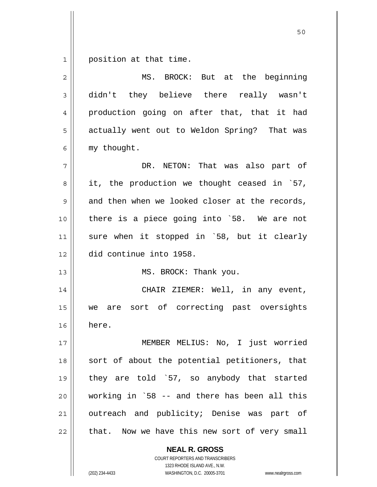1 position at that time.

| 2           | MS. BROCK: But at the beginning                |
|-------------|------------------------------------------------|
| 3           | didn't they believe there really wasn't        |
| 4           | production going on after that, that it had    |
| 5           | actually went out to Weldon Spring? That was   |
| 6           | my thought.                                    |
| 7           | DR. NETON: That was also part of               |
| 8           | it, the production we thought ceased in `57,   |
| $\mathsf 9$ | and then when we looked closer at the records, |
| 10          | there is a piece going into `58. We are not    |
| 11          | sure when it stopped in `58, but it clearly    |
| 12          | did continue into 1958.                        |
| 13          | MS. BROCK: Thank you.                          |
| 14          | CHAIR ZIEMER: Well, in any event,              |
| 15          | are sort of correcting past oversights<br>we   |
| 16          | here.                                          |
| 17          | MEMBER MELIUS: No, I just worried              |
| 18          | sort of about the potential petitioners, that  |
| 19          | they are told `57, so anybody that started     |
| 20          | working in `58 -- and there has been all this  |
| 21          | outreach and publicity; Denise was part of     |
| 22          | that. Now we have this new sort of very small  |
|             | <b>NEAL R. GROSS</b>                           |

COURT REPORTERS AND TRANSCRIBERS 1323 RHODE ISLAND AVE., N.W.

(202) 234-4433 WASHINGTON, D.C. 20005-3701 www.nealrgross.com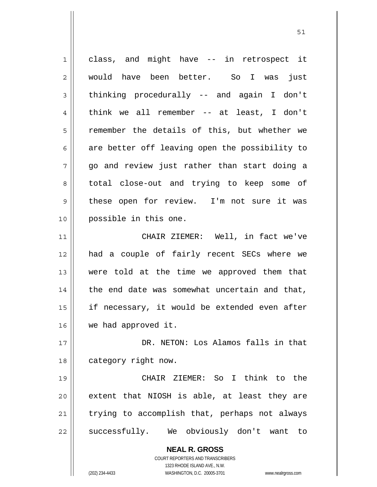| 1              | class, and might have -- in retrospect it                           |
|----------------|---------------------------------------------------------------------|
| 2              | would have been better. So I was just                               |
| 3              | thinking procedurally -- and again I don't                          |
| $\overline{4}$ | think we all remember -- at least, I don't                          |
| 5              | remember the details of this, but whether we                        |
| 6              | are better off leaving open the possibility to                      |
| 7              | go and review just rather than start doing a                        |
| 8              | total close-out and trying to keep some of                          |
| 9              | these open for review. I'm not sure it was                          |
| 10             | possible in this one.                                               |
| 11             | CHAIR ZIEMER: Well, in fact we've                                   |
| 12             | had a couple of fairly recent SECs where we                         |
| 13             | were told at the time we approved them that                         |
| 14             | the end date was somewhat uncertain and that,                       |
| 15             | if necessary, it would be extended even after                       |
| 16             | we had approved it.                                                 |
| 17             | DR. NETON: Los Alamos falls in that                                 |
| 18             | category right now.                                                 |
| 19             | CHAIR ZIEMER: So I think to the                                     |
| 20             | extent that NIOSH is able, at least they are                        |
| 21             | trying to accomplish that, perhaps not always                       |
| 22             | successfully. We obviously don't want to                            |
|                | <b>NEAL R. GROSS</b>                                                |
|                | <b>COURT REPORTERS AND TRANSCRIBERS</b>                             |
|                | 1323 RHODE ISLAND AVE., N.W.                                        |
|                | (202) 234-4433<br>WASHINGTON, D.C. 20005-3701<br>www.nealrgross.com |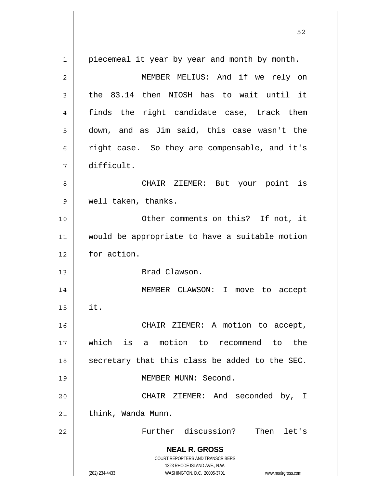| 1  | piecemeal it year by year and month by month.                       |
|----|---------------------------------------------------------------------|
| 2  | MEMBER MELIUS: And if we rely on                                    |
| 3  | the 83.14 then NIOSH has to wait until it                           |
| 4  | finds the right candidate case, track them                          |
| 5  | down, and as Jim said, this case wasn't the                         |
| 6  | right case. So they are compensable, and it's                       |
| 7  | difficult.                                                          |
| 8  | CHAIR ZIEMER: But your point is                                     |
| 9  | well taken, thanks.                                                 |
| 10 | Other comments on this? If not, it                                  |
| 11 | would be appropriate to have a suitable motion                      |
| 12 | for action.                                                         |
| 13 | Brad Clawson.                                                       |
| 14 | MEMBER CLAWSON: I<br>move to accept                                 |
| 15 | it.                                                                 |
| 16 | CHAIR ZIEMER: A motion to accept,                                   |
| 17 | which is a motion to recommend to the                               |
| 18 | secretary that this class be added to the SEC.                      |
| 19 | MEMBER MUNN: Second.                                                |
| 20 | CHAIR ZIEMER: And seconded by, I                                    |
| 21 | think, Wanda Munn.                                                  |
| 22 | Further discussion?<br>Then let's                                   |
|    | <b>NEAL R. GROSS</b>                                                |
|    | <b>COURT REPORTERS AND TRANSCRIBERS</b>                             |
|    | 1323 RHODE ISLAND AVE., N.W.                                        |
|    | (202) 234-4433<br>WASHINGTON, D.C. 20005-3701<br>www.nealrgross.com |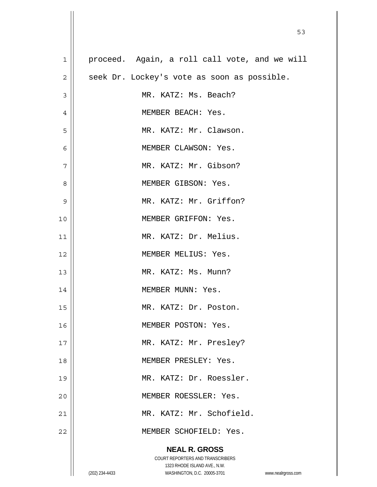| $\mathbf 1$    | proceed. Again, a roll call vote, and we will                       |
|----------------|---------------------------------------------------------------------|
| $\overline{2}$ | seek Dr. Lockey's vote as soon as possible.                         |
| 3              | MR. KATZ: Ms. Beach?                                                |
| 4              | MEMBER BEACH: Yes.                                                  |
| 5              | MR. KATZ: Mr. Clawson.                                              |
| 6              | MEMBER CLAWSON: Yes.                                                |
| 7              | MR. KATZ: Mr. Gibson?                                               |
| 8              | MEMBER GIBSON: Yes.                                                 |
| 9              | MR. KATZ: Mr. Griffon?                                              |
| 10             | MEMBER GRIFFON: Yes.                                                |
| 11             | MR. KATZ: Dr. Melius.                                               |
| 12             | MEMBER MELIUS: Yes.                                                 |
| 13             | MR. KATZ: Ms. Munn?                                                 |
| 14             | MEMBER MUNN: Yes.                                                   |
| 15             | MR. KATZ: Dr. Poston.                                               |
| 16             | MEMBER POSTON: Yes.                                                 |
| 17             | MR. KATZ: Mr. Presley?                                              |
| 18             | MEMBER PRESLEY: Yes.                                                |
| 19             | MR. KATZ: Dr. Roessler.                                             |
| 20             | MEMBER ROESSLER: Yes.                                               |
| 21             | MR. KATZ: Mr. Schofield.                                            |
| 22             | MEMBER SCHOFIELD: Yes.                                              |
|                | <b>NEAL R. GROSS</b>                                                |
|                | COURT REPORTERS AND TRANSCRIBERS                                    |
|                | 1323 RHODE ISLAND AVE., N.W.                                        |
|                | WASHINGTON, D.C. 20005-3701<br>(202) 234-4433<br>www.nealrgross.com |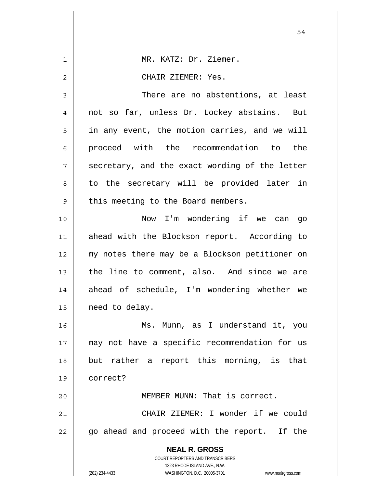|    | 54                                                                                                  |
|----|-----------------------------------------------------------------------------------------------------|
| 1  | MR. KATZ: Dr. Ziemer.                                                                               |
| 2  | CHAIR ZIEMER: Yes.                                                                                  |
| 3  | There are no abstentions, at least                                                                  |
| 4  | not so far, unless Dr. Lockey abstains. But                                                         |
| 5  | in any event, the motion carries, and we will                                                       |
| 6  | proceed with the recommendation to the                                                              |
| 7  | secretary, and the exact wording of the letter                                                      |
| 8  | to the secretary will be provided later in                                                          |
| 9  | this meeting to the Board members.                                                                  |
| 10 | Now I'm wondering if we can go                                                                      |
| 11 | ahead with the Blockson report. According to                                                        |
| 12 | my notes there may be a Blockson petitioner on                                                      |
| 13 | the line to comment, also. And since we are                                                         |
| 14 | ahead of schedule, I'm wondering whether we                                                         |
| 15 | need to delay.                                                                                      |
| 16 | Ms. Munn, as I understand it, you                                                                   |
| 17 | may not have a specific recommendation for us                                                       |
| 18 | but rather a report this morning, is that                                                           |
| 19 | correct?                                                                                            |
| 20 | MEMBER MUNN: That is correct.                                                                       |
| 21 | CHAIR ZIEMER: I wonder if we could                                                                  |
| 22 | go ahead and proceed with the report. If the                                                        |
|    | <b>NEAL R. GROSS</b><br>COURT REPORTERS AND TRANSCRIBERS                                            |
|    | 1323 RHODE ISLAND AVE., N.W.<br>(202) 234-4433<br>WASHINGTON, D.C. 20005-3701<br>www.nealrgross.com |

 $\mathsf{I}$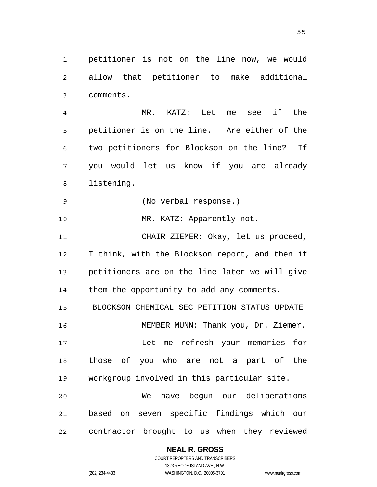1 2 3 4 5 6 7 8 9 10 11 12 13 14 15 16 17 18 19 20 21 22 petitioner is not on the line now, we would allow that petitioner to make additional comments. MR. KATZ: Let me see if the petitioner is on the line. Are either of the two petitioners for Blockson on the line? If you would let us know if you are already listening. (No verbal response.) MR. KATZ: Apparently not. CHAIR ZIEMER: Okay, let us proceed, I think, with the Blockson report, and then if petitioners are on the line later we will give them the opportunity to add any comments. BLOCKSON CHEMICAL SEC PETITION STATUS UPDATE MEMBER MUNN: Thank you, Dr. Ziemer. Let me refresh your memories for those of you who are not a part of the workgroup involved in this particular site. We have begun our deliberations based on seven specific findings which our contractor brought to us when they reviewed

the contract of the contract of the contract of the contract of the contract of the contract of the contract o

**NEAL R. GROSS** COURT REPORTERS AND TRANSCRIBERS 1323 RHODE ISLAND AVE., N.W.

(202) 234-4433 WASHINGTON, D.C. 20005-3701 www.nealrgross.com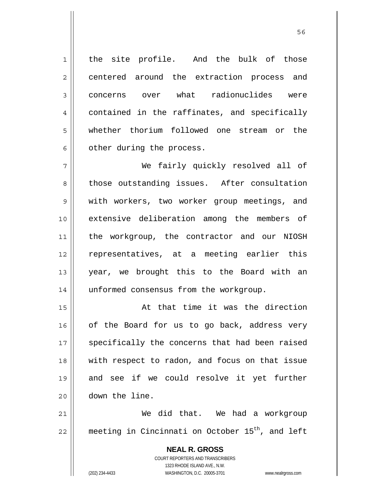the site profile. And the bulk of those centered around the extraction process and concerns over what radionuclides were contained in the raffinates, and specifically whether thorium followed one stream or the other during the process.

7 8 9 10 11 12 13 14 We fairly quickly resolved all of those outstanding issues. After consultation with workers, two worker group meetings, and extensive deliberation among the members of the workgroup, the contractor and our NIOSH representatives, at a meeting earlier this year, we brought this to the Board with an unformed consensus from the workgroup.

15 16 17 18 19 20 At that time it was the direction of the Board for us to go back, address very specifically the concerns that had been raised with respect to radon, and focus on that issue and see if we could resolve it yet further down the line.

21 22 We did that. We had a workgroup meeting in Cincinnati on October  $15<sup>th</sup>$ , and left

> **NEAL R. GROSS** COURT REPORTERS AND TRANSCRIBERS 1323 RHODE ISLAND AVE., N.W. (202) 234-4433 WASHINGTON, D.C. 20005-3701 www.nealrgross.com

1

2

3

4

5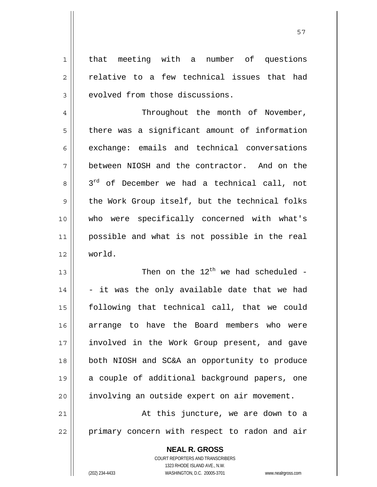that meeting with a number of questions relative to a few technical issues that had evolved from those discussions.

57

4 5 6 7 8 9 10 11 12 Throughout the month of November, there was a significant amount of information exchange: emails and technical conversations between NIOSH and the contractor. And on the 3<sup>rd</sup> of December we had a technical call, not the Work Group itself, but the technical folks who were specifically concerned with what's possible and what is not possible in the real world.

13 14 15 16 17 18 19 20 Then on the  $12^{th}$  we had scheduled -- it was the only available date that we had following that technical call, that we could arrange to have the Board members who were involved in the Work Group present, and gave both NIOSH and SC&A an opportunity to produce a couple of additional background papers, one involving an outside expert on air movement.

21 22 At this juncture, we are down to a primary concern with respect to radon and air

> **NEAL R. GROSS** COURT REPORTERS AND TRANSCRIBERS 1323 RHODE ISLAND AVE., N.W. (202) 234-4433 WASHINGTON, D.C. 20005-3701 www.nealrgross.com

1

2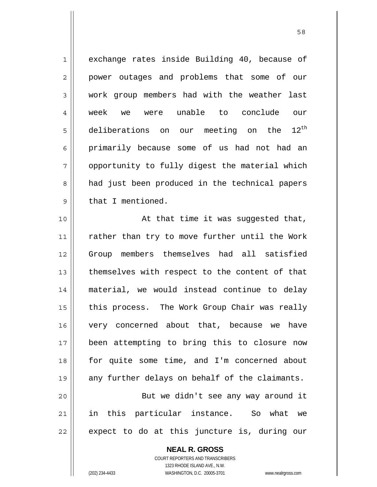| $\mathbf 1$    | exchange rates inside Building 40, because of           |
|----------------|---------------------------------------------------------|
| $\overline{c}$ | power outages and problems that some of our             |
| $\mathfrak{Z}$ | work group members had with the weather last            |
| 4              | week we were unable to conclude our                     |
| 5              | $12^{\text{th}}$<br>deliberations on our meeting on the |
| 6              | primarily because some of us had not had an             |
| 7              | opportunity to fully digest the material which          |
| 8              | had just been produced in the technical papers          |
| 9              | that I mentioned.                                       |
| 10             | At that time it was suggested that,                     |
| 11             | rather than try to move further until the Work          |
| 12             | Group members themselves had all satisfied              |
| 13             | themselves with respect to the content of that          |
| 14             | material, we would instead continue to delay            |
| 15             | this process. The Work Group Chair was really           |
| 16             | very concerned about that, because we have              |
| 17             | been attempting to bring this to closure now            |
| 18             | for quite some time, and I'm concerned about            |
| 19             | any further delays on behalf of the claimants.          |
| 20             | But we didn't see any way around it                     |
| 21             | in this particular instance. So what we                 |
| 22             | expect to do at this juncture is, during our            |

**NEAL R. GROSS** COURT REPORTERS AND TRANSCRIBERS

1323 RHODE ISLAND AVE., N.W.

 $\mathsf{I}$ 

(202) 234-4433 WASHINGTON, D.C. 20005-3701 www.nealrgross.com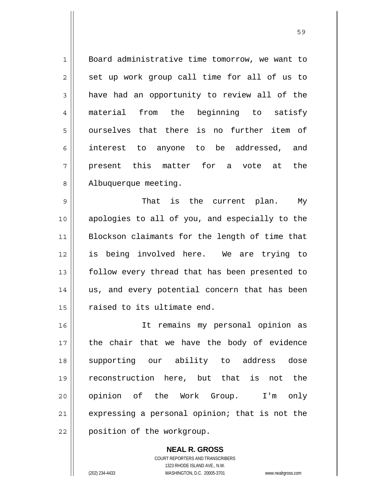1 2 3 4 5 6 7 8 Board administrative time tomorrow, we want to set up work group call time for all of us to have had an opportunity to review all of the material from the beginning to satisfy ourselves that there is no further item of interest to anyone to be addressed, and present this matter for a vote at the Albuquerque meeting.

<u>59 September 2005 September 2005 September 2005 September 2005 September 2005 September 2005 September 2005 S</u>

9 10 11 12 13 14 15 That is the current plan. My apologies to all of you, and especially to the Blockson claimants for the length of time that is being involved here. We are trying to follow every thread that has been presented to us, and every potential concern that has been raised to its ultimate end.

16 17 18 19 20 21 22 It remains my personal opinion as the chair that we have the body of evidence supporting our ability to address dose reconstruction here, but that is not the opinion of the Work Group. I'm only expressing a personal opinion; that is not the position of the workgroup.

> **NEAL R. GROSS** COURT REPORTERS AND TRANSCRIBERS 1323 RHODE ISLAND AVE., N.W. (202) 234-4433 WASHINGTON, D.C. 20005-3701 www.nealrgross.com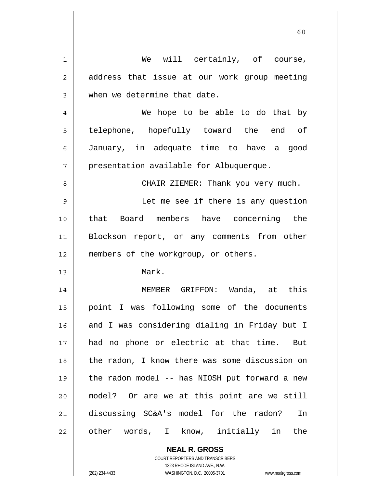| 1  | We will certainly, of course,                  |
|----|------------------------------------------------|
| 2  | address that issue at our work group meeting   |
| 3  | when we determine that date.                   |
| 4  | We hope to be able to do that by               |
| 5  | telephone, hopefully toward the end of         |
| 6  | January, in adequate time to have a good       |
| 7  | presentation available for Albuquerque.        |
| 8  | CHAIR ZIEMER: Thank you very much.             |
| 9  | Let me see if there is any question            |
| 10 | that Board members have concerning the         |
| 11 | Blockson report, or any comments from other    |
| 12 | members of the workgroup, or others.           |
| 13 | Mark.                                          |
| 14 | MEMBER GRIFFON: Wanda, at this                 |
| 15 | point I was following some of the documents    |
| 16 | and I was considering dialing in Friday but I  |
| 17 | had no phone or electric at that time. But     |
| 18 | the radon, I know there was some discussion on |
| 19 | the radon model -- has NIOSH put forward a new |
| 20 | model? Or are we at this point are we still    |
| 21 | discussing SC&A's model for the radon?<br>In   |
| 22 | other words, I know, initially in the          |
|    |                                                |

 $\mathbf{I}$ 

1323 RHODE ISLAND AVE., N.W. (202) 234-4433 WASHINGTON, D.C. 20005-3701 www.nealrgross.com

**NEAL R. GROSS** COURT REPORTERS AND TRANSCRIBERS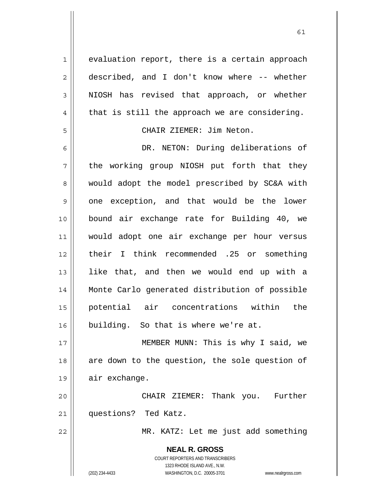**NEAL R. GROSS** COURT REPORTERS AND TRANSCRIBERS 1323 RHODE ISLAND AVE., N.W. (202) 234-4433 WASHINGTON, D.C. 20005-3701 www.nealrgross.com 1 2 3 4 5 6 7 8 9 10 11 12 13 14 15 16 17 18 19 20 21 22 evaluation report, there is a certain approach described, and I don't know where -- whether NIOSH has revised that approach, or whether that is still the approach we are considering. CHAIR ZIEMER: Jim Neton. DR. NETON: During deliberations of the working group NIOSH put forth that they would adopt the model prescribed by SC&A with one exception, and that would be the lower bound air exchange rate for Building 40, we would adopt one air exchange per hour versus their I think recommended .25 or something like that, and then we would end up with a Monte Carlo generated distribution of possible potential air concentrations within the building. So that is where we're at. MEMBER MUNN: This is why I said, we are down to the question, the sole question of air exchange. CHAIR ZIEMER: Thank you. Further questions? Ted Katz. MR. KATZ: Let me just add something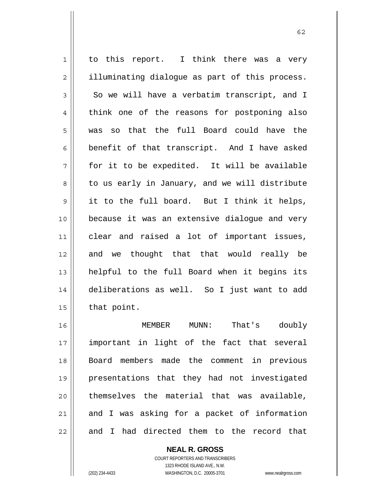1 2 3 4 5 6 7 8 9 10 11 12 13 14 15 16 to this report. I think there was a very illuminating dialogue as part of this process. So we will have a verbatim transcript, and I think one of the reasons for postponing also was so that the full Board could have the benefit of that transcript. And I have asked for it to be expedited. It will be available to us early in January, and we will distribute it to the full board. But I think it helps, because it was an extensive dialogue and very clear and raised a lot of important issues, and we thought that that would really be helpful to the full Board when it begins its deliberations as well. So I just want to add that point. MEMBER MUNN: That's doubly

17 18 19 20 21 22 important in light of the fact that several Board members made the comment in previous presentations that they had not investigated themselves the material that was available, and I was asking for a packet of information and I had directed them to the record that

> COURT REPORTERS AND TRANSCRIBERS 1323 RHODE ISLAND AVE., N.W. (202) 234-4433 WASHINGTON, D.C. 20005-3701 www.nealrgross.com

**NEAL R. GROSS**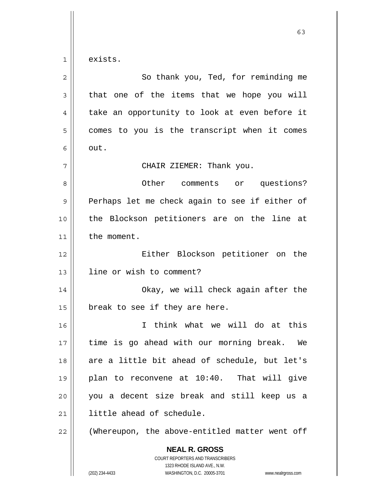1 exists.

| $\overline{2}$ | So thank you, Ted, for reminding me                                                                                                                             |
|----------------|-----------------------------------------------------------------------------------------------------------------------------------------------------------------|
| 3              | that one of the items that we hope you will                                                                                                                     |
| 4              | take an opportunity to look at even before it                                                                                                                   |
| 5              | comes to you is the transcript when it comes                                                                                                                    |
| 6              | out.                                                                                                                                                            |
| 7              | CHAIR ZIEMER: Thank you.                                                                                                                                        |
| 8              | Other comments or questions?                                                                                                                                    |
| 9              | Perhaps let me check again to see if either of                                                                                                                  |
| 10             | the Blockson petitioners are on the line at                                                                                                                     |
| 11             | the moment.                                                                                                                                                     |
| 12             | Either Blockson petitioner on the                                                                                                                               |
| 13             | line or wish to comment?                                                                                                                                        |
| 14             | Okay, we will check again after the                                                                                                                             |
| 15             | break to see if they are here.                                                                                                                                  |
| 16             | I think what we will do at this                                                                                                                                 |
| 17             | time is go ahead with our morning break. We                                                                                                                     |
| 18             | are a little bit ahead of schedule, but let's                                                                                                                   |
| 19             | plan to reconvene at 10:40. That will give                                                                                                                      |
| 20             | you a decent size break and still keep us a                                                                                                                     |
| 21             | little ahead of schedule.                                                                                                                                       |
| 22             | (Whereupon, the above-entitled matter went off                                                                                                                  |
|                | <b>NEAL R. GROSS</b><br>COURT REPORTERS AND TRANSCRIBERS<br>1323 RHODE ISLAND AVE., N.W.<br>WASHINGTON, D.C. 20005-3701<br>(202) 234-4433<br>www.nealrgross.com |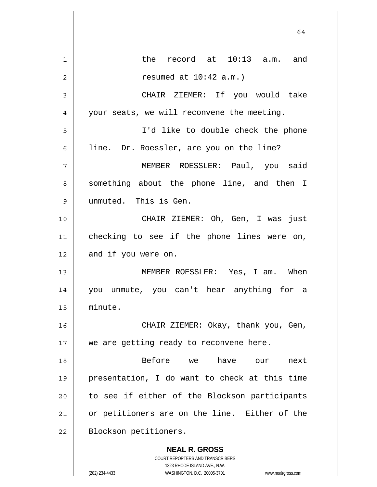|             | 64                                                                                                  |
|-------------|-----------------------------------------------------------------------------------------------------|
| $\mathbf 1$ | the record at 10:13 a.m. and                                                                        |
| 2           | resumed at $10:42$ a.m.)                                                                            |
| 3           | CHAIR ZIEMER: If you would take                                                                     |
| 4           | your seats, we will reconvene the meeting.                                                          |
| 5           | I'd like to double check the phone                                                                  |
| 6           | line. Dr. Roessler, are you on the line?                                                            |
| 7           | MEMBER ROESSLER: Paul, you said                                                                     |
| 8           | something about the phone line, and then I                                                          |
| 9           | unmuted. This is Gen.                                                                               |
| 10          | CHAIR ZIEMER: Oh, Gen, I was just                                                                   |
| 11          | checking to see if the phone lines were on,                                                         |
| 12          | and if you were on.                                                                                 |
| 13          | MEMBER ROESSLER: Yes, I am. When                                                                    |
| 14          | you unmute, you can't hear anything for a                                                           |
| 15          | minute.                                                                                             |
| 16          | CHAIR ZIEMER: Okay, thank you, Gen,                                                                 |
| 17          | we are getting ready to reconvene here.                                                             |
| 18          | Before<br>have<br>we<br>next<br>our                                                                 |
| 19          | presentation, I do want to check at this time                                                       |
| 20          | to see if either of the Blockson participants                                                       |
| 21          | or petitioners are on the line. Either of the                                                       |
| 22          | Blockson petitioners.                                                                               |
|             | <b>NEAL R. GROSS</b><br><b>COURT REPORTERS AND TRANSCRIBERS</b>                                     |
|             | 1323 RHODE ISLAND AVE., N.W.<br>(202) 234-4433<br>WASHINGTON, D.C. 20005-3701<br>www.nealrgross.com |

 $\overline{\phantom{a}}$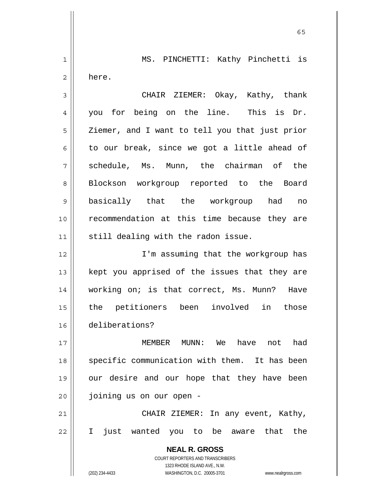1 2 MS. PINCHETTI: Kathy Pinchetti is here.

 $65$ 

3 4 5 6 7 8 9 10 11 CHAIR ZIEMER: Okay, Kathy, thank you for being on the line. This is Dr. Ziemer, and I want to tell you that just prior to our break, since we got a little ahead of schedule, Ms. Munn, the chairman of the Blockson workgroup reported to the Board basically that the workgroup had no recommendation at this time because they are still dealing with the radon issue.

12 13 14 15 16 I'm assuming that the workgroup has kept you apprised of the issues that they are working on; is that correct, Ms. Munn? Have the petitioners been involved in those deliberations?

17 18 19 20 MEMBER MUNN: We have not had specific communication with them. It has been our desire and our hope that they have been joining us on our open -

21 22 CHAIR ZIEMER: In any event, Kathy, I just wanted you to be aware that the

> **NEAL R. GROSS** COURT REPORTERS AND TRANSCRIBERS 1323 RHODE ISLAND AVE., N.W. (202) 234-4433 WASHINGTON, D.C. 20005-3701 www.nealrgross.com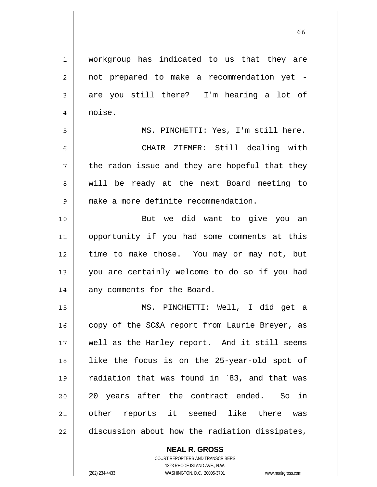workgroup has indicated to us that they are noise.

1

2

3

4

5

6

8

9

not prepared to make a recommendation yet are you still there? I'm hearing a lot of

7 MS. PINCHETTI: Yes, I'm still here. CHAIR ZIEMER: Still dealing with the radon issue and they are hopeful that they will be ready at the next Board meeting to make a more definite recommendation.

10 11 12 13 14 But we did want to give you an opportunity if you had some comments at this time to make those. You may or may not, but you are certainly welcome to do so if you had any comments for the Board.

15 16 17 18 19 20 21 22 MS. PINCHETTI: Well, I did get a copy of the SC&A report from Laurie Breyer, as well as the Harley report. And it still seems like the focus is on the 25-year-old spot of radiation that was found in `83, and that was 20 years after the contract ended. So in other reports it seemed like there was discussion about how the radiation dissipates,

> **NEAL R. GROSS** COURT REPORTERS AND TRANSCRIBERS 1323 RHODE ISLAND AVE., N.W.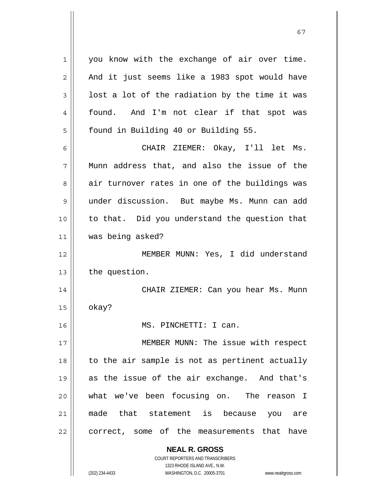**NEAL R. GROSS** COURT REPORTERS AND TRANSCRIBERS 1 2 3 4 5 6 7 8 9 10 11 12 13 14 15 16 17 18 19 20 21 22 you know with the exchange of air over time. And it just seems like a 1983 spot would have lost a lot of the radiation by the time it was found. And I'm not clear if that spot was found in Building 40 or Building 55. CHAIR ZIEMER: Okay, I'll let Ms. Munn address that, and also the issue of the air turnover rates in one of the buildings was under discussion. But maybe Ms. Munn can add to that. Did you understand the question that was being asked? MEMBER MUNN: Yes, I did understand the question. CHAIR ZIEMER: Can you hear Ms. Munn okay? MS. PINCHETTI: I can. MEMBER MUNN: The issue with respect to the air sample is not as pertinent actually as the issue of the air exchange. And that's what we've been focusing on. The reason I made that statement is because you are correct, some of the measurements that have

67

1323 RHODE ISLAND AVE., N.W.

(202) 234-4433 WASHINGTON, D.C. 20005-3701 www.nealrgross.com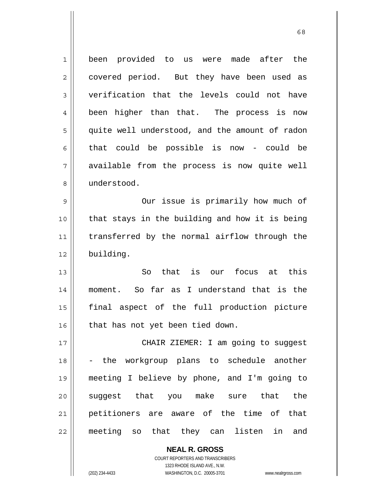1 2 3 4 5 6 7 8 9 10 11 12 13 14 15 16 17 18 19 20 21 22 been provided to us were made after the covered period. But they have been used as verification that the levels could not have been higher than that. The process is now quite well understood, and the amount of radon that could be possible is now - could be available from the process is now quite well understood. Our issue is primarily how much of that stays in the building and how it is being transferred by the normal airflow through the building. So that is our focus at this moment. So far as I understand that is the final aspect of the full production picture that has not yet been tied down. CHAIR ZIEMER: I am going to suggest - the workgroup plans to schedule another meeting I believe by phone, and I'm going to suggest that you make sure that the petitioners are aware of the time of that meeting so that they can listen in and

 $68$ 

COURT REPORTERS AND TRANSCRIBERS 1323 RHODE ISLAND AVE., N.W. (202) 234-4433 WASHINGTON, D.C. 20005-3701 www.nealrgross.com

**NEAL R. GROSS**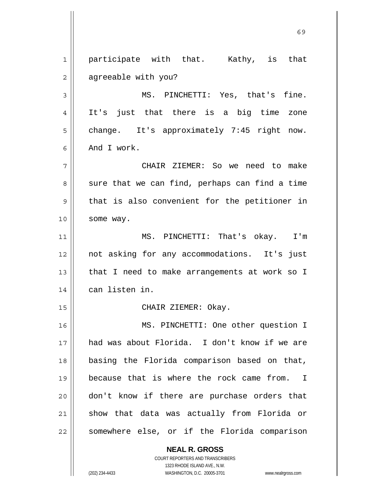**NEAL R. GROSS** 1 2 3 4 5 6 7 8 9 10 11 12 13 14 15 16 17 18 19 20 21 22 participate with that. Kathy, is that agreeable with you? MS. PINCHETTI: Yes, that's fine. It's just that there is a big time zone change. It's approximately 7:45 right now. And I work. CHAIR ZIEMER: So we need to make sure that we can find, perhaps can find a time that is also convenient for the petitioner in some way. MS. PINCHETTI: That's okay. I'm not asking for any accommodations. It's just that I need to make arrangements at work so I can listen in. CHAIR ZIEMER: Okay. MS. PINCHETTI: One other question I had was about Florida. I don't know if we are basing the Florida comparison based on that, because that is where the rock came from. I don't know if there are purchase orders that show that data was actually from Florida or somewhere else, or if the Florida comparison

 $\sim$  69

COURT REPORTERS AND TRANSCRIBERS 1323 RHODE ISLAND AVE., N.W.

(202) 234-4433 WASHINGTON, D.C. 20005-3701 www.nealrgross.com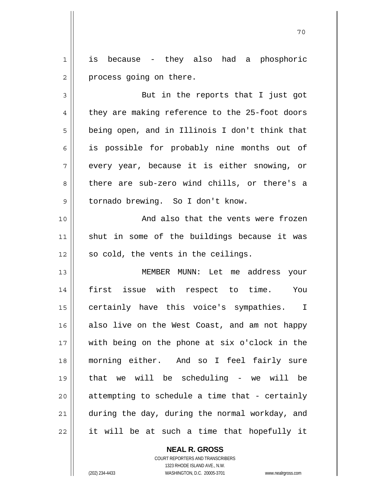1 2 is because - they also had a phosphoric process going on there.

3 4 5 6 7 8 9 But in the reports that I just got they are making reference to the 25-foot doors being open, and in Illinois I don't think that is possible for probably nine months out of every year, because it is either snowing, or there are sub-zero wind chills, or there's a tornado brewing. So I don't know.

10 11 12 And also that the vents were frozen shut in some of the buildings because it was so cold, the vents in the ceilings.

13 14 15 16 17 18 19 20 21 22 MEMBER MUNN: Let me address your first issue with respect to time. You certainly have this voice's sympathies. I also live on the West Coast, and am not happy with being on the phone at six o'clock in the morning either. And so I feel fairly sure that we will be scheduling - we will be attempting to schedule a time that - certainly during the day, during the normal workday, and it will be at such a time that hopefully it

> **NEAL R. GROSS** COURT REPORTERS AND TRANSCRIBERS 1323 RHODE ISLAND AVE., N.W. (202) 234-4433 WASHINGTON, D.C. 20005-3701 www.nealrgross.com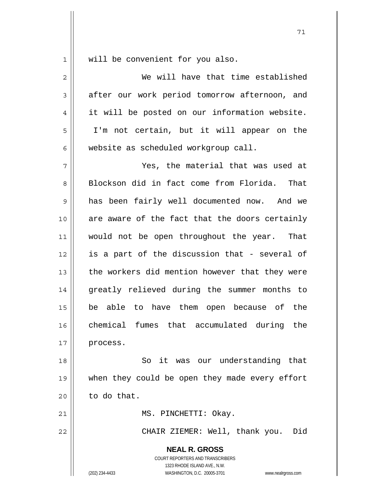will be convenient for you also.

**NEAL R. GROSS** COURT REPORTERS AND TRANSCRIBERS 1323 RHODE ISLAND AVE., N.W. 2 3 4 5 6 7 8 9 10 11 12 13 14 15 16 17 18 19 20 21 22 We will have that time established after our work period tomorrow afternoon, and it will be posted on our information website. I'm not certain, but it will appear on the website as scheduled workgroup call. Yes, the material that was used at Blockson did in fact come from Florida. That has been fairly well documented now. And we are aware of the fact that the doors certainly would not be open throughout the year. That is a part of the discussion that - several of the workers did mention however that they were greatly relieved during the summer months to be able to have them open because of the chemical fumes that accumulated during the process. So it was our understanding that when they could be open they made every effort to do that. MS. PINCHETTI: Okay. CHAIR ZIEMER: Well, thank you. Did

(202) 234-4433 WASHINGTON, D.C. 20005-3701 www.nealrgross.com

71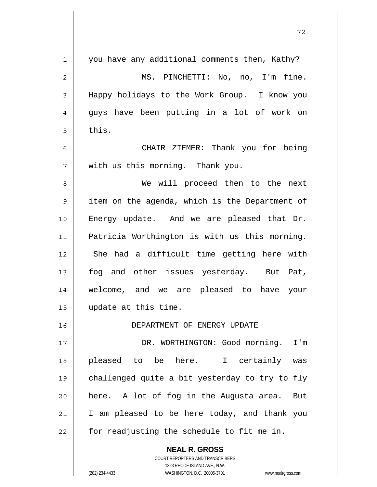| $\mathbf 1$    | you have any additional comments then, Kathy?            |
|----------------|----------------------------------------------------------|
| $\overline{2}$ | MS. PINCHETTI: No, no, I'm fine.                         |
| 3              | Happy holidays to the Work Group. I know you             |
| 4              | guys have been putting in a lot of work on               |
| 5              | this.                                                    |
| 6              | CHAIR ZIEMER: Thank you for being                        |
| 7              | with us this morning. Thank you.                         |
| 8              | We will proceed then to the next                         |
| $\mathsf 9$    | item on the agenda, which is the Department of           |
| 10             | Energy update. And we are pleased that Dr.               |
| 11             | Patricia Worthington is with us this morning.            |
| 12             | She had a difficult time getting here with               |
| 13             | fog and other issues yesterday. But Pat,                 |
| 14             | welcome, and we are pleased to have your                 |
| 15             | update at this time.                                     |
| 16             | DEPARTMENT OF ENERGY UPDATE                              |
| 17             | DR. WORTHINGTON: Good morning. I'm                       |
| 18             | pleased to be here. I certainly was                      |
| 19             | challenged quite a bit yesterday to try to fly           |
| 20             | here. A lot of fog in the Augusta area.<br>But           |
| 21             | I am pleased to be here today, and thank you             |
| 22             | for readjusting the schedule to fit me in.               |
|                | <b>NEAL R. GROSS</b><br>COURT REPORTERS AND TRANSCRIBERS |

1323 RHODE ISLAND AVE., N.W.

 $\prod$ 

 $\mathsf{I}$ 

(202) 234-4433 WASHINGTON, D.C. 20005-3701 www.nealrgross.com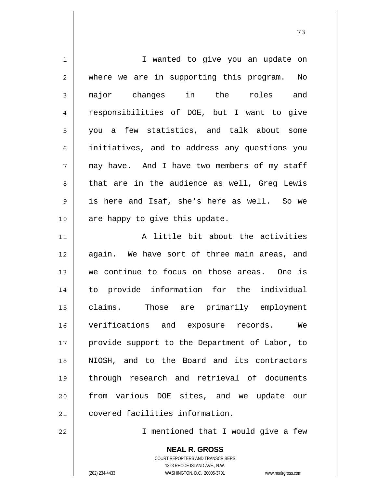| $\mathbf 1$ | I wanted to give you an update on              |
|-------------|------------------------------------------------|
| 2           | where we are in supporting this program.<br>No |
| 3           | major changes in the<br>roles and              |
| 4           | responsibilities of DOE, but I want to give    |
| 5           | you a few statistics, and talk about some      |
| 6           | initiatives, and to address any questions you  |
| 7           | may have. And I have two members of my staff   |
| 8           | that are in the audience as well, Greg Lewis   |
| 9           | is here and Isaf, she's here as well. So we    |
| 10          | are happy to give this update.                 |
| 11          | A little bit about the activities              |
| 12          | again. We have sort of three main areas, and   |
| 13          | we continue to focus on those areas. One is    |
| 14          | to provide information for the individual      |
| 15          | claims. Those are primarily employment         |
| 16          | verifications and exposure records. We         |
| 17          | provide support to the Department of Labor, to |
| 18          | NIOSH, and to the Board and its contractors    |
| 19          | through research and retrieval of documents    |
| 20          | from various DOE sites, and we update our      |
| 21          | covered facilities information.                |

I mentioned that I would give a few

**NEAL R. GROSS** COURT REPORTERS AND TRANSCRIBERS 1323 RHODE ISLAND AVE., N.W.

22

(202) 234-4433 WASHINGTON, D.C. 20005-3701 www.nealrgross.com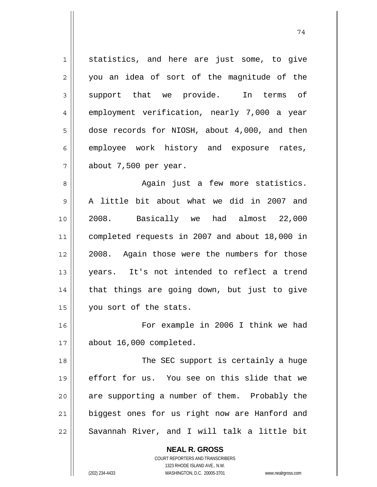1 2 3 4 5 6 7 statistics, and here are just some, to give you an idea of sort of the magnitude of the support that we provide. In terms of employment verification, nearly 7,000 a year dose records for NIOSH, about 4,000, and then employee work history and exposure rates, about 7,500 per year.

8 9 10 11 12 13 14 15 Again just a few more statistics. A little bit about what we did in 2007 and 2008. Basically we had almost 22,000 completed requests in 2007 and about 18,000 in 2008. Again those were the numbers for those years. It's not intended to reflect a trend that things are going down, but just to give you sort of the stats.

16 17 For example in 2006 I think we had about 16,000 completed.

18 19 20 21 22 The SEC support is certainly a huge effort for us. You see on this slide that we are supporting a number of them. Probably the biggest ones for us right now are Hanford and Savannah River, and I will talk a little bit

**NEAL R. GROSS**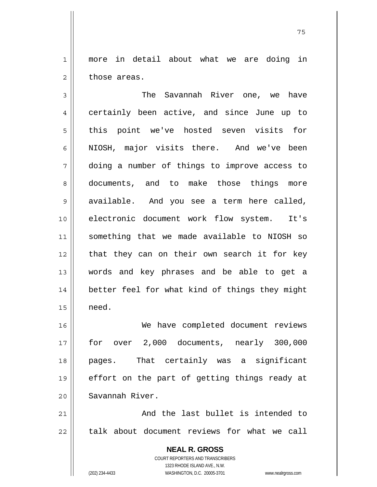1 2 more in detail about what we are doing in those areas.

3 4 5 6 7 8 9 10 11 12 13 14 15 The Savannah River one, we have certainly been active, and since June up to this point we've hosted seven visits for NIOSH, major visits there. And we've been doing a number of things to improve access to documents, and to make those things more available. And you see a term here called, electronic document work flow system. It's something that we made available to NIOSH so that they can on their own search it for key words and key phrases and be able to get a better feel for what kind of things they might need.

16 17 18 19 20 We have completed document reviews for over 2,000 documents, nearly 300,000 pages. That certainly was a significant effort on the part of getting things ready at Savannah River.

21 22 And the last bullet is intended to talk about document reviews for what we call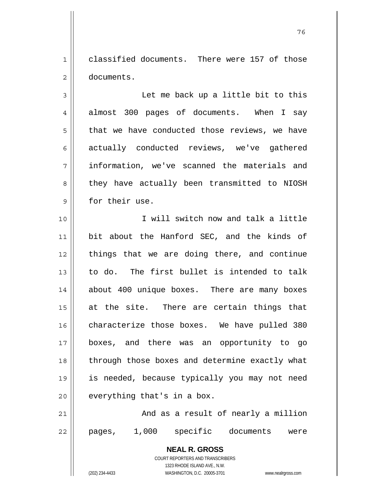1 2 classified documents. There were 157 of those documents.

и процесс в политическиот производство в село в 176 година в 176 године. В 176 године в 176 године в 176 годин<br>В 176 године в 176 године в 176 године в 176 године в 176 године в 176 године в 176 године в 176 године в 176

3 4 5 6 7 8 9 Let me back up a little bit to this almost 300 pages of documents. When I say that we have conducted those reviews, we have actually conducted reviews, we've gathered information, we've scanned the materials and they have actually been transmitted to NIOSH for their use.

10 11 12 13 14 15 16 17 18 19 20 I will switch now and talk a little bit about the Hanford SEC, and the kinds of things that we are doing there, and continue to do. The first bullet is intended to talk about 400 unique boxes. There are many boxes at the site. There are certain things that characterize those boxes. We have pulled 380 boxes, and there was an opportunity to go through those boxes and determine exactly what is needed, because typically you may not need everything that's in a box.

21 22 And as a result of nearly a million pages, 1,000 specific documents were

> COURT REPORTERS AND TRANSCRIBERS 1323 RHODE ISLAND AVE., N.W.

(202) 234-4433 WASHINGTON, D.C. 20005-3701 www.nealrgross.com

**NEAL R. GROSS**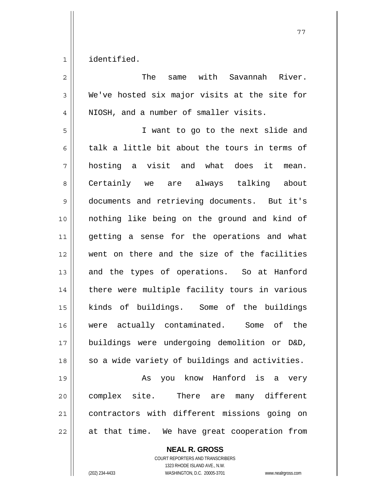1 identified.

| $\overline{2}$ | The<br>same with Savannah River.               |
|----------------|------------------------------------------------|
| 3              | We've hosted six major visits at the site for  |
| 4              | NIOSH, and a number of smaller visits.         |
| 5              | I want to go to the next slide and             |
| 6              | talk a little bit about the tours in terms of  |
| 7              | hosting a visit and what does it mean.         |
| 8              | Certainly we are always talking about          |
| 9              | documents and retrieving documents. But it's   |
| 10             | nothing like being on the ground and kind of   |
| 11             | getting a sense for the operations and what    |
| 12             | went on there and the size of the facilities   |
| 13             | and the types of operations. So at Hanford     |
| 14             | there were multiple facility tours in various  |
| 15             | kinds of buildings. Some of the buildings      |
| 16             | were actually contaminated. Some of the        |
| 17             | buildings were undergoing demolition or D&D,   |
| 18             | so a wide variety of buildings and activities. |
| 19             | you know Hanford is a very<br>As               |
| 20             | complex site. There are many different         |
| 21             | contractors with different missions going on   |
| 22             | at that time. We have great cooperation from   |

**NEAL R. GROSS**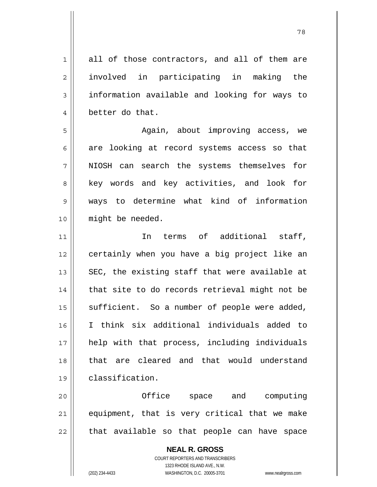1 2 3 4 all of those contractors, and all of them are involved in participating in making the information available and looking for ways to better do that.

 Again, about improving access, we are looking at record systems access so that NIOSH can search the systems themselves for key words and key activities, and look for ways to determine what kind of information might be needed.

11 12 13 14 15 16 17 18 19 In terms of additional staff, certainly when you have a big project like an SEC, the existing staff that were available at that site to do records retrieval might not be sufficient. So a number of people were added, I think six additional individuals added to help with that process, including individuals that are cleared and that would understand classification.

20 21 22 Office space and computing equipment, that is very critical that we make that available so that people can have space

> **NEAL R. GROSS** COURT REPORTERS AND TRANSCRIBERS 1323 RHODE ISLAND AVE., N.W. (202) 234-4433 WASHINGTON, D.C. 20005-3701 www.nealrgross.com

5

6

7

8

9

10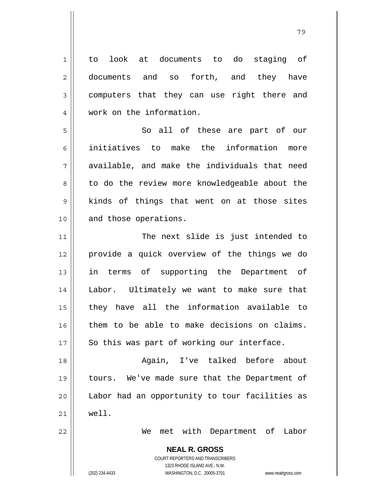**NEAL R. GROSS** COURT REPORTERS AND TRANSCRIBERS 1323 RHODE ISLAND AVE., N.W. 1 2 3 4 5 6 7 8 9 10 11 12 13 14 15 16 17 18 19 20 21 22 to look at documents to do staging of documents and so forth, and they have computers that they can use right there and work on the information. So all of these are part of our initiatives to make the information more available, and make the individuals that need to do the review more knowledgeable about the kinds of things that went on at those sites and those operations. The next slide is just intended to provide a quick overview of the things we do in terms of supporting the Department of Labor. Ultimately we want to make sure that they have all the information available to them to be able to make decisions on claims. So this was part of working our interface. Again, I've talked before about tours. We've made sure that the Department of Labor had an opportunity to tour facilities as well. We met with Department of Labor

ли в село в село во село во село во село во село во село во село во село во село во село во село во село во се<br>2003 — Велико во село во село во село во село во село во село во село во село во село во село во село во село

(202) 234-4433 WASHINGTON, D.C. 20005-3701 www.nealrgross.com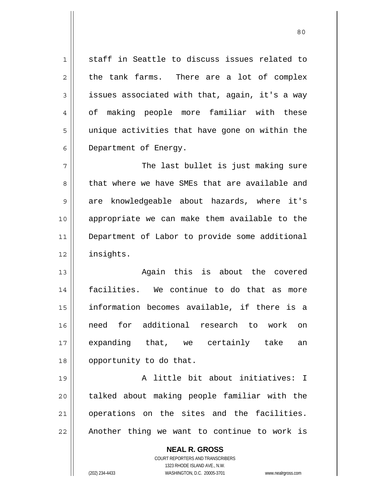staff in Seattle to discuss issues related to the tank farms. There are a lot of complex issues associated with that, again, it's a way of making people more familiar with these unique activities that have gone on within the Department of Energy.

7 8 9 10 11 12 The last bullet is just making sure that where we have SMEs that are available and are knowledgeable about hazards, where it's appropriate we can make them available to the Department of Labor to provide some additional insights.

13 14 15 16 17 18 Again this is about the covered facilities. We continue to do that as more information becomes available, if there is a need for additional research to work on expanding that, we certainly take an opportunity to do that.

19 20 21 22 A little bit about initiatives: I talked about making people familiar with the operations on the sites and the facilities. Another thing we want to continue to work is

> **NEAL R. GROSS** COURT REPORTERS AND TRANSCRIBERS 1323 RHODE ISLAND AVE., N.W. (202) 234-4433 WASHINGTON, D.C. 20005-3701 www.nealrgross.com

1

2

3

4

5

6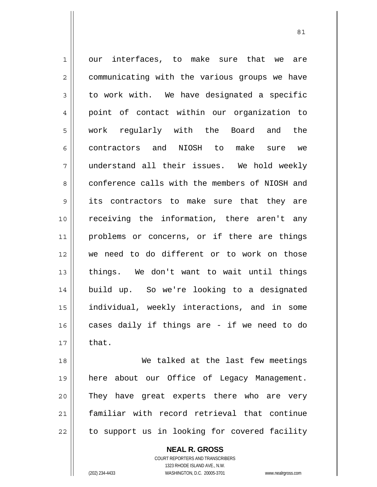1 2 3 4 5 6 7 8 9 10 11 12 13 14 15 16 17 our interfaces, to make sure that we are communicating with the various groups we have to work with. We have designated a specific point of contact within our organization to work regularly with the Board and the contractors and NIOSH to make sure we understand all their issues. We hold weekly conference calls with the members of NIOSH and its contractors to make sure that they are receiving the information, there aren't any problems or concerns, or if there are things we need to do different or to work on those things. We don't want to wait until things build up. So we're looking to a designated individual, weekly interactions, and in some cases daily if things are - if we need to do that.

18 19 20 21 22 We talked at the last few meetings here about our Office of Legacy Management. They have great experts there who are very familiar with record retrieval that continue to support us in looking for covered facility

**NEAL R. GROSS**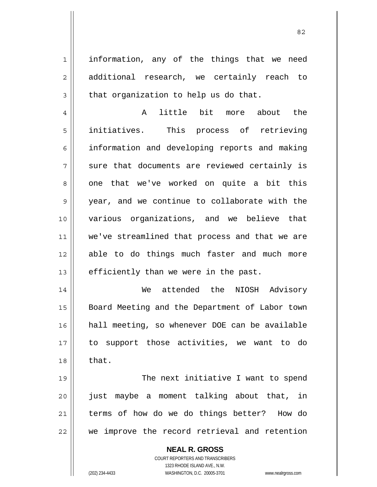information, any of the things that we need additional research, we certainly reach to that organization to help us do that.

<u>82</u>

4 5 6 7 8 9 10 11 12 13 A little bit more about the initiatives. This process of retrieving information and developing reports and making sure that documents are reviewed certainly is one that we've worked on quite a bit this year, and we continue to collaborate with the various organizations, and we believe that we've streamlined that process and that we are able to do things much faster and much more efficiently than we were in the past.

14 15 16 17 18 We attended the NIOSH Advisory Board Meeting and the Department of Labor town hall meeting, so whenever DOE can be available to support those activities, we want to do that.

19 20 21 22 The next initiative I want to spend just maybe a moment talking about that, in terms of how do we do things better? How do we improve the record retrieval and retention

> **NEAL R. GROSS** COURT REPORTERS AND TRANSCRIBERS

1

2

3

1323 RHODE ISLAND AVE., N.W. (202) 234-4433 WASHINGTON, D.C. 20005-3701 www.nealrgross.com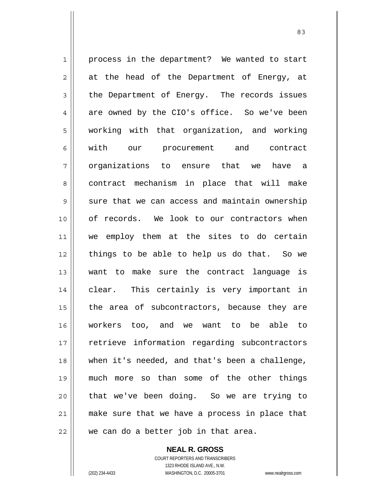1 2 3 4 5 6 7 8 9 10 11 12 13 14 15 16 17 18 19 20 21 22 process in the department? We wanted to start at the head of the Department of Energy, at the Department of Energy. The records issues are owned by the CIO's office. So we've been working with that organization, and working with our procurement and contract organizations to ensure that we have a contract mechanism in place that will make sure that we can access and maintain ownership of records. We look to our contractors when we employ them at the sites to do certain things to be able to help us do that. So we want to make sure the contract language is clear. This certainly is very important in the area of subcontractors, because they are workers too, and we want to be able to retrieve information regarding subcontractors when it's needed, and that's been a challenge, much more so than some of the other things that we've been doing. So we are trying to make sure that we have a process in place that we can do a better job in that area.

> **NEAL R. GROSS** COURT REPORTERS AND TRANSCRIBERS 1323 RHODE ISLAND AVE., N.W.

(202) 234-4433 WASHINGTON, D.C. 20005-3701 www.nealrgross.com

<u>83 and 2001 and 2002 and 2003 and 2003 and 2004 and 2004 and 2004 and 2004 and 2004 and 2004 and 2004 and 200</u>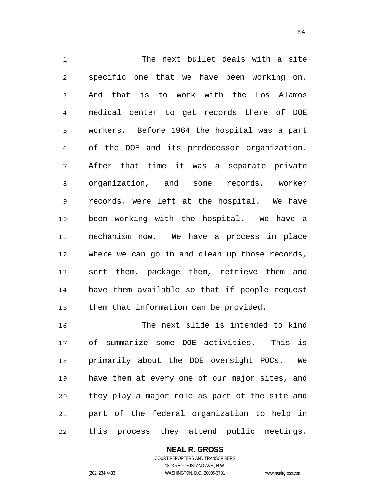1 2 3 4 5 6 7 8 9 10 11 12 13 14 15 16 The next bullet deals with a site specific one that we have been working on. And that is to work with the Los Alamos medical center to get records there of DOE workers. Before 1964 the hospital was a part of the DOE and its predecessor organization. After that time it was a separate private organization, and some records, worker records, were left at the hospital. We have been working with the hospital. We have a mechanism now. We have a process in place where we can go in and clean up those records, sort them, package them, retrieve them and have them available so that if people request them that information can be provided. The next slide is intended to kind

17 18 19 20 21 22 of summarize some DOE activities. This is primarily about the DOE oversight POCs. We have them at every one of our major sites, and they play a major role as part of the site and part of the federal organization to help in this process they attend public meetings.

**NEAL R. GROSS**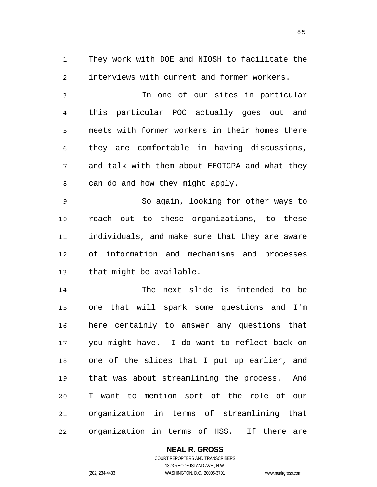1 2 3 4 5 6 7 8 9 10 11 12 13 14 15 16 17 18 19 20 21 22 They work with DOE and NIOSH to facilitate the interviews with current and former workers. In one of our sites in particular this particular POC actually goes out and meets with former workers in their homes there they are comfortable in having discussions, and talk with them about EEOICPA and what they can do and how they might apply. So again, looking for other ways to reach out to these organizations, to these individuals, and make sure that they are aware of information and mechanisms and processes that might be available. The next slide is intended to be one that will spark some questions and I'm here certainly to answer any questions that you might have. I do want to reflect back on one of the slides that I put up earlier, and that was about streamlining the process. And I want to mention sort of the role of our organization in terms of streamlining that organization in terms of HSS. If there are

<u>85 and 2001 and 2001 and 2001 and 2001 and 2001 and 2001 and 2001 and 2001 and 2001 and 2001 and 2001 and 200</u>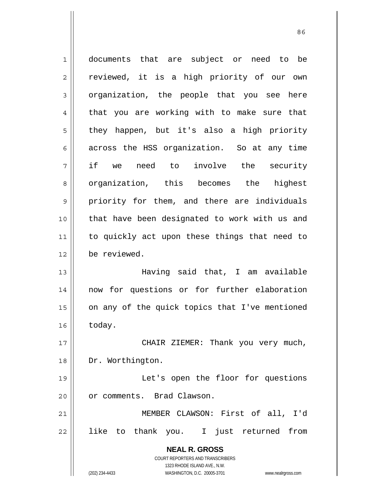**NEAL R. GROSS** COURT REPORTERS AND TRANSCRIBERS 1323 RHODE ISLAND AVE., N.W. (202) 234-4433 WASHINGTON, D.C. 20005-3701 www.nealrgross.com 1 2 3 4 5 6 7 8 9 10 11 12 13 14 15 16 17 18 19 20 21 22 documents that are subject or need to be reviewed, it is a high priority of our own organization, the people that you see here that you are working with to make sure that they happen, but it's also a high priority across the HSS organization. So at any time if we need to involve the security organization, this becomes the highest priority for them, and there are individuals that have been designated to work with us and to quickly act upon these things that need to be reviewed. Having said that, I am available now for questions or for further elaboration on any of the quick topics that I've mentioned today. CHAIR ZIEMER: Thank you very much, Dr. Worthington. Let's open the floor for questions or comments. Brad Clawson. MEMBER CLAWSON: First of all, I'd like to thank you. I just returned from

<u>86 and 2001 and 2002 and 2003 and 2003 and 2003 and 2003 and 2003 and 2003 and 2003 and 2003 and 2003 and 200</u>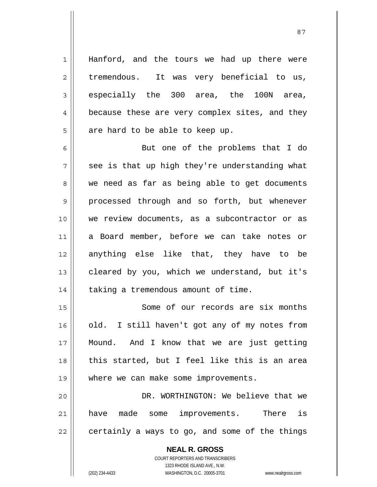Hanford, and the tours we had up there were tremendous. It was very beneficial to us, especially the 300 area, the 100N area, because these are very complex sites, and they are hard to be able to keep up.

6 7 8 9 10 11 12 13 14 But one of the problems that I do see is that up high they're understanding what we need as far as being able to get documents processed through and so forth, but whenever we review documents, as a subcontractor or as a Board member, before we can take notes or anything else like that, they have to be cleared by you, which we understand, but it's taking a tremendous amount of time.

15 16 17 18 19 Some of our records are six months old. I still haven't got any of my notes from Mound. And I know that we are just getting this started, but I feel like this is an area where we can make some improvements.

20 21 22 DR. WORTHINGTON: We believe that we have made some improvements. There is certainly a ways to go, and some of the things

> **NEAL R. GROSS** COURT REPORTERS AND TRANSCRIBERS 1323 RHODE ISLAND AVE., N.W. (202) 234-4433 WASHINGTON, D.C. 20005-3701 www.nealrgross.com

1

2

3

4

5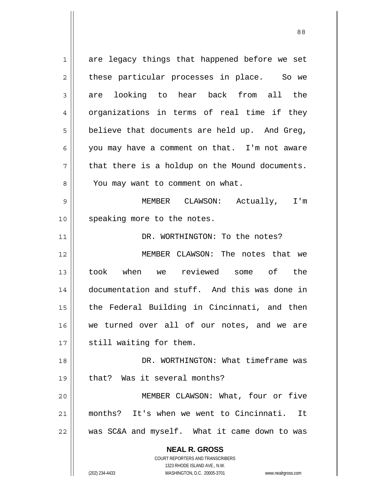**NEAL R. GROSS** COURT REPORTERS AND TRANSCRIBERS 1323 RHODE ISLAND AVE., N.W. 1 2 3 4 5 6 7 8 9 10 11 12 13 14 15 16 17 18 19 20 21 22 are legacy things that happened before we set these particular processes in place. So we are looking to hear back from all the organizations in terms of real time if they believe that documents are held up. And Greg, you may have a comment on that. I'm not aware that there is a holdup on the Mound documents. You may want to comment on what. MEMBER CLAWSON: Actually, I'm speaking more to the notes. DR. WORTHINGTON: To the notes? MEMBER CLAWSON: The notes that we took when we reviewed some of the documentation and stuff. And this was done in the Federal Building in Cincinnati, and then we turned over all of our notes, and we are still waiting for them. DR. WORTHINGTON: What timeframe was that? Was it several months? MEMBER CLAWSON: What, four or five months? It's when we went to Cincinnati. It was SC&A and myself. What it came down to was

(202) 234-4433 WASHINGTON, D.C. 20005-3701 www.nealrgross.com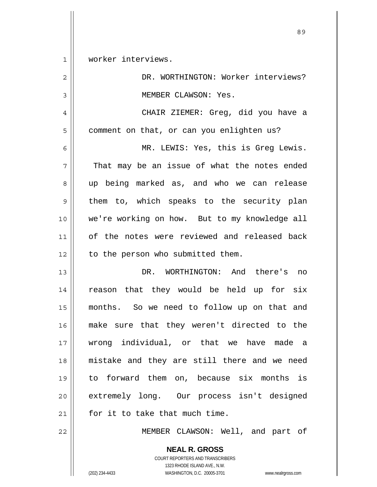1 worker interviews.

| $\overline{2}$ | DR. WORTHINGTON: Worker interviews?           |
|----------------|-----------------------------------------------|
| 3              | MEMBER CLAWSON: Yes.                          |
| 4              | CHAIR ZIEMER: Greg, did you have a            |
| 5              | comment on that, or can you enlighten us?     |
| 6              | MR. LEWIS: Yes, this is Greg Lewis.           |
| 7              | That may be an issue of what the notes ended  |
| 8              | up being marked as, and who we can release    |
| 9              | them to, which speaks to the security plan    |
| 10             | we're working on how. But to my knowledge all |
| 11             | of the notes were reviewed and released back  |
| 12             | to the person who submitted them.             |
| 13             | DR. WORTHINGTON: And there's no               |
| 14             | reason that they would be held up for six     |
| 15             | months. So we need to follow up on that and   |
| 16             | make sure that they weren't directed to the   |
| 17             | wrong individual, or that we have made a      |
| 18             | mistake and they are still there and we need  |
| 19             | to forward them on, because six months is     |
| 20             | extremely long. Our process isn't designed    |
| 21             | for it to take that much time.                |
| 22             | MEMBER CLAWSON: Well, and part of             |

**NEAL R. GROSS** COURT REPORTERS AND TRANSCRIBERS 1323 RHODE ISLAND AVE., N.W. (202) 234-4433 WASHINGTON, D.C. 20005-3701 www.nealrgross.com

<u>89 and 2001 and 2002 and 2003 and 2003 and 2003 and 2003 and 2003 and 2003 and 2003 and 2003 and 2003 and 200</u>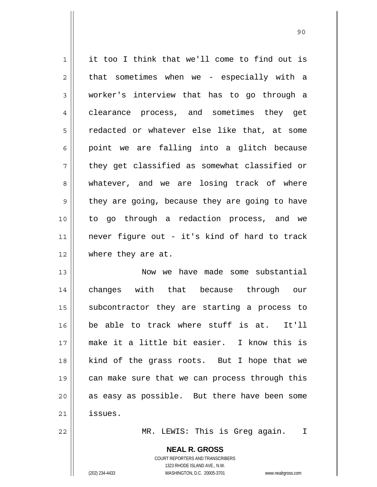1 2 3 4 5 6 7 8 9 10 11 12 13 it too I think that we'll come to find out is that sometimes when we - especially with a worker's interview that has to go through a clearance process, and sometimes they get redacted or whatever else like that, at some point we are falling into a glitch because they get classified as somewhat classified or whatever, and we are losing track of where they are going, because they are going to have to go through a redaction process, and we never figure out - it's kind of hard to track where they are at. Now we have made some substantial

90

14 15 16 17 18 19 20 21 changes with that because through our subcontractor they are starting a process to be able to track where stuff is at. It'll make it a little bit easier. I know this is kind of the grass roots. But I hope that we can make sure that we can process through this as easy as possible. But there have been some issues.

MR. LEWIS: This is Greg again. I

**NEAL R. GROSS** COURT REPORTERS AND TRANSCRIBERS

1323 RHODE ISLAND AVE., N.W.

22

(202) 234-4433 WASHINGTON, D.C. 20005-3701 www.nealrgross.com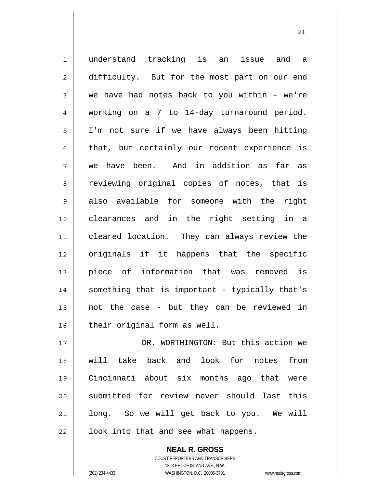1 2 3 4 5 6 7 8 9 10 11 12 13 14 15 16 17 18 19 understand tracking is an issue and a difficulty. But for the most part on our end we have had notes back to you within - we're working on a 7 to 14-day turnaround period. I'm not sure if we have always been hitting that, but certainly our recent experience is we have been. And in addition as far as reviewing original copies of notes, that is also available for someone with the right clearances and in the right setting in a cleared location. They can always review the originals if it happens that the specific piece of information that was removed is something that is important - typically that's not the case - but they can be reviewed in their original form as well. DR. WORTHINGTON: But this action we will take back and look for notes from Cincinnati about six months ago that were

> **NEAL R. GROSS** COURT REPORTERS AND TRANSCRIBERS 1323 RHODE ISLAND AVE., N.W.

look into that and see what happens.

submitted for review never should last this

long. So we will get back to you. We will

20

21

22

(202) 234-4433 WASHINGTON, D.C. 20005-3701 www.nealrgross.com

<u>91</u>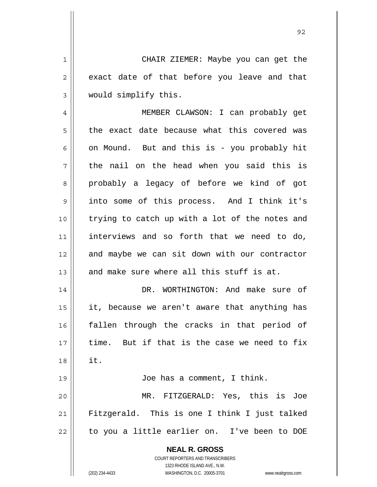CHAIR ZIEMER: Maybe you can get the exact date of that before you leave and that would simplify this.

1

2

3

4 5 6 7 8 9 10 11 12 13 MEMBER CLAWSON: I can probably get the exact date because what this covered was on Mound. But and this is - you probably hit the nail on the head when you said this is probably a legacy of before we kind of got into some of this process. And I think it's trying to catch up with a lot of the notes and interviews and so forth that we need to do, and maybe we can sit down with our contractor and make sure where all this stuff is at.

14 15 16 17 18 19 DR. WORTHINGTON: And make sure of it, because we aren't aware that anything has fallen through the cracks in that period of time. But if that is the case we need to fix it. Joe has a comment, I think.

20 21 22 MR. FITZGERALD: Yes, this is Joe Fitzgerald. This is one I think I just talked to you a little earlier on. I've been to DOE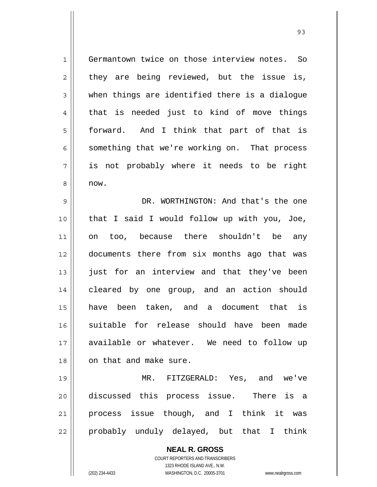1 2 3 4 5 6 7 8 Germantown twice on those interview notes. So they are being reviewed, but the issue is, when things are identified there is a dialogue that is needed just to kind of move things forward. And I think that part of that is something that we're working on. That process is not probably where it needs to be right now.

<u>93 and 200 and 200 and 200 and 200 and 200 and 200 and 200 and 200 and 200 and 200 and 200 and 200 and 200 an</u>

9 10 11 12 13 14 15 16 17 18 DR. WORTHINGTON: And that's the one that I said I would follow up with you, Joe, on too, because there shouldn't be any documents there from six months ago that was just for an interview and that they've been cleared by one group, and an action should have been taken, and a document that is suitable for release should have been made available or whatever. We need to follow up on that and make sure.

19 20 21 22 MR. FITZGERALD: Yes, and we've discussed this process issue. There is a process issue though, and I think it was probably unduly delayed, but that I think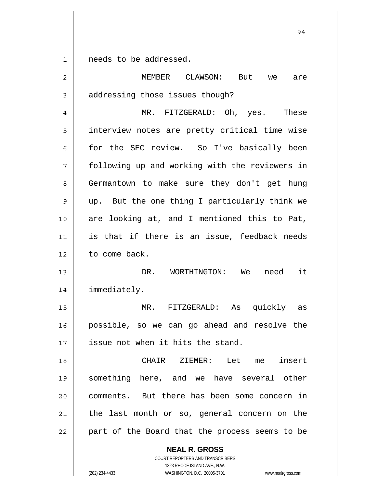1 needs to be addressed.

| $\overline{2}$ | MEMBER CLAWSON:<br>But<br>we<br>are            |
|----------------|------------------------------------------------|
| 3              | addressing those issues though?                |
| 4              | MR. FITZGERALD: Oh, yes. These                 |
| 5              | interview notes are pretty critical time wise  |
| 6              | for the SEC review. So I've basically been     |
| 7              | following up and working with the reviewers in |
| 8              | Germantown to make sure they don't get hung    |
| 9              | up. But the one thing I particularly think we  |
| 10             | are looking at, and I mentioned this to Pat,   |
| 11             | is that if there is an issue, feedback needs   |
| 12             | to come back.                                  |
| 13             | DR. WORTHINGTON: We need it                    |
| 14             | immediately.                                   |
| 15             | $MR$ .<br>FITZGERALD: As quickly as            |
| 16             | possible, so we can go ahead and resolve the   |
| 17             | issue not when it hits the stand.              |
| 18             | CHAIR ZIEMER: Let me insert                    |
| 19             | something here, and we have several other      |
| 20             | comments. But there has been some concern in   |
| 21             | the last month or so, general concern on the   |
| 22             | part of the Board that the process seems to be |
|                | <b>NEAL R. GROSS</b>                           |

1323 RHODE ISLAND AVE., N.W. (202) 234-4433 WASHINGTON, D.C. 20005-3701 www.nealrgross.com

COURT REPORTERS AND TRANSCRIBERS

94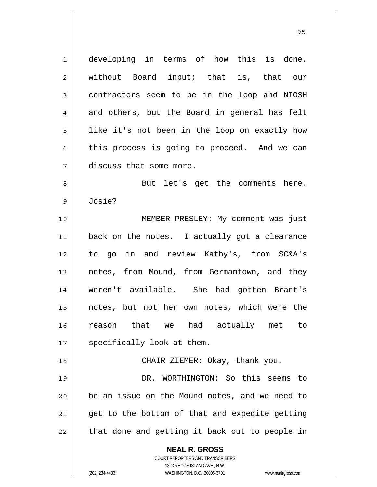**NEAL R. GROSS** 1 2 3 4 5 6 7 8 9 10 11 12 13 14 15 16 17 18 19 20 21 22 developing in terms of how this is done, without Board input; that is, that our contractors seem to be in the loop and NIOSH and others, but the Board in general has felt like it's not been in the loop on exactly how this process is going to proceed. And we can discuss that some more. But let's get the comments here. Josie? MEMBER PRESLEY: My comment was just back on the notes. I actually got a clearance to go in and review Kathy's, from SC&A's notes, from Mound, from Germantown, and they weren't available. She had gotten Brant's notes, but not her own notes, which were the reason that we had actually met to specifically look at them. CHAIR ZIEMER: Okay, thank you. DR. WORTHINGTON: So this seems to be an issue on the Mound notes, and we need to get to the bottom of that and expedite getting that done and getting it back out to people in

> COURT REPORTERS AND TRANSCRIBERS 1323 RHODE ISLAND AVE., N.W.

(202) 234-4433 WASHINGTON, D.C. 20005-3701 www.nealrgross.com

<u>95 and 2001 and 2001 and 2001 and 2001 and 2001 and 2001 and 2001 and 2001 and 2001 and 2001 and 2001 and 200</u>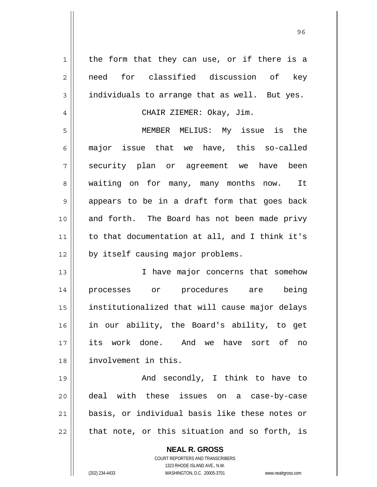| $\mathbf 1$ | the form that they can use, or if there is a                                             |
|-------------|------------------------------------------------------------------------------------------|
| 2           | need for classified discussion of key                                                    |
| 3           | individuals to arrange that as well. But yes.                                            |
| 4           | CHAIR ZIEMER: Okay, Jim.                                                                 |
| 5           | MEMBER MELIUS: My issue is the                                                           |
| 6           | major issue that we have, this so-called                                                 |
| 7           | security plan or agreement we have been                                                  |
| 8           | waiting on for many, many months now. It                                                 |
| 9           | appears to be in a draft form that goes back                                             |
| 10          | and forth. The Board has not been made privy                                             |
| 11          | to that documentation at all, and I think it's                                           |
| 12          | by itself causing major problems.                                                        |
| 13          | I have major concerns that somehow                                                       |
| 14          | processes or procedures are being                                                        |
| 15          | institutionalized that will cause major delays                                           |
| 16          | in our ability, the Board's ability, to get                                              |
| 17          | its work done. And we have sort of<br>no                                                 |
| 18          | involvement in this.                                                                     |
| 19          | And secondly, I think to have to                                                         |
| 20          | deal with these issues on a case-by-case                                                 |
| 21          | basis, or individual basis like these notes or                                           |
| 22          | that note, or this situation and so forth, is                                            |
|             | <b>NEAL R. GROSS</b><br>COURT REPORTERS AND TRANSCRIBERS<br>1323 RHODE ISLAND AVE., N.W. |
|             | (202) 234-4433<br>WASHINGTON, D.C. 20005-3701<br>www.nealrgross.com                      |

 $\mathbf{\mathsf{H}}$ 

<u>96 - Johann Stein, amerikan ing kabupatèn Inggris di Bandaran Inggris di Bandaran Inggris di Bandaran Inggris </u>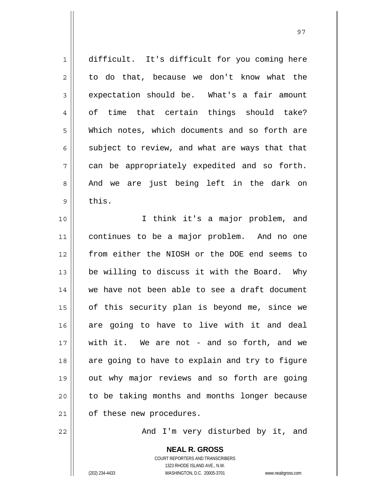| $1\,$          | difficult. It's difficult for you coming here  |
|----------------|------------------------------------------------|
| $\sqrt{2}$     | to do that, because we don't know what the     |
| $\mathfrak{Z}$ | expectation should be. What's a fair amount    |
| $\overline{4}$ | of time that certain things should take?       |
| 5              | Which notes, which documents and so forth are  |
| 6              | subject to review, and what are ways that that |
| 7              | can be appropriately expedited and so forth.   |
| 8              | And we are just being left in the dark on      |
| $\mathsf 9$    | this.                                          |
| 10             | I think it's a major problem, and              |
| 11             | continues to be a major problem. And no one    |
| 12             | from either the NIOSH or the DOE end seems to  |
| 13             | be willing to discuss it with the Board. Why   |
| 14             | we have not been able to see a draft document  |
| 15             | of this security plan is beyond me, since we   |
| 16             | are going to have to live with it and deal     |
| 17             | with it. We are not - and so forth, and we     |
| 18             | are going to have to explain and try to figure |
| 19             | out why major reviews and so forth are going   |
| 20             | to be taking months and months longer because  |
| 21             | of these new procedures.                       |
| 22             | And I'm very disturbed by it, and              |

And I'm very disturbed by it, and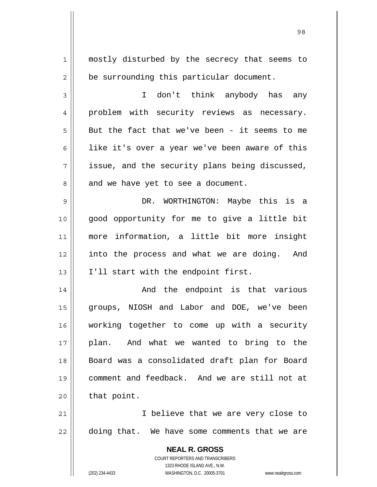**NEAL R. GROSS** COURT REPORTERS AND TRANSCRIBERS 1323 RHODE ISLAND AVE., N.W. (202) 234-4433 WASHINGTON, D.C. 20005-3701 www.nealrgross.com 1 2 3 4 5 6 7 8 9 10 11 12 13 14 15 16 17 18 19 20 21 22 mostly disturbed by the secrecy that seems to be surrounding this particular document. I don't think anybody has any problem with security reviews as necessary. But the fact that we've been - it seems to me like it's over a year we've been aware of this issue, and the security plans being discussed, and we have yet to see a document. DR. WORTHINGTON: Maybe this is a good opportunity for me to give a little bit more information, a little bit more insight into the process and what we are doing. And I'll start with the endpoint first. And the endpoint is that various groups, NIOSH and Labor and DOE, we've been working together to come up with a security plan. And what we wanted to bring to the Board was a consolidated draft plan for Board comment and feedback. And we are still not at that point. I believe that we are very close to doing that. We have some comments that we are

98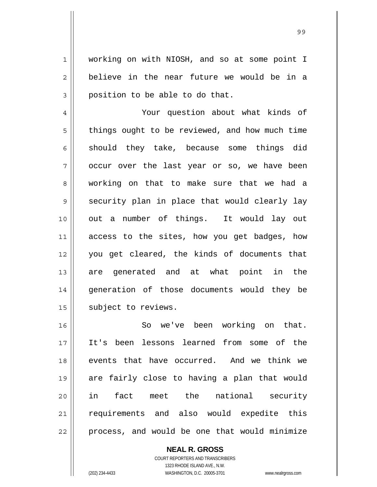working on with NIOSH, and so at some point I believe in the near future we would be in a position to be able to do that.

1

2

3

4 5 6 7 8 9 10 11 12 13 14 15 Your question about what kinds of things ought to be reviewed, and how much time should they take, because some things did occur over the last year or so, we have been working on that to make sure that we had a security plan in place that would clearly lay out a number of things. It would lay out access to the sites, how you get badges, how you get cleared, the kinds of documents that are generated and at what point in the generation of those documents would they be subject to reviews.

16 17 18 19 20 21 22 So we've been working on that. It's been lessons learned from some of the events that have occurred. And we think we are fairly close to having a plan that would in fact meet the national security requirements and also would expedite this process, and would be one that would minimize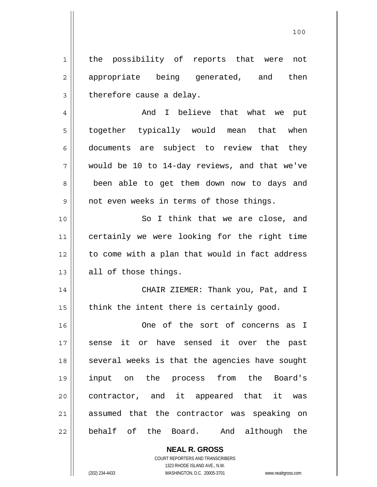the possibility of reports that were not appropriate being generated, and then therefore cause a delay.

1

2

3

100

4 5 6 7 8 9 And I believe that what we put together typically would mean that when documents are subject to review that they would be 10 to 14-day reviews, and that we've been able to get them down now to days and not even weeks in terms of those things.

10 11 12 13 So I think that we are close, and certainly we were looking for the right time to come with a plan that would in fact address all of those things.

14 15 CHAIR ZIEMER: Thank you, Pat, and I think the intent there is certainly good.

16 17 18 19 20 21 22 One of the sort of concerns as I sense it or have sensed it over the past several weeks is that the agencies have sought input on the process from the Board's contractor, and it appeared that it was assumed that the contractor was speaking on behalf of the Board. And although the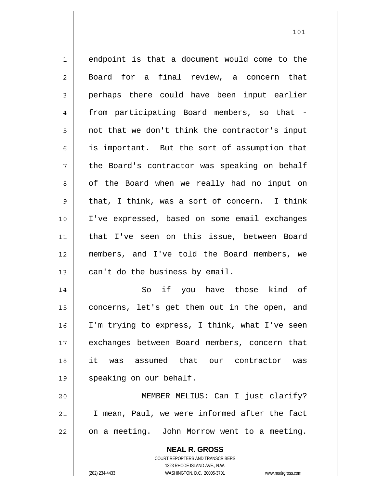1 2 3 4 5 6 7 8 9 10 11 12 13 14 15 16 endpoint is that a document would come to the Board for a final review, a concern that perhaps there could have been input earlier from participating Board members, so that not that we don't think the contractor's input is important. But the sort of assumption that the Board's contractor was speaking on behalf of the Board when we really had no input on that, I think, was a sort of concern. I think I've expressed, based on some email exchanges that I've seen on this issue, between Board members, and I've told the Board members, we can't do the business by email. So if you have those kind of concerns, let's get them out in the open, and I'm trying to express, I think, what I've seen exchanges between Board members, concern that

101

17 18 19 20 21 22 it was assumed that our contractor was speaking on our behalf. MEMBER MELIUS: Can I just clarify? I mean, Paul, we were informed after the fact on a meeting. John Morrow went to a meeting.

> **NEAL R. GROSS** COURT REPORTERS AND TRANSCRIBERS

1323 RHODE ISLAND AVE., N.W. (202) 234-4433 WASHINGTON, D.C. 20005-3701 www.nealrgross.com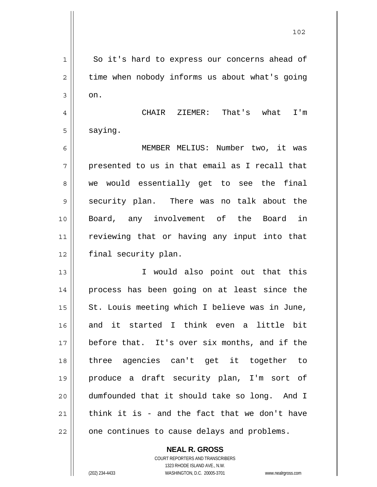| $\mathbf 1$    | So it's hard to express our concerns ahead of  |
|----------------|------------------------------------------------|
| $\overline{2}$ | time when nobody informs us about what's going |
| 3              | on.                                            |
| 4              | CHAIR ZIEMER: That's what I'm                  |
| 5              | saying.                                        |
| 6              | MEMBER MELIUS: Number two, it was              |
| 7              | presented to us in that email as I recall that |
| 8              | we would essentially get to see the final      |
| 9              | security plan. There was no talk about the     |
| 10             | Board, any involvement of the Board in         |
| 11             | reviewing that or having any input into that   |
| 12             | final security plan.                           |
| 13             | I would also point out that this               |
| 14             | process has been going on at least since the   |
| 15             | St. Louis meeting which I believe was in June, |
| 16             | and it started I think even a little bit       |
| 17             | before that. It's over six months, and if the  |
| 18             | three agencies can't get it together to        |
| 19             | produce a draft security plan, I'm sort of     |
| 20             | dumfounded that it should take so long. And I  |
| 21             | think it is - and the fact that we don't have  |
| 22             | one continues to cause delays and problems.    |

 $\mathsf{II}$ 

COURT REPORTERS AND TRANSCRIBERS 1323 RHODE ISLAND AVE., N.W. (202) 234-4433 WASHINGTON, D.C. 20005-3701 www.nealrgross.com

**NEAL R. GROSS**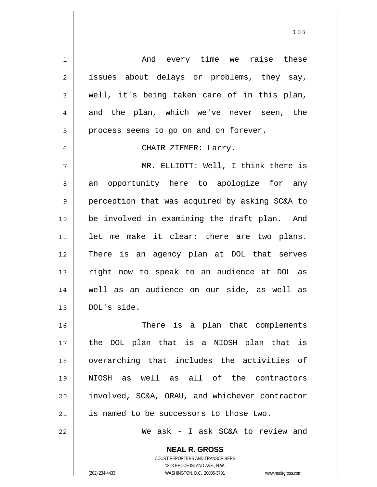1 2 3 4 5 6 7 8 9 10 11 12 13 14 15 16 17 18 19 20 21 22 And every time we raise these issues about delays or problems, they say, well, it's being taken care of in this plan, and the plan, which we've never seen, the process seems to go on and on forever. CHAIR ZIEMER: Larry. MR. ELLIOTT: Well, I think there is an opportunity here to apologize for any perception that was acquired by asking SC&A to be involved in examining the draft plan. And let me make it clear: there are two plans. There is an agency plan at DOL that serves right now to speak to an audience at DOL as well as an audience on our side, as well as DOL's side. There is a plan that complements the DOL plan that is a NIOSH plan that is overarching that includes the activities of NIOSH as well as all of the contractors involved, SC&A, ORAU, and whichever contractor is named to be successors to those two. We ask - I ask SC&A to review and

103

**NEAL R. GROSS** COURT REPORTERS AND TRANSCRIBERS 1323 RHODE ISLAND AVE., N.W.

(202) 234-4433 WASHINGTON, D.C. 20005-3701 www.nealrgross.com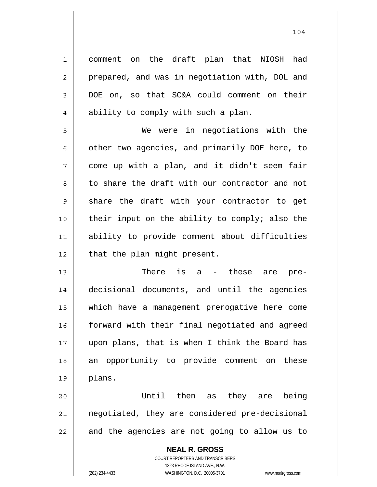1 2 3 4 5 6 7 8 9 10 11 12 13 14 15 16 comment on the draft plan that NIOSH had prepared, and was in negotiation with, DOL and DOE on, so that SC&A could comment on their ability to comply with such a plan. We were in negotiations with the other two agencies, and primarily DOE here, to come up with a plan, and it didn't seem fair to share the draft with our contractor and not share the draft with your contractor to get their input on the ability to comply; also the ability to provide comment about difficulties that the plan might present. There is a - these are predecisional documents, and until the agencies which have a management prerogative here come

17 18 19 forward with their final negotiated and agreed upon plans, that is when I think the Board has an opportunity to provide comment on these plans.

20 21 22 Until then as they are being negotiated, they are considered pre-decisional and the agencies are not going to allow us to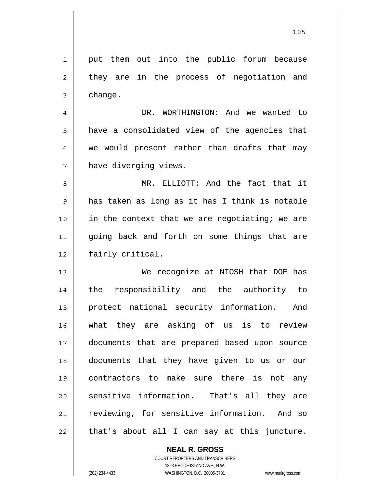1 2 3 4 5 6 7 8 9 10 11 12 13 14 15 16 17 18 19 20 21 22 put them out into the public forum because they are in the process of negotiation and change. DR. WORTHINGTON: And we wanted to have a consolidated view of the agencies that we would present rather than drafts that may have diverging views. MR. ELLIOTT: And the fact that it has taken as long as it has I think is notable in the context that we are negotiating; we are going back and forth on some things that are fairly critical. We recognize at NIOSH that DOE has the responsibility and the authority to protect national security information. And what they are asking of us is to review documents that are prepared based upon source documents that they have given to us or our contractors to make sure there is not any sensitive information. That's all they are reviewing, for sensitive information. And so that's about all I can say at this juncture.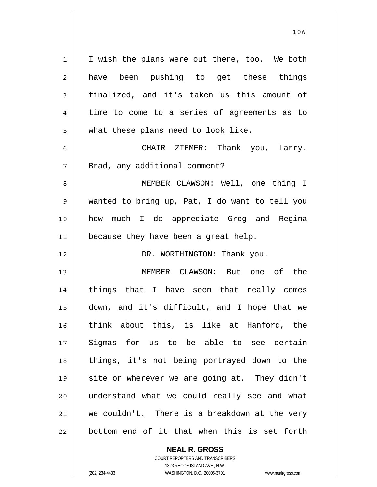1 2 3 4 5 6 7 8 9 10 11 12 13 14 15 16 17 18 19 20 21 22 I wish the plans were out there, too. We both have been pushing to get these things finalized, and it's taken us this amount of time to come to a series of agreements as to what these plans need to look like. CHAIR ZIEMER: Thank you, Larry. Brad, any additional comment? MEMBER CLAWSON: Well, one thing I wanted to bring up, Pat, I do want to tell you how much I do appreciate Greg and Regina because they have been a great help. DR. WORTHINGTON: Thank you. MEMBER CLAWSON: But one of the things that I have seen that really comes down, and it's difficult, and I hope that we think about this, is like at Hanford, the Sigmas for us to be able to see certain things, it's not being portrayed down to the site or wherever we are going at. They didn't understand what we could really see and what we couldn't. There is a breakdown at the very bottom end of it that when this is set forth

<u>106</u>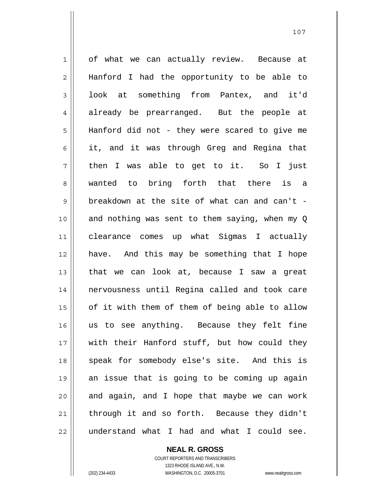1 2 3 4 5 6 7 8 9 10 11 12 13 14 15 16 17 18 19 20 21 22 of what we can actually review. Because at Hanford I had the opportunity to be able to look at something from Pantex, and it'd already be prearranged. But the people at Hanford did not - they were scared to give me it, and it was through Greg and Regina that then I was able to get to it. So I just wanted to bring forth that there is a breakdown at the site of what can and can't and nothing was sent to them saying, when my Q clearance comes up what Sigmas I actually have. And this may be something that I hope that we can look at, because I saw a great nervousness until Regina called and took care of it with them of them of being able to allow us to see anything. Because they felt fine with their Hanford stuff, but how could they speak for somebody else's site. And this is an issue that is going to be coming up again and again, and I hope that maybe we can work through it and so forth. Because they didn't understand what I had and what I could see.

107

**NEAL R. GROSS** COURT REPORTERS AND TRANSCRIBERS 1323 RHODE ISLAND AVE., N.W.

(202) 234-4433 WASHINGTON, D.C. 20005-3701 www.nealrgross.com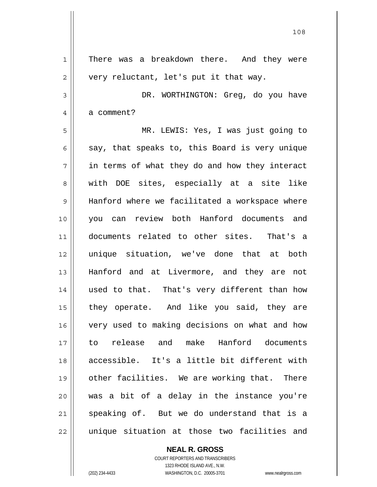1 2 3 4 5 6 7 8 9 10 11 12 13 14 15 16 17 18 19 20 21 22 There was a breakdown there. And they were very reluctant, let's put it that way. DR. WORTHINGTON: Greg, do you have a comment? MR. LEWIS: Yes, I was just going to say, that speaks to, this Board is very unique in terms of what they do and how they interact with DOE sites, especially at a site like Hanford where we facilitated a workspace where you can review both Hanford documents and documents related to other sites. That's a unique situation, we've done that at both Hanford and at Livermore, and they are not used to that. That's very different than how they operate. And like you said, they are very used to making decisions on what and how to release and make Hanford documents accessible. It's a little bit different with other facilities. We are working that. There was a bit of a delay in the instance you're speaking of. But we do understand that is a unique situation at those two facilities and

108

COURT REPORTERS AND TRANSCRIBERS 1323 RHODE ISLAND AVE., N.W. (202) 234-4433 WASHINGTON, D.C. 20005-3701 www.nealrgross.com

**NEAL R. GROSS**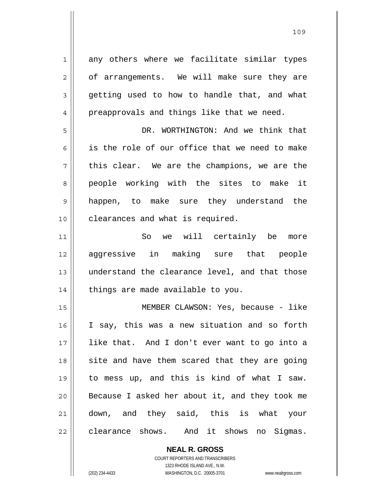1 2 3 4 5 6 7 8 9 10 11 12 13 14 15 16 17 18 19 20 21 22 any others where we facilitate similar types of arrangements. We will make sure they are getting used to how to handle that, and what preapprovals and things like that we need. DR. WORTHINGTON: And we think that is the role of our office that we need to make this clear. We are the champions, we are the people working with the sites to make it happen, to make sure they understand the clearances and what is required. So we will certainly be more aggressive in making sure that people understand the clearance level, and that those things are made available to you. MEMBER CLAWSON: Yes, because - like I say, this was a new situation and so forth like that. And I don't ever want to go into a site and have them scared that they are going to mess up, and this is kind of what I saw. Because I asked her about it, and they took me down, and they said, this is what your clearance shows. And it shows no Sigmas.

> **NEAL R. GROSS** COURT REPORTERS AND TRANSCRIBERS

1323 RHODE ISLAND AVE., N.W. (202) 234-4433 WASHINGTON, D.C. 20005-3701 www.nealrgross.com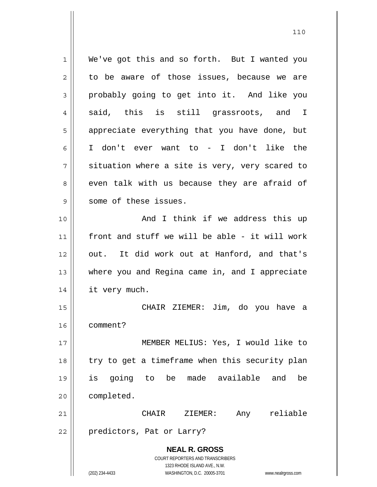**NEAL R. GROSS** COURT REPORTERS AND TRANSCRIBERS 1323 RHODE ISLAND AVE., N.W. (202) 234-4433 WASHINGTON, D.C. 20005-3701 www.nealrgross.com 1 2 3 4 5 6 7 8 9 10 11 12 13 14 15 16 17 18 19 20 21 22 We've got this and so forth. But I wanted you to be aware of those issues, because we are probably going to get into it. And like you said, this is still grassroots, and I appreciate everything that you have done, but I don't ever want to - I don't like the situation where a site is very, very scared to even talk with us because they are afraid of some of these issues. And I think if we address this up front and stuff we will be able - it will work out. It did work out at Hanford, and that's where you and Regina came in, and I appreciate it very much. CHAIR ZIEMER: Jim, do you have a comment? MEMBER MELIUS: Yes, I would like to try to get a timeframe when this security plan is going to be made available and be completed. CHAIR ZIEMER: Any reliable predictors, Pat or Larry?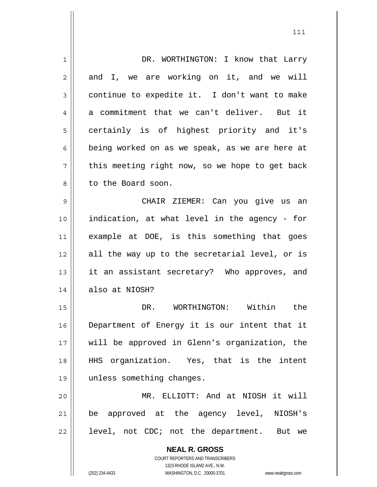| 1              | DR. WORTHINGTON: I know that Larry                                  |
|----------------|---------------------------------------------------------------------|
| $\overline{2}$ | and I, we are working on it, and we will                            |
| 3              | continue to expedite it. I don't want to make                       |
| 4              | a commitment that we can't deliver. But it                          |
| 5              | certainly is of highest priority and it's                           |
| 6              | being worked on as we speak, as we are here at                      |
| 7              | this meeting right now, so we hope to get back                      |
| 8              | to the Board soon.                                                  |
| 9              | CHAIR ZIEMER: Can you give us an                                    |
| 10             | indication, at what level in the agency - for                       |
| 11             | example at DOE, is this something that goes                         |
| 12             | all the way up to the secretarial level, or is                      |
| 13             | it an assistant secretary? Who approves, and                        |
| 14             | also at NIOSH?                                                      |
| 15             | WORTHINGTON: Within the<br>DR.                                      |
| 16             | Department of Energy it is our intent that it                       |
| 17             | will be approved in Glenn's organization, the                       |
| 18             | HHS organization. Yes, that is the intent                           |
| 19             | unless something changes.                                           |
| 20             | MR. ELLIOTT: And at NIOSH it will                                   |
| 21             | be approved at the agency level, NIOSH's                            |
| 22             | level, not CDC; not the department. But we                          |
|                | <b>NEAL R. GROSS</b>                                                |
|                | COURT REPORTERS AND TRANSCRIBERS                                    |
|                | 1323 RHODE ISLAND AVE., N.W.                                        |
|                | (202) 234-4433<br>WASHINGTON, D.C. 20005-3701<br>www.nealrgross.com |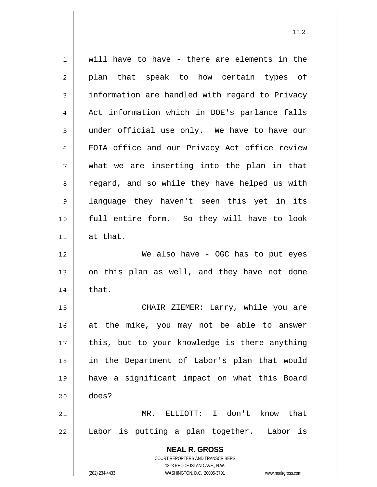| 1  | will have to have - there are elements in the                       |
|----|---------------------------------------------------------------------|
| 2  | plan that speak to how certain types of                             |
| 3  | information are handled with regard to Privacy                      |
| 4  | Act information which in DOE's parlance falls                       |
| 5  | under official use only. We have to have our                        |
| 6  | FOIA office and our Privacy Act office review                       |
| 7  | what we are inserting into the plan in that                         |
| 8  | regard, and so while they have helped us with                       |
| 9  | language they haven't seen this yet in its                          |
| 10 | full entire form. So they will have to look                         |
| 11 | at that.                                                            |
| 12 | We also have - OGC has to put eyes                                  |
| 13 | on this plan as well, and they have not done                        |
| 14 | that.                                                               |
| 15 | CHAIR ZIEMER: Larry, while you are                                  |
| 16 | at the mike, you may not be able to answer                          |
| 17 | this, but to your knowledge is there anything                       |
| 18 | in the Department of Labor's plan that would                        |
| 19 | have a significant impact on what this Board                        |
| 20 | does?                                                               |
| 21 | MR. ELLIOTT: I don't know that                                      |
| 22 | Labor is putting a plan together.<br>Labor is                       |
|    |                                                                     |
|    | <b>NEAL R. GROSS</b><br>COURT REPORTERS AND TRANSCRIBERS            |
|    | 1323 RHODE ISLAND AVE., N.W.                                        |
|    | (202) 234-4433<br>WASHINGTON, D.C. 20005-3701<br>www.nealrgross.com |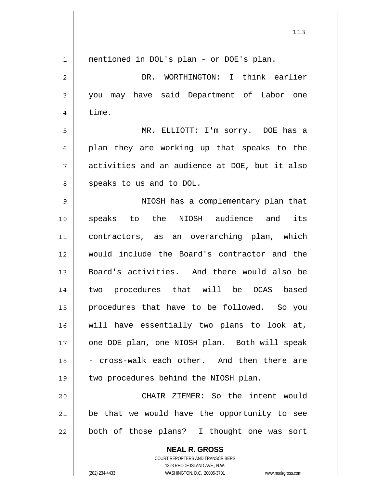| $\mathbf 1$ | mentioned in DOL's plan - or DOE's plan.                 |
|-------------|----------------------------------------------------------|
| 2           | DR. WORTHINGTON: I think earlier                         |
| 3           | you may have said Department of Labor one                |
| 4           | time.                                                    |
| 5           | MR. ELLIOTT: I'm sorry. DOE has a                        |
| 6           | plan they are working up that speaks to the              |
| 7           | activities and an audience at DOE, but it also           |
| 8           | speaks to us and to DOL.                                 |
| 9           | NIOSH has a complementary plan that                      |
| 10          | speaks to the NIOSH audience and<br>its                  |
| 11          | contractors, as an overarching plan, which               |
| 12          | would include the Board's contractor and the             |
| 13          | Board's activities. And there would also be              |
| 14          | two procedures that will be OCAS based                   |
| 15          | procedures that have to be followed. So you              |
| 16          | will have essentially two plans to look at,              |
| 17          | one DOE plan, one NIOSH plan. Both will speak            |
| 18          | - cross-walk each other. And then there are              |
| 19          | two procedures behind the NIOSH plan.                    |
| 20          | CHAIR ZIEMER: So the intent would                        |
| 21          | be that we would have the opportunity to see             |
| 22          | both of those plans? I thought one was sort              |
|             | <b>NEAL R. GROSS</b><br>COURT REPORTERS AND TRANSCRIBERS |

1323 RHODE ISLAND AVE., N.W.

 $\prod$ 

(202) 234-4433 WASHINGTON, D.C. 20005-3701 www.nealrgross.com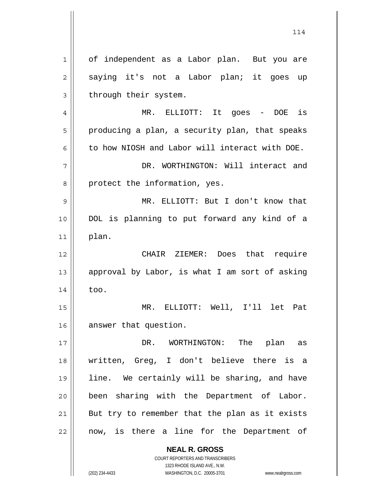**NEAL R. GROSS** COURT REPORTERS AND TRANSCRIBERS 1 2 3 4 5 6 7 8 9 10 11 12 13 14 15 16 17 18 19 20 21 22 of independent as a Labor plan. But you are saying it's not a Labor plan; it goes up through their system. MR. ELLIOTT: It goes - DOE is producing a plan, a security plan, that speaks to how NIOSH and Labor will interact with DOE. DR. WORTHINGTON: Will interact and protect the information, yes. MR. ELLIOTT: But I don't know that DOL is planning to put forward any kind of a plan. CHAIR ZIEMER: Does that require approval by Labor, is what I am sort of asking too. MR. ELLIOTT: Well, I'll let Pat answer that question. DR. WORTHINGTON: The plan as written, Greg, I don't believe there is a line. We certainly will be sharing, and have been sharing with the Department of Labor. But try to remember that the plan as it exists now, is there a line for the Department of

114

1323 RHODE ISLAND AVE., N.W.

(202) 234-4433 WASHINGTON, D.C. 20005-3701 www.nealrgross.com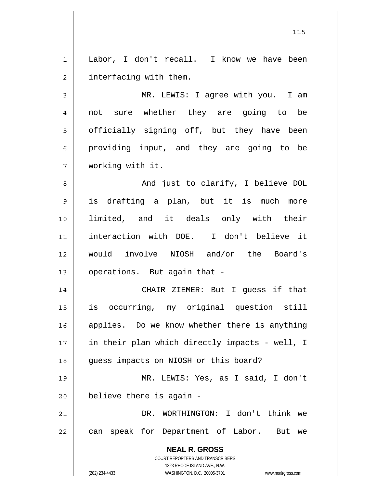1 2 Labor, I don't recall. I know we have been interfacing with them.

3 4 5 6 7 MR. LEWIS: I agree with you. I am not sure whether they are going to be officially signing off, but they have been providing input, and they are going to be working with it.

8 9 10 11 12 13 And just to clarify, I believe DOL is drafting a plan, but it is much more limited, and it deals only with their interaction with DOE. I don't believe it would involve NIOSH and/or the Board's operations. But again that -

14 15 16 17 18 CHAIR ZIEMER: But I guess if that is occurring, my original question still applies. Do we know whether there is anything in their plan which directly impacts - well, I guess impacts on NIOSH or this board?

19 20 MR. LEWIS: Yes, as I said, I don't believe there is again -

21 22 DR. WORTHINGTON: I don't think we can speak for Department of Labor. But we

> **NEAL R. GROSS** COURT REPORTERS AND TRANSCRIBERS 1323 RHODE ISLAND AVE., N.W.

(202) 234-4433 WASHINGTON, D.C. 20005-3701 www.nealrgross.com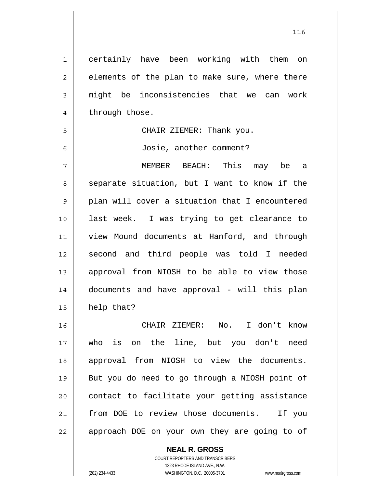1 2 3 4 5 6 7 8 9 10 11 12 13 14 15 16 17 18 19 20 21 22 certainly have been working with them on elements of the plan to make sure, where there might be inconsistencies that we can work through those. CHAIR ZIEMER: Thank you. Josie, another comment? MEMBER BEACH: This may be a separate situation, but I want to know if the plan will cover a situation that I encountered last week. I was trying to get clearance to view Mound documents at Hanford, and through second and third people was told I needed approval from NIOSH to be able to view those documents and have approval - will this plan help that? CHAIR ZIEMER: No. I don't know who is on the line, but you don't need approval from NIOSH to view the documents. But you do need to go through a NIOSH point of contact to facilitate your getting assistance from DOE to review those documents. If you approach DOE on your own they are going to of

> **NEAL R. GROSS** COURT REPORTERS AND TRANSCRIBERS

> > 1323 RHODE ISLAND AVE., N.W.

(202) 234-4433 WASHINGTON, D.C. 20005-3701 www.nealrgross.com

<u>116</u>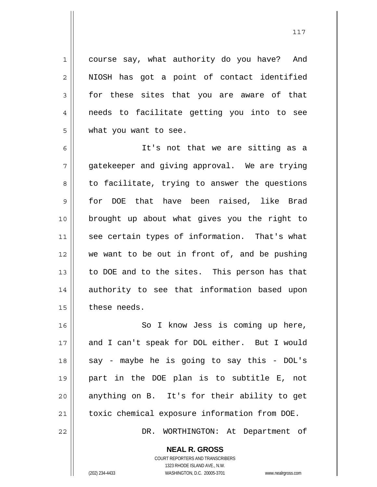course say, what authority do you have? And NIOSH has got a point of contact identified for these sites that you are aware of that needs to facilitate getting you into to see what you want to see.

1

2

3

4

5

6 7 8 9 10 11 12 13 14 15 It's not that we are sitting as a gatekeeper and giving approval. We are trying to facilitate, trying to answer the questions for DOE that have been raised, like Brad brought up about what gives you the right to see certain types of information. That's what we want to be out in front of, and be pushing to DOE and to the sites. This person has that authority to see that information based upon these needs.

16 17 18 19 20 21 22 So I know Jess is coming up here, and I can't speak for DOL either. But I would say - maybe he is going to say this - DOL's part in the DOE plan is to subtitle E, not anything on B. It's for their ability to get toxic chemical exposure information from DOE. DR. WORTHINGTON: At Department of

> **NEAL R. GROSS** COURT REPORTERS AND TRANSCRIBERS

1323 RHODE ISLAND AVE., N.W. (202) 234-4433 WASHINGTON, D.C. 20005-3701 www.nealrgross.com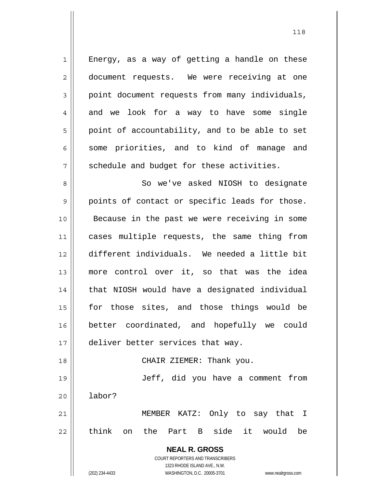**NEAL R. GROSS** COURT REPORTERS AND TRANSCRIBERS 1323 RHODE ISLAND AVE., N.W. 1 2 3 4 5 6 7 8 9 10 11 12 13 14 15 16 17 18 19 20 21 22 Energy, as a way of getting a handle on these document requests. We were receiving at one point document requests from many individuals, and we look for a way to have some single point of accountability, and to be able to set some priorities, and to kind of manage and schedule and budget for these activities. So we've asked NIOSH to designate points of contact or specific leads for those. Because in the past we were receiving in some cases multiple requests, the same thing from different individuals. We needed a little bit more control over it, so that was the idea that NIOSH would have a designated individual for those sites, and those things would be better coordinated, and hopefully we could deliver better services that way. CHAIR ZIEMER: Thank you. Jeff, did you have a comment from labor? MEMBER KATZ: Only to say that I think on the Part B side it would be

(202) 234-4433 WASHINGTON, D.C. 20005-3701 www.nealrgross.com

<u>118</u>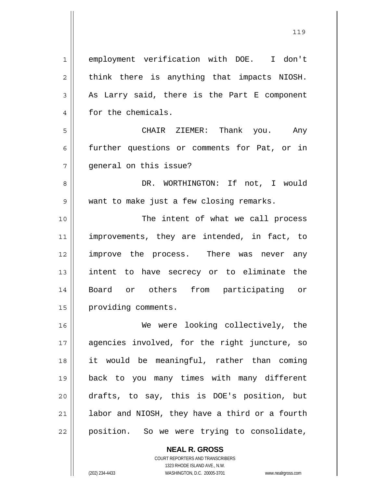1 2 3 4 5 6 7 8 9 10 11 12 13 14 15 16 17 18 19 20 21 22 employment verification with DOE. I don't think there is anything that impacts NIOSH. As Larry said, there is the Part E component for the chemicals. CHAIR ZIEMER: Thank you. Any further questions or comments for Pat, or in general on this issue? DR. WORTHINGTON: If not, I would want to make just a few closing remarks. The intent of what we call process improvements, they are intended, in fact, to improve the process. There was never any intent to have secrecy or to eliminate the Board or others from participating or providing comments. We were looking collectively, the agencies involved, for the right juncture, so it would be meaningful, rather than coming back to you many times with many different drafts, to say, this is DOE's position, but labor and NIOSH, they have a third or a fourth position. So we were trying to consolidate,

> **NEAL R. GROSS** COURT REPORTERS AND TRANSCRIBERS 1323 RHODE ISLAND AVE., N.W.

<u>119</u>

<sup>(202) 234-4433</sup> WASHINGTON, D.C. 20005-3701 www.nealrgross.com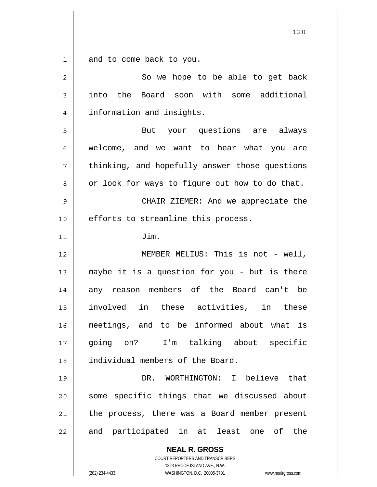1 and to come back to you.

| $\overline{2}$ | So we hope to be able to get back                                                                                                                                      |
|----------------|------------------------------------------------------------------------------------------------------------------------------------------------------------------------|
| 3              | into the Board soon with some additional                                                                                                                               |
| 4              | information and insights.                                                                                                                                              |
| 5              | But your questions are always                                                                                                                                          |
| 6              | welcome, and we want to hear what you are                                                                                                                              |
| 7              | thinking, and hopefully answer those questions                                                                                                                         |
| 8              | or look for ways to figure out how to do that.                                                                                                                         |
| 9              | CHAIR ZIEMER: And we appreciate the                                                                                                                                    |
| 10             | efforts to streamline this process.                                                                                                                                    |
| 11             | Jim.                                                                                                                                                                   |
| 12             | MEMBER MELIUS: This is not - well,                                                                                                                                     |
| 13             | maybe it is a question for you - but is there                                                                                                                          |
| 14             | any reason members of the Board can't be                                                                                                                               |
| 15             | involved in these activities, in these                                                                                                                                 |
| 16             | meetings, and to be informed about what is                                                                                                                             |
| $17$           | I'm talking about specific<br>going on?                                                                                                                                |
| 18             | individual members of the Board.                                                                                                                                       |
| 19             | WORTHINGTON: I believe that<br>DR.                                                                                                                                     |
| 20             | some specific things that we discussed about                                                                                                                           |
| 21             | the process, there was a Board member present                                                                                                                          |
| 22             | and participated in at least one of<br>the                                                                                                                             |
|                | <b>NEAL R. GROSS</b><br><b>COURT REPORTERS AND TRANSCRIBERS</b><br>1323 RHODE ISLAND AVE., N.W.<br>(202) 234-4433<br>WASHINGTON, D.C. 20005-3701<br>www.nealrgross.com |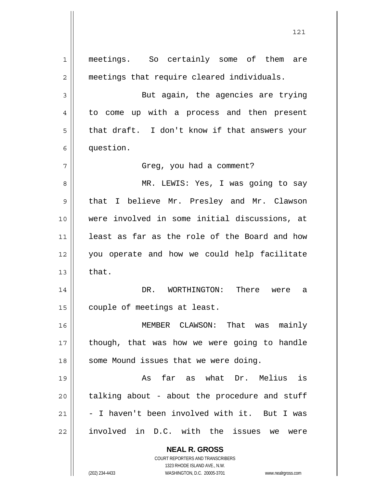**NEAL R. GROSS** COURT REPORTERS AND TRANSCRIBERS 1323 RHODE ISLAND AVE., N.W. (202) 234-4433 WASHINGTON, D.C. 20005-3701 www.nealrgross.com 1 2 3 4 5 6 7 8 9 10 11 12 13 14 15 16 17 18 19 20 21 22 meetings. So certainly some of them are meetings that require cleared individuals. But again, the agencies are trying to come up with a process and then present that draft. I don't know if that answers your question. Greg, you had a comment? MR. LEWIS: Yes, I was going to say that I believe Mr. Presley and Mr. Clawson were involved in some initial discussions, at least as far as the role of the Board and how you operate and how we could help facilitate that. DR. WORTHINGTON: There were a couple of meetings at least. MEMBER CLAWSON: That was mainly though, that was how we were going to handle some Mound issues that we were doing. As far as what Dr. Melius is talking about - about the procedure and stuff - I haven't been involved with it. But I was involved in D.C. with the issues we were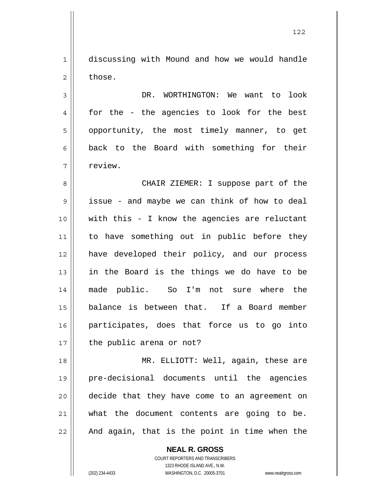1 2 discussing with Mound and how we would handle those.

3 4 5 6 7 DR. WORTHINGTON: We want to look for the - the agencies to look for the best opportunity, the most timely manner, to get back to the Board with something for their review.

8 9 10 11 12 13 14 15 16 17 CHAIR ZIEMER: I suppose part of the issue - and maybe we can think of how to deal with this - I know the agencies are reluctant to have something out in public before they have developed their policy, and our process in the Board is the things we do have to be made public. So I'm not sure where the balance is between that. If a Board member participates, does that force us to go into the public arena or not?

18 19 20 21 22 MR. ELLIOTT: Well, again, these are pre-decisional documents until the agencies decide that they have come to an agreement on what the document contents are going to be. And again, that is the point in time when the

> **NEAL R. GROSS** COURT REPORTERS AND TRANSCRIBERS 1323 RHODE ISLAND AVE., N.W. (202) 234-4433 WASHINGTON, D.C. 20005-3701 www.nealrgross.com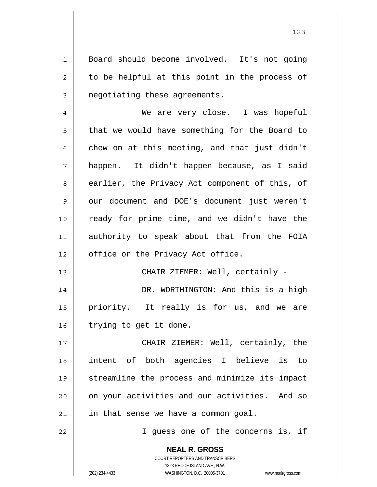Board should become involved. It's not going to be helpful at this point in the process of negotiating these agreements.

4 5 6 7 8 9 10 11 12 We are very close. I was hopeful that we would have something for the Board to chew on at this meeting, and that just didn't happen. It didn't happen because, as I said earlier, the Privacy Act component of this, of our document and DOE's document just weren't ready for prime time, and we didn't have the authority to speak about that from the FOIA office or the Privacy Act office.

CHAIR ZIEMER: Well, certainly -

14 15 16 DR. WORTHINGTON: And this is a high priority. It really is for us, and we are trying to get it done.

17 18 19 20 21 CHAIR ZIEMER: Well, certainly, the intent of both agencies I believe is to streamline the process and minimize its impact on your activities and our activities. And so in that sense we have a common goal.

22

13

1

2

3

I guess one of the concerns is, if

**NEAL R. GROSS** COURT REPORTERS AND TRANSCRIBERS 1323 RHODE ISLAND AVE., N.W.

(202) 234-4433 WASHINGTON, D.C. 20005-3701 www.nealrgross.com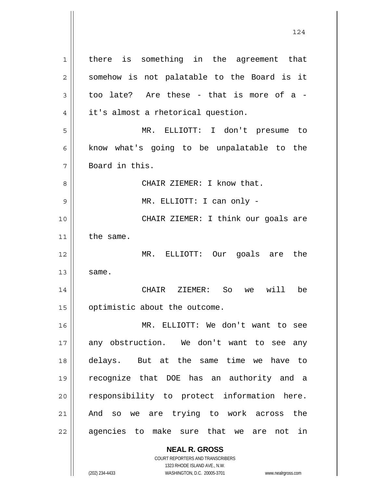**NEAL R. GROSS** 1 2 3 4 5 6 7 8 9 10 11 12 13 14 15 16 17 18 19 20 21 22 there is something in the agreement that somehow is not palatable to the Board is it too late? Are these - that is more of a it's almost a rhetorical question. MR. ELLIOTT: I don't presume to know what's going to be unpalatable to the Board in this. CHAIR ZIEMER: I know that. MR. ELLIOTT: I can only - CHAIR ZIEMER: I think our goals are the same. MR. ELLIOTT: Our goals are the same. CHAIR ZIEMER: So we will be optimistic about the outcome. MR. ELLIOTT: We don't want to see any obstruction. We don't want to see any delays. But at the same time we have to recognize that DOE has an authority and a responsibility to protect information here. And so we are trying to work across the agencies to make sure that we are not in

124

COURT REPORTERS AND TRANSCRIBERS 1323 RHODE ISLAND AVE., N.W.

(202) 234-4433 WASHINGTON, D.C. 20005-3701 www.nealrgross.com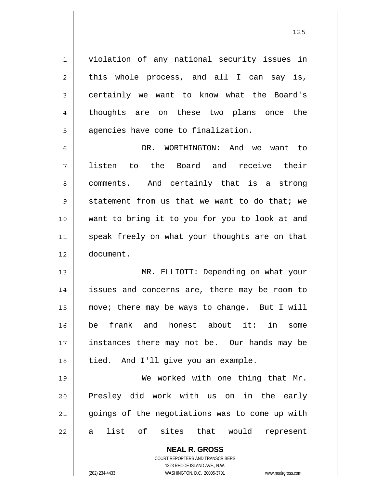violation of any national security issues in this whole process, and all I can say is, certainly we want to know what the Board's thoughts are on these two plans once the agencies have come to finalization.

6 7 8 9 10 11 12 DR. WORTHINGTON: And we want to listen to the Board and receive their comments. And certainly that is a strong statement from us that we want to do that; we want to bring it to you for you to look at and speak freely on what your thoughts are on that document.

13 14 15 16 17 18 MR. ELLIOTT: Depending on what your issues and concerns are, there may be room to move; there may be ways to change. But I will be frank and honest about it: in some instances there may not be. Our hands may be tied. And I'll give you an example.

19 20 21 22 We worked with one thing that Mr. Presley did work with us on in the early goings of the negotiations was to come up with a list of sites that would represent

> **NEAL R. GROSS** COURT REPORTERS AND TRANSCRIBERS

> > 1323 RHODE ISLAND AVE., N.W.

1

2

3

4

5

(202) 234-4433 WASHINGTON, D.C. 20005-3701 www.nealrgross.com

<u>125 and 2001 and 2001 and 2001 and 2001 and 2001 and 2001 and 2001 and 2001 and 2001 and 2001 and 2001 and 20</u>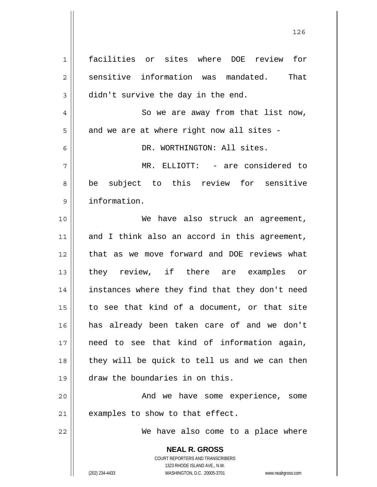**NEAL R. GROSS** COURT REPORTERS AND TRANSCRIBERS 1323 RHODE ISLAND AVE., N.W. (202) 234-4433 WASHINGTON, D.C. 20005-3701 www.nealrgross.com 1 2 3 4 5 6 7 8 9 10 11 12 13 14 15 16 17 18 19 20 21 22 facilities or sites where DOE review for sensitive information was mandated. That didn't survive the day in the end. So we are away from that list now, and we are at where right now all sites - DR. WORTHINGTON: All sites. MR. ELLIOTT: - are considered to be subject to this review for sensitive information. We have also struck an agreement, and I think also an accord in this agreement, that as we move forward and DOE reviews what they review, if there are examples or instances where they find that they don't need to see that kind of a document, or that site has already been taken care of and we don't need to see that kind of information again, they will be quick to tell us and we can then draw the boundaries in on this. And we have some experience, some examples to show to that effect. We have also come to a place where

<u>126 - Johann Stein, amerikan pendadaran pengaran pendada personal dan pendada personal dan pendada personal d</u>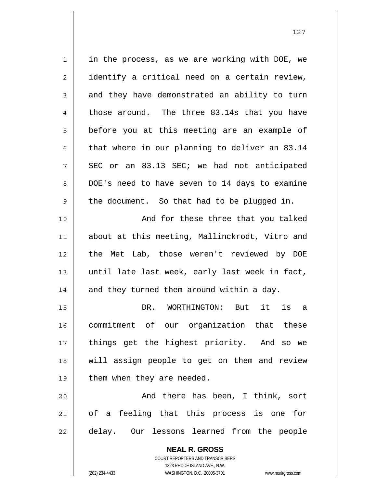1 2 3 4 5 6 7 8 9 10 11 12 13 14 15 16 17 18 19 20 21 22 in the process, as we are working with DOE, we identify a critical need on a certain review, and they have demonstrated an ability to turn those around. The three 83.14s that you have before you at this meeting are an example of that where in our planning to deliver an 83.14 SEC or an 83.13 SEC; we had not anticipated DOE's need to have seven to 14 days to examine the document. So that had to be plugged in. And for these three that you talked about at this meeting, Mallinckrodt, Vitro and the Met Lab, those weren't reviewed by DOE until late last week, early last week in fact, and they turned them around within a day. DR. WORTHINGTON: But it is a commitment of our organization that these things get the highest priority. And so we will assign people to get on them and review them when they are needed. And there has been, I think, sort of a feeling that this process is one for delay. Our lessons learned from the people

> **NEAL R. GROSS** COURT REPORTERS AND TRANSCRIBERS 1323 RHODE ISLAND AVE., N.W.

(202) 234-4433 WASHINGTON, D.C. 20005-3701 www.nealrgross.com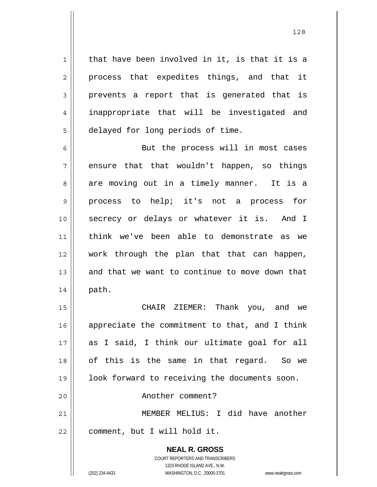that have been involved in it, is that it is a process that expedites things, and that it prevents a report that is generated that is inappropriate that will be investigated and delayed for long periods of time.

1

2

3

4

5

6 7 8 9 10 11 12 13 14 But the process will in most cases ensure that that wouldn't happen, so things are moving out in a timely manner. It is a process to help; it's not a process for secrecy or delays or whatever it is. And I think we've been able to demonstrate as we work through the plan that that can happen, and that we want to continue to move down that path.

15 16 17 18 19 20 21 22 CHAIR ZIEMER: Thank you, and we appreciate the commitment to that, and I think as I said, I think our ultimate goal for all of this is the same in that regard. So we look forward to receiving the documents soon. Another comment? MEMBER MELIUS: I did have another comment, but I will hold it.

> **NEAL R. GROSS** COURT REPORTERS AND TRANSCRIBERS 1323 RHODE ISLAND AVE., N.W. (202) 234-4433 WASHINGTON, D.C. 20005-3701 www.nealrgross.com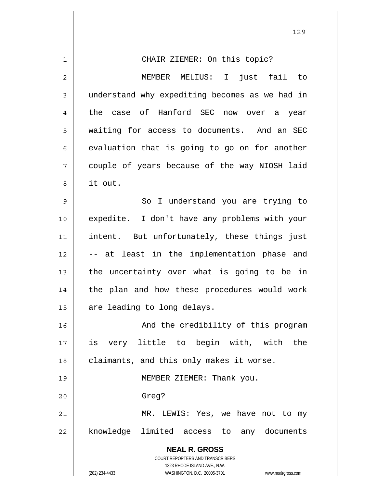| 1  | CHAIR ZIEMER: On this topic?                                        |
|----|---------------------------------------------------------------------|
| 2  | MEMBER MELIUS: I just fail to                                       |
| 3  | understand why expediting becomes as we had in                      |
| 4  | the case of Hanford SEC now over a year                             |
| 5  | waiting for access to documents. And an SEC                         |
| 6  | evaluation that is going to go on for another                       |
| 7  | couple of years because of the way NIOSH laid                       |
| 8  | it out.                                                             |
| 9  | So I understand you are trying to                                   |
| 10 | expedite. I don't have any problems with your                       |
| 11 | intent. But unfortunately, these things just                        |
| 12 | -- at least in the implementation phase and                         |
| 13 | the uncertainty over what is going to be in                         |
| 14 | the plan and how these procedures would work                        |
| 15 | are leading to long delays.                                         |
| 16 | And the credibility of this program                                 |
| 17 | is very little to begin with, with the                              |
| 18 | claimants, and this only makes it worse.                            |
| 19 | MEMBER ZIEMER: Thank you.                                           |
| 20 | Greg?                                                               |
| 21 | MR. LEWIS: Yes, we have not to my                                   |
| 22 | knowledge limited access to any documents                           |
|    | <b>NEAL R. GROSS</b>                                                |
|    | COURT REPORTERS AND TRANSCRIBERS                                    |
|    | 1323 RHODE ISLAND AVE., N.W.                                        |
|    | (202) 234-4433<br>WASHINGTON, D.C. 20005-3701<br>www.nealrgross.com |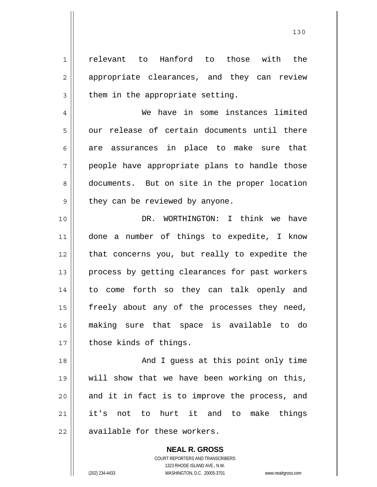relevant to Hanford to those with the appropriate clearances, and they can review them in the appropriate setting.

 We have in some instances limited our release of certain documents until there are assurances in place to make sure that people have appropriate plans to handle those documents. But on site in the proper location they can be reviewed by anyone.

10 11 12 13 14 15 16 17 DR. WORTHINGTON: I think we have done a number of things to expedite, I know that concerns you, but really to expedite the process by getting clearances for past workers to come forth so they can talk openly and freely about any of the processes they need, making sure that space is available to do those kinds of things.

18 19 20 21 22 And I guess at this point only time will show that we have been working on this, and it in fact is to improve the process, and it's not to hurt it and to make things available for these workers.

> **NEAL R. GROSS** COURT REPORTERS AND TRANSCRIBERS 1323 RHODE ISLAND AVE., N.W. (202) 234-4433 WASHINGTON, D.C. 20005-3701 www.nealrgross.com

1

2

3

4

5

6

7

8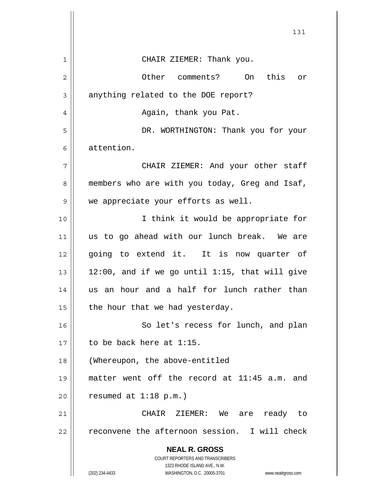|                | 131                                                                                      |
|----------------|------------------------------------------------------------------------------------------|
| 1              | CHAIR ZIEMER: Thank you.                                                                 |
| $\overline{2}$ | Other comments? On<br>this<br>or                                                         |
| 3              | anything related to the DOE report?                                                      |
| 4              | Again, thank you Pat.                                                                    |
| 5              | DR. WORTHINGTON: Thank you for your                                                      |
| 6              | attention.                                                                               |
| 7              | CHAIR ZIEMER: And your other staff                                                       |
| 8              | members who are with you today, Greg and Isaf,                                           |
| 9              | we appreciate your efforts as well.                                                      |
| 10             | I think it would be appropriate for                                                      |
| 11             | us to go ahead with our lunch break. We are                                              |
| 12             | going to extend it. It is now quarter of                                                 |
| 13             | 12:00, and if we go until 1:15, that will give                                           |
| 14             | us an hour and a half for lunch rather than                                              |
| 15             | the hour that we had yesterday.                                                          |
| 16             | So let's recess for lunch, and plan                                                      |
| 17             | to be back here at 1:15.                                                                 |
| 18             | (Whereupon, the above-entitled                                                           |
| 19             | matter went off the record at 11:45 a.m. and                                             |
| 20             | resumed at $1:18$ p.m.)                                                                  |
| 21             | CHAIR ZIEMER: We<br>ready to<br>are                                                      |
| 22             | reconvene the afternoon session. I will check                                            |
|                | <b>NEAL R. GROSS</b><br>COURT REPORTERS AND TRANSCRIBERS<br>1323 RHODE ISLAND AVE., N.W. |
|                | (202) 234-4433<br>WASHINGTON, D.C. 20005-3701<br>www.nealrgross.com                      |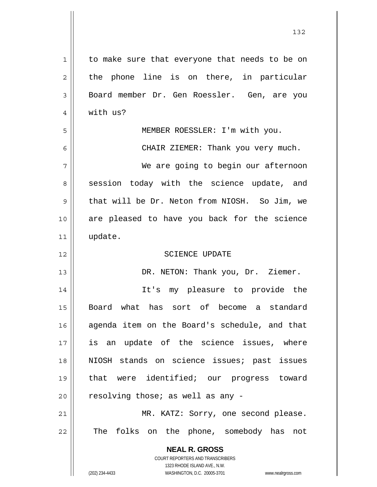| $\mathbf 1$ | to make sure that everyone that needs to be on                                                      |
|-------------|-----------------------------------------------------------------------------------------------------|
| 2           | the phone line is on there, in particular                                                           |
| 3           | Board member Dr. Gen Roessler. Gen, are you                                                         |
| 4           | with us?                                                                                            |
| 5           | MEMBER ROESSLER: I'm with you.                                                                      |
| 6           | CHAIR ZIEMER: Thank you very much.                                                                  |
| 7           | We are going to begin our afternoon                                                                 |
| 8           | session today with the science update, and                                                          |
| 9           | that will be Dr. Neton from NIOSH. So Jim, we                                                       |
| 10          | are pleased to have you back for the science                                                        |
| 11          | update.                                                                                             |
| 12          | <b>SCIENCE UPDATE</b>                                                                               |
| 13          | DR. NETON: Thank you, Dr. Ziemer.                                                                   |
| 14          | It's my pleasure to provide the                                                                     |
| 15          | Board what has sort of become a standard                                                            |
| 16          | agenda item on the Board's schedule, and that                                                       |
| 17          | is an update of the science issues, where                                                           |
| 18          | NIOSH stands on science issues; past issues                                                         |
| 19          | that were identified; our progress toward                                                           |
| 20          | resolving those; as well as any -                                                                   |
| 21          | MR. KATZ: Sorry, one second please.                                                                 |
| 22          | The folks on the phone, somebody has<br>not                                                         |
|             | <b>NEAL R. GROSS</b>                                                                                |
|             | COURT REPORTERS AND TRANSCRIBERS                                                                    |
|             | 1323 RHODE ISLAND AVE., N.W.<br>(202) 234-4433<br>WASHINGTON, D.C. 20005-3701<br>www.nealrgross.com |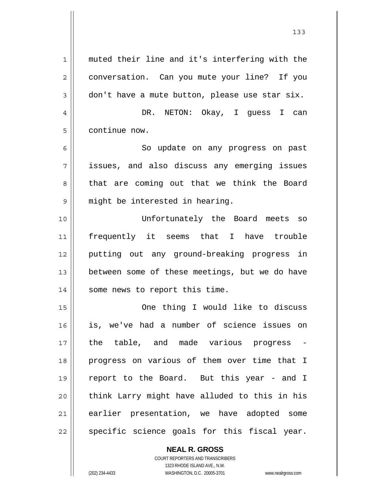1 2 3 4 5 6 7 8 9 10 11 12 13 14 15 16 17 18 19 20 21 22 muted their line and it's interfering with the conversation. Can you mute your line? If you don't have a mute button, please use star six. DR. NETON: Okay, I guess I can continue now. So update on any progress on past issues, and also discuss any emerging issues that are coming out that we think the Board might be interested in hearing. Unfortunately the Board meets so frequently it seems that I have trouble putting out any ground-breaking progress in between some of these meetings, but we do have some news to report this time. One thing I would like to discuss is, we've had a number of science issues on the table, and made various progress progress on various of them over time that I report to the Board. But this year - and I think Larry might have alluded to this in his earlier presentation, we have adopted some specific science goals for this fiscal year.

> **NEAL R. GROSS** COURT REPORTERS AND TRANSCRIBERS 1323 RHODE ISLAND AVE., N.W.

(202) 234-4433 WASHINGTON, D.C. 20005-3701 www.nealrgross.com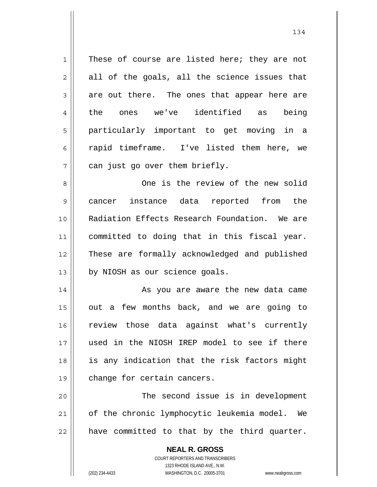| 1  | These of course are listed here; they are not                       |
|----|---------------------------------------------------------------------|
| 2  | all of the goals, all the science issues that                       |
| 3  | are out there. The ones that appear here are                        |
| 4  | we've identified as<br>the ones<br>being                            |
| 5  | particularly important to get moving in a                           |
| 6  | rapid timeframe. I've listed them here, we                          |
| 7  | can just go over them briefly.                                      |
| 8  | One is the review of the new solid                                  |
| 9  | cancer instance data reported<br>from<br>the                        |
| 10 | Radiation Effects Research Foundation. We are                       |
| 11 | committed to doing that in this fiscal year.                        |
| 12 | These are formally acknowledged and published                       |
| 13 | by NIOSH as our science goals.                                      |
| 14 | As you are aware the new data came                                  |
| 15 | out a few months back, and we are going to                          |
| 16 | review those data against what's currently                          |
| 17 | used in the NIOSH IREP model to see if there                        |
| 18 | is any indication that the risk factors might                       |
| 19 | change for certain cancers.                                         |
| 20 | The second issue is in development                                  |
| 21 | of the chronic lymphocytic leukemia model. We                       |
| 22 | have committed to that by the third quarter.                        |
|    | <b>NEAL R. GROSS</b>                                                |
|    | <b>COURT REPORTERS AND TRANSCRIBERS</b>                             |
|    | 1323 RHODE ISLAND AVE., N.W.                                        |
|    | (202) 234-4433<br>WASHINGTON, D.C. 20005-3701<br>www.nealrgross.com |

134

 $\mathsf{I}$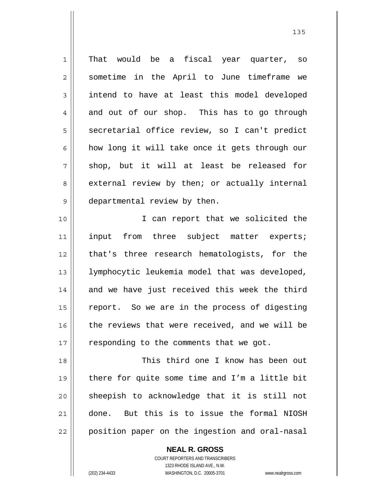1 2 3 4 5 6 7 8 9 That would be a fiscal year quarter, so sometime in the April to June timeframe we intend to have at least this model developed and out of our shop. This has to go through secretarial office review, so I can't predict how long it will take once it gets through our shop, but it will at least be released for external review by then; or actually internal departmental review by then.

10 11 12 13 14 15 16 17 I can report that we solicited the input from three subject matter experts; that's three research hematologists, for the lymphocytic leukemia model that was developed, and we have just received this week the third report. So we are in the process of digesting the reviews that were received, and we will be responding to the comments that we got.

18 19 20 21 22 This third one I know has been out there for quite some time and I'm a little bit sheepish to acknowledge that it is still not done. But this is to issue the formal NIOSH position paper on the ingestion and oral-nasal

> COURT REPORTERS AND TRANSCRIBERS 1323 RHODE ISLAND AVE., N.W. (202) 234-4433 WASHINGTON, D.C. 20005-3701 www.nealrgross.com

**NEAL R. GROSS**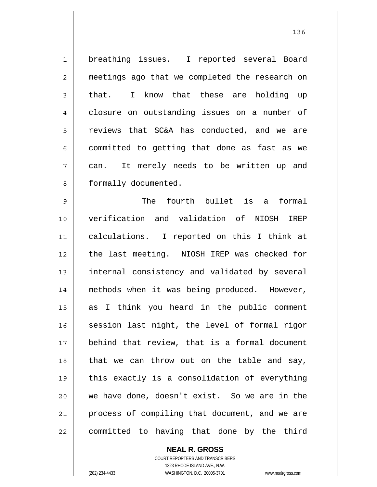1 2 3 4 5 6 7 8 9 10 11 12 13 14 15 16 17 18 19 20 21 22 breathing issues. I reported several Board meetings ago that we completed the research on that. I know that these are holding up closure on outstanding issues on a number of reviews that SC&A has conducted, and we are committed to getting that done as fast as we can. It merely needs to be written up and formally documented. The fourth bullet is a formal verification and validation of NIOSH IREP calculations. I reported on this I think at the last meeting. NIOSH IREP was checked for internal consistency and validated by several methods when it was being produced. However, as I think you heard in the public comment session last night, the level of formal rigor behind that review, that is a formal document that we can throw out on the table and say, this exactly is a consolidation of everything we have done, doesn't exist. So we are in the process of compiling that document, and we are committed to having that done by the third

> **NEAL R. GROSS** COURT REPORTERS AND TRANSCRIBERS 1323 RHODE ISLAND AVE., N.W. (202) 234-4433 WASHINGTON, D.C. 20005-3701 www.nealrgross.com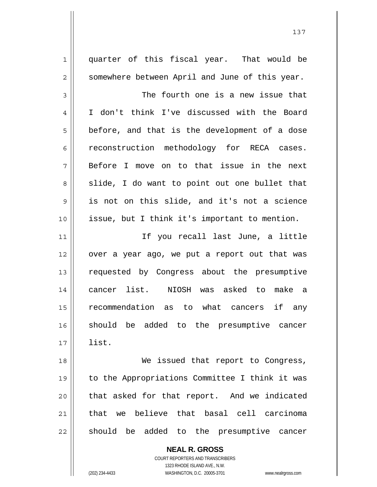| $\mathbf 1$ | quarter of this fiscal year. That would be     |
|-------------|------------------------------------------------|
| 2           | somewhere between April and June of this year. |
| 3           | The fourth one is a new issue that             |
| 4           | I don't think I've discussed with the Board    |
| 5           | before, and that is the development of a dose  |
| 6           | reconstruction methodology for RECA cases.     |
| 7           | Before I move on to that issue in the next     |
| 8           | slide, I do want to point out one bullet that  |
| 9           | is not on this slide, and it's not a science   |
| 10          | issue, but I think it's important to mention.  |
| 11          | If you recall last June, a little              |
| 12          | over a year ago, we put a report out that was  |
| 13          | requested by Congress about the presumptive    |
| 14          | cancer list. NIOSH was asked to make a         |
| 15          | recommendation as to what cancers<br>if any    |
| 16          | should be added to the presumptive cancer      |
| 17          | list.                                          |
| 18          | We issued that report to Congress,             |
| 19          | to the Appropriations Committee I think it was |
| 20          | that asked for that report. And we indicated   |
| 21          | we believe that basal cell carcinoma<br>that   |
| 22          | should be added to the presumptive cancer      |
|             | <b>NEAL R. GROSS</b>                           |

COURT REPORTERS AND TRANSCRIBERS 1323 RHODE ISLAND AVE., N.W.

 $\prod$ 

(202) 234-4433 WASHINGTON, D.C. 20005-3701 www.nealrgross.com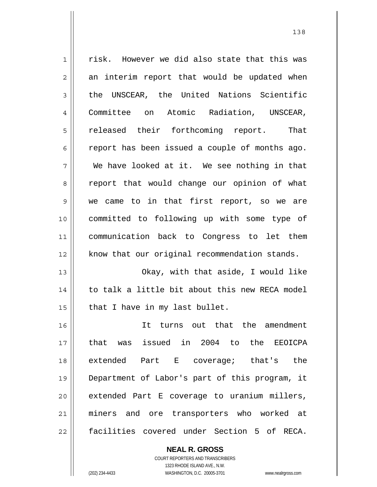| $\mathbf 1$    | risk. However we did also state that this was  |
|----------------|------------------------------------------------|
| $\overline{2}$ | an interim report that would be updated when   |
| 3              | the UNSCEAR, the United Nations Scientific     |
| $\overline{4}$ | Committee on Atomic Radiation, UNSCEAR,        |
| 5              | released their forthcoming report.<br>That     |
| 6              | report has been issued a couple of months ago. |
| 7              | We have looked at it. We see nothing in that   |
| 8              | report that would change our opinion of what   |
| 9              | we came to in that first report, so we are     |
| 10             | committed to following up with some type of    |
| 11             | communication back to Congress to let them     |
| 12             | know that our original recommendation stands.  |
| 13             | Okay, with that aside, I would like            |
| 14             | to talk a little bit about this new RECA model |
| 15             | that I have in my last bullet.                 |
| 16             | It turns out that the amendment                |
| 17             | that was issued in 2004 to the<br>EEOICPA      |
| 18             | extended Part E coverage; that's the           |
| 19             | Department of Labor's part of this program, it |
| 20             | extended Part E coverage to uranium millers,   |
| 21             | miners and ore transporters who worked at      |
| 22             | facilities covered under Section 5 of RECA.    |

**NEAL R. GROSS** COURT REPORTERS AND TRANSCRIBERS

1323 RHODE ISLAND AVE., N.W.

 $\mathsf{II}$ 

(202) 234-4433 WASHINGTON, D.C. 20005-3701 www.nealrgross.com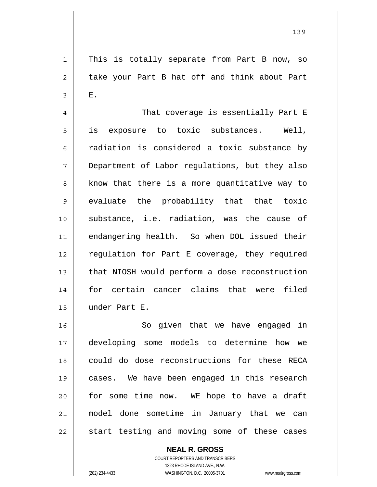This is totally separate from Part B now, so take your Part B hat off and think about Part E.

4 5 6 7 8 9 10 11 12 13 14 15 That coverage is essentially Part E is exposure to toxic substances. Well, radiation is considered a toxic substance by Department of Labor regulations, but they also know that there is a more quantitative way to evaluate the probability that that toxic substance, i.e. radiation, was the cause of endangering health. So when DOL issued their regulation for Part E coverage, they required that NIOSH would perform a dose reconstruction for certain cancer claims that were filed under Part E.

16 17 18 19 20 21 22 So given that we have engaged in developing some models to determine how we could do dose reconstructions for these RECA cases. We have been engaged in this research for some time now. WE hope to have a draft model done sometime in January that we can start testing and moving some of these cases

> **NEAL R. GROSS** COURT REPORTERS AND TRANSCRIBERS

1

2

3

1323 RHODE ISLAND AVE., N.W. (202) 234-4433 WASHINGTON, D.C. 20005-3701 www.nealrgross.com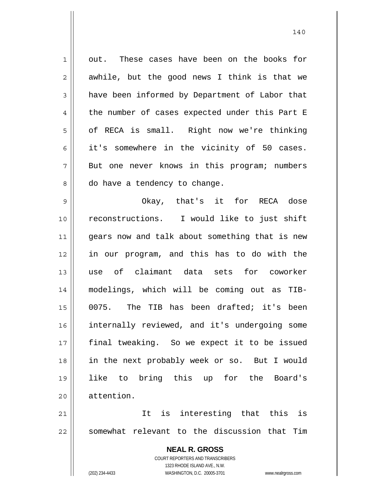1 2 3 4 5 6 7 8 9 10 out. These cases have been on the books for awhile, but the good news I think is that we have been informed by Department of Labor that the number of cases expected under this Part E of RECA is small. Right now we're thinking it's somewhere in the vicinity of 50 cases. But one never knows in this program; numbers do have a tendency to change. Okay, that's it for RECA dose reconstructions. I would like to just shift

11 12 13 14 15 16 17 18 19 20 gears now and talk about something that is new in our program, and this has to do with the use of claimant data sets for coworker modelings, which will be coming out as TIB-0075. The TIB has been drafted; it's been internally reviewed, and it's undergoing some final tweaking. So we expect it to be issued in the next probably week or so. But I would like to bring this up for the Board's attention.

21 22 It is interesting that this is somewhat relevant to the discussion that Tim

> **NEAL R. GROSS** COURT REPORTERS AND TRANSCRIBERS 1323 RHODE ISLAND AVE., N.W. (202) 234-4433 WASHINGTON, D.C. 20005-3701 www.nealrgross.com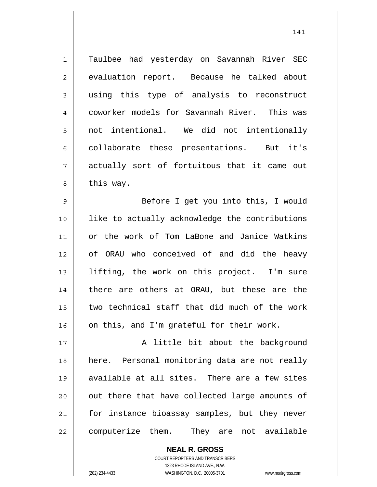1 2 3 4 5 6 7 8 Taulbee had yesterday on Savannah River SEC evaluation report. Because he talked about using this type of analysis to reconstruct coworker models for Savannah River. This was not intentional. We did not intentionally collaborate these presentations. But it's actually sort of fortuitous that it came out this way.

9 10 11 12 13 14 15 16 Before I get you into this, I would like to actually acknowledge the contributions or the work of Tom LaBone and Janice Watkins of ORAU who conceived of and did the heavy lifting, the work on this project. I'm sure there are others at ORAU, but these are the two technical staff that did much of the work on this, and I'm grateful for their work.

17 18 19 20 21 22 A little bit about the background here. Personal monitoring data are not really available at all sites. There are a few sites out there that have collected large amounts of for instance bioassay samples, but they never computerize them. They are not available

> COURT REPORTERS AND TRANSCRIBERS 1323 RHODE ISLAND AVE., N.W. (202) 234-4433 WASHINGTON, D.C. 20005-3701 www.nealrgross.com

**NEAL R. GROSS**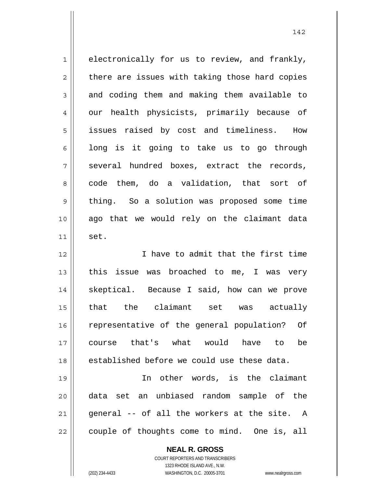| $\mathbf 1$ | electronically for us to review, and frankly,  |
|-------------|------------------------------------------------|
| 2           | there are issues with taking those hard copies |
| 3           | and coding them and making them available to   |
| 4           | our health physicists, primarily because of    |
| 5           | issues raised by cost and timeliness. How      |
| 6           | long is it going to take us to go through      |
| 7           | several hundred boxes, extract the records,    |
|             |                                                |
| 8           | code them, do a validation, that sort of       |
| 9           | thing. So a solution was proposed some time    |
| 10          | ago that we would rely on the claimant data    |
| 11          | set.                                           |
| 12          | I have to admit that the first time            |
| 13          | issue was broached to me, I was very<br>this   |
| 14          | skeptical. Because I said, how can we prove    |
| 15          | that the claimant set was actually             |
| 16          | representative of the general population? Of   |
| 17          | course that's what would<br>be<br>have to      |
| 18          | established before we could use these data.    |
| 19          | In other words, is the claimant                |
| 20          | data set an unbiased random sample of the      |
| 21          | general -- of all the workers at the site. A   |
| 22          | couple of thoughts come to mind. One is, all   |
|             | <b>NEAL R. GROSS</b>                           |

142

COURT REPORTERS AND TRANSCRIBERS 1323 RHODE ISLAND AVE., N.W.

(202) 234-4433 WASHINGTON, D.C. 20005-3701 www.nealrgross.com

 $\mathbf{I}$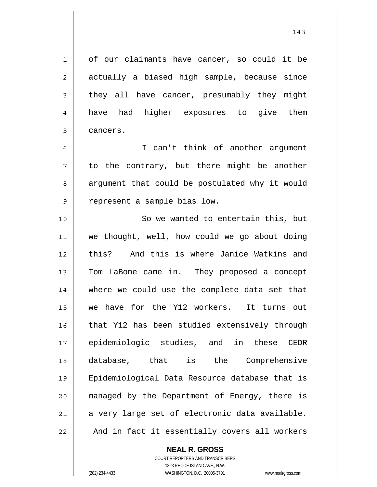1 2 3 4 5 6 7 8 9 10 11 12 13 14 15 16 17 18 19 20 21 22 of our claimants have cancer, so could it be actually a biased high sample, because since they all have cancer, presumably they might have had higher exposures to give them cancers. I can't think of another argument to the contrary, but there might be another argument that could be postulated why it would represent a sample bias low. So we wanted to entertain this, but we thought, well, how could we go about doing this? And this is where Janice Watkins and Tom LaBone came in. They proposed a concept where we could use the complete data set that we have for the Y12 workers. It turns out that Y12 has been studied extensively through epidemiologic studies, and in these CEDR database, that is the Comprehensive Epidemiological Data Resource database that is managed by the Department of Energy, there is a very large set of electronic data available. And in fact it essentially covers all workers

**NEAL R. GROSS**

COURT REPORTERS AND TRANSCRIBERS 1323 RHODE ISLAND AVE., N.W. (202) 234-4433 WASHINGTON, D.C. 20005-3701 www.nealrgross.com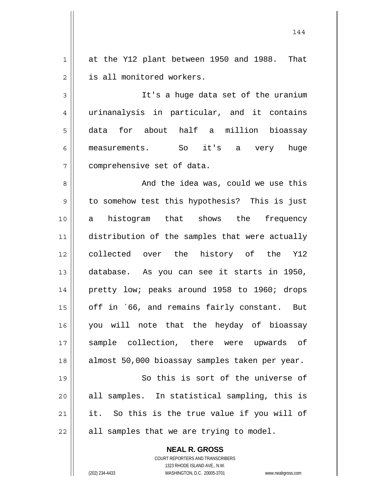1 2 at the Y12 plant between 1950 and 1988. That is all monitored workers.

3 4 5 6 7 It's a huge data set of the uranium urinanalysis in particular, and it contains data for about half a million bioassay measurements. So it's a very huge comprehensive set of data.

8 9 10 11 12 13 14 15 16 17 18 And the idea was, could we use this to somehow test this hypothesis? This is just a histogram that shows the frequency distribution of the samples that were actually collected over the history of the Y12 database. As you can see it starts in 1950, pretty low; peaks around 1958 to 1960; drops off in `66, and remains fairly constant. But you will note that the heyday of bioassay sample collection, there were upwards of almost 50,000 bioassay samples taken per year.

19 20 21 22 So this is sort of the universe of all samples. In statistical sampling, this is it. So this is the true value if you will of all samples that we are trying to model.

**NEAL R. GROSS**

COURT REPORTERS AND TRANSCRIBERS 1323 RHODE ISLAND AVE., N.W. (202) 234-4433 WASHINGTON, D.C. 20005-3701 www.nealrgross.com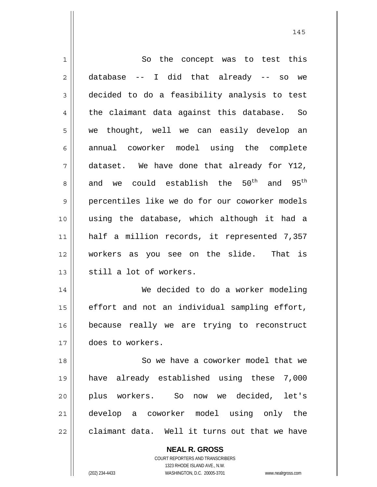**NEAL R. GROSS** COURT REPORTERS AND TRANSCRIBERS 1 2 3 4 5 6 7 8 9 10 11 12 13 14 15 16 17 18 19 20 21 22 So the concept was to test this database -- I did that already -- so we decided to do a feasibility analysis to test the claimant data against this database. So we thought, well we can easily develop an annual coworker model using the complete dataset. We have done that already for Y12, and we could establish the  $50^{th}$  and  $95^{th}$ percentiles like we do for our coworker models using the database, which although it had a half a million records, it represented 7,357 workers as you see on the slide. That is still a lot of workers. We decided to do a worker modeling effort and not an individual sampling effort, because really we are trying to reconstruct does to workers. So we have a coworker model that we have already established using these 7,000 plus workers. So now we decided, let's develop a coworker model using only the claimant data. Well it turns out that we have

145

1323 RHODE ISLAND AVE., N.W. (202) 234-4433 WASHINGTON, D.C. 20005-3701 www.nealrgross.com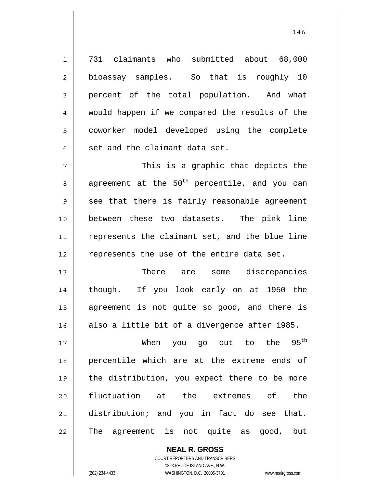731 claimants who submitted about 68,000 bioassay samples. So that is roughly 10 percent of the total population. And what would happen if we compared the results of the coworker model developed using the complete set and the claimant data set.

7 8 9 10 11 12 This is a graphic that depicts the agreement at the  $50<sup>th</sup>$  percentile, and you can see that there is fairly reasonable agreement between these two datasets. The pink line represents the claimant set, and the blue line represents the use of the entire data set.

13 14 15 16 There are some discrepancies though. If you look early on at 1950 the agreement is not quite so good, and there is also a little bit of a divergence after 1985.

17 18 19 20 21 22 When you go out to the 95<sup>th</sup> percentile which are at the extreme ends of the distribution, you expect there to be more fluctuation at the extremes of the distribution; and you in fact do see that. The agreement is not quite as good, but

> **NEAL R. GROSS** COURT REPORTERS AND TRANSCRIBERS 1323 RHODE ISLAND AVE., N.W. (202) 234-4433 WASHINGTON, D.C. 20005-3701 www.nealrgross.com

1

2

3

4

5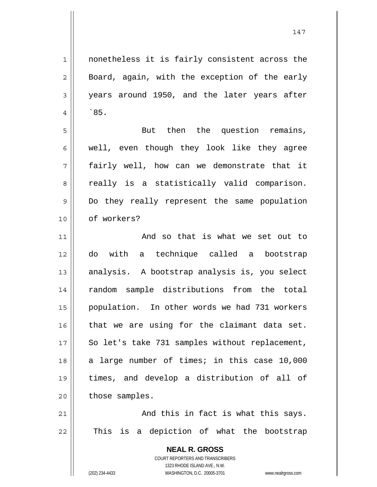**NEAL R. GROSS** 1 2 3 4 5 6 7 8 9 10 11 12 13 14 15 16 17 18 19 20 21 22 nonetheless it is fairly consistent across the Board, again, with the exception of the early years around 1950, and the later years after `85. But then the question remains, well, even though they look like they agree fairly well, how can we demonstrate that it really is a statistically valid comparison. Do they really represent the same population of workers? And so that is what we set out to do with a technique called a bootstrap analysis. A bootstrap analysis is, you select random sample distributions from the total population. In other words we had 731 workers that we are using for the claimant data set. So let's take 731 samples without replacement, a large number of times; in this case 10,000 times, and develop a distribution of all of those samples. And this in fact is what this says. This is a depiction of what the bootstrap

> COURT REPORTERS AND TRANSCRIBERS 1323 RHODE ISLAND AVE., N.W.

(202) 234-4433 WASHINGTON, D.C. 20005-3701 www.nealrgross.com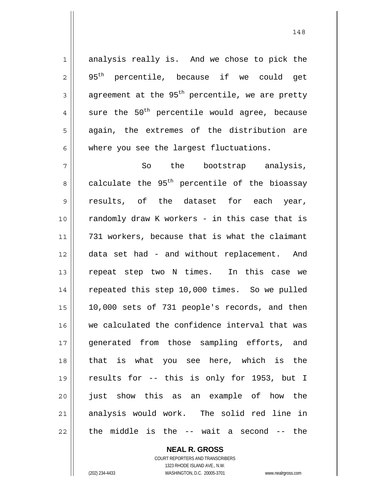1 2 3 4 5 6 7 8 9 10 11 12 13 14 15 16 17 18 19 20 21 22 analysis really is. And we chose to pick the 95<sup>th</sup> percentile, because if we could get agreement at the 95<sup>th</sup> percentile, we are pretty sure the  $50^{th}$  percentile would agree, because again, the extremes of the distribution are where you see the largest fluctuations. So the bootstrap analysis, calculate the 95<sup>th</sup> percentile of the bioassay results, of the dataset for each year, randomly draw K workers - in this case that is 731 workers, because that is what the claimant data set had - and without replacement. And repeat step two N times. In this case we repeated this step 10,000 times. So we pulled 10,000 sets of 731 people's records, and then we calculated the confidence interval that was generated from those sampling efforts, and that is what you see here, which is the results for -- this is only for 1953, but I just show this as an example of how the analysis would work. The solid red line in the middle is the -- wait a second -- the

**NEAL R. GROSS**

COURT REPORTERS AND TRANSCRIBERS 1323 RHODE ISLAND AVE., N.W. (202) 234-4433 WASHINGTON, D.C. 20005-3701 www.nealrgross.com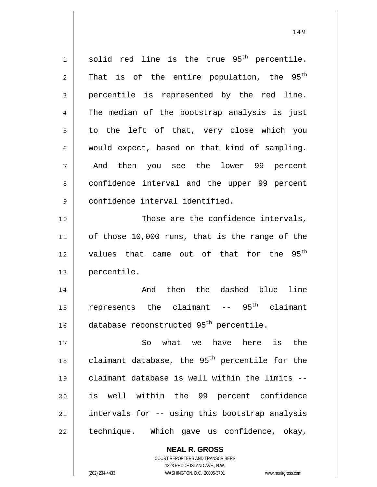1 2 3 4 5 6 7 8 9 10 11 12 13 14 15 16 17 18 19 20 21 22 solid red line is the true 95<sup>th</sup> percentile. That is of the entire population, the  $95<sup>th</sup>$ percentile is represented by the red line. The median of the bootstrap analysis is just to the left of that, very close which you would expect, based on that kind of sampling. And then you see the lower 99 percent confidence interval and the upper 99 percent confidence interval identified. Those are the confidence intervals, of those 10,000 runs, that is the range of the values that came out of that for the 95<sup>th</sup> percentile. And then the dashed blue line represents the claimant  $-$  95<sup>th</sup> claimant database reconstructed 95<sup>th</sup> percentile. So what we have here is the claimant database, the  $95<sup>th</sup>$  percentile for the claimant database is well within the limits - is well within the 99 percent confidence intervals for -- using this bootstrap analysis technique. Which gave us confidence, okay,

149

COURT REPORTERS AND TRANSCRIBERS 1323 RHODE ISLAND AVE., N.W. (202) 234-4433 WASHINGTON, D.C. 20005-3701 www.nealrgross.com

**NEAL R. GROSS**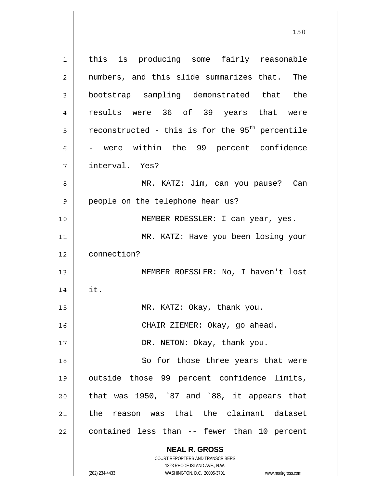**NEAL R. GROSS** COURT REPORTERS AND TRANSCRIBERS 1323 RHODE ISLAND AVE., N.W. 1 2 3 4 5 6 7 8 9 10 11 12 13 14 15 16 17 18 19 20 21 22 this is producing some fairly reasonable numbers, and this slide summarizes that. The bootstrap sampling demonstrated that the results were 36 of 39 years that were reconstructed - this is for the  $95<sup>th</sup>$  percentile - were within the 99 percent confidence interval. Yes? MR. KATZ: Jim, can you pause? Can people on the telephone hear us? MEMBER ROESSLER: I can year, yes. MR. KATZ: Have you been losing your connection? MEMBER ROESSLER: No, I haven't lost it. MR. KATZ: Okay, thank you. CHAIR ZIEMER: Okay, go ahead. DR. NETON: Okay, thank you. So for those three years that were outside those 99 percent confidence limits, that was 1950, `87 and `88, it appears that the reason was that the claimant dataset contained less than -- fewer than 10 percent

<u>150</u>

(202) 234-4433 WASHINGTON, D.C. 20005-3701 www.nealrgross.com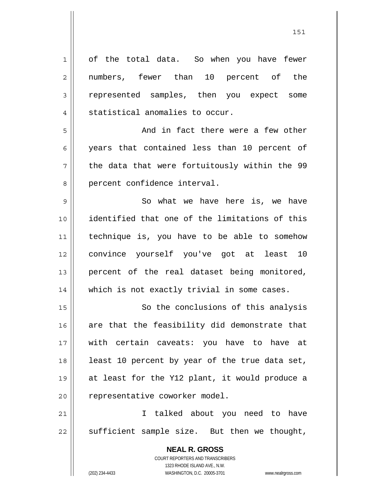**NEAL R. GROSS** 1 2 3 4 5 6 7 8 9 10 11 12 13 14 15 16 17 18 19 20 21 22 of the total data. So when you have fewer numbers, fewer than 10 percent of the represented samples, then you expect some statistical anomalies to occur. And in fact there were a few other years that contained less than 10 percent of the data that were fortuitously within the 99 percent confidence interval. So what we have here is, we have identified that one of the limitations of this technique is, you have to be able to somehow convince yourself you've got at least 10 percent of the real dataset being monitored, which is not exactly trivial in some cases. So the conclusions of this analysis are that the feasibility did demonstrate that with certain caveats: you have to have at least 10 percent by year of the true data set, at least for the Y12 plant, it would produce a representative coworker model. I talked about you need to have sufficient sample size. But then we thought,

> COURT REPORTERS AND TRANSCRIBERS 1323 RHODE ISLAND AVE., N.W.

(202) 234-4433 WASHINGTON, D.C. 20005-3701 www.nealrgross.com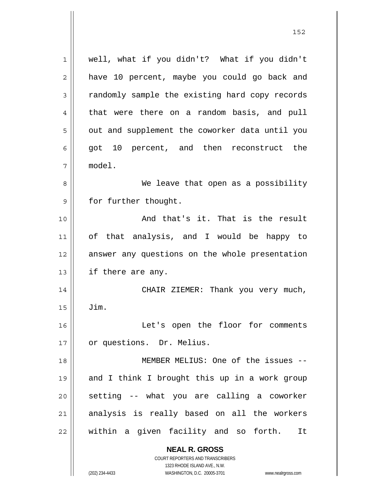**NEAL R. GROSS** 1 2 3 4 5 6 7 8 9 10 11 12 13 14 15 16 17 18 19 20 21 22 well, what if you didn't? What if you didn't have 10 percent, maybe you could go back and randomly sample the existing hard copy records that were there on a random basis, and pull out and supplement the coworker data until you got 10 percent, and then reconstruct the model. We leave that open as a possibility for further thought. And that's it. That is the result of that analysis, and I would be happy to answer any questions on the whole presentation if there are any. CHAIR ZIEMER: Thank you very much, Jim. Let's open the floor for comments or questions. Dr. Melius. MEMBER MELIUS: One of the issues - and I think I brought this up in a work group setting -- what you are calling a coworker analysis is really based on all the workers within a given facility and so forth. It

1323 RHODE ISLAND AVE., N.W. (202) 234-4433 WASHINGTON, D.C. 20005-3701 www.nealrgross.com

COURT REPORTERS AND TRANSCRIBERS

<u>152</u>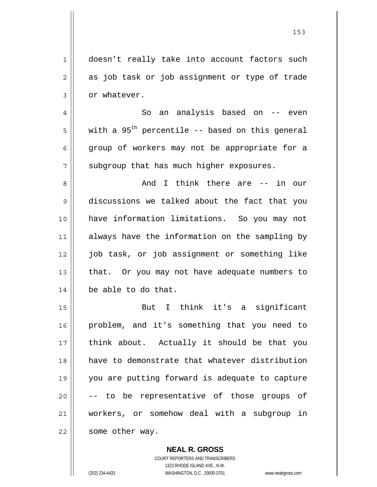| 1  | doesn't really take into account factors such     |
|----|---------------------------------------------------|
| 2  | as job task or job assignment or type of trade    |
| 3  | or whatever.                                      |
| 4  | an analysis based on -- even<br>So                |
| 5  | with a $95th$ percentile -- based on this general |
| 6  | group of workers may not be appropriate for a     |
| 7  | subgroup that has much higher exposures.          |
| 8  | I think there are -- in our<br>And                |
| 9  | discussions we talked about the fact that you     |
| 10 | have information limitations. So you may not      |
| 11 | always have the information on the sampling by    |
| 12 | job task, or job assignment or something like     |
| 13 | that. Or you may not have adequate numbers to     |
| 14 | be able to do that.                               |
| 15 | think it's a significant<br>But<br>I.             |
| 16 | problem, and it's something that you need to      |
| 17 | think about. Actually it should be that you       |
| 18 | have to demonstrate that whatever distribution    |
| 19 | you are putting forward is adequate to capture    |
| 20 | -- to be representative of those groups of        |
| 21 | workers, or somehow deal with a subgroup in       |
| 22 | some other way.                                   |
|    |                                                   |

<u>153</u>

**NEAL R. GROSS** COURT REPORTERS AND TRANSCRIBERS 1323 RHODE ISLAND AVE., N.W. (202) 234-4433 WASHINGTON, D.C. 20005-3701 www.nealrgross.com

 $\mathbf{I}$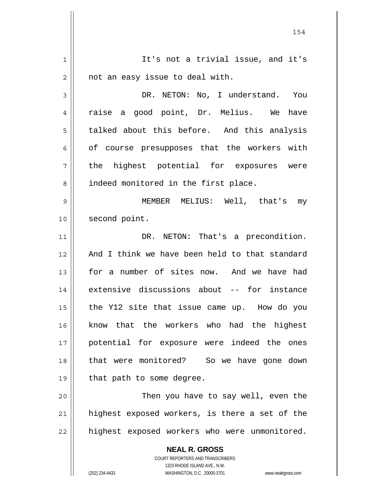**NEAL R. GROSS** COURT REPORTERS AND TRANSCRIBERS 1323 RHODE ISLAND AVE., N.W. 1 2 3 4 5 6 7 8 9 10 11 12 13 14 15 16 17 18 19 20 21 22 It's not a trivial issue, and it's not an easy issue to deal with. DR. NETON: No, I understand. You raise a good point, Dr. Melius. We have talked about this before. And this analysis of course presupposes that the workers with the highest potential for exposures were indeed monitored in the first place. MEMBER MELIUS: Well, that's my second point. DR. NETON: That's a precondition. And I think we have been held to that standard for a number of sites now. And we have had extensive discussions about -- for instance the Y12 site that issue came up. How do you know that the workers who had the highest potential for exposure were indeed the ones that were monitored? So we have gone down that path to some degree. Then you have to say well, even the highest exposed workers, is there a set of the highest exposed workers who were unmonitored.

154

(202) 234-4433 WASHINGTON, D.C. 20005-3701 www.nealrgross.com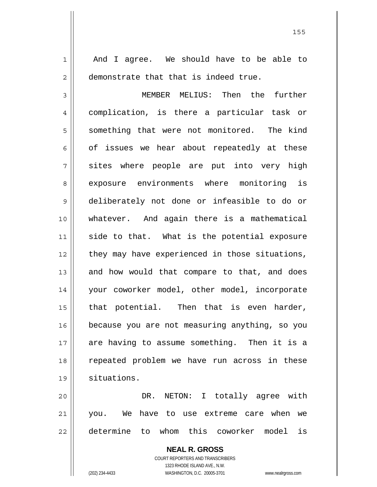And I agree. We should have to be able to demonstrate that that is indeed true.

1

2

3 4 5 6 7 8 9 10 11 12 13 14 15 16 17 18 19 MEMBER MELIUS: Then the further complication, is there a particular task or something that were not monitored. The kind of issues we hear about repeatedly at these sites where people are put into very high exposure environments where monitoring is deliberately not done or infeasible to do or whatever. And again there is a mathematical side to that. What is the potential exposure they may have experienced in those situations, and how would that compare to that, and does your coworker model, other model, incorporate that potential. Then that is even harder, because you are not measuring anything, so you are having to assume something. Then it is a repeated problem we have run across in these situations.

20 21 22 DR. NETON: I totally agree with you. We have to use extreme care when we determine to whom this coworker model is

> **NEAL R. GROSS** COURT REPORTERS AND TRANSCRIBERS 1323 RHODE ISLAND AVE., N.W. (202) 234-4433 WASHINGTON, D.C. 20005-3701 www.nealrgross.com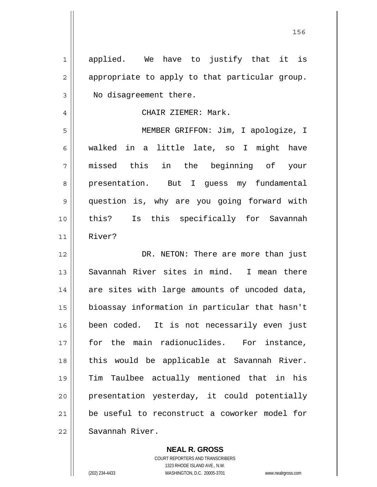| 1              | applied. We have to justify that it is         |
|----------------|------------------------------------------------|
| $\overline{2}$ | appropriate to apply to that particular group. |
| 3              | No disagreement there.                         |
| 4              | CHAIR ZIEMER: Mark.                            |
| 5              | MEMBER GRIFFON: Jim, I apologize, I            |
| 6              | walked in a little late, so I might have       |
| 7              | missed this in the beginning of your           |
| 8              | presentation. But I guess my fundamental       |
| 9              | question is, why are you going forward with    |
| 10             | this?<br>Is this specifically for Savannah     |
| 11             | River?                                         |
| 12             | DR. NETON: There are more than just            |
| 13             | Savannah River sites in mind. I mean there     |
| 14             | are sites with large amounts of uncoded data,  |
| 15             | bioassay information in particular that hasn't |
| 16             | been coded. It is not necessarily even just    |
| 17             | for the main radionuclides. For instance,      |
| 18             | this would be applicable at Savannah River.    |
| 19             | Tim Taulbee actually mentioned that in his     |
| 20             | presentation yesterday, it could potentially   |
| 21             | be useful to reconstruct a coworker model for  |
| 22             | Savannah River.                                |

**NEAL R. GROSS** COURT REPORTERS AND TRANSCRIBERS 1323 RHODE ISLAND AVE., N.W. (202) 234-4433 WASHINGTON, D.C. 20005-3701 www.nealrgross.com

<u>156 - Johann Barbara, martxa a tsair an t-Israel ann an 156 an t-Israel ann an 156 an t-Israel ann an 156 an </u>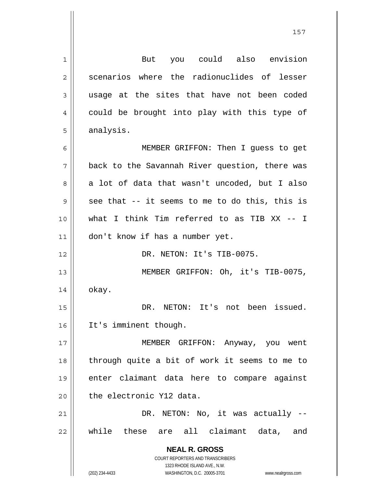**NEAL R. GROSS** COURT REPORTERS AND TRANSCRIBERS 1 2 3 4 5 6 7 8 9 10 11 12 13 14 15 16 17 18 19 20 21 22 But you could also envision scenarios where the radionuclides of lesser usage at the sites that have not been coded could be brought into play with this type of analysis. MEMBER GRIFFON: Then I guess to get back to the Savannah River question, there was a lot of data that wasn't uncoded, but I also see that -- it seems to me to do this, this is what I think Tim referred to as TIB XX -- I don't know if has a number yet. DR. NETON: It's TIB-0075. MEMBER GRIFFON: Oh, it's TIB-0075, okay. DR. NETON: It's not been issued. It's imminent though. MEMBER GRIFFON: Anyway, you went through quite a bit of work it seems to me to enter claimant data here to compare against the electronic Y12 data. DR. NETON: No, it was actually -while these are all claimant data, and

1323 RHODE ISLAND AVE., N.W.

(202) 234-4433 WASHINGTON, D.C. 20005-3701 www.nealrgross.com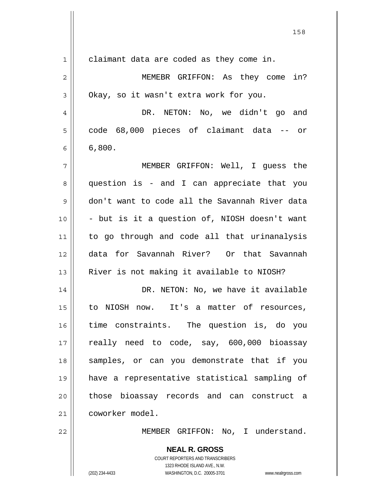|    | 158                                                                                                 |
|----|-----------------------------------------------------------------------------------------------------|
| 1  | claimant data are coded as they come in.                                                            |
| 2  | MEMEBR GRIFFON: As they come in?                                                                    |
| 3  | Okay, so it wasn't extra work for you.                                                              |
| 4  | DR. NETON: No, we didn't go and                                                                     |
| 5  | code 68,000 pieces of claimant data -- or                                                           |
| 6  | 6,800.                                                                                              |
| 7  | MEMBER GRIFFON: Well, I guess the                                                                   |
| 8  | question is - and I can appreciate that you                                                         |
| 9  | don't want to code all the Savannah River data                                                      |
| 10 | - but is it a question of, NIOSH doesn't want                                                       |
| 11 | to go through and code all that urinanalysis                                                        |
| 12 | data for Savannah River? Or that Savannah                                                           |
| 13 | River is not making it available to NIOSH?                                                          |
| 14 | DR. NETON: No, we have it available                                                                 |
| 15 | to NIOSH now. It's a matter of resources,                                                           |
| 16 | time constraints. The question is, do you                                                           |
| 17 | really need to code, say, 600,000 bioassay                                                          |
| 18 | samples, or can you demonstrate that if you                                                         |
| 19 | have a representative statistical sampling of                                                       |
|    |                                                                                                     |
| 20 | those bioassay records and can construct a                                                          |
| 21 | coworker model.                                                                                     |
| 22 | MEMBER GRIFFON: No, I understand.                                                                   |
|    | <b>NEAL R. GROSS</b><br>COURT REPORTERS AND TRANSCRIBERS                                            |
|    | 1323 RHODE ISLAND AVE., N.W.<br>(202) 234-4433<br>WASHINGTON, D.C. 20005-3701<br>www.nealrgross.com |

 $\mathsf{l}$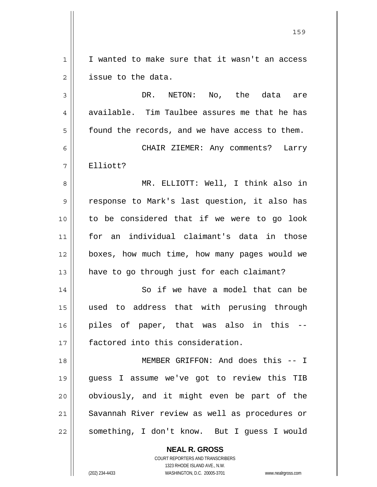1 2 I wanted to make sure that it wasn't an access issue to the data.

3 4 5 DR. NETON: No, the data are available. Tim Taulbee assures me that he has found the records, and we have access to them.

6 7 CHAIR ZIEMER: Any comments? Larry Elliott?

8 9 10 11 12 13 MR. ELLIOTT: Well, I think also in response to Mark's last question, it also has to be considered that if we were to go look for an individual claimant's data in those boxes, how much time, how many pages would we have to go through just for each claimant?

14 15 16 17 So if we have a model that can be used to address that with perusing through piles of paper, that was also in this - factored into this consideration.

18 19 20 21 22 MEMBER GRIFFON: And does this -- I guess I assume we've got to review this TIB obviously, and it might even be part of the Savannah River review as well as procedures or something, I don't know. But I guess I would

> **NEAL R. GROSS** COURT REPORTERS AND TRANSCRIBERS 1323 RHODE ISLAND AVE., N.W. (202) 234-4433 WASHINGTON, D.C. 20005-3701 www.nealrgross.com

<u>159 - Andrej Amerikaanse konstantine († 159</u>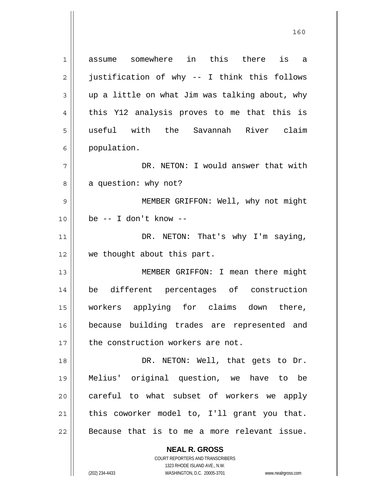**NEAL R. GROSS** 1 2 3 4 5 6 7 8 9 10 11 12 13 14 15 16 17 18 19 20 21 22 assume somewhere in this there is a justification of why -- I think this follows up a little on what Jim was talking about, why this Y12 analysis proves to me that this is useful with the Savannah River claim population. DR. NETON: I would answer that with a question: why not? MEMBER GRIFFON: Well, why not might be -- I don't know -- DR. NETON: That's why I'm saying, we thought about this part. MEMBER GRIFFON: I mean there might be different percentages of construction workers applying for claims down there, because building trades are represented and the construction workers are not. DR. NETON: Well, that gets to Dr. Melius' original question, we have to be careful to what subset of workers we apply this coworker model to, I'll grant you that. Because that is to me a more relevant issue.

<u>160</u>

1323 RHODE ISLAND AVE., N.W. (202) 234-4433 WASHINGTON, D.C. 20005-3701 www.nealrgross.com

COURT REPORTERS AND TRANSCRIBERS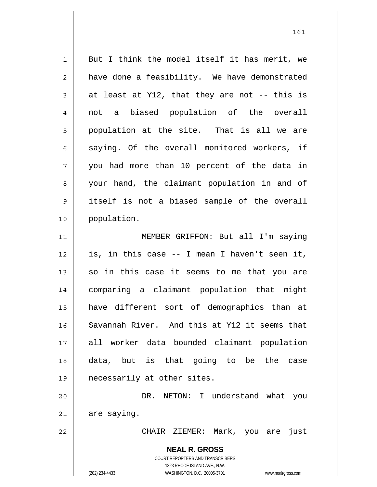**NEAL R. GROSS** COURT REPORTERS AND TRANSCRIBERS 1323 RHODE ISLAND AVE., N.W. (202) 234-4433 WASHINGTON, D.C. 20005-3701 www.nealrgross.com 1 2 3 4 5 6 7 8 9 10 11 12 13 14 15 16 17 18 19 20 21 22 But I think the model itself it has merit, we have done a feasibility. We have demonstrated at least at Y12, that they are not -- this is not a biased population of the overall population at the site. That is all we are saying. Of the overall monitored workers, if you had more than 10 percent of the data in your hand, the claimant population in and of itself is not a biased sample of the overall population. MEMBER GRIFFON: But all I'm saying is, in this case -- I mean I haven't seen it, so in this case it seems to me that you are comparing a claimant population that might have different sort of demographics than at Savannah River. And this at Y12 it seems that all worker data bounded claimant population data, but is that going to be the case necessarily at other sites. DR. NETON: I understand what you are saying. CHAIR ZIEMER: Mark, you are just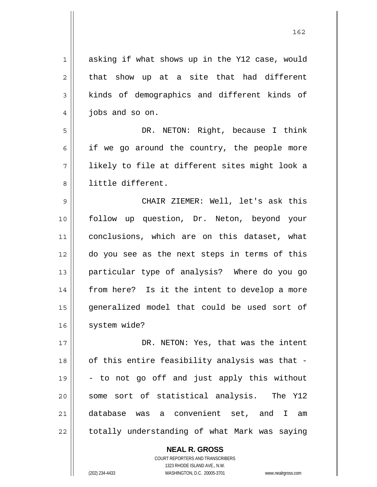| $\mathbf 1$ | asking if what shows up in the Y12 case, would |
|-------------|------------------------------------------------|
| 2           | that show up at a site that had different      |
| 3           | kinds of demographics and different kinds of   |
| 4           | jobs and so on.                                |
| 5           | DR. NETON: Right, because I think              |
| 6           | if we go around the country, the people more   |
| 7           | likely to file at different sites might look a |
| 8           | little different.                              |
| 9           | CHAIR ZIEMER: Well, let's ask this             |
| 10          | follow up question, Dr. Neton, beyond your     |
| 11          | conclusions, which are on this dataset, what   |
| 12          | do you see as the next steps in terms of this  |
| 13          | particular type of analysis? Where do you go   |
| 14          | from here? Is it the intent to develop a more  |
| 15          | generalized model that could be used sort of   |
| 16          | system wide?                                   |
| 17          | DR. NETON: Yes, that was the intent            |
| 18          | of this entire feasibility analysis was that - |
| 19          | - to not go off and just apply this without    |
| 20          | some sort of statistical analysis. The Y12     |
| 21          | database was a convenient set, and I<br>am     |
| 22          | totally understanding of what Mark was saying  |

162

**NEAL R. GROSS** COURT REPORTERS AND TRANSCRIBERS 1323 RHODE ISLAND AVE., N.W.

(202) 234-4433 WASHINGTON, D.C. 20005-3701 www.nealrgross.com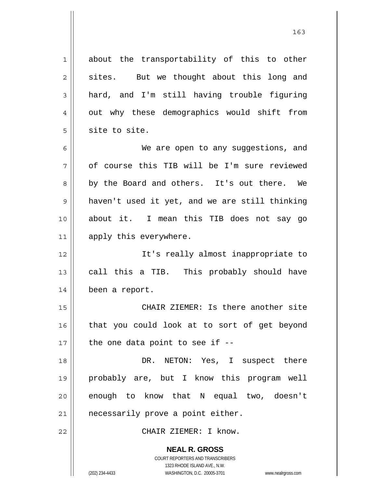**NEAL R. GROSS** COURT REPORTERS AND TRANSCRIBERS 1 2 3 4 5 6 7 8 9 10 11 12 13 14 15 16 17 18 19 20 21 22 about the transportability of this to other sites. But we thought about this long and hard, and I'm still having trouble figuring out why these demographics would shift from site to site. We are open to any suggestions, and of course this TIB will be I'm sure reviewed by the Board and others. It's out there. We haven't used it yet, and we are still thinking about it. I mean this TIB does not say go apply this everywhere. It's really almost inappropriate to call this a TIB. This probably should have been a report. CHAIR ZIEMER: Is there another site that you could look at to sort of get beyond the one data point to see if -- DR. NETON: Yes, I suspect there probably are, but I know this program well enough to know that N equal two, doesn't necessarily prove a point either. CHAIR ZIEMER: I know.

1323 RHODE ISLAND AVE., N.W.

(202) 234-4433 WASHINGTON, D.C. 20005-3701 www.nealrgross.com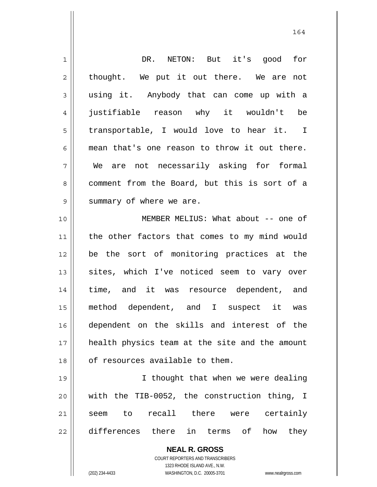| $\mathbf 1$    | NETON: But it's good for<br>DR.                                         |
|----------------|-------------------------------------------------------------------------|
| $\overline{c}$ | thought. We put it out there. We are not                                |
| 3              | using it. Anybody that can come up with a                               |
| 4              | justifiable reason why it wouldn't be                                   |
| 5              | transportable, I would love to hear it. I                               |
| 6              | mean that's one reason to throw it out there.                           |
| 7              | We are not necessarily asking for formal                                |
| 8              | comment from the Board, but this is sort of a                           |
| 9              | summary of where we are.                                                |
| 10             | MEMBER MELIUS: What about -- one of                                     |
| 11             | the other factors that comes to my mind would                           |
| 12             | be the sort of monitoring practices at the                              |
| 13             | sites, which I've noticed seem to vary over                             |
| 14             | time, and it was resource dependent, and                                |
| 15             | method dependent, and I suspect it was                                  |
| 16             | dependent on the skills and interest of the                             |
| 17             | health physics team at the site and the amount                          |
| 18             | of resources available to them.                                         |
| 19             | I thought that when we were dealing                                     |
| 20             | with the TIB-0052, the construction thing, I                            |
| 21             | recall there were certainly<br>seem to                                  |
| 22             | differences there in terms of<br>how<br>they                            |
|                |                                                                         |
|                | <b>NEAL R. GROSS</b>                                                    |
|                | <b>COURT REPORTERS AND TRANSCRIBERS</b><br>1323 RHODE ISLAND AVE., N.W. |
|                | (202) 234-4433<br>WASHINGTON, D.C. 20005-3701<br>www.nealrgross.com     |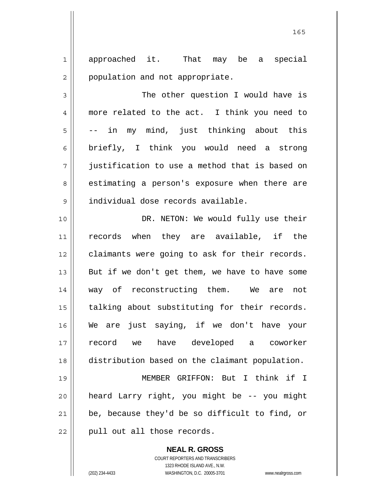1 2 approached it. That may be a special population and not appropriate.

3 4 5 6 7 8 9 The other question I would have is more related to the act. I think you need to -- in my mind, just thinking about this briefly, I think you would need a strong justification to use a method that is based on estimating a person's exposure when there are individual dose records available.

10 11 12 13 14 15 16 17 18 19 DR. NETON: We would fully use their records when they are available, if the claimants were going to ask for their records. But if we don't get them, we have to have some way of reconstructing them. We are not talking about substituting for their records. We are just saying, if we don't have your record we have developed a coworker distribution based on the claimant population. MEMBER GRIFFON: But I think if I

20 21 22 heard Larry right, you might be -- you might be, because they'd be so difficult to find, or pull out all those records.

> **NEAL R. GROSS** COURT REPORTERS AND TRANSCRIBERS 1323 RHODE ISLAND AVE., N.W. (202) 234-4433 WASHINGTON, D.C. 20005-3701 www.nealrgross.com

<u>165</u>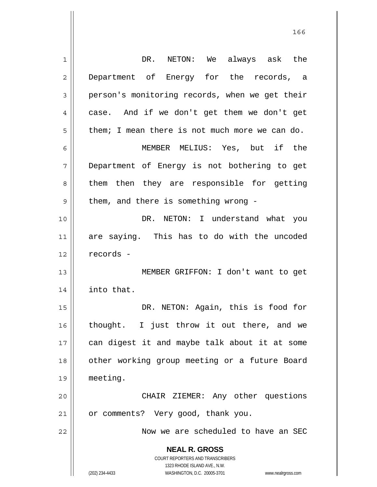| 1              | always ask the<br>DR. NETON: We                                                                     |
|----------------|-----------------------------------------------------------------------------------------------------|
| $\overline{2}$ | Department of Energy for the records, a                                                             |
| 3              | person's monitoring records, when we get their                                                      |
| 4              | case. And if we don't get them we don't get                                                         |
| 5              | them; I mean there is not much more we can do.                                                      |
| 6              | MEMBER MELIUS: Yes, but if the                                                                      |
| 7              | Department of Energy is not bothering to get                                                        |
| 8              | them then they are responsible for getting                                                          |
| 9              | them, and there is something wrong -                                                                |
| 10             | DR. NETON: I understand what you                                                                    |
| 11             | are saying. This has to do with the uncoded                                                         |
| 12             | records -                                                                                           |
| 13             | MEMBER GRIFFON: I don't want to get                                                                 |
| 14             | into that.                                                                                          |
| 15             | DR. NETON: Again, this is food for                                                                  |
| 16             | thought. I just throw it out there, and we                                                          |
| 17             | can digest it and maybe talk about it at some                                                       |
| 18             | other working group meeting or a future Board                                                       |
| 19             | meeting.                                                                                            |
| 20             |                                                                                                     |
|                | CHAIR ZIEMER: Any other questions                                                                   |
| 21             | or comments? Very good, thank you.                                                                  |
| 22             | Now we are scheduled to have an SEC                                                                 |
|                | <b>NEAL R. GROSS</b>                                                                                |
|                | COURT REPORTERS AND TRANSCRIBERS                                                                    |
|                | 1323 RHODE ISLAND AVE., N.W.<br>(202) 234-4433<br>WASHINGTON, D.C. 20005-3701<br>www.nealrgross.com |
|                |                                                                                                     |

<u>166 - Johann Amerikaanse konstantiner (</u>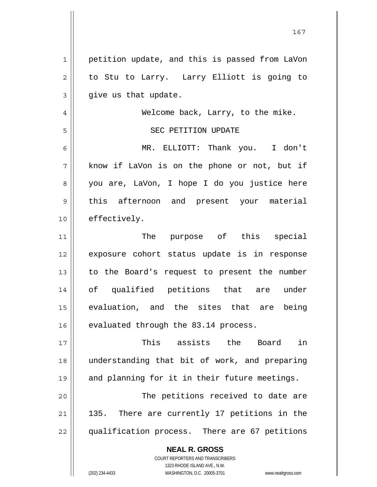| $\mathbf{1}$   | petition update, and this is passed from LaVon                                                      |
|----------------|-----------------------------------------------------------------------------------------------------|
| $\overline{2}$ | to Stu to Larry. Larry Elliott is going to                                                          |
| 3              | give us that update.                                                                                |
| $\overline{4}$ | Welcome back, Larry, to the mike.                                                                   |
| 5              | SEC PETITION UPDATE                                                                                 |
| 6              | MR. ELLIOTT: Thank you. I don't                                                                     |
| 7              | know if LaVon is on the phone or not, but if                                                        |
| 8              | you are, LaVon, I hope I do you justice here                                                        |
| 9              | this afternoon and present your material                                                            |
| 10             | effectively.                                                                                        |
| 11             | The purpose of this special                                                                         |
| 12             | exposure cohort status update is in response                                                        |
| 13             | to the Board's request to present the number                                                        |
| 14             | of qualified petitions that are under                                                               |
| 15             | evaluation, and the sites that are being                                                            |
| 16             | evaluated through the 83.14 process.                                                                |
| 17             | This assists the<br>in<br>Board                                                                     |
| 18             | understanding that bit of work, and preparing                                                       |
| 19             | and planning for it in their future meetings.                                                       |
| 20             | The petitions received to date are                                                                  |
| 21             | 135. There are currently 17 petitions in the                                                        |
| 22             | qualification process. There are 67 petitions                                                       |
|                | <b>NEAL R. GROSS</b>                                                                                |
|                | <b>COURT REPORTERS AND TRANSCRIBERS</b>                                                             |
|                | 1323 RHODE ISLAND AVE., N.W.<br>(202) 234-4433<br>WASHINGTON, D.C. 20005-3701<br>www.nealrgross.com |
|                |                                                                                                     |

 $\mathsf{I}$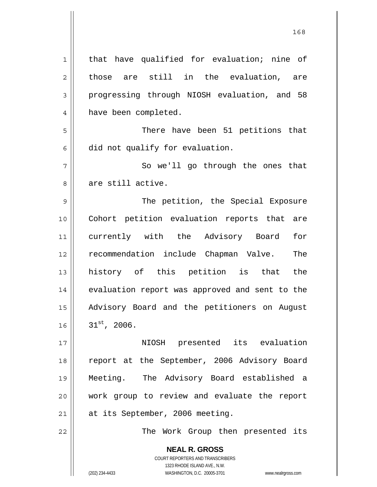**NEAL R. GROSS** COURT REPORTERS AND TRANSCRIBERS 1 2 3 4 5 6 7 8 9 10 11 12 13 14 15 16 17 18 19 20 21 22 that have qualified for evaluation; nine of those are still in the evaluation, are progressing through NIOSH evaluation, and 58 have been completed. There have been 51 petitions that did not qualify for evaluation. So we'll go through the ones that are still active. The petition, the Special Exposure Cohort petition evaluation reports that are currently with the Advisory Board for recommendation include Chapman Valve. The history of this petition is that the evaluation report was approved and sent to the Advisory Board and the petitioners on August  $31^{st}$ , 2006. NIOSH presented its evaluation report at the September, 2006 Advisory Board Meeting. The Advisory Board established a work group to review and evaluate the report at its September, 2006 meeting. The Work Group then presented its

<u>168</u>

1323 RHODE ISLAND AVE., N.W.

(202) 234-4433 WASHINGTON, D.C. 20005-3701 www.nealrgross.com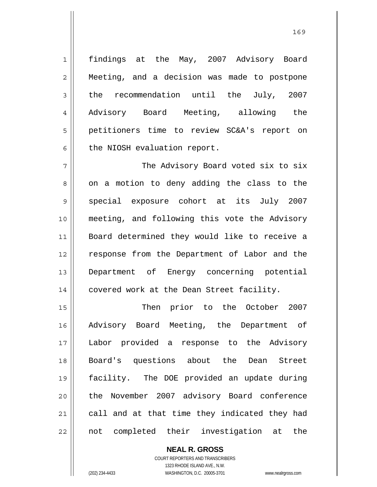findings at the May, 2007 Advisory Board Meeting, and a decision was made to postpone the recommendation until the July, 2007 Advisory Board Meeting, allowing the petitioners time to review SC&A's report on the NIOSH evaluation report.

7 8 9 10 11 12 13 14 The Advisory Board voted six to six on a motion to deny adding the class to the special exposure cohort at its July 2007 meeting, and following this vote the Advisory Board determined they would like to receive a response from the Department of Labor and the Department of Energy concerning potential covered work at the Dean Street facility.

15 16 17 18 19 20 21 22 Then prior to the October 2007 Advisory Board Meeting, the Department of Labor provided a response to the Advisory Board's questions about the Dean Street facility. The DOE provided an update during the November 2007 advisory Board conference call and at that time they indicated they had not completed their investigation at the

> **NEAL R. GROSS** COURT REPORTERS AND TRANSCRIBERS 1323 RHODE ISLAND AVE., N.W. (202) 234-4433 WASHINGTON, D.C. 20005-3701 www.nealrgross.com

1

2

3

4

5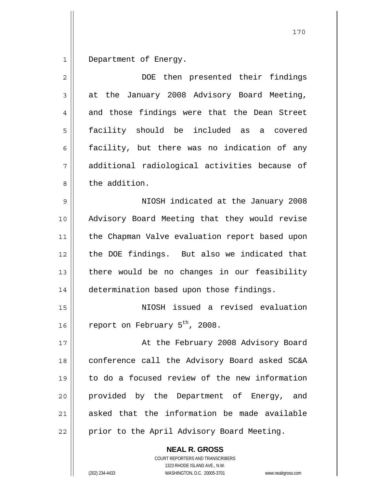1 Department of Energy.

| $\overline{2}$ | DOE then presented their findings              |
|----------------|------------------------------------------------|
| $\mathfrak{Z}$ | at the January 2008 Advisory Board Meeting,    |
| 4              | and those findings were that the Dean Street   |
| 5              | facility should be included as<br>a covered    |
| 6              | facility, but there was no indication of any   |
| 7              | additional radiological activities because of  |
| 8              | the addition.                                  |
| 9              | NIOSH indicated at the January 2008            |
| 10             | Advisory Board Meeting that they would revise  |
| 11             | the Chapman Valve evaluation report based upon |
| 12             | the DOE findings. But also we indicated that   |
| 13             | there would be no changes in our feasibility   |
| 14             | determination based upon those findings.       |
| 15             | NIOSH issued a revised evaluation              |
| 16             | report on February 5 <sup>th</sup> , 2008.     |
| 17             | At the February 2008 Advisory Board            |
| 18             | conference call the Advisory Board asked SC&A  |
| 19             | to do a focused review of the new information  |
| 20             | provided by the Department of Energy,<br>and   |
| 21             | asked that the information be made available   |
| 22             | prior to the April Advisory Board Meeting.     |

COURT REPORTERS AND TRANSCRIBERS 1323 RHODE ISLAND AVE., N.W. (202) 234-4433 WASHINGTON, D.C. 20005-3701 www.nealrgross.com

**NEAL R. GROSS**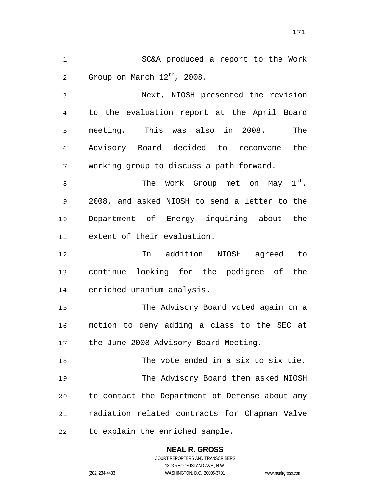|                | 171                                                                                                 |
|----------------|-----------------------------------------------------------------------------------------------------|
| 1              | SC&A produced a report to the Work                                                                  |
| $\overline{2}$ | Group on March $12^{th}$ , 2008.                                                                    |
| 3              | Next, NIOSH presented the revision                                                                  |
| 4              | to the evaluation report at the April Board                                                         |
| 5              | meeting. This was also in 2008.<br>The                                                              |
| 6              | Advisory Board decided to reconvene the                                                             |
| 7              | working group to discuss a path forward.                                                            |
| 8              | The Work Group met on May 1st,                                                                      |
| 9              | 2008, and asked NIOSH to send a letter to the                                                       |
| 10             | Department of Energy inquiring about the                                                            |
| 11             | extent of their evaluation.                                                                         |
| 12             | In addition NIOSH agreed to                                                                         |
| 13             | continue looking for the pedigree of the                                                            |
| 14             | enriched uranium analysis.                                                                          |
| 15             | The Advisory Board voted again on a                                                                 |
| 16             | motion to deny adding a class to the SEC at                                                         |
| 17             | the June 2008 Advisory Board Meeting.                                                               |
| 18             | The vote ended in a six to six tie.                                                                 |
| 19             | The Advisory Board then asked NIOSH                                                                 |
| 20             | to contact the Department of Defense about any                                                      |
| 21             | radiation related contracts for Chapman Valve                                                       |
| 22             | to explain the enriched sample.                                                                     |
|                | <b>NEAL R. GROSS</b><br><b>COURT REPORTERS AND TRANSCRIBERS</b>                                     |
|                | 1323 RHODE ISLAND AVE., N.W.<br>(202) 234-4433<br>WASHINGTON, D.C. 20005-3701<br>www.nealrgross.com |

 $\mathsf{I}$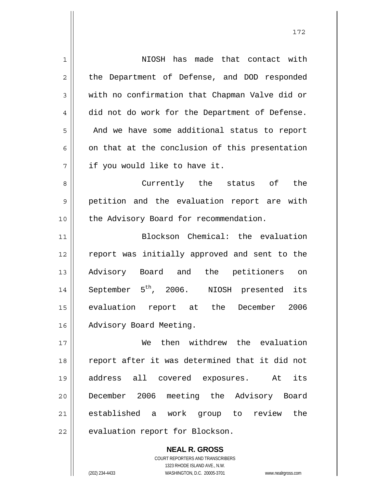| $\mathbf 1$    | NIOSH has made that contact with                      |
|----------------|-------------------------------------------------------|
| $\overline{2}$ | the Department of Defense, and DOD responded          |
| $\mathfrak{Z}$ | with no confirmation that Chapman Valve did or        |
| 4              | did not do work for the Department of Defense.        |
| 5              | And we have some additional status to report          |
| 6              | on that at the conclusion of this presentation        |
| 7              | if you would like to have it.                         |
| 8              | Currently the status of the                           |
| 9              | petition and the evaluation report are with           |
| 10             | the Advisory Board for recommendation.                |
| 11             | Blockson Chemical: the evaluation                     |
|                |                                                       |
| 12             | report was initially approved and sent to the         |
| 13             | Advisory Board and the petitioners on                 |
| 14             | September 5 <sup>th</sup> , 2006. NIOSH presented its |
| 15             | evaluation report at the December<br>2006             |
| 16             | Advisory Board Meeting.                               |
| 17             | then withdrew the evaluation<br>We                    |
| 18             | report after it was determined that it did not        |
| 19             | address all covered exposures. At<br>its              |
| 20             | December 2006 meeting the Advisory Board              |
| 21             | established a work group to review the                |

COURT REPORTERS AND TRANSCRIBERS 1323 RHODE ISLAND AVE., N.W. (202) 234-4433 WASHINGTON, D.C. 20005-3701 www.nealrgross.com

**NEAL R. GROSS**

 $\mathsf{II}$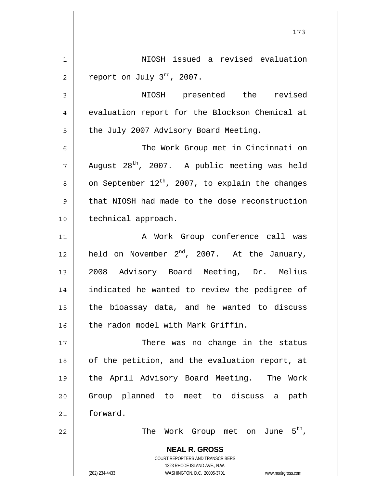1 2 NIOSH issued a revised evaluation report on July 3<sup>rd</sup>, 2007.

173

3 4 5 NIOSH presented the revised evaluation report for the Blockson Chemical at the July 2007 Advisory Board Meeting.

6 7 8 9 10 The Work Group met in Cincinnati on August 28<sup>th</sup>, 2007. A public meeting was held on September  $12^{th}$ , 2007, to explain the changes that NIOSH had made to the dose reconstruction technical approach.

11 12 13 14 15 16 A Work Group conference call was held on November  $2^{nd}$ , 2007. At the January, 2008 Advisory Board Meeting, Dr. Melius indicated he wanted to review the pedigree of the bioassay data, and he wanted to discuss the radon model with Mark Griffin.

17 18 19 20 21 There was no change in the status of the petition, and the evaluation report, at the April Advisory Board Meeting. The Work Group planned to meet to discuss a path forward.

The Work Group met on June 5<sup>th</sup>,

**NEAL R. GROSS** COURT REPORTERS AND TRANSCRIBERS 1323 RHODE ISLAND AVE., N.W. (202) 234-4433 WASHINGTON, D.C. 20005-3701 www.nealrgross.com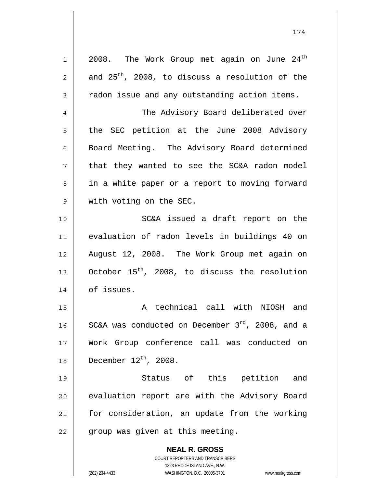**NEAL R. GROSS** COURT REPORTERS AND TRANSCRIBERS 1323 RHODE ISLAND AVE., N.W. 1 2 3 4 5 6 7 8 9 10 11 12 13 14 15 16 17 18 19 20 21 22 2008. The Work Group met again on June  $24<sup>th</sup>$ and  $25^{th}$ , 2008, to discuss a resolution of the radon issue and any outstanding action items. The Advisory Board deliberated over the SEC petition at the June 2008 Advisory Board Meeting. The Advisory Board determined that they wanted to see the SC&A radon model in a white paper or a report to moving forward with voting on the SEC. SC&A issued a draft report on the evaluation of radon levels in buildings 40 on August 12, 2008. The Work Group met again on October  $15<sup>th</sup>$ , 2008, to discuss the resolution of issues. A technical call with NIOSH and SC&A was conducted on December  $3<sup>rd</sup>$ , 2008, and a Work Group conference call was conducted on December  $12^{\text{th}}$ , 2008. Status of this petition and evaluation report are with the Advisory Board for consideration, an update from the working group was given at this meeting.

174

(202) 234-4433 WASHINGTON, D.C. 20005-3701 www.nealrgross.com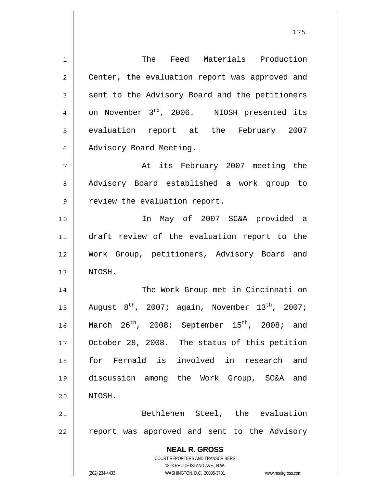**NEAL R. GROSS** COURT REPORTERS AND TRANSCRIBERS 1323 RHODE ISLAND AVE., N.W. (202) 234-4433 WASHINGTON, D.C. 20005-3701 www.nealrgross.com 1 2 3 4 5 6 7 8 9 10 11 12 13 14 15 16 17 18 19 20 21 22 The Feed Materials Production Center, the evaluation report was approved and sent to the Advisory Board and the petitioners on November 3<sup>rd</sup>, 2006. NIOSH presented its evaluation report at the February 2007 Advisory Board Meeting. At its February 2007 meeting the Advisory Board established a work group to review the evaluation report. In May of 2007 SC&A provided a draft review of the evaluation report to the Work Group, petitioners, Advisory Board and NIOSH. The Work Group met in Cincinnati on August  $8^{th}$ , 2007; again, November 13<sup>th</sup>, 2007; March  $26^{th}$ , 2008; September  $15^{th}$ , 2008; and October 28, 2008. The status of this petition for Fernald is involved in research and discussion among the Work Group, SC&A and NIOSH. Bethlehem Steel, the evaluation report was approved and sent to the Advisory

<u>175</u>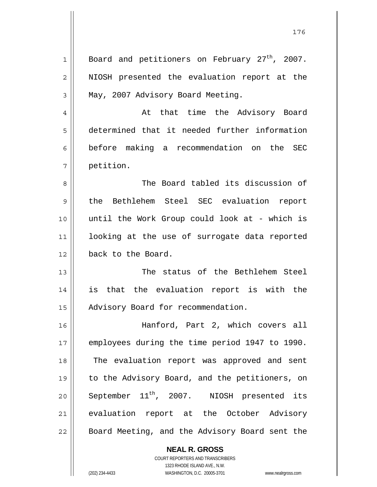| $\mathbf 1$  | Board and petitioners on February 27 <sup>th</sup> , 2007. |
|--------------|------------------------------------------------------------|
| $\mathbf{2}$ | NIOSH presented the evaluation report at the               |
| 3            | May, 2007 Advisory Board Meeting.                          |
| 4            | At that time the Advisory Board                            |
| 5            | determined that it needed further information              |
| 6            | before making a recommendation on the SEC                  |
| 7            | petition.                                                  |
| 8            | The Board tabled its discussion of                         |
| 9            | the Bethlehem Steel SEC evaluation report                  |
| 10           | until the Work Group could look at - which is              |
| 11           | looking at the use of surrogate data reported              |
| 12           | back to the Board.                                         |
| 13           | The status of the Bethlehem Steel                          |
| 14           | is that the evaluation report is with the                  |
| 15           | Advisory Board for recommendation.                         |
| 16           | Hanford, Part 2, which covers all                          |
| 17           | employees during the time period 1947 to 1990.             |
| 18           | The evaluation report was approved and sent                |
|              |                                                            |
| 19           | to the Advisory Board, and the petitioners, on             |
| 20           | September $11^{th}$ , 2007. NIOSH presented its            |
| 21           | evaluation report at the October Advisory                  |
| 22           | Board Meeting, and the Advisory Board sent the             |

**NEAL R. GROSS** COURT REPORTERS AND TRANSCRIBERS 1323 RHODE ISLAND AVE., N.W. (202) 234-4433 WASHINGTON, D.C. 20005-3701 www.nealrgross.com

 $\mathsf{II}$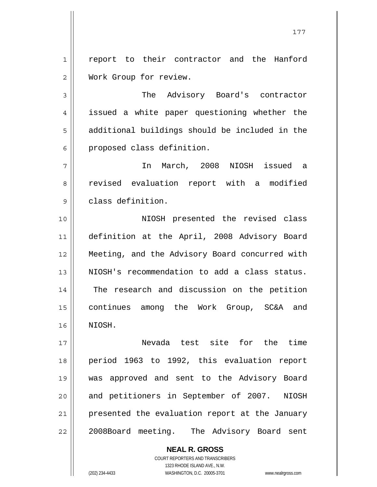1 2 report to their contractor and the Hanford Work Group for review.

3 4 5 6 The Advisory Board's contractor issued a white paper questioning whether the additional buildings should be included in the proposed class definition.

7 8 9 In March, 2008 NIOSH issued a revised evaluation report with a modified class definition.

10 11 12 13 14 15 16 NIOSH presented the revised class definition at the April, 2008 Advisory Board Meeting, and the Advisory Board concurred with NIOSH's recommendation to add a class status. The research and discussion on the petition continues among the Work Group, SC&A and NIOSH.

17 18 19 20 21 22 Nevada test site for the time period 1963 to 1992, this evaluation report was approved and sent to the Advisory Board and petitioners in September of 2007. NIOSH presented the evaluation report at the January 2008Board meeting. The Advisory Board sent

> **NEAL R. GROSS** COURT REPORTERS AND TRANSCRIBERS 1323 RHODE ISLAND AVE., N.W. (202) 234-4433 WASHINGTON, D.C. 20005-3701 www.nealrgross.com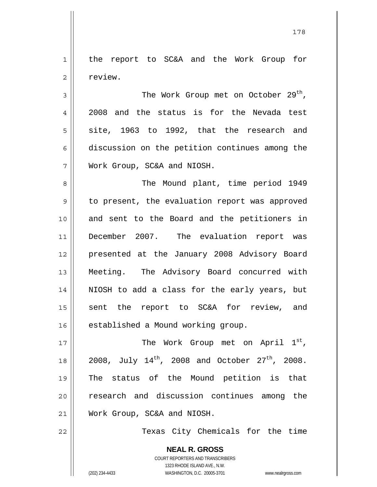1 2 the report to SC&A and the Work Group for review.

178

3 4 5 6 7 The Work Group met on October  $29<sup>th</sup>$ , 2008 and the status is for the Nevada test site, 1963 to 1992, that the research and discussion on the petition continues among the Work Group, SC&A and NIOSH.

8 9 10 11 12 13 14 15 16 The Mound plant, time period 1949 to present, the evaluation report was approved and sent to the Board and the petitioners in December 2007. The evaluation report was presented at the January 2008 Advisory Board Meeting. The Advisory Board concurred with NIOSH to add a class for the early years, but sent the report to SC&A for review, and established a Mound working group.

17 18 19 20 21 The Work Group met on April 1st, 2008, July  $14^{th}$ , 2008 and October  $27^{th}$ , 2008. The status of the Mound petition is that research and discussion continues among the Work Group, SC&A and NIOSH.

22

Texas City Chemicals for the time

**NEAL R. GROSS** COURT REPORTERS AND TRANSCRIBERS 1323 RHODE ISLAND AVE., N.W. (202) 234-4433 WASHINGTON, D.C. 20005-3701 www.nealrgross.com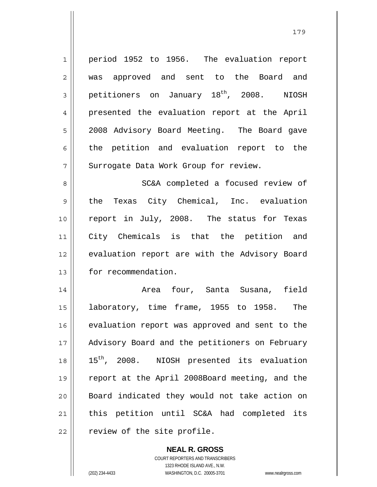1 2 3 4 5 6 7 8 9 10 11 12 13 14 15 16 17 18 19 20 21 22 period 1952 to 1956. The evaluation report was approved and sent to the Board and petitioners on January 18<sup>th</sup>, 2008. NIOSH presented the evaluation report at the April 2008 Advisory Board Meeting. The Board gave the petition and evaluation report to the Surrogate Data Work Group for review. SC&A completed a focused review of the Texas City Chemical, Inc. evaluation report in July, 2008. The status for Texas City Chemicals is that the petition and evaluation report are with the Advisory Board for recommendation. Area four, Santa Susana, field laboratory, time frame, 1955 to 1958. The evaluation report was approved and sent to the Advisory Board and the petitioners on February 15<sup>th</sup>, 2008. NIOSH presented its evaluation report at the April 2008Board meeting, and the Board indicated they would not take action on this petition until SC&A had completed its review of the site profile.

> **NEAL R. GROSS** COURT REPORTERS AND TRANSCRIBERS 1323 RHODE ISLAND AVE., N.W. (202) 234-4433 WASHINGTON, D.C. 20005-3701 www.nealrgross.com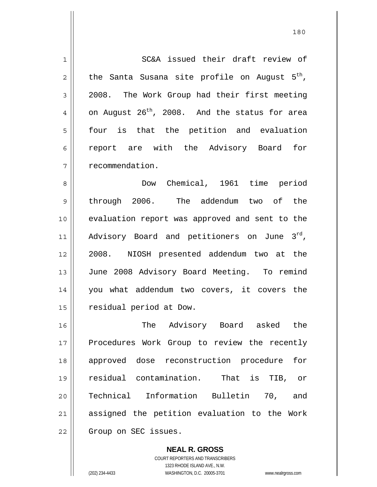1 2 3 4 5 6 7 8 9 10 11 12 13 14 15 16 17 18 19 20 21 22 SC&A issued their draft review of the Santa Susana site profile on August 5<sup>th</sup>, 2008. The Work Group had their first meeting on August  $26^{th}$ , 2008. And the status for area four is that the petition and evaluation report are with the Advisory Board for recommendation. Dow Chemical, 1961 time period through 2006. The addendum two of the evaluation report was approved and sent to the Advisory Board and petitioners on June  $3^{rd}$ , 2008. NIOSH presented addendum two at the June 2008 Advisory Board Meeting. To remind you what addendum two covers, it covers the residual period at Dow. The Advisory Board asked the Procedures Work Group to review the recently approved dose reconstruction procedure for residual contamination. That is TIB, or Technical Information Bulletin 70, and assigned the petition evaluation to the Work Group on SEC issues.

> **NEAL R. GROSS** COURT REPORTERS AND TRANSCRIBERS 1323 RHODE ISLAND AVE., N.W. (202) 234-4433 WASHINGTON, D.C. 20005-3701 www.nealrgross.com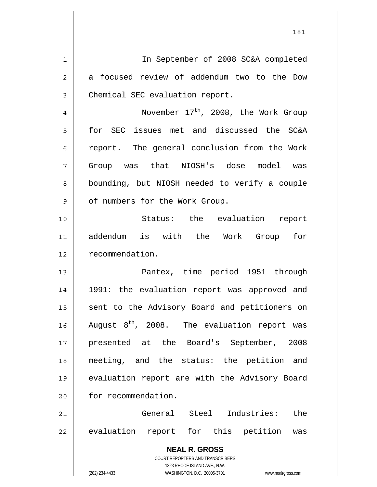**NEAL R. GROSS** COURT REPORTERS AND TRANSCRIBERS 1323 RHODE ISLAND AVE., N.W. 1 2 3 4 5 6 7 8 9 10 11 12 13 14 15 16 17 18 19 20 21 22 In September of 2008 SC&A completed a focused review of addendum two to the Dow Chemical SEC evaluation report. November  $17<sup>th</sup>$ , 2008, the Work Group for SEC issues met and discussed the SC&A report. The general conclusion from the Work Group was that NIOSH's dose model was bounding, but NIOSH needed to verify a couple of numbers for the Work Group. Status: the evaluation report addendum is with the Work Group for recommendation. Pantex, time period 1951 through 1991: the evaluation report was approved and sent to the Advisory Board and petitioners on August  $8^{th}$ , 2008. The evaluation report was presented at the Board's September, 2008 meeting, and the status: the petition and evaluation report are with the Advisory Board for recommendation. General Steel Industries: the evaluation report for this petition was

181

(202) 234-4433 WASHINGTON, D.C. 20005-3701 www.nealrgross.com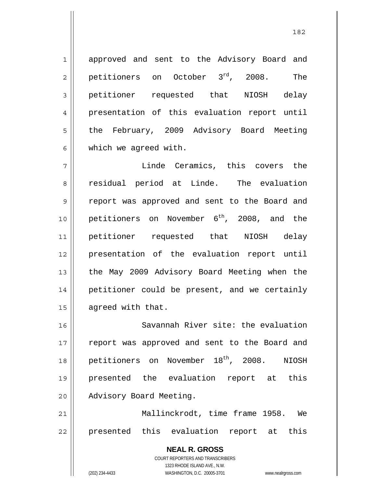approved and sent to the Advisory Board and petitioners on October 3<sup>rd</sup>, 2008. The petitioner requested that NIOSH delay presentation of this evaluation report until the February, 2009 Advisory Board Meeting which we agreed with.

7 8 9 10 11 12 13 14 15 Linde Ceramics, this covers the residual period at Linde. The evaluation report was approved and sent to the Board and petitioners on November  $6^{th}$ , 2008, and the petitioner requested that NIOSH delay presentation of the evaluation report until the May 2009 Advisory Board Meeting when the petitioner could be present, and we certainly agreed with that.

16 17 18 19 20 Savannah River site: the evaluation report was approved and sent to the Board and petitioners on November 18<sup>th</sup>, 2008. NIOSH presented the evaluation report at this Advisory Board Meeting.

21 22 Mallinckrodt, time frame 1958. We presented this evaluation report at this

> **NEAL R. GROSS** COURT REPORTERS AND TRANSCRIBERS 1323 RHODE ISLAND AVE., N.W. (202) 234-4433 WASHINGTON, D.C. 20005-3701 www.nealrgross.com

1

2

3

4

5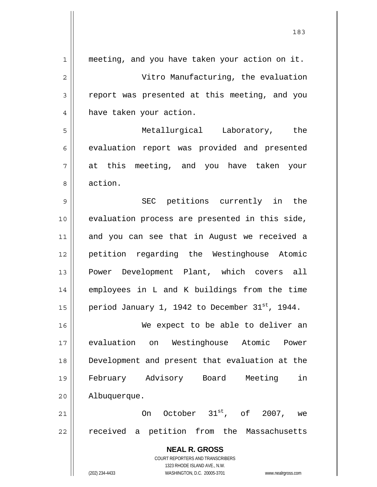| $\mathbf{1}$ | meeting, and you have taken your action on it.                                                      |
|--------------|-----------------------------------------------------------------------------------------------------|
| 2            | Vitro Manufacturing, the evaluation                                                                 |
| 3            | report was presented at this meeting, and you                                                       |
| 4            | have taken your action.                                                                             |
| 5            | Metallurgical Laboratory, the                                                                       |
| 6            | evaluation report was provided and presented                                                        |
| 7            | at this meeting, and you have taken your                                                            |
| 8            | action.                                                                                             |
| 9            | SEC petitions currently in the                                                                      |
| 10           | evaluation process are presented in this side,                                                      |
| 11           | and you can see that in August we received a                                                        |
| 12           | petition regarding the Westinghouse Atomic                                                          |
| 13           | Power Development Plant, which covers all                                                           |
| 14           | employees in L and K buildings from the time                                                        |
| 15           | period January 1, 1942 to December 31 <sup>st</sup> , 1944.                                         |
| 16           | We expect to be able to deliver an                                                                  |
| 17           | evaluation on Westinghouse Atomic<br>Power                                                          |
| 18           | Development and present that evaluation at the                                                      |
| 19           | February Advisory Board Meeting<br>in                                                               |
| 20           | Albuquerque.                                                                                        |
| 21           | On October 31 <sup>st</sup> , of 2007, we                                                           |
| 22           | received a petition from the Massachusetts                                                          |
|              | <b>NEAL R. GROSS</b>                                                                                |
|              | COURT REPORTERS AND TRANSCRIBERS                                                                    |
|              | 1323 RHODE ISLAND AVE., N.W.<br>(202) 234-4433<br>WASHINGTON, D.C. 20005-3701<br>www.nealrgross.com |
|              |                                                                                                     |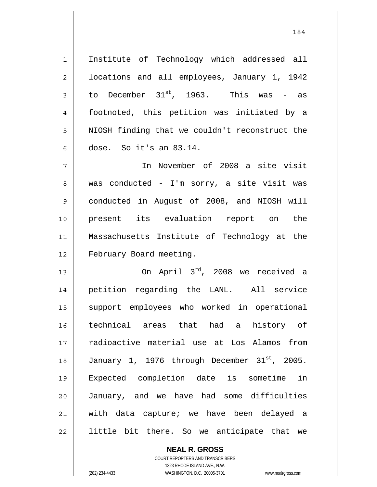1 2 3 4 5 6 Institute of Technology which addressed all locations and all employees, January 1, 1942 to December  $31^{st}$ , 1963. This was - as footnoted, this petition was initiated by a NIOSH finding that we couldn't reconstruct the dose. So it's an 83.14.

7 8 9 10 11 12 In November of 2008 a site visit was conducted - I'm sorry, a site visit was conducted in August of 2008, and NIOSH will present its evaluation report on the Massachusetts Institute of Technology at the February Board meeting.

13 14 15 16 17 18 19 20 21 22 On April 3rd, 2008 we received a petition regarding the LANL. All service support employees who worked in operational technical areas that had a history of radioactive material use at Los Alamos from January 1, 1976 through December 31<sup>st</sup>, 2005. Expected completion date is sometime in January, and we have had some difficulties with data capture; we have been delayed a little bit there. So we anticipate that we

> **NEAL R. GROSS** COURT REPORTERS AND TRANSCRIBERS 1323 RHODE ISLAND AVE., N.W. (202) 234-4433 WASHINGTON, D.C. 20005-3701 www.nealrgross.com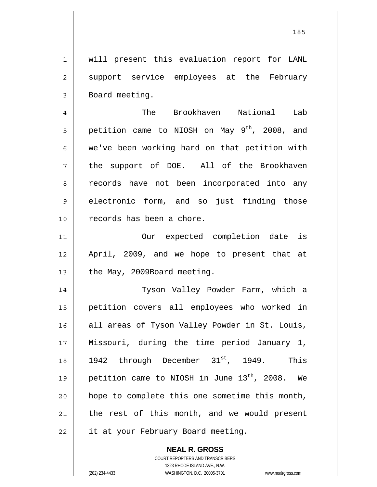1 2 3 will present this evaluation report for LANL support service employees at the February Board meeting.

4 5 6 7 8 9 10 The Brookhaven National Lab petition came to NIOSH on May  $9^{th}$ , 2008, and we've been working hard on that petition with the support of DOE. All of the Brookhaven records have not been incorporated into any electronic form, and so just finding those records has been a chore.

11 12 13 Our expected completion date is April, 2009, and we hope to present that at the May, 2009Board meeting.

14 15 16 17 18 19 20 21 22 Tyson Valley Powder Farm, which a petition covers all employees who worked in all areas of Tyson Valley Powder in St. Louis, Missouri, during the time period January 1, 1942 through December 31<sup>st</sup>, 1949. This petition came to NIOSH in June  $13<sup>th</sup>$ , 2008. We hope to complete this one sometime this month, the rest of this month, and we would present it at your February Board meeting.

> **NEAL R. GROSS** COURT REPORTERS AND TRANSCRIBERS 1323 RHODE ISLAND AVE., N.W. (202) 234-4433 WASHINGTON, D.C. 20005-3701 www.nealrgross.com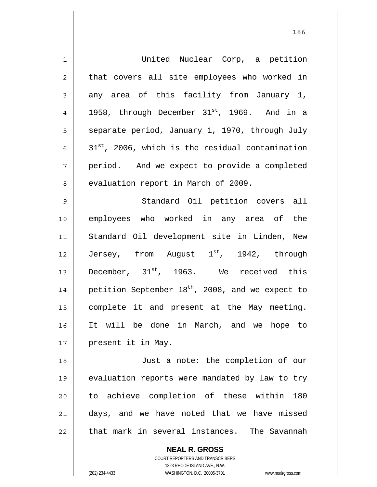| $\mathbf 1$    | United Nuclear Corp, a petition                              |
|----------------|--------------------------------------------------------------|
| $\sqrt{2}$     | that covers all site employees who worked in                 |
| 3              | any area of this facility from January 1,                    |
| $\overline{4}$ | 1958, through December 31st, 1969. And in a                  |
| 5              | separate period, January 1, 1970, through July               |
| 6              | 31 <sup>st</sup> , 2006, which is the residual contamination |
| 7              | period. And we expect to provide a completed                 |
| 8              | evaluation report in March of 2009.                          |
| $\mathsf 9$    | Standard Oil petition covers all                             |
| 10             | employees who worked in any area of the                      |
| 11             | Standard Oil development site in Linden, New                 |
| 12             | Jersey, from August 1st, 1942, through                       |
| 13             | December, $31^{st}$ , 1963. We received this                 |
| 14             | petition September 18 <sup>th</sup> , 2008, and we expect to |
| 15             | complete it and present at the May meeting.                  |
| 16             | It will be done in March, and we hope to                     |
| 17             | present it in May.                                           |
| 18             | Just a note: the completion of our                           |
| 19             | evaluation reports were mandated by law to try               |
| 20             | to achieve completion of these within<br>180                 |
| 21             | days, and we have noted that we have missed                  |
| 22             | that mark in several instances. The Savannah                 |

**NEAL R. GROSS** COURT REPORTERS AND TRANSCRIBERS 1323 RHODE ISLAND AVE., N.W.

 $\mathsf{I}$ 

(202) 234-4433 WASHINGTON, D.C. 20005-3701 www.nealrgross.com

<u>186 - Johann Stein, amerikan pendadaran pengaran pengaran pengaran pengaran pengaran pengaran pengaran pengar</u>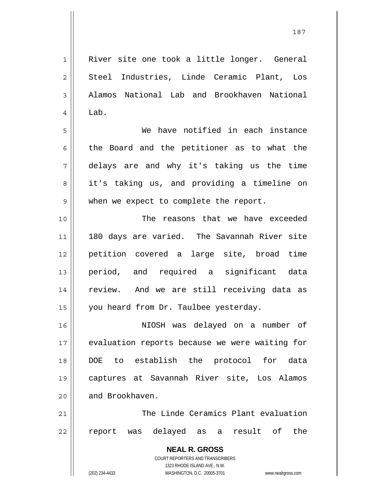**NEAL R. GROSS** COURT REPORTERS AND TRANSCRIBERS 1323 RHODE ISLAND AVE., N.W. 1 2 3 4 5 6 7 8 9 10 11 12 13 14 15 16 17 18 19 20 21 22 River site one took a little longer. General Steel Industries, Linde Ceramic Plant, Los Alamos National Lab and Brookhaven National Lab. We have notified in each instance the Board and the petitioner as to what the delays are and why it's taking us the time it's taking us, and providing a timeline on when we expect to complete the report. The reasons that we have exceeded 180 days are varied. The Savannah River site petition covered a large site, broad time period, and required a significant data review. And we are still receiving data as you heard from Dr. Taulbee yesterday. NIOSH was delayed on a number of evaluation reports because we were waiting for DOE to establish the protocol for data captures at Savannah River site, Los Alamos and Brookhaven. The Linde Ceramics Plant evaluation report was delayed as a result of the

187

(202) 234-4433 WASHINGTON, D.C. 20005-3701 www.nealrgross.com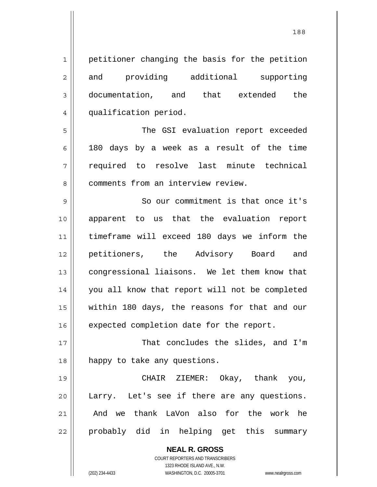1 2 3 4 petitioner changing the basis for the petition and providing additional supporting documentation, and that extended the qualification period.

5 6 7 8 The GSI evaluation report exceeded 180 days by a week as a result of the time required to resolve last minute technical comments from an interview review.

9 10 11 12 13 14 15 16 So our commitment is that once it's apparent to us that the evaluation report timeframe will exceed 180 days we inform the petitioners, the Advisory Board and congressional liaisons. We let them know that you all know that report will not be completed within 180 days, the reasons for that and our expected completion date for the report.

17 18 That concludes the slides, and I'm happy to take any questions.

19 20 21 22 CHAIR ZIEMER: Okay, thank you, Larry. Let's see if there are any questions. And we thank LaVon also for the work he probably did in helping get this summary

> **NEAL R. GROSS** COURT REPORTERS AND TRANSCRIBERS 1323 RHODE ISLAND AVE., N.W. (202) 234-4433 WASHINGTON, D.C. 20005-3701 www.nealrgross.com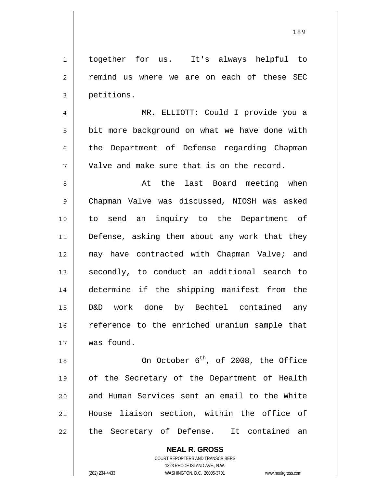1 together for us. It's always helpful to remind us where we are on each of these SEC petitions.

4 5 6 7 MR. ELLIOTT: Could I provide you a bit more background on what we have done with the Department of Defense regarding Chapman Valve and make sure that is on the record.

8 9 10 11 12 13 14 15 16 17 At the last Board meeting when Chapman Valve was discussed, NIOSH was asked to send an inquiry to the Department of Defense, asking them about any work that they may have contracted with Chapman Valve; and secondly, to conduct an additional search to determine if the shipping manifest from the D&D work done by Bechtel contained any reference to the enriched uranium sample that was found.

18 19 20 21 22 On October  $6^{th}$ , of 2008, the Office of the Secretary of the Department of Health and Human Services sent an email to the White House liaison section, within the office of the Secretary of Defense. It contained an

> **NEAL R. GROSS** COURT REPORTERS AND TRANSCRIBERS 1323 RHODE ISLAND AVE., N.W.

2

3

(202) 234-4433 WASHINGTON, D.C. 20005-3701 www.nealrgross.com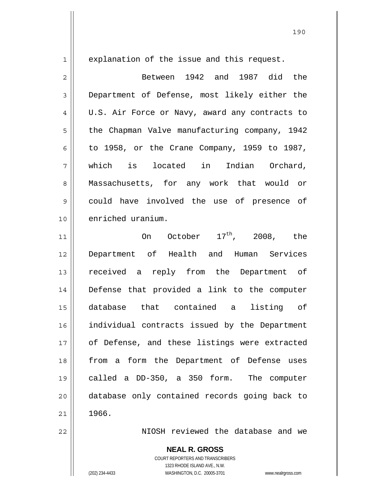explanation of the issue and this request.

1

2 3 4 5 6 7 8 9 10 Between 1942 and 1987 did the Department of Defense, most likely either the U.S. Air Force or Navy, award any contracts to the Chapman Valve manufacturing company, 1942 to 1958, or the Crane Company, 1959 to 1987, which is located in Indian Orchard, Massachusetts, for any work that would or could have involved the use of presence of enriched uranium.

11 12 13 14 15 16 17 18 19 20 21 On October  $17^{\text{th}}$ , 2008, the Department of Health and Human Services received a reply from the Department of Defense that provided a link to the computer database that contained a listing of individual contracts issued by the Department of Defense, and these listings were extracted from a form the Department of Defense uses called a DD-350, a 350 form. The computer database only contained records going back to 1966.

NIOSH reviewed the database and we

**NEAL R. GROSS** COURT REPORTERS AND TRANSCRIBERS 1323 RHODE ISLAND AVE., N.W.

22

(202) 234-4433 WASHINGTON, D.C. 20005-3701 www.nealrgross.com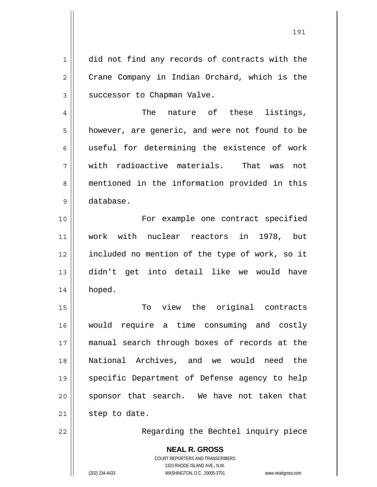did not find any records of contracts with the Crane Company in Indian Orchard, which is the successor to Chapman Valve.

 The nature of these listings, however, are generic, and were not found to be useful for determining the existence of work with radioactive materials. That was not mentioned in the information provided in this database.

10 11 12 13 14 For example one contract specified work with nuclear reactors in 1978, but included no mention of the type of work, so it didn't get into detail like we would have hoped.

15 16 17 18 19 20 21 To view the original contracts would require a time consuming and costly manual search through boxes of records at the National Archives, and we would need the specific Department of Defense agency to help sponsor that search. We have not taken that step to date.

22

1

2

3

4

5

6

7

8

9

Regarding the Bechtel inquiry piece

**NEAL R. GROSS** COURT REPORTERS AND TRANSCRIBERS 1323 RHODE ISLAND AVE., N.W. (202) 234-4433 WASHINGTON, D.C. 20005-3701 www.nealrgross.com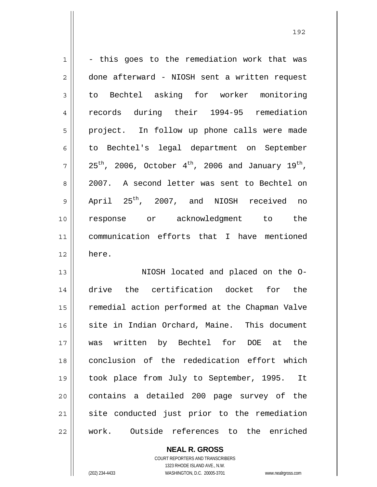| $\mathbf 1$    | - this goes to the remediation work that was                                           |
|----------------|----------------------------------------------------------------------------------------|
| 2              | done afterward - NIOSH sent a written request                                          |
| 3              | to Bechtel asking for worker monitoring                                                |
| $\overline{4}$ | records during their 1994-95 remediation                                               |
| 5              | project. In follow up phone calls were made                                            |
| 6              | to Bechtel's legal department on September                                             |
| 7              | $25^{\text{th}}$ , 2006, October $4^{\text{th}}$ , 2006 and January 19 <sup>th</sup> , |
| 8              | 2007. A second letter was sent to Bechtel on                                           |
| $\mathsf 9$    | April 25 <sup>th</sup> , 2007, and NIOSH received no                                   |
| 10             | response or acknowledgment to the                                                      |
| 11             | communication efforts that I have mentioned                                            |
| 12             | here.                                                                                  |
| 13             | NIOSH located and placed on the O-                                                     |
| 14             | drive the certification docket for the                                                 |
| 15             | remedial action performed at the Chapman Valve                                         |
| 16             | site in Indian Orchard, Maine. This document                                           |
| 17             | was written by Bechtel for<br>DOE at the                                               |
| 18             | conclusion of the rededication effort which                                            |
| 19             | took place from July to September, 1995.<br>It                                         |
| 20             | contains a detailed 200 page survey of the                                             |
| 21             | site conducted just prior to the remediation                                           |
| 22             | work. Outside references to the enriched                                               |

<u>192</u>

COURT REPORTERS AND TRANSCRIBERS 1323 RHODE ISLAND AVE., N.W. (202) 234-4433 WASHINGTON, D.C. 20005-3701 www.nealrgross.com

**NEAL R. GROSS**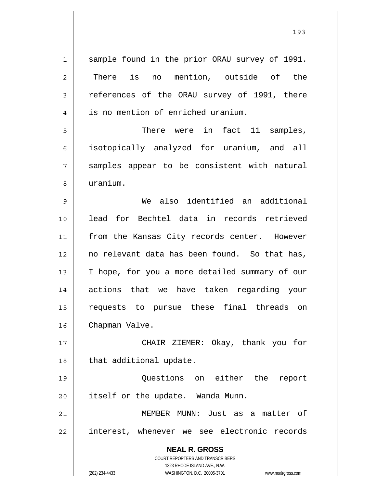**NEAL R. GROSS** COURT REPORTERS AND TRANSCRIBERS 1323 RHODE ISLAND AVE., N.W. (202) 234-4433 WASHINGTON, D.C. 20005-3701 www.nealrgross.com 1 2 3 4 5 6 7 8 9 10 11 12 13 14 15 16 17 18 19 20 21 22 sample found in the prior ORAU survey of 1991. There is no mention, outside of the references of the ORAU survey of 1991, there is no mention of enriched uranium. There were in fact 11 samples, isotopically analyzed for uranium, and all samples appear to be consistent with natural uranium. We also identified an additional lead for Bechtel data in records retrieved from the Kansas City records center. However no relevant data has been found. So that has, I hope, for you a more detailed summary of our actions that we have taken regarding your requests to pursue these final threads on Chapman Valve. CHAIR ZIEMER: Okay, thank you for that additional update. Questions on either the report itself or the update. Wanda Munn. MEMBER MUNN: Just as a matter of interest, whenever we see electronic records

<u>1932</u>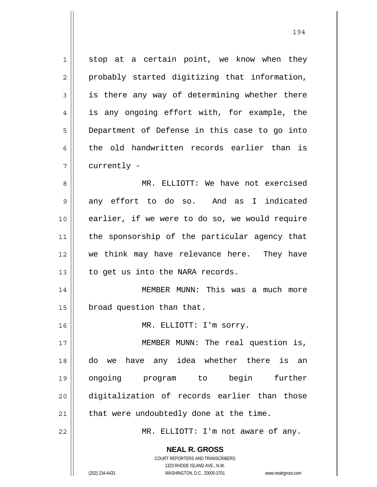1 2 3 4 5 6 7 8 9 10 11 12 13 stop at a certain point, we know when they probably started digitizing that information, is there any way of determining whether there is any ongoing effort with, for example, the Department of Defense in this case to go into the old handwritten records earlier than is currently - MR. ELLIOTT: We have not exercised any effort to do so. And as I indicated earlier, if we were to do so, we would require the sponsorship of the particular agency that we think may have relevance here. They have to get us into the NARA records.

14 15 MEMBER MUNN: This was a much more broad question than that.

MR. ELLIOTT: I'm sorry.

17 18 19 20 21 MEMBER MUNN: The real question is, do we have any idea whether there is an ongoing program to begin further digitalization of records earlier than those that were undoubtedly done at the time.

MR. ELLIOTT: I'm not aware of any.

**NEAL R. GROSS** COURT REPORTERS AND TRANSCRIBERS

1323 RHODE ISLAND AVE., N.W.

16

22

(202) 234-4433 WASHINGTON, D.C. 20005-3701 www.nealrgross.com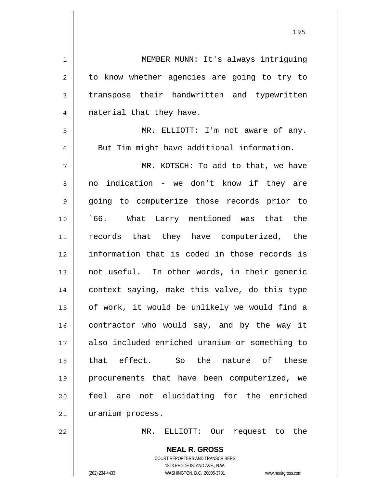| $\mathbf 1$    | MEMBER MUNN: It's always intriguing            |
|----------------|------------------------------------------------|
| $\overline{2}$ | to know whether agencies are going to try to   |
| 3              | transpose their handwritten and typewritten    |
| 4              | material that they have.                       |
| 5              | MR. ELLIOTT: I'm not aware of any.             |
| 6              | But Tim might have additional information.     |
| 7              | MR. KOTSCH: To add to that, we have            |
| 8              | no indication - we don't know if they are      |
| 9              | going to computerize those records prior to    |
| 10             | 66. What Larry mentioned was that the          |
| 11             | records that they have computerized, the       |
| 12             | information that is coded in those records is  |
| 13             | not useful. In other words, in their generic   |
| 14             | context saying, make this valve, do this type  |
| 15             | of work, it would be unlikely we would find a  |
| 16             | contractor who would say, and by the way it    |
| 17             | also included enriched uranium or something to |
| 18             | that effect. So the<br>nature of these         |
| 19             | procurements that have been computerized, we   |
| 20             | feel are not elucidating for the enriched      |
| 21             | uranium process.                               |
| 22             | ELLIOTT: Our request to the<br>MR.             |
|                | <b>NEAL R. GROSS</b>                           |

COURT REPORTERS AND TRANSCRIBERS 1323 RHODE ISLAND AVE., N.W.

 $\mathsf{II}$ 

 $\mathsf{l}$ 

(202) 234-4433 WASHINGTON, D.C. 20005-3701 www.nealrgross.com

<u>1952 - Johann Stein, Amerikaansk politiker (</u>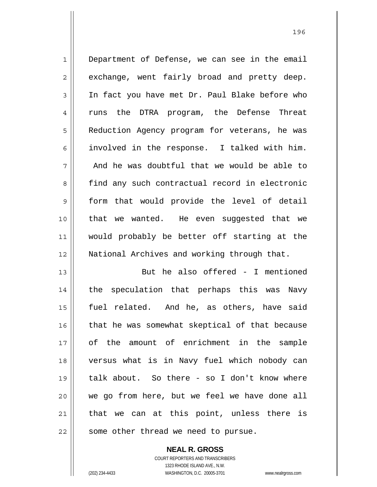1 2 3 4 5 6 7 8 9 10 11 12 Department of Defense, we can see in the email exchange, went fairly broad and pretty deep. In fact you have met Dr. Paul Blake before who runs the DTRA program, the Defense Threat Reduction Agency program for veterans, he was involved in the response. I talked with him. And he was doubtful that we would be able to find any such contractual record in electronic form that would provide the level of detail that we wanted. He even suggested that we would probably be better off starting at the National Archives and working through that.

13 14 15 16 17 18 19 20 21 22 But he also offered - I mentioned the speculation that perhaps this was Navy fuel related. And he, as others, have said that he was somewhat skeptical of that because of the amount of enrichment in the sample versus what is in Navy fuel which nobody can talk about. So there - so I don't know where we go from here, but we feel we have done all that we can at this point, unless there is some other thread we need to pursue.

> COURT REPORTERS AND TRANSCRIBERS 1323 RHODE ISLAND AVE., N.W. (202) 234-4433 WASHINGTON, D.C. 20005-3701 www.nealrgross.com

**NEAL R. GROSS**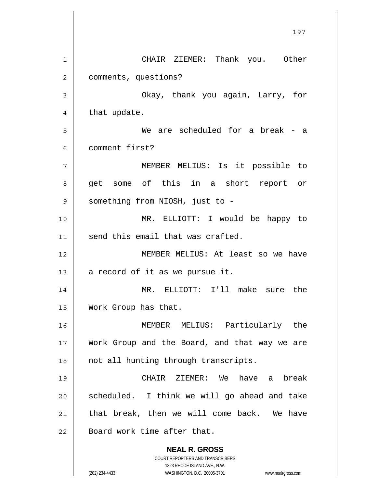**NEAL R. GROSS** COURT REPORTERS AND TRANSCRIBERS 1323 RHODE ISLAND AVE., N.W. (202) 234-4433 WASHINGTON, D.C. 20005-3701 www.nealrgross.com 197 1 2 3 4 5 6 7 8 9 10 11 12 13 14 15 16 17 18 19 20 21 22 CHAIR ZIEMER: Thank you. Other comments, questions? Okay, thank you again, Larry, for that update. We are scheduled for a break - a comment first? MEMBER MELIUS: Is it possible to get some of this in a short report or something from NIOSH, just to - MR. ELLIOTT: I would be happy to send this email that was crafted. MEMBER MELIUS: At least so we have a record of it as we pursue it. MR. ELLIOTT: I'll make sure the Work Group has that. MEMBER MELIUS: Particularly the Work Group and the Board, and that way we are not all hunting through transcripts. CHAIR ZIEMER: We have a break scheduled. I think we will go ahead and take that break, then we will come back. We have Board work time after that.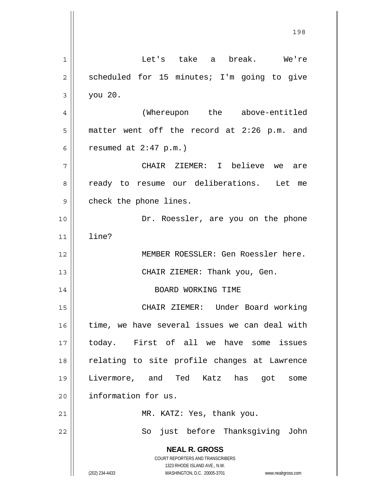**NEAL R. GROSS** COURT REPORTERS AND TRANSCRIBERS 1323 RHODE ISLAND AVE., N.W. (202) 234-4433 WASHINGTON, D.C. 20005-3701 www.nealrgross.com 198 1 2 3 4 5 6 7 8 9 10 11 12 13 14 15 16 17 18 19 20 21 22 Let's take a break. We're scheduled for 15 minutes; I'm going to give you 20. (Whereupon the above-entitled matter went off the record at 2:26 p.m. and resumed at 2:47 p.m.) CHAIR ZIEMER: I believe we are ready to resume our deliberations. Let me check the phone lines. Dr. Roessler, are you on the phone line? MEMBER ROESSLER: Gen Roessler here. CHAIR ZIEMER: Thank you, Gen. BOARD WORKING TIME CHAIR ZIEMER: Under Board working time, we have several issues we can deal with today. First of all we have some issues relating to site profile changes at Lawrence Livermore, and Ted Katz has got some information for us. MR. KATZ: Yes, thank you. So just before Thanksgiving John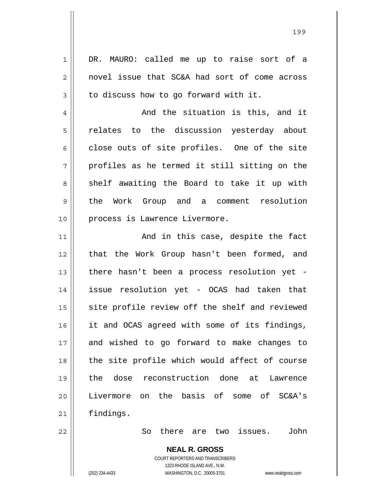1 2 3 4 5 6 7 8 9 10 11 12 13 14 15 16 17 18 19 20 21 22 DR. MAURO: called me up to raise sort of a novel issue that SC&A had sort of come across to discuss how to go forward with it. And the situation is this, and it relates to the discussion yesterday about close outs of site profiles. One of the site profiles as he termed it still sitting on the shelf awaiting the Board to take it up with the Work Group and a comment resolution process is Lawrence Livermore. And in this case, despite the fact that the Work Group hasn't been formed, and there hasn't been a process resolution yet issue resolution yet - OCAS had taken that site profile review off the shelf and reviewed it and OCAS agreed with some of its findings, and wished to go forward to make changes to the site profile which would affect of course the dose reconstruction done at Lawrence Livermore on the basis of some of SC&A's findings. So there are two issues. John

> **NEAL R. GROSS** COURT REPORTERS AND TRANSCRIBERS

> > 1323 RHODE ISLAND AVE., N.W.

(202) 234-4433 WASHINGTON, D.C. 20005-3701 www.nealrgross.com

<u>1992 - Johann Amerikaanse konstantine (</u>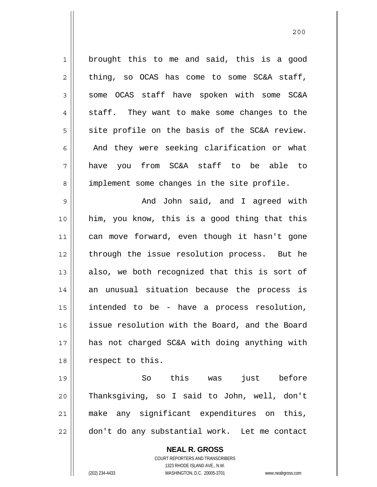1 2 3 4 5 6 7 8 brought this to me and said, this is a good thing, so OCAS has come to some SC&A staff, some OCAS staff have spoken with some SC&A staff. They want to make some changes to the site profile on the basis of the SC&A review. And they were seeking clarification or what have you from SC&A staff to be able to implement some changes in the site profile.

9 10 11 12 13 14 15 16 17 18 And John said, and I agreed with him, you know, this is a good thing that this can move forward, even though it hasn't gone through the issue resolution process. But he also, we both recognized that this is sort of an unusual situation because the process is intended to be - have a process resolution, issue resolution with the Board, and the Board has not charged SC&A with doing anything with respect to this.

19 20 21 22 So this was just before Thanksgiving, so I said to John, well, don't make any significant expenditures on this, don't do any substantial work. Let me contact

> **NEAL R. GROSS** COURT REPORTERS AND TRANSCRIBERS 1323 RHODE ISLAND AVE., N.W. (202) 234-4433 WASHINGTON, D.C. 20005-3701 www.nealrgross.com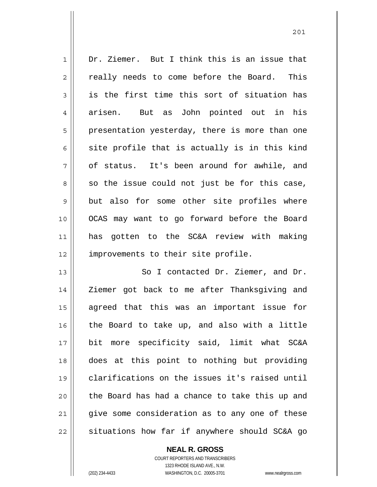1 2 3 4 5 6 7 8 9 10 11 12 13 14 15 16 17 Dr. Ziemer. But I think this is an issue that really needs to come before the Board. This is the first time this sort of situation has arisen. But as John pointed out in his presentation yesterday, there is more than one site profile that is actually is in this kind of status. It's been around for awhile, and so the issue could not just be for this case, but also for some other site profiles where OCAS may want to go forward before the Board has gotten to the SC&A review with making improvements to their site profile. So I contacted Dr. Ziemer, and Dr. Ziemer got back to me after Thanksgiving and agreed that this was an important issue for the Board to take up, and also with a little

18 19 20 21 22 bit more specificity said, limit what SC&A does at this point to nothing but providing clarifications on the issues it's raised until the Board has had a chance to take this up and give some consideration as to any one of these situations how far if anywhere should SC&A go

> COURT REPORTERS AND TRANSCRIBERS 1323 RHODE ISLAND AVE., N.W. (202) 234-4433 WASHINGTON, D.C. 20005-3701 www.nealrgross.com

**NEAL R. GROSS**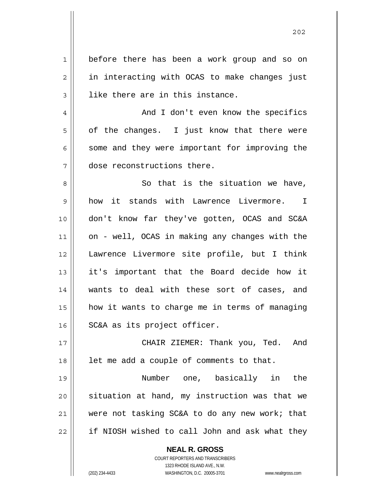| $\mathbf 1$    | before there has been a work group and so on             |
|----------------|----------------------------------------------------------|
| $\overline{c}$ | in interacting with OCAS to make changes just            |
| 3              | like there are in this instance.                         |
| $\overline{4}$ | And I don't even know the specifics                      |
| 5              | of the changes. I just know that there were              |
| 6              | some and they were important for improving the           |
| 7              | dose reconstructions there.                              |
| 8              | So that is the situation we have,                        |
| 9              | how it stands with Lawrence Livermore. I                 |
| 10             | don't know far they've gotten, OCAS and SC&A             |
| 11             | on - well, OCAS in making any changes with the           |
| 12             | Lawrence Livermore site profile, but I think             |
| 13             | it's important that the Board decide how it              |
| 14             | wants to deal with these sort of cases, and              |
| 15             | how it wants to charge me in terms of managing           |
| 16             | SC&A as its project officer.                             |
| 17             | CHAIR ZIEMER: Thank you, Ted. And                        |
| 18             | let me add a couple of comments to that.                 |
| 19             | Number one, basically in the                             |
| 20             | situation at hand, my instruction was that we            |
| 21             | were not tasking SC&A to do any new work; that           |
| 22             | if NIOSH wished to call John and ask what they           |
|                | <b>NEAL R. GROSS</b><br>COURT REPORTERS AND TRANSCRIBERS |

1323 RHODE ISLAND AVE., N.W.

 $\prod$ 

(202) 234-4433 WASHINGTON, D.C. 20005-3701 www.nealrgross.com

<u>2022</u>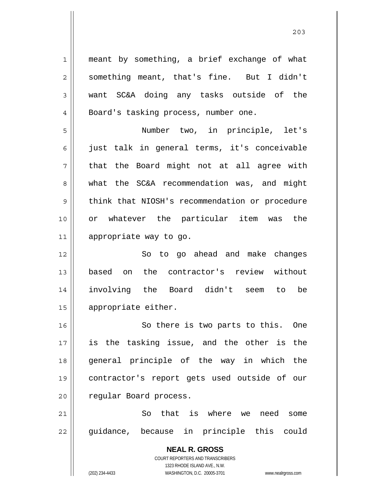**NEAL R. GROSS** COURT REPORTERS AND TRANSCRIBERS 1323 RHODE ISLAND AVE., N.W. 1 2 3 4 5 6 7 8 9 10 11 12 13 14 15 16 17 18 19 20 21 22 meant by something, a brief exchange of what something meant, that's fine. But I didn't want SC&A doing any tasks outside of the Board's tasking process, number one. Number two, in principle, let's just talk in general terms, it's conceivable that the Board might not at all agree with what the SC&A recommendation was, and might think that NIOSH's recommendation or procedure or whatever the particular item was the appropriate way to go. So to go ahead and make changes based on the contractor's review without involving the Board didn't seem to be appropriate either. So there is two parts to this. One is the tasking issue, and the other is the general principle of the way in which the contractor's report gets used outside of our regular Board process. So that is where we need some guidance, because in principle this could

(202) 234-4433 WASHINGTON, D.C. 20005-3701 www.nealrgross.com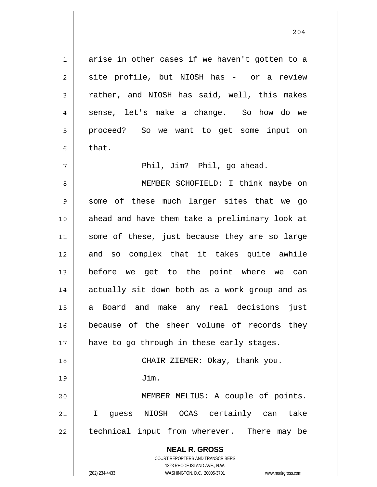arise in other cases if we haven't gotten to a site profile, but NIOSH has - or a review rather, and NIOSH has said, well, this makes sense, let's make a change. So how do we proceed? So we want to get some input on that.

Phil, Jim? Phil, go ahead.

**NEAL R. GROSS** 8 9 10 11 12 13 14 15 16 17 18 19 20 21 22 MEMBER SCHOFIELD: I think maybe on some of these much larger sites that we go ahead and have them take a preliminary look at some of these, just because they are so large and so complex that it takes quite awhile before we get to the point where we can actually sit down both as a work group and as a Board and make any real decisions just because of the sheer volume of records they have to go through in these early stages. CHAIR ZIEMER: Okay, thank you. Jim. MEMBER MELIUS: A couple of points. I guess NIOSH OCAS certainly can take technical input from wherever. There may be

> COURT REPORTERS AND TRANSCRIBERS 1323 RHODE ISLAND AVE., N.W.

1

2

3

4

5

6

7

(202) 234-4433 WASHINGTON, D.C. 20005-3701 www.nealrgross.com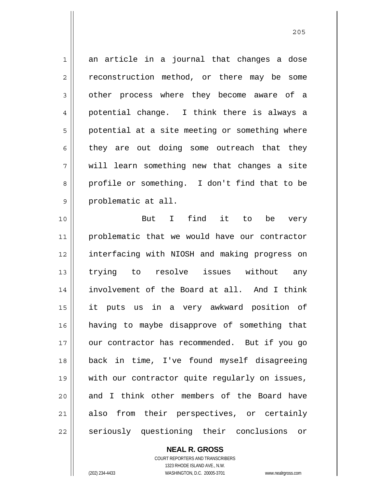1 2 3 4 5 6 7 8 9 an article in a journal that changes a dose reconstruction method, or there may be some other process where they become aware of a potential change. I think there is always a potential at a site meeting or something where they are out doing some outreach that they will learn something new that changes a site profile or something. I don't find that to be problematic at all.

10 11 12 13 14 15 16 17 18 19 20 21 22 But I find it to be very problematic that we would have our contractor interfacing with NIOSH and making progress on trying to resolve issues without any involvement of the Board at all. And I think it puts us in a very awkward position of having to maybe disapprove of something that our contractor has recommended. But if you go back in time, I've found myself disagreeing with our contractor quite regularly on issues, and I think other members of the Board have also from their perspectives, or certainly seriously questioning their conclusions or

**NEAL R. GROSS**

COURT REPORTERS AND TRANSCRIBERS 1323 RHODE ISLAND AVE., N.W. (202) 234-4433 WASHINGTON, D.C. 20005-3701 www.nealrgross.com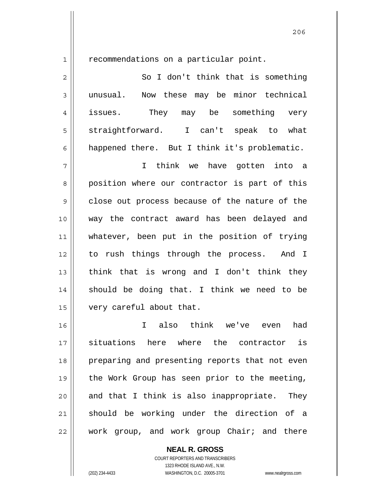проставление производите в 206 године в 206 године в 206 године в 206 године в 206 године в 206 године в 206

1

recommendations on a particular point.

| $\overline{2}$ | So I don't think that is something              |
|----------------|-------------------------------------------------|
| 3              | Now these may be minor technical<br>unusual.    |
| $\overline{4}$ | issues.<br>They<br>may be<br>something<br>very  |
| 5              | straightforward.<br>I can't speak<br>what<br>to |
| 6              | happened there. But I think it's problematic.   |
|                | think<br>we have gotten into a                  |

8 9 10 11 12 13 14 15 position where our contractor is part of this close out process because of the nature of the way the contract award has been delayed and whatever, been put in the position of trying to rush things through the process. And I think that is wrong and I don't think they should be doing that. I think we need to be very careful about that.

16 17 18 19 20 21 22 I also think we've even had situations here where the contractor is preparing and presenting reports that not even the Work Group has seen prior to the meeting, and that I think is also inappropriate. They should be working under the direction of a work group, and work group Chair; and there

> **NEAL R. GROSS** COURT REPORTERS AND TRANSCRIBERS

1323 RHODE ISLAND AVE., N.W. (202) 234-4433 WASHINGTON, D.C. 20005-3701 www.nealrgross.com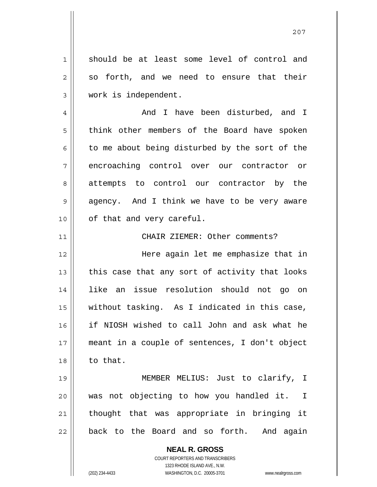should be at least some level of control and so forth, and we need to ensure that their work is independent.

4 5 6 7 8 9 10 And I have been disturbed, and I think other members of the Board have spoken to me about being disturbed by the sort of the encroaching control over our contractor or attempts to control our contractor by the agency. And I think we have to be very aware of that and very careful.

CHAIR ZIEMER: Other comments?

12 13 14 15 16 17 18 Here again let me emphasize that in this case that any sort of activity that looks like an issue resolution should not go on without tasking. As I indicated in this case, if NIOSH wished to call John and ask what he meant in a couple of sentences, I don't object to that.

19 20 21 22 MEMBER MELIUS: Just to clarify, I was not objecting to how you handled it. I thought that was appropriate in bringing it back to the Board and so forth. And again

> **NEAL R. GROSS** COURT REPORTERS AND TRANSCRIBERS 1323 RHODE ISLAND AVE., N.W. (202) 234-4433 WASHINGTON, D.C. 20005-3701 www.nealrgross.com

1

2

3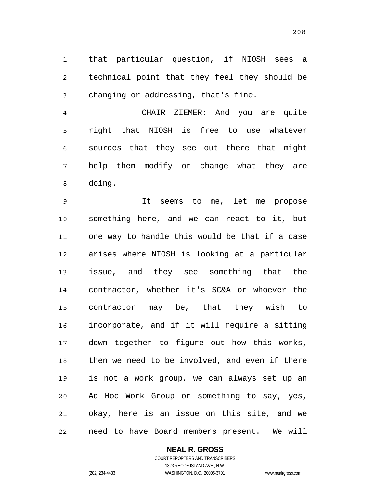that particular question, if NIOSH sees a technical point that they feel they should be changing or addressing, that's fine.

1

2

3

4 5 6 7 8 CHAIR ZIEMER: And you are quite right that NIOSH is free to use whatever sources that they see out there that might help them modify or change what they are doing.

9 10 11 12 13 14 15 16 17 18 19 20 21 22 It seems to me, let me propose something here, and we can react to it, but one way to handle this would be that if a case arises where NIOSH is looking at a particular issue, and they see something that the contractor, whether it's SC&A or whoever the contractor may be, that they wish to incorporate, and if it will require a sitting down together to figure out how this works, then we need to be involved, and even if there is not a work group, we can always set up an Ad Hoc Work Group or something to say, yes, okay, here is an issue on this site, and we need to have Board members present. We will

**NEAL R. GROSS**

COURT REPORTERS AND TRANSCRIBERS 1323 RHODE ISLAND AVE., N.W. (202) 234-4433 WASHINGTON, D.C. 20005-3701 www.nealrgross.com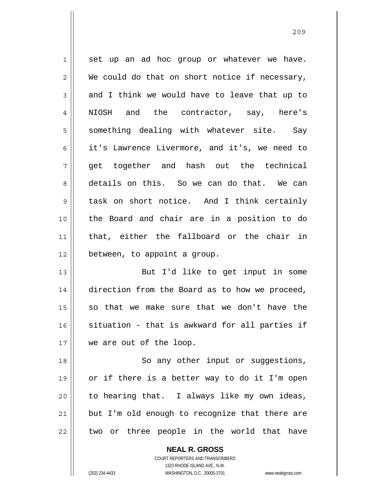1 2 3 4 5 6 7 8 9 10 11 12 13 14 15 16 17 18 set up an ad hoc group or whatever we have. We could do that on short notice if necessary, and I think we would have to leave that up to NIOSH and the contractor, say, here's something dealing with whatever site. Say it's Lawrence Livermore, and it's, we need to get together and hash out the technical details on this. So we can do that. We can task on short notice. And I think certainly the Board and chair are in a position to do that, either the fallboard or the chair in between, to appoint a group. But I'd like to get input in some direction from the Board as to how we proceed, so that we make sure that we don't have the situation - that is awkward for all parties if we are out of the loop. So any other input or suggestions,

19 20 21 22 or if there is a better way to do it I'm open to hearing that. I always like my own ideas, but I'm old enough to recognize that there are two or three people in the world that have

> **NEAL R. GROSS** COURT REPORTERS AND TRANSCRIBERS 1323 RHODE ISLAND AVE., N.W. (202) 234-4433 WASHINGTON, D.C. 20005-3701 www.nealrgross.com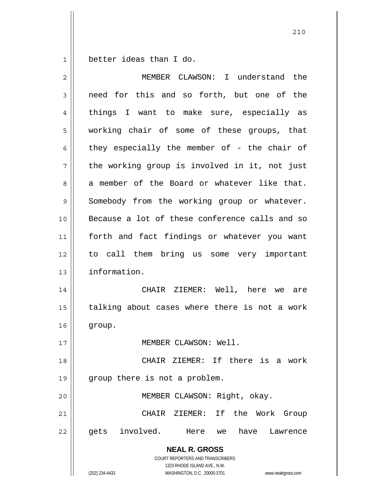1 better ideas than I do.

| $\overline{2}$ | MEMBER CLAWSON: I understand the                                                                    |
|----------------|-----------------------------------------------------------------------------------------------------|
| 3              | need for this and so forth, but one of the                                                          |
| 4              | things I want to make sure, especially as                                                           |
| 5              | working chair of some of these groups, that                                                         |
| 6              | they especially the member of - the chair of                                                        |
| 7              | the working group is involved in it, not just                                                       |
| 8              | a member of the Board or whatever like that.                                                        |
| 9              | Somebody from the working group or whatever.                                                        |
| 10             | Because a lot of these conference calls and so                                                      |
| 11             | forth and fact findings or whatever you want                                                        |
| 12             | to call them bring us some very important                                                           |
| 13             | information.                                                                                        |
| 14             | CHAIR ZIEMER: Well, here we<br>are                                                                  |
| 15             | talking about cases where there is not a work                                                       |
| 16             | group.                                                                                              |
| 17             | MEMBER CLAWSON: Well.                                                                               |
| 18             | CHAIR ZIEMER: If there is a work                                                                    |
| 19             | group there is not a problem.                                                                       |
| 20             | MEMBER CLAWSON: Right, okay.                                                                        |
| 21             | ZIEMER: If the<br>Work<br>CHAIR<br>Group                                                            |
| 22             | involved.<br>have<br>gets<br>Here<br>Lawrence<br>we                                                 |
|                | <b>NEAL R. GROSS</b><br><b>COURT REPORTERS AND TRANSCRIBERS</b>                                     |
|                | 1323 RHODE ISLAND AVE., N.W.<br>(202) 234-4433<br>WASHINGTON, D.C. 20005-3701<br>www.nealrgross.com |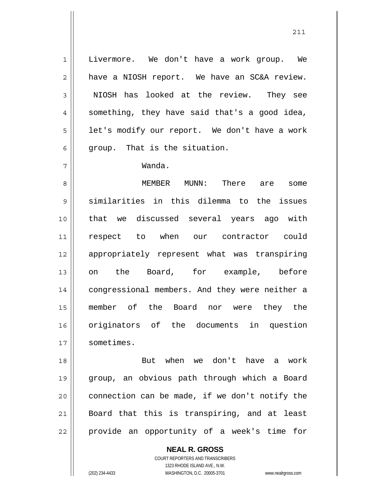Livermore. We don't have a work group. We have a NIOSH report. We have an SC&A review. NIOSH has looked at the review. They see something, they have said that's a good idea, let's modify our report. We don't have a work group. That is the situation.

## Wanda.

1

2

3

4

5

6

7

8 9 10 11 12 13 14 15 16 17 MEMBER MUNN: There are some similarities in this dilemma to the issues that we discussed several years ago with respect to when our contractor could appropriately represent what was transpiring on the Board, for example, before congressional members. And they were neither a member of the Board nor were they the originators of the documents in question sometimes.

18 19 20 21 22 But when we don't have a work group, an obvious path through which a Board connection can be made, if we don't notify the Board that this is transpiring, and at least provide an opportunity of a week's time for

> **NEAL R. GROSS** COURT REPORTERS AND TRANSCRIBERS

1323 RHODE ISLAND AVE., N.W. (202) 234-4433 WASHINGTON, D.C. 20005-3701 www.nealrgross.com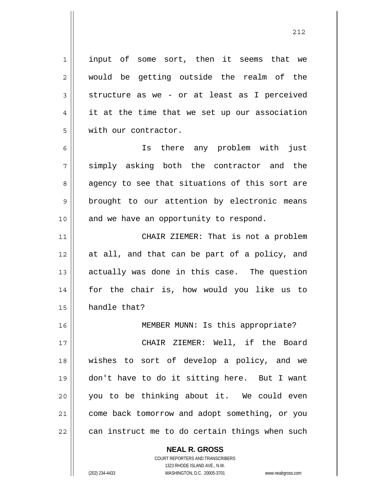input of some sort, then it seems that we would be getting outside the realm of the structure as we - or at least as I perceived it at the time that we set up our association with our contractor.

6 7 8 9 10 Is there any problem with just simply asking both the contractor and the agency to see that situations of this sort are brought to our attention by electronic means and we have an opportunity to respond.

11 12 13 14 15 CHAIR ZIEMER: That is not a problem at all, and that can be part of a policy, and actually was done in this case. The question for the chair is, how would you like us to handle that?

16 17 18 19 20 21 22 MEMBER MUNN: Is this appropriate? CHAIR ZIEMER: Well, if the Board wishes to sort of develop a policy, and we don't have to do it sitting here. But I want you to be thinking about it. We could even come back tomorrow and adopt something, or you can instruct me to do certain things when such

> COURT REPORTERS AND TRANSCRIBERS 1323 RHODE ISLAND AVE., N.W. (202) 234-4433 WASHINGTON, D.C. 20005-3701 www.nealrgross.com

**NEAL R. GROSS**

1

2

3

4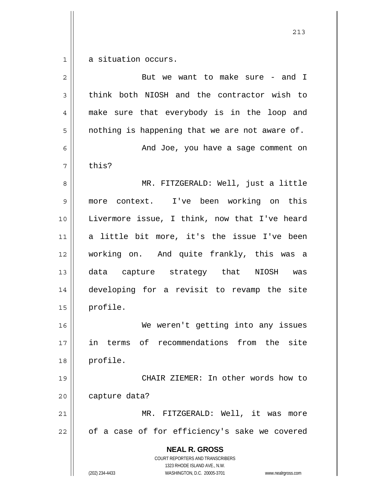$1$ a situation occurs.

| $\overline{2}$ | But we want to make sure - and I                                                                                                                                       |
|----------------|------------------------------------------------------------------------------------------------------------------------------------------------------------------------|
| 3              | think both NIOSH and the contractor wish to                                                                                                                            |
| 4              | make sure that everybody is in the loop and                                                                                                                            |
| 5              | nothing is happening that we are not aware of.                                                                                                                         |
| 6              | And Joe, you have a sage comment on                                                                                                                                    |
| 7              | this?                                                                                                                                                                  |
| 8              | MR. FITZGERALD: Well, just a little                                                                                                                                    |
| $\mathsf 9$    | more context. I've been working on this                                                                                                                                |
| 10             | Livermore issue, I think, now that I've heard                                                                                                                          |
| 11             | a little bit more, it's the issue I've been                                                                                                                            |
| 12             | working on. And quite frankly, this was a                                                                                                                              |
| 13             | data capture strategy that NIOSH was                                                                                                                                   |
| 14             | developing for a revisit to revamp the site                                                                                                                            |
| 15             | profile.                                                                                                                                                               |
| 16             | We weren't getting into any issues                                                                                                                                     |
| 17             | in terms of recommendations from the site                                                                                                                              |
| 18             | profile.                                                                                                                                                               |
| 19             | CHAIR ZIEMER: In other words how to                                                                                                                                    |
| 20             | capture data?                                                                                                                                                          |
| 21             | MR. FITZGERALD: Well, it was<br>more                                                                                                                                   |
| 22             | of a case of for efficiency's sake we covered                                                                                                                          |
|                | <b>NEAL R. GROSS</b><br><b>COURT REPORTERS AND TRANSCRIBERS</b><br>1323 RHODE ISLAND AVE., N.W.<br>(202) 234-4433<br>WASHINGTON, D.C. 20005-3701<br>www.nealrgross.com |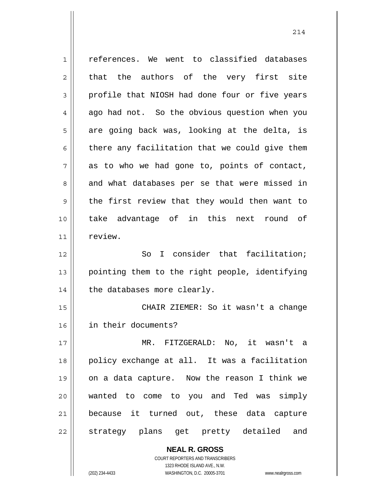**NEAL R. GROSS** 1 2 3 4 5 6 7 8 9 10 11 12 13 14 15 16 17 18 19 20 21 22 references. We went to classified databases that the authors of the very first site profile that NIOSH had done four or five years ago had not. So the obvious question when you are going back was, looking at the delta, is there any facilitation that we could give them as to who we had gone to, points of contact, and what databases per se that were missed in the first review that they would then want to take advantage of in this next round of review. So I consider that facilitation; pointing them to the right people, identifying the databases more clearly. CHAIR ZIEMER: So it wasn't a change in their documents? MR. FITZGERALD: No, it wasn't a policy exchange at all. It was a facilitation on a data capture. Now the reason I think we wanted to come to you and Ted was simply because it turned out, these data capture strategy plans get pretty detailed and

> COURT REPORTERS AND TRANSCRIBERS 1323 RHODE ISLAND AVE., N.W.

(202) 234-4433 WASHINGTON, D.C. 20005-3701 www.nealrgross.com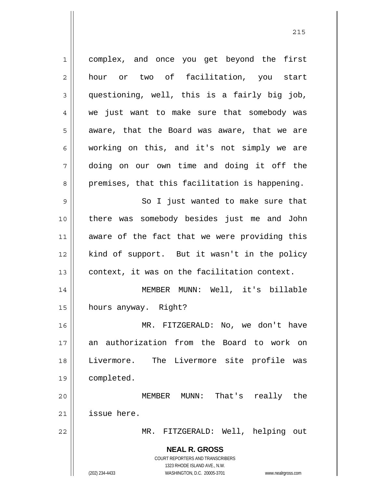**NEAL R. GROSS** COURT REPORTERS AND TRANSCRIBERS 1323 RHODE ISLAND AVE., N.W. (202) 234-4433 WASHINGTON, D.C. 20005-3701 www.nealrgross.com 1 2 3 4 5 6 7 8 9 10 11 12 13 14 15 16 17 18 19 20 21 22 complex, and once you get beyond the first hour or two of facilitation, you start questioning, well, this is a fairly big job, we just want to make sure that somebody was aware, that the Board was aware, that we are working on this, and it's not simply we are doing on our own time and doing it off the premises, that this facilitation is happening. So I just wanted to make sure that there was somebody besides just me and John aware of the fact that we were providing this kind of support. But it wasn't in the policy context, it was on the facilitation context. MEMBER MUNN: Well, it's billable hours anyway. Right? MR. FITZGERALD: No, we don't have an authorization from the Board to work on Livermore. The Livermore site profile was completed. MEMBER MUNN: That's really the issue here. MR. FITZGERALD: Well, helping out

<u>215</u>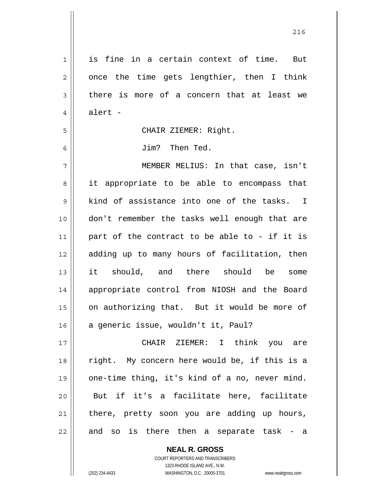| 1              | is fine in a certain context of time. But      |
|----------------|------------------------------------------------|
| 2              | once the time gets lengthier, then I think     |
| 3              | there is more of a concern that at least we    |
| $\overline{4}$ | alert -                                        |
| 5              | CHAIR ZIEMER: Right.                           |
| 6              | Jim? Then Ted.                                 |
| 7              | MEMBER MELIUS: In that case, isn't             |
| 8              | it appropriate to be able to encompass that    |
| 9              | kind of assistance into one of the tasks. I    |
| 10             | don't remember the tasks well enough that are  |
| 11             | part of the contract to be able to - if it is  |
| 12             | adding up to many hours of facilitation, then  |
| 13             | it should, and there should be some            |
| 14             | appropriate control from NIOSH and the Board   |
| 15             | on authorizing that. But it would be more of   |
| 16             | a generic issue, wouldn't it, Paul?            |
| 17             | CHAIR ZIEMER: I think you are                  |
| 18             | right. My concern here would be, if this is a  |
| 19             | one-time thing, it's kind of a no, never mind. |
| 20             | But if it's a facilitate here, facilitate      |
| 21             | there, pretty soon you are adding up hours,    |
| 22             | and so is there then a separate task - a       |

<u>216</u>

COURT REPORTERS AND TRANSCRIBERS 1323 RHODE ISLAND AVE., N.W. (202) 234-4433 WASHINGTON, D.C. 20005-3701 www.nealrgross.com

**NEAL R. GROSS**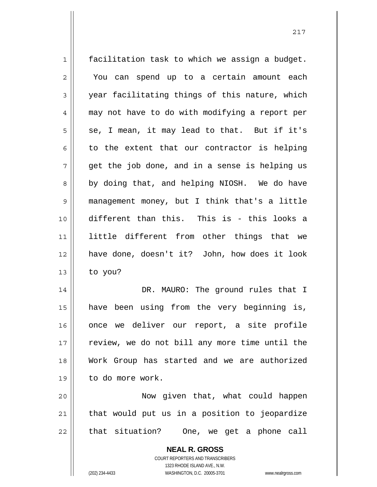1 2 3 4 5 6 7 8 9 10 11 12 13 14 15 16 17 facilitation task to which we assign a budget. You can spend up to a certain amount each year facilitating things of this nature, which may not have to do with modifying a report per se, I mean, it may lead to that. But if it's to the extent that our contractor is helping get the job done, and in a sense is helping us by doing that, and helping NIOSH. We do have management money, but I think that's a little different than this. This is - this looks a little different from other things that we have done, doesn't it? John, how does it look to you? DR. MAURO: The ground rules that I have been using from the very beginning is, once we deliver our report, a site profile review, we do not bill any more time until the

18 19 Work Group has started and we are authorized to do more work. Now given that, what could happen

20 21 22 that would put us in a position to jeopardize that situation? One, we get a phone call

> **NEAL R. GROSS** COURT REPORTERS AND TRANSCRIBERS 1323 RHODE ISLAND AVE., N.W. (202) 234-4433 WASHINGTON, D.C. 20005-3701 www.nealrgross.com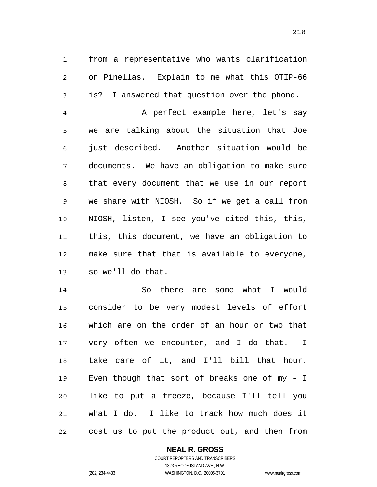from a representative who wants clarification on Pinellas. Explain to me what this OTIP-66 is? I answered that question over the phone.

4 5 6 7 8 9 10 11 12 13 A perfect example here, let's say we are talking about the situation that Joe just described. Another situation would be documents. We have an obligation to make sure that every document that we use in our report we share with NIOSH. So if we get a call from NIOSH, listen, I see you've cited this, this, this, this document, we have an obligation to make sure that that is available to everyone, so we'll do that.

14 15 16 17 18 19 20 21 22 So there are some what I would consider to be very modest levels of effort which are on the order of an hour or two that very often we encounter, and I do that. I take care of it, and I'll bill that hour. Even though that sort of breaks one of my - I like to put a freeze, because I'll tell you what I do. I like to track how much does it cost us to put the product out, and then from

> **NEAL R. GROSS** COURT REPORTERS AND TRANSCRIBERS

> > 1323 RHODE ISLAND AVE., N.W.

(202) 234-4433 WASHINGTON, D.C. 20005-3701 www.nealrgross.com

1

2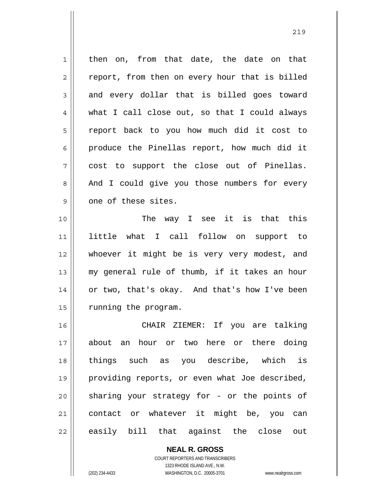1 2 3 4 5 6 7 8 9 10 11 12 13 14 15 then on, from that date, the date on that report, from then on every hour that is billed and every dollar that is billed goes toward what I call close out, so that I could always report back to you how much did it cost to produce the Pinellas report, how much did it cost to support the close out of Pinellas. And I could give you those numbers for every one of these sites. The way I see it is that this little what I call follow on support to whoever it might be is very very modest, and my general rule of thumb, if it takes an hour or two, that's okay. And that's how I've been running the program. CHAIR ZIEMER: If you are talking

16 17 18 19 20 21 22 about an hour or two here or there doing things such as you describe, which is providing reports, or even what Joe described, sharing your strategy for - or the points of contact or whatever it might be, you can easily bill that against the close out

> COURT REPORTERS AND TRANSCRIBERS 1323 RHODE ISLAND AVE., N.W. (202) 234-4433 WASHINGTON, D.C. 20005-3701 www.nealrgross.com

**NEAL R. GROSS**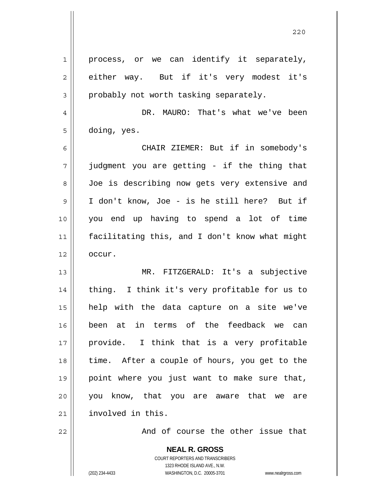**NEAL R. GROSS** COURT REPORTERS AND TRANSCRIBERS 1 2 3 4 5 6 7 8 9 10 11 12 13 14 15 16 17 18 19 20 21 22 process, or we can identify it separately, either way. But if it's very modest it's probably not worth tasking separately. DR. MAURO: That's what we've been doing, yes. CHAIR ZIEMER: But if in somebody's judgment you are getting - if the thing that Joe is describing now gets very extensive and I don't know, Joe - is he still here? But if you end up having to spend a lot of time facilitating this, and I don't know what might occur. MR. FITZGERALD: It's a subjective thing. I think it's very profitable for us to help with the data capture on a site we've been at in terms of the feedback we can provide. I think that is a very profitable time. After a couple of hours, you get to the point where you just want to make sure that, you know, that you are aware that we are involved in this. And of course the other issue that

<u>220</u>

1323 RHODE ISLAND AVE., N.W.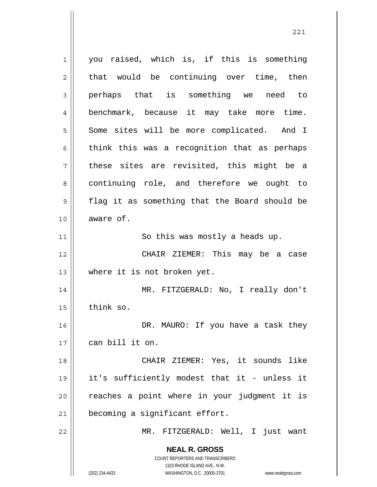**NEAL R. GROSS** COURT REPORTERS AND TRANSCRIBERS 1323 RHODE ISLAND AVE., N.W. 1 2 3 4 5 6 7 8 9 10 11 12 13 14 15 16 17 18 19 20 21 22 you raised, which is, if this is something that would be continuing over time, then perhaps that is something we need to benchmark, because it may take more time. Some sites will be more complicated. And I think this was a recognition that as perhaps these sites are revisited, this might be a continuing role, and therefore we ought to flag it as something that the Board should be aware of. So this was mostly a heads up. CHAIR ZIEMER: This may be a case where it is not broken yet. MR. FITZGERALD: No, I really don't think so. DR. MAURO: If you have a task they can bill it on. CHAIR ZIEMER: Yes, it sounds like it's sufficiently modest that it - unless it reaches a point where in your judgment it is becoming a significant effort. MR. FITZGERALD: Well, I just want

221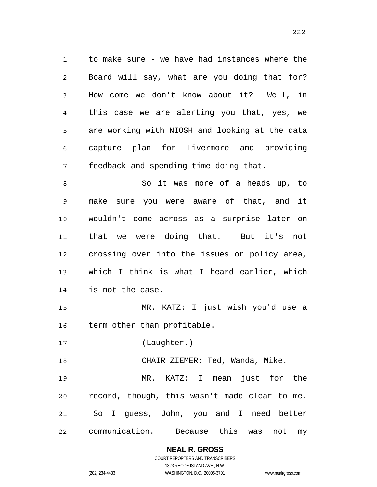| 1  | to make sure - we have had instances where the                      |
|----|---------------------------------------------------------------------|
| 2  | Board will say, what are you doing that for?                        |
| 3  | How come we don't know about it? Well, in                           |
| 4  | this case we are alerting you that, yes, we                         |
| 5  | are working with NIOSH and looking at the data                      |
| 6  | capture plan for Livermore and providing                            |
| 7  | feedback and spending time doing that.                              |
| 8  | So it was more of a heads up, to                                    |
| 9  | make<br>sure you were aware of that, and it                         |
| 10 | wouldn't come across as a surprise later on                         |
| 11 | that we were doing that. But it's not                               |
| 12 | crossing over into the issues or policy area,                       |
| 13 | which I think is what I heard earlier, which                        |
| 14 | is not the case.                                                    |
| 15 | MR. KATZ: I just wish you'd use a                                   |
| 16 | term other than profitable.                                         |
| 17 | (Laughter.)                                                         |
| 18 | CHAIR ZIEMER: Ted, Wanda, Mike.                                     |
| 19 | just for the<br>MR. KATZ: I mean                                    |
| 20 | record, though, this wasn't made clear to me.                       |
| 21 | So I guess, John, you and I need better                             |
| 22 | communication. Because this<br>was<br>not<br>my                     |
|    | <b>NEAL R. GROSS</b>                                                |
|    | COURT REPORTERS AND TRANSCRIBERS                                    |
|    | 1323 RHODE ISLAND AVE., N.W.                                        |
|    | (202) 234-4433<br>WASHINGTON, D.C. 20005-3701<br>www.nealrgross.com |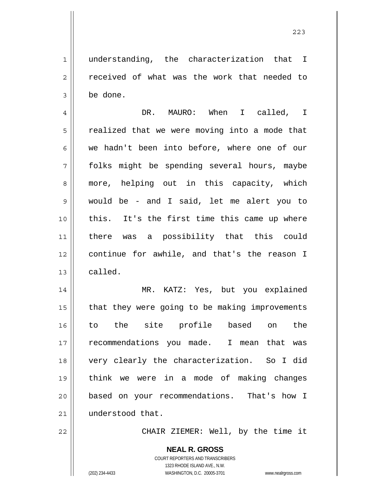understanding, the characterization that I received of what was the work that needed to be done.

4 5 6 7 8 9 10 11 12 13 DR. MAURO: When I called, I realized that we were moving into a mode that we hadn't been into before, where one of our folks might be spending several hours, maybe more, helping out in this capacity, which would be - and I said, let me alert you to this. It's the first time this came up where there was a possibility that this could continue for awhile, and that's the reason I called.

14 15 16 17 18 19 20 21 MR. KATZ: Yes, but you explained that they were going to be making improvements to the site profile based on the recommendations you made. I mean that was very clearly the characterization. So I did think we were in a mode of making changes based on your recommendations. That's how I understood that.

22

1

2

3

CHAIR ZIEMER: Well, by the time it

**NEAL R. GROSS** COURT REPORTERS AND TRANSCRIBERS 1323 RHODE ISLAND AVE., N.W. (202) 234-4433 WASHINGTON, D.C. 20005-3701 www.nealrgross.com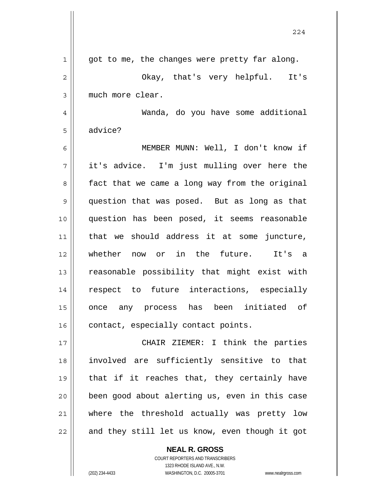|              | 224                                            |
|--------------|------------------------------------------------|
| $\mathbf{1}$ | got to me, the changes were pretty far along.  |
| $\mathbf{2}$ | Okay, that's very helpful. It's                |
| 3            | much more clear.                               |
| 4            | Wanda, do you have some additional             |
| 5            | advice?                                        |
| 6            | MEMBER MUNN: Well, I don't know if             |
| 7            | it's advice. I'm just mulling over here the    |
| 8            | fact that we came a long way from the original |
| 9            | question that was posed. But as long as that   |
| 10           | question has been posed, it seems reasonable   |
| 11           | that we should address it at some juncture,    |
| 12           | whether now or in the future. It's a           |
| 13           | reasonable possibility that might exist with   |
| 14           | respect to future interactions, especially     |
| 15           | once any process has been initiated of         |
| 16           | contact, especially contact points.            |
| 17           | CHAIR ZIEMER: I think the parties              |
| 18           | involved are sufficiently sensitive to that    |
| 19           | that if it reaches that, they certainly have   |
| 20           | been good about alerting us, even in this case |
| 21           | where the threshold actually was pretty low    |
| 22           | and they still let us know, even though it got |

**NEAL R. GROSS** COURT REPORTERS AND TRANSCRIBERS 1323 RHODE ISLAND AVE., N.W. (202) 234-4433 WASHINGTON, D.C. 20005-3701 www.nealrgross.com

 $\mathsf{I}$ 

 $\mathsf{I}$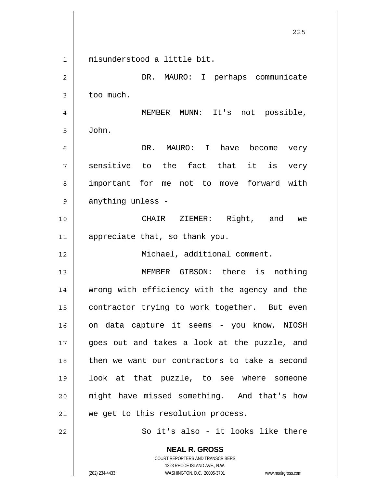**NEAL R. GROSS** 1 2 3 4 5 6 7 8 9 10 11 12 13 14 15 16 17 18 19 20 21 22 misunderstood a little bit. DR. MAURO: I perhaps communicate too much. MEMBER MUNN: It's not possible, John. DR. MAURO: I have become very sensitive to the fact that it is very important for me not to move forward with anything unless - CHAIR ZIEMER: Right, and we appreciate that, so thank you. Michael, additional comment. MEMBER GIBSON: there is nothing wrong with efficiency with the agency and the contractor trying to work together. But even on data capture it seems - you know, NIOSH goes out and takes a look at the puzzle, and then we want our contractors to take a second look at that puzzle, to see where someone might have missed something. And that's how we get to this resolution process. So it's also - it looks like there

<u>225</u>

COURT REPORTERS AND TRANSCRIBERS 1323 RHODE ISLAND AVE., N.W.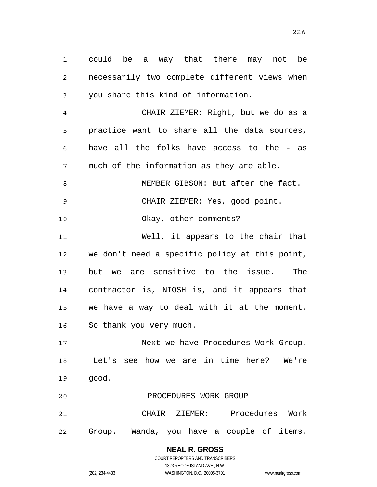**NEAL R. GROSS** COURT REPORTERS AND TRANSCRIBERS 1323 RHODE ISLAND AVE., N.W. (202) 234-4433 WASHINGTON, D.C. 20005-3701 www.nealrgross.com 1 2 3 4 5 6 7 8 9 10 11 12 13 14 15 16 17 18 19 20 21 22 could be a way that there may not be necessarily two complete different views when you share this kind of information. CHAIR ZIEMER: Right, but we do as a practice want to share all the data sources, have all the folks have access to the - as much of the information as they are able. MEMBER GIBSON: But after the fact. CHAIR ZIEMER: Yes, good point. Okay, other comments? Well, it appears to the chair that we don't need a specific policy at this point, but we are sensitive to the issue. The contractor is, NIOSH is, and it appears that we have a way to deal with it at the moment. So thank you very much. Next we have Procedures Work Group. Let's see how we are in time here? We're good. PROCEDURES WORK GROUP CHAIR ZIEMER: Procedures Work Group. Wanda, you have a couple of items.

<u>226</u>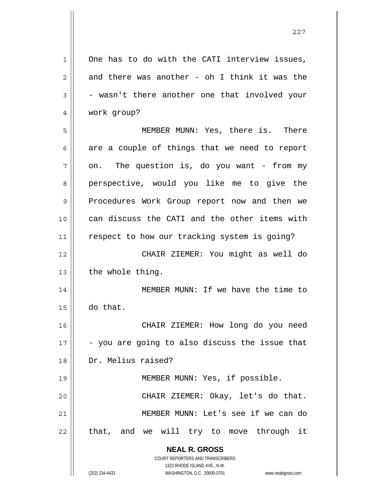**NEAL R. GROSS** COURT REPORTERS AND TRANSCRIBERS 1323 RHODE ISLAND AVE., N.W. (202) 234-4433 WASHINGTON, D.C. 20005-3701 www.nealrgross.com 1 2 3 4 5 6 7 8 9 10 11 12 13 14 15 16 17 18 19 20 21 22 One has to do with the CATI interview issues, and there was another - oh I think it was the - wasn't there another one that involved your work group? MEMBER MUNN: Yes, there is. There are a couple of things that we need to report on. The question is, do you want - from my perspective, would you like me to give the Procedures Work Group report now and then we can discuss the CATI and the other items with respect to how our tracking system is going? CHAIR ZIEMER: You might as well do the whole thing. MEMBER MUNN: If we have the time to do that. CHAIR ZIEMER: How long do you need - you are going to also discuss the issue that Dr. Melius raised? MEMBER MUNN: Yes, if possible. CHAIR ZIEMER: Okay, let's do that. MEMBER MUNN: Let's see if we can do that, and we will try to move through it

<u>227</u>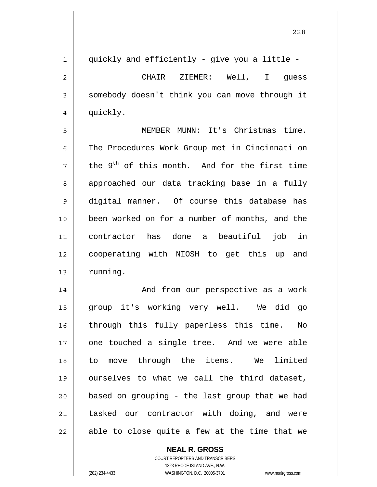1 2 3 4 quickly and efficiently - give you a little - CHAIR ZIEMER: Well, I guess somebody doesn't think you can move through it quickly.

5 6 7 8 9 10 11 12 13 MEMBER MUNN: It's Christmas time. The Procedures Work Group met in Cincinnati on the  $9<sup>th</sup>$  of this month. And for the first time approached our data tracking base in a fully digital manner. Of course this database has been worked on for a number of months, and the contractor has done a beautiful job in cooperating with NIOSH to get this up and running.

14 15 16 17 18 19 20 21 22 And from our perspective as a work group it's working very well. We did go through this fully paperless this time. No one touched a single tree. And we were able to move through the items. We limited ourselves to what we call the third dataset, based on grouping - the last group that we had tasked our contractor with doing, and were able to close quite a few at the time that we

## **NEAL R. GROSS**

COURT REPORTERS AND TRANSCRIBERS 1323 RHODE ISLAND AVE., N.W. (202) 234-4433 WASHINGTON, D.C. 20005-3701 www.nealrgross.com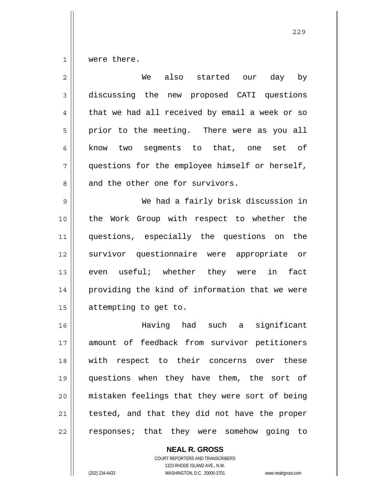1 were there.

| $\overline{2}$ | We<br>also started our day<br>by               |
|----------------|------------------------------------------------|
| 3              | discussing the new proposed CATI questions     |
| $\overline{4}$ | that we had all received by email a week or so |
| 5              | prior to the meeting. There were as you all    |
| 6              | know two segments to that, one set of          |
| 7              | questions for the employee himself or herself, |
| 8              | and the other one for survivors.               |
| 9              | We had a fairly brisk discussion in            |
| 10             | the Work Group with respect to whether the     |
| 11             | questions, especially the questions on the     |
| 12             | survivor questionnaire were appropriate or     |
| 13             | even useful; whether they were<br>in<br>fact   |
| 14             | providing the kind of information that we were |
| 15             | attempting to get to.                          |
| 16             | Having had such a<br>significant               |
| 17             | amount of feedback from survivor petitioners   |
| 18             | with respect to their concerns over these      |
| 19             | questions when they have them, the sort of     |
| 20             | mistaken feelings that they were sort of being |
| 21             | tested, and that they did not have the proper  |
| 22             | responses; that they were somehow going to     |

**NEAL R. GROSS** COURT REPORTERS AND TRANSCRIBERS 1323 RHODE ISLAND AVE., N.W. (202) 234-4433 WASHINGTON, D.C. 20005-3701 www.nealrgross.com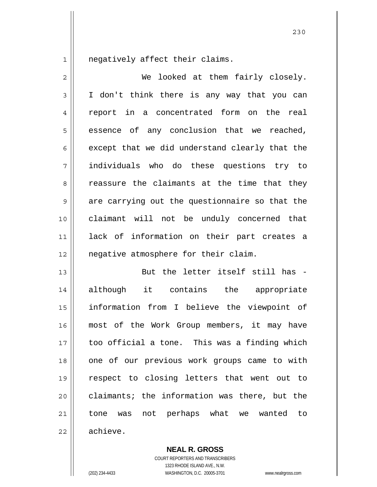1 negatively affect their claims.

| $\mathbf{2}$   | We looked at them fairly closely.              |
|----------------|------------------------------------------------|
| 3              | I don't think there is any way that you can    |
| $\overline{4}$ | report in a concentrated form on the real      |
| 5              | essence of any conclusion that we reached,     |
| 6              | except that we did understand clearly that the |
| 7              | individuals who do these questions try to      |
| 8              | reassure the claimants at the time that they   |
| 9              | are carrying out the questionnaire so that the |
| 10             | claimant will not be unduly concerned that     |
| 11             | lack of information on their part creates a    |
| 12             | negative atmosphere for their claim.           |
| 13             | But the letter itself still has -              |
| 14             | although it contains the appropriate           |
| 15             | information from I believe the viewpoint of    |
| 16             | most of the Work Group members, it may have    |
| 17             | too official a tone. This was a finding which  |
| 18             | one of our previous work groups came to with   |
| 19             | respect to closing letters that went out to    |
| 20             | claimants; the information was there, but the  |
| 21             | tone was not perhaps what we wanted to         |
| 22             | achieve.                                       |

**NEAL R. GROSS**

COURT REPORTERS AND TRANSCRIBERS 1323 RHODE ISLAND AVE., N.W. (202) 234-4433 WASHINGTON, D.C. 20005-3701 www.nealrgross.com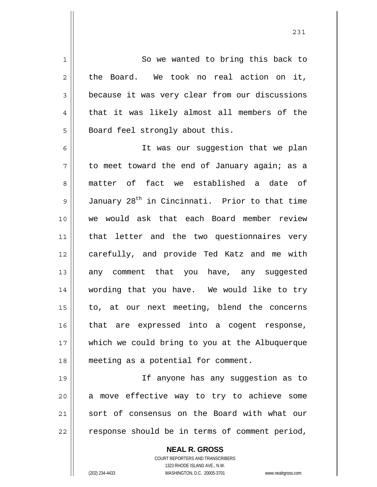So we wanted to bring this back to the Board. We took no real action on it, because it was very clear from our discussions that it was likely almost all members of the Board feel strongly about this.

6 7 8 9 10 11 12 13 14 15 16 17 18 It was our suggestion that we plan to meet toward the end of January again; as a matter of fact we established a date of January 28<sup>th</sup> in Cincinnati. Prior to that time we would ask that each Board member review that letter and the two questionnaires very carefully, and provide Ted Katz and me with any comment that you have, any suggested wording that you have. We would like to try to, at our next meeting, blend the concerns that are expressed into a cogent response, which we could bring to you at the Albuquerque meeting as a potential for comment.

19 20 21 22 If anyone has any suggestion as to a move effective way to try to achieve some sort of consensus on the Board with what our response should be in terms of comment period,

> **NEAL R. GROSS** COURT REPORTERS AND TRANSCRIBERS 1323 RHODE ISLAND AVE., N.W. (202) 234-4433 WASHINGTON, D.C. 20005-3701 www.nealrgross.com

1

2

3

4

5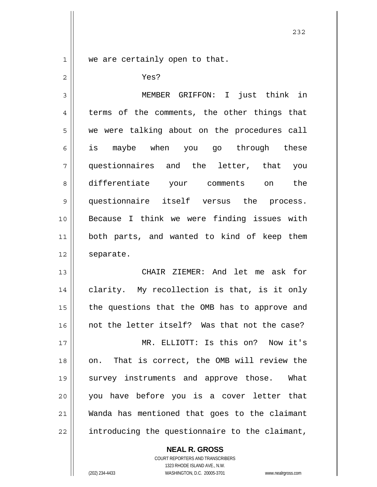1

2

we are certainly open to that.

Yes?

3 4 5 6 7 8 9 10 11 12 13 MEMBER GRIFFON: I just think in terms of the comments, the other things that we were talking about on the procedures call is maybe when you go through these questionnaires and the letter, that you differentiate your comments on the questionnaire itself versus the process. Because I think we were finding issues with both parts, and wanted to kind of keep them separate. CHAIR ZIEMER: And let me ask for

14 15 16 17 18 19 20 21 22 clarity. My recollection is that, is it only the questions that the OMB has to approve and not the letter itself? Was that not the case? MR. ELLIOTT: Is this on? Now it's on. That is correct, the OMB will review the survey instruments and approve those. What you have before you is a cover letter that Wanda has mentioned that goes to the claimant introducing the questionnaire to the claimant,

> **NEAL R. GROSS** COURT REPORTERS AND TRANSCRIBERS

> > 1323 RHODE ISLAND AVE., N.W.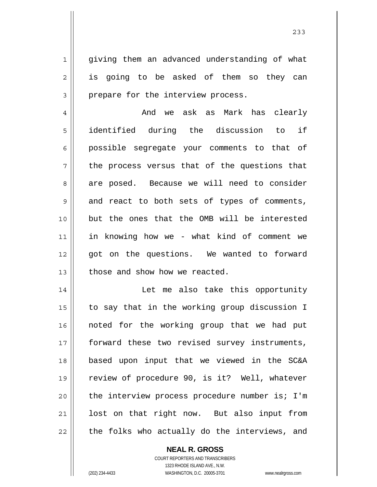giving them an advanced understanding of what is going to be asked of them so they can prepare for the interview process.

4 5 6 7 8 9 10 11 12 13 And we ask as Mark has clearly identified during the discussion to if possible segregate your comments to that of the process versus that of the questions that are posed. Because we will need to consider and react to both sets of types of comments, but the ones that the OMB will be interested in knowing how we - what kind of comment we got on the questions. We wanted to forward those and show how we reacted.

14 15 16 17 18 19 20 21 22 Let me also take this opportunity to say that in the working group discussion I noted for the working group that we had put forward these two revised survey instruments, based upon input that we viewed in the SC&A review of procedure 90, is it? Well, whatever the interview process procedure number is; I'm lost on that right now. But also input from the folks who actually do the interviews, and

> COURT REPORTERS AND TRANSCRIBERS 1323 RHODE ISLAND AVE., N.W. (202) 234-4433 WASHINGTON, D.C. 20005-3701 www.nealrgross.com

**NEAL R. GROSS**

1

2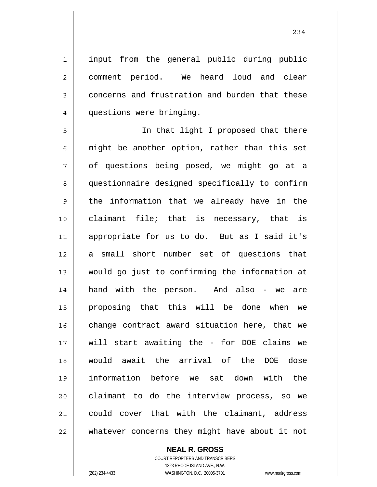input from the general public during public comment period. We heard loud and clear concerns and frustration and burden that these questions were bringing.

5 6 7 8 9 10 11 12 13 14 15 16 17 18 19 20 21 22 In that light I proposed that there might be another option, rather than this set of questions being posed, we might go at a questionnaire designed specifically to confirm the information that we already have in the claimant file; that is necessary, that is appropriate for us to do. But as I said it's a small short number set of questions that would go just to confirming the information at hand with the person. And also - we are proposing that this will be done when we change contract award situation here, that we will start awaiting the - for DOE claims we would await the arrival of the DOE dose information before we sat down with the claimant to do the interview process, so we could cover that with the claimant, address whatever concerns they might have about it not

## **NEAL R. GROSS**

COURT REPORTERS AND TRANSCRIBERS 1323 RHODE ISLAND AVE., N.W. (202) 234-4433 WASHINGTON, D.C. 20005-3701 www.nealrgross.com

1

2

3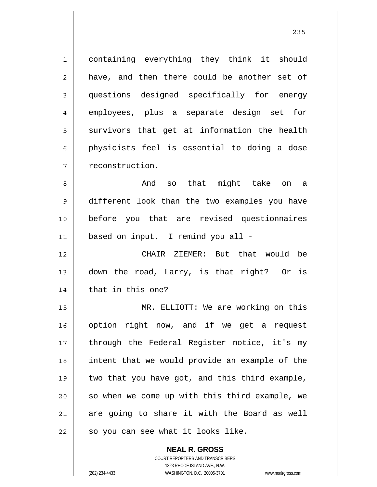1 2 3 4 5 6 7 containing everything they think it should have, and then there could be another set of questions designed specifically for energy employees, plus a separate design set for survivors that get at information the health physicists feel is essential to doing a dose reconstruction.

8 9 10 11 And so that might take on a different look than the two examples you have before you that are revised questionnaires based on input. I remind you all -

12 13 14 CHAIR ZIEMER: But that would be down the road, Larry, is that right? Or is that in this one?

15 16 17 18 19 20 21 22 MR. ELLIOTT: We are working on this option right now, and if we get a request through the Federal Register notice, it's my intent that we would provide an example of the two that you have got, and this third example, so when we come up with this third example, we are going to share it with the Board as well so you can see what it looks like.

> **NEAL R. GROSS** COURT REPORTERS AND TRANSCRIBERS 1323 RHODE ISLAND AVE., N.W. (202) 234-4433 WASHINGTON, D.C. 20005-3701 www.nealrgross.com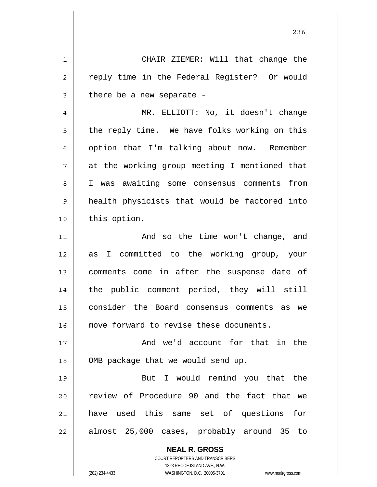**NEAL R. GROSS** COURT REPORTERS AND TRANSCRIBERS 1 2 3 4 5 6 7 8 9 10 11 12 13 14 15 16 17 18 19 20 21 22 CHAIR ZIEMER: Will that change the reply time in the Federal Register? Or would there be a new separate - MR. ELLIOTT: No, it doesn't change the reply time. We have folks working on this option that I'm talking about now. Remember at the working group meeting I mentioned that I was awaiting some consensus comments from health physicists that would be factored into this option. And so the time won't change, and as I committed to the working group, your comments come in after the suspense date of the public comment period, they will still consider the Board consensus comments as we move forward to revise these documents. And we'd account for that in the OMB package that we would send up. But I would remind you that the review of Procedure 90 and the fact that we have used this same set of questions for almost 25,000 cases, probably around 35 to

<u>236</u>

1323 RHODE ISLAND AVE., N.W.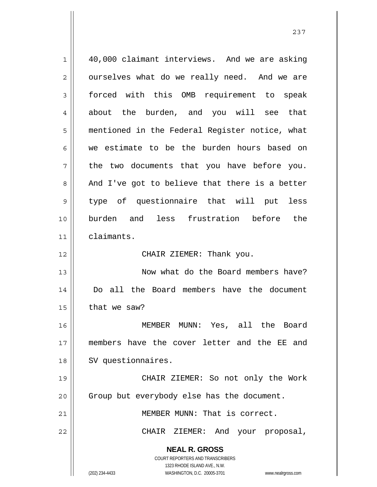**NEAL R. GROSS** COURT REPORTERS AND TRANSCRIBERS 1323 RHODE ISLAND AVE., N.W. (202) 234-4433 WASHINGTON, D.C. 20005-3701 www.nealrgross.com 1 2 3 4 5 6 7 8 9 10 11 12 13 14 15 16 17 18 19 20 21 22 40,000 claimant interviews. And we are asking ourselves what do we really need. And we are forced with this OMB requirement to speak about the burden, and you will see that mentioned in the Federal Register notice, what we estimate to be the burden hours based on the two documents that you have before you. And I've got to believe that there is a better type of questionnaire that will put less burden and less frustration before the claimants. CHAIR ZIEMER: Thank you. Now what do the Board members have? Do all the Board members have the document that we saw? MEMBER MUNN: Yes, all the Board members have the cover letter and the EE and SV questionnaires. CHAIR ZIEMER: So not only the Work Group but everybody else has the document. MEMBER MUNN: That is correct. CHAIR ZIEMER: And your proposal,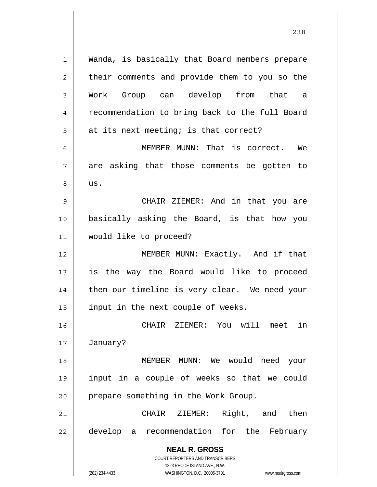**NEAL R. GROSS** COURT REPORTERS AND TRANSCRIBERS 1323 RHODE ISLAND AVE., N.W. (202) 234-4433 WASHINGTON, D.C. 20005-3701 www.nealrgross.com 1 2 3 4 5 6 7 8 9 10 11 12 13 14 15 16 17 18 19 20 21 22 Wanda, is basically that Board members prepare their comments and provide them to you so the Work Group can develop from that a recommendation to bring back to the full Board at its next meeting; is that correct? MEMBER MUNN: That is correct. We are asking that those comments be gotten to us. CHAIR ZIEMER: And in that you are basically asking the Board, is that how you would like to proceed? MEMBER MUNN: Exactly. And if that is the way the Board would like to proceed then our timeline is very clear. We need your input in the next couple of weeks. CHAIR ZIEMER: You will meet in January? MEMBER MUNN: We would need your input in a couple of weeks so that we could prepare something in the Work Group. CHAIR ZIEMER: Right, and then develop a recommendation for the February

<u>238</u>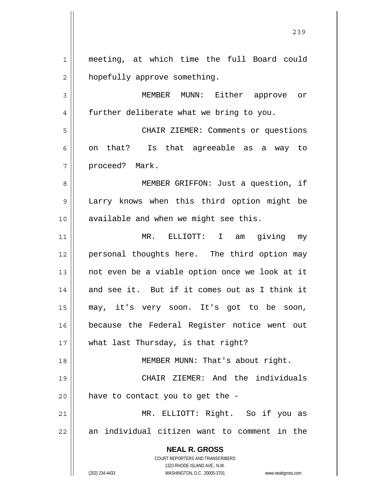**NEAL R. GROSS** COURT REPORTERS AND TRANSCRIBERS 1323 RHODE ISLAND AVE., N.W. (202) 234-4433 WASHINGTON, D.C. 20005-3701 www.nealrgross.com 1 2 3 4 5 6 7 8 9 10 11 12 13 14 15 16 17 18 19 20 21 22 meeting, at which time the full Board could hopefully approve something. MEMBER MUNN: Either approve or further deliberate what we bring to you. CHAIR ZIEMER: Comments or questions on that? Is that agreeable as a way to proceed? Mark. MEMBER GRIFFON: Just a question, if Larry knows when this third option might be available and when we might see this. MR. ELLIOTT: I am giving my personal thoughts here. The third option may not even be a viable option once we look at it and see it. But if it comes out as I think it may, it's very soon. It's got to be soon, because the Federal Register notice went out what last Thursday, is that right? MEMBER MUNN: That's about right. CHAIR ZIEMER: And the individuals have to contact you to get the - MR. ELLIOTT: Right. So if you as an individual citizen want to comment in the

<u>239</u>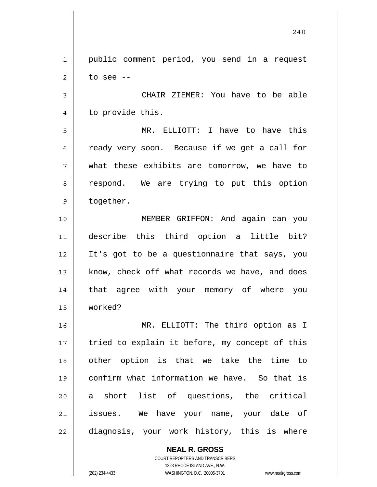1 2 public comment period, you send in a request to see --

3 4 CHAIR ZIEMER: You have to be able to provide this.

5 6 7 8 9 MR. ELLIOTT: I have to have this ready very soon. Because if we get a call for what these exhibits are tomorrow, we have to respond. We are trying to put this option together.

10 11 12 13 14 15 MEMBER GRIFFON: And again can you describe this third option a little bit? It's got to be a questionnaire that says, you know, check off what records we have, and does that agree with your memory of where you worked?

16 17 18 19 20 21 22 MR. ELLIOTT: The third option as I tried to explain it before, my concept of this other option is that we take the time to confirm what information we have. So that is a short list of questions, the critical issues. We have your name, your date of diagnosis, your work history, this is where

> **NEAL R. GROSS** COURT REPORTERS AND TRANSCRIBERS 1323 RHODE ISLAND AVE., N.W. (202) 234-4433 WASHINGTON, D.C. 20005-3701 www.nealrgross.com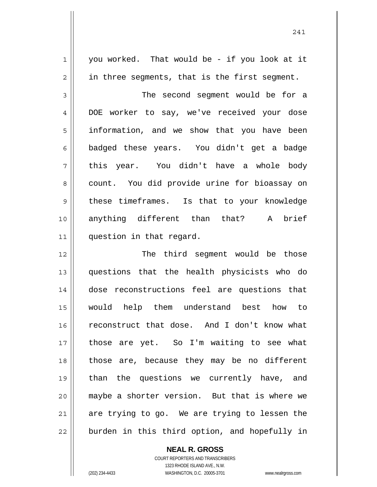you worked. That would be - if you look at it in three segments, that is the first segment.

3 4 5 6 7 8 9 10 11 The second segment would be for a DOE worker to say, we've received your dose information, and we show that you have been badged these years. You didn't get a badge this year. You didn't have a whole body count. You did provide urine for bioassay on these timeframes. Is that to your knowledge anything different than that? A brief question in that regard.

12 13 14 15 16 17 18 19 20 21 22 The third segment would be those questions that the health physicists who do dose reconstructions feel are questions that would help them understand best how to reconstruct that dose. And I don't know what those are yet. So I'm waiting to see what those are, because they may be no different than the questions we currently have, and maybe a shorter version. But that is where we are trying to go. We are trying to lessen the burden in this third option, and hopefully in

> COURT REPORTERS AND TRANSCRIBERS 1323 RHODE ISLAND AVE., N.W. (202) 234-4433 WASHINGTON, D.C. 20005-3701 www.nealrgross.com

**NEAL R. GROSS**

1

2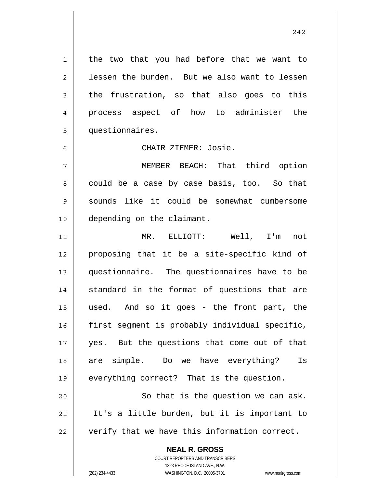the two that you had before that we want to lessen the burden. But we also want to lessen the frustration, so that also goes to this process aspect of how to administer the questionnaires.

CHAIR ZIEMER: Josie.

7 8 9 10 MEMBER BEACH: That third option could be a case by case basis, too. So that sounds like it could be somewhat cumbersome depending on the claimant.

11 12 13 14 15 16 17 18 19 20 MR. ELLIOTT: Well, I'm not proposing that it be a site-specific kind of questionnaire. The questionnaires have to be standard in the format of questions that are used. And so it goes - the front part, the first segment is probably individual specific, yes. But the questions that come out of that are simple. Do we have everything? Is everything correct? That is the question. So that is the question we can ask.

21 22 It's a little burden, but it is important to verify that we have this information correct.

> **NEAL R. GROSS** COURT REPORTERS AND TRANSCRIBERS 1323 RHODE ISLAND AVE., N.W. (202) 234-4433 WASHINGTON, D.C. 20005-3701 www.nealrgross.com

1

2

3

4

5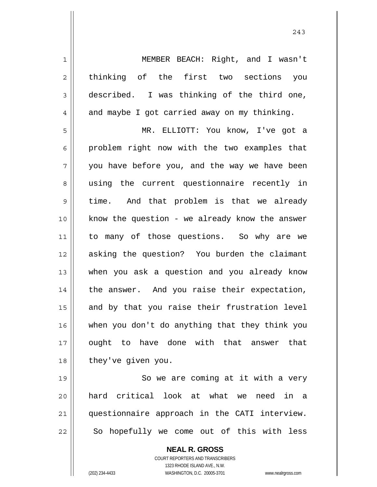MEMBER BEACH: Right, and I wasn't thinking of the first two sections you described. I was thinking of the third one, and maybe I got carried away on my thinking.

5 6 7 8 9 10 11 12 13 14 15 16 17 18 MR. ELLIOTT: You know, I've got a problem right now with the two examples that you have before you, and the way we have been using the current questionnaire recently in time. And that problem is that we already know the question - we already know the answer to many of those questions. So why are we asking the question? You burden the claimant when you ask a question and you already know the answer. And you raise their expectation, and by that you raise their frustration level when you don't do anything that they think you ought to have done with that answer that they've given you.

19 20 21 22 So we are coming at it with a very hard critical look at what we need in a questionnaire approach in the CATI interview. So hopefully we come out of this with less

> **NEAL R. GROSS** COURT REPORTERS AND TRANSCRIBERS 1323 RHODE ISLAND AVE., N.W. (202) 234-4433 WASHINGTON, D.C. 20005-3701 www.nealrgross.com

1

2

3

4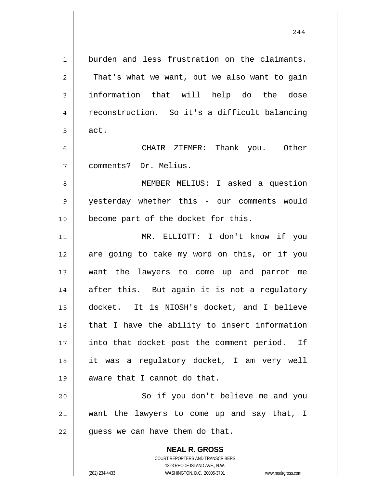1 2 3 4 5 6 7 8 9 10 11 12 13 14 15 16 17 18 19 20 burden and less frustration on the claimants. That's what we want, but we also want to gain information that will help do the dose reconstruction. So it's a difficult balancing act. CHAIR ZIEMER: Thank you. Other comments? Dr. Melius. MEMBER MELIUS: I asked a question yesterday whether this - our comments would become part of the docket for this. MR. ELLIOTT: I don't know if you are going to take my word on this, or if you want the lawyers to come up and parrot me after this. But again it is not a regulatory docket. It is NIOSH's docket, and I believe that I have the ability to insert information into that docket post the comment period. If it was a regulatory docket, I am very well aware that I cannot do that. So if you don't believe me and you

21 22 want the lawyers to come up and say that, I guess we can have them do that.

> **NEAL R. GROSS** COURT REPORTERS AND TRANSCRIBERS 1323 RHODE ISLAND AVE., N.W. (202) 234-4433 WASHINGTON, D.C. 20005-3701 www.nealrgross.com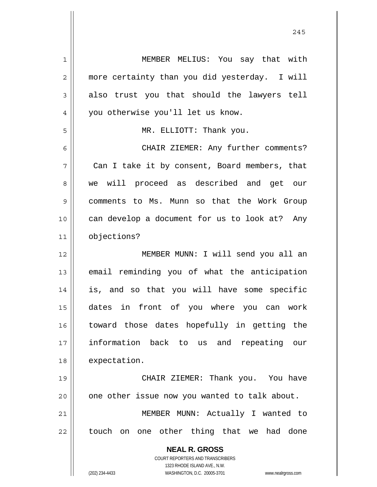**NEAL R. GROSS** COURT REPORTERS AND TRANSCRIBERS 1 2 3 4 5 6 7 8 9 10 11 12 13 14 15 16 17 18 19 20 21 22 MEMBER MELIUS: You say that with more certainty than you did yesterday. I will also trust you that should the lawyers tell you otherwise you'll let us know. MR. ELLIOTT: Thank you. CHAIR ZIEMER: Any further comments? Can I take it by consent, Board members, that we will proceed as described and get our comments to Ms. Munn so that the Work Group can develop a document for us to look at? Any objections? MEMBER MUNN: I will send you all an email reminding you of what the anticipation is, and so that you will have some specific dates in front of you where you can work toward those dates hopefully in getting the information back to us and repeating our expectation. CHAIR ZIEMER: Thank you. You have one other issue now you wanted to talk about. MEMBER MUNN: Actually I wanted to touch on one other thing that we had done

245

1323 RHODE ISLAND AVE., N.W.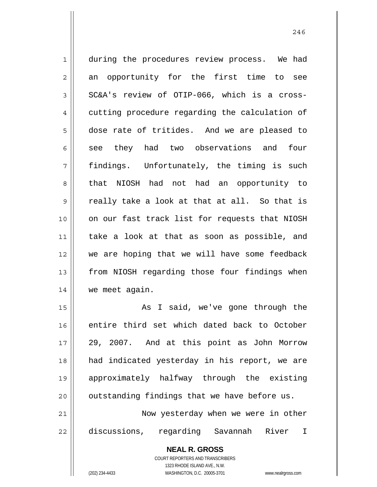1 2 3 4 5 6 7 8 9 10 11 12 13 14 during the procedures review process. We had an opportunity for the first time to see SC&A's review of OTIP-066, which is a crosscutting procedure regarding the calculation of dose rate of tritides. And we are pleased to see they had two observations and four findings. Unfortunately, the timing is such that NIOSH had not had an opportunity to really take a look at that at all. So that is on our fast track list for requests that NIOSH take a look at that as soon as possible, and we are hoping that we will have some feedback from NIOSH regarding those four findings when we meet again.

15 16 17 18 19 20 21 As I said, we've gone through the entire third set which dated back to October 29, 2007. And at this point as John Morrow had indicated yesterday in his report, we are approximately halfway through the existing outstanding findings that we have before us. Now yesterday when we were in other

22 discussions, regarding Savannah River I

> **NEAL R. GROSS** COURT REPORTERS AND TRANSCRIBERS 1323 RHODE ISLAND AVE., N.W.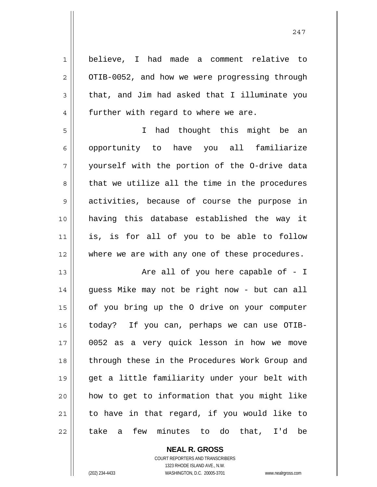1 2 3 4 5 6 7 8 9 10 11 12 13 14 15 16 17 18 19 20 21 22 believe, I had made a comment relative to OTIB-0052, and how we were progressing through that, and Jim had asked that I illuminate you further with regard to where we are. I had thought this might be an opportunity to have you all familiarize yourself with the portion of the O-drive data that we utilize all the time in the procedures activities, because of course the purpose in having this database established the way it is, is for all of you to be able to follow where we are with any one of these procedures. Are all of you here capable of - I guess Mike may not be right now - but can all of you bring up the O drive on your computer today? If you can, perhaps we can use OTIB-0052 as a very quick lesson in how we move through these in the Procedures Work Group and get a little familiarity under your belt with how to get to information that you might like to have in that regard, if you would like to take a few minutes to do that, I'd be

> **NEAL R. GROSS** COURT REPORTERS AND TRANSCRIBERS

> > 1323 RHODE ISLAND AVE., N.W.

(202) 234-4433 WASHINGTON, D.C. 20005-3701 www.nealrgross.com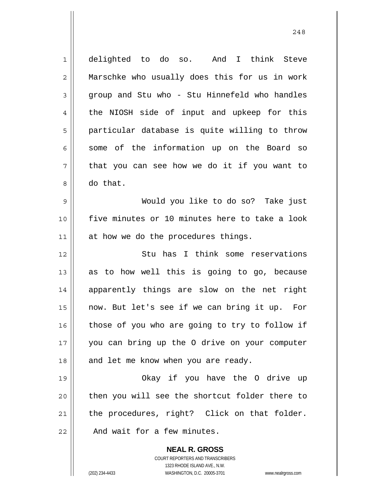**NEAL R. GROSS** 1 2 3 4 5 6 7 8 9 10 11 12 13 14 15 16 17 18 19 20 21 22 delighted to do so. And I think Steve Marschke who usually does this for us in work group and Stu who - Stu Hinnefeld who handles the NIOSH side of input and upkeep for this particular database is quite willing to throw some of the information up on the Board so that you can see how we do it if you want to do that. Would you like to do so? Take just five minutes or 10 minutes here to take a look at how we do the procedures things. Stu has I think some reservations as to how well this is going to go, because apparently things are slow on the net right now. But let's see if we can bring it up. For those of you who are going to try to follow if you can bring up the O drive on your computer and let me know when you are ready. Okay if you have the O drive up then you will see the shortcut folder there to the procedures, right? Click on that folder. And wait for a few minutes.

248

COURT REPORTERS AND TRANSCRIBERS 1323 RHODE ISLAND AVE., N.W.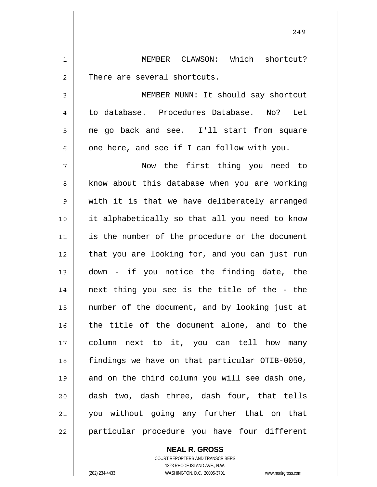1 2 MEMBER CLAWSON: Which shortcut? There are several shortcuts.

3 4 5 6 MEMBER MUNN: It should say shortcut to database. Procedures Database. No? Let me go back and see. I'll start from square one here, and see if I can follow with you.

7 8 9 10 11 12 13 14 15 16 17 18 19 20 21 22 Now the first thing you need to know about this database when you are working with it is that we have deliberately arranged it alphabetically so that all you need to know is the number of the procedure or the document that you are looking for, and you can just run down - if you notice the finding date, the next thing you see is the title of the - the number of the document, and by looking just at the title of the document alone, and to the column next to it, you can tell how many findings we have on that particular OTIB-0050, and on the third column you will see dash one, dash two, dash three, dash four, that tells you without going any further that on that particular procedure you have four different

## **NEAL R. GROSS**

COURT REPORTERS AND TRANSCRIBERS 1323 RHODE ISLAND AVE., N.W. (202) 234-4433 WASHINGTON, D.C. 20005-3701 www.nealrgross.com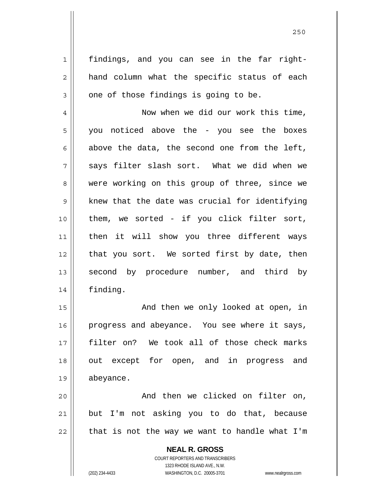findings, and you can see in the far righthand column what the specific status of each one of those findings is going to be.

4 5 6 7 8 9 10 11 12 13 14 Now when we did our work this time, you noticed above the - you see the boxes above the data, the second one from the left, says filter slash sort. What we did when we were working on this group of three, since we knew that the date was crucial for identifying them, we sorted - if you click filter sort, then it will show you three different ways that you sort. We sorted first by date, then second by procedure number, and third by finding.

15 16 17 18 19 And then we only looked at open, in progress and abeyance. You see where it says, filter on? We took all of those check marks out except for open, and in progress and abeyance.

20 21 22 And then we clicked on filter on, but I'm not asking you to do that, because that is not the way we want to handle what I'm

> **NEAL R. GROSS** COURT REPORTERS AND TRANSCRIBERS 1323 RHODE ISLAND AVE., N.W. (202) 234-4433 WASHINGTON, D.C. 20005-3701 www.nealrgross.com

1

2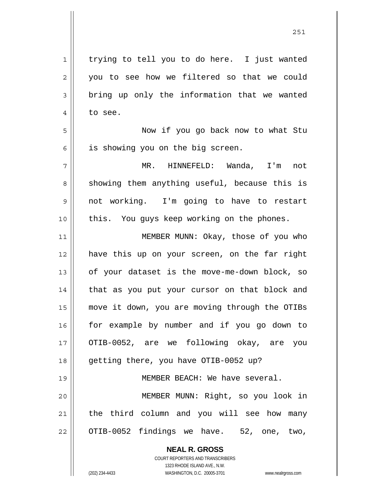| $\mathbf 1$ | trying to tell you to do here. I just wanted   |
|-------------|------------------------------------------------|
| 2           | you to see how we filtered so that we could    |
| 3           | bring up only the information that we wanted   |
| 4           | to see.                                        |
| 5           | Now if you go back now to what Stu             |
| 6           | is showing you on the big screen.              |
| 7           | MR. HINNEFELD: Wanda, I'm not                  |
| 8           | showing them anything useful, because this is  |
| 9           | not working. I'm going to have to restart      |
| 10          | this. You guys keep working on the phones.     |
| 11          | MEMBER MUNN: Okay, those of you who            |
| 12          | have this up on your screen, on the far right  |
| 13          | of your dataset is the move-me-down block, so  |
| 14          | that as you put your cursor on that block and  |
| 15          | move it down, you are moving through the OTIBs |
| 16          | for example by number and if you go down to    |
| 17          | OTIB-0052, are we following okay, are you      |
| 18          | getting there, you have OTIB-0052 up?          |
| 19          | MEMBER BEACH: We have several.                 |
| 20          | MEMBER MUNN: Right, so you look in             |
| 21          | the third column and you will see how many     |
| 22          | OTIB-0052 findings we have. 52, one, two,      |
|             | <b>NEAL R. GROSS</b>                           |

 $\prod$ 

COURT REPORTERS AND TRANSCRIBERS 1323 RHODE ISLAND AVE., N.W. (202) 234-4433 WASHINGTON, D.C. 20005-3701 www.nealrgross.com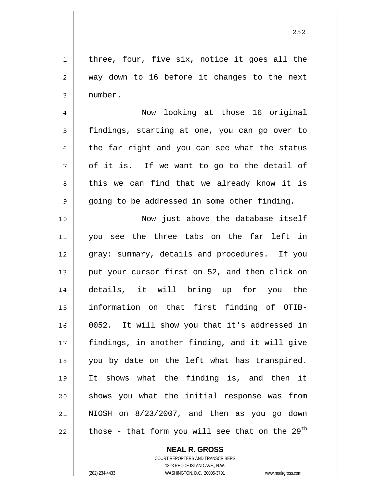1 2 3 three, four, five six, notice it goes all the way down to 16 before it changes to the next number.

 Now looking at those 16 original findings, starting at one, you can go over to the far right and you can see what the status of it is. If we want to go to the detail of this we can find that we already know it is going to be addressed in some other finding.

10 11 12 13 14 15 16 17 18 19 20 21 22 Now just above the database itself you see the three tabs on the far left in gray: summary, details and procedures. If you put your cursor first on 52, and then click on details, it will bring up for you the information on that first finding of OTIB-0052. It will show you that it's addressed in findings, in another finding, and it will give you by date on the left what has transpired. It shows what the finding is, and then it shows you what the initial response was from NIOSH on 8/23/2007, and then as you go down those - that form you will see that on the  $29<sup>th</sup>$ 

> **NEAL R. GROSS** COURT REPORTERS AND TRANSCRIBERS

4

5

6

7

8

9

1323 RHODE ISLAND AVE., N.W. (202) 234-4433 WASHINGTON, D.C. 20005-3701 www.nealrgross.com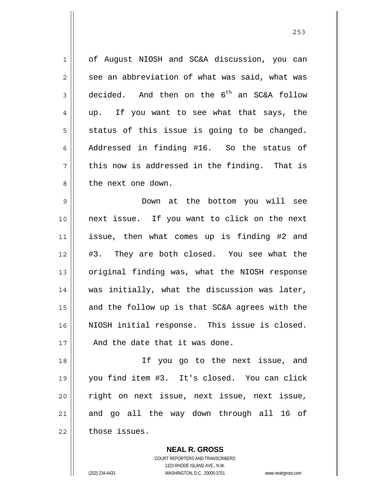1 2 3 4 5 6 7 8 of August NIOSH and SC&A discussion, you can see an abbreviation of what was said, what was decided. And then on the  $6<sup>th</sup>$  an SC&A follow up. If you want to see what that says, the status of this issue is going to be changed. Addressed in finding #16. So the status of this now is addressed in the finding. That is the next one down.

9 10 11 12 13 14 15 16 17 Down at the bottom you will see next issue. If you want to click on the next issue, then what comes up is finding #2 and #3. They are both closed. You see what the original finding was, what the NIOSH response was initially, what the discussion was later, and the follow up is that SC&A agrees with the NIOSH initial response. This issue is closed. And the date that it was done.

18 19 20 21 22 If you go to the next issue, and you find item #3. It's closed. You can click right on next issue, next issue, next issue, and go all the way down through all 16 of those issues.

> **NEAL R. GROSS** COURT REPORTERS AND TRANSCRIBERS 1323 RHODE ISLAND AVE., N.W. (202) 234-4433 WASHINGTON, D.C. 20005-3701 www.nealrgross.com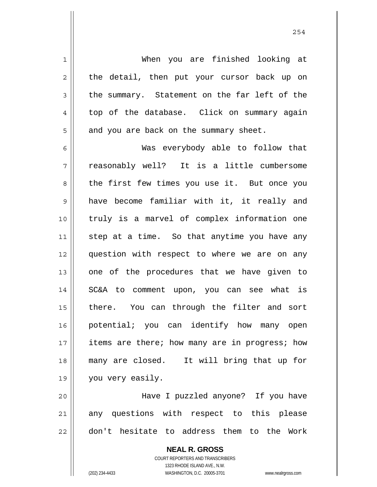1 2 3 4 5 6 7 8 9 10 11 12 13 14 15 16 17 18 19 20 21 When you are finished looking at the detail, then put your cursor back up on the summary. Statement on the far left of the top of the database. Click on summary again and you are back on the summary sheet. Was everybody able to follow that reasonably well? It is a little cumbersome the first few times you use it. But once you have become familiar with it, it really and truly is a marvel of complex information one step at a time. So that anytime you have any question with respect to where we are on any one of the procedures that we have given to SC&A to comment upon, you can see what is there. You can through the filter and sort potential; you can identify how many open items are there; how many are in progress; how many are closed. It will bring that up for you very easily. Have I puzzled anyone? If you have any questions with respect to this please

22

**NEAL R. GROSS** COURT REPORTERS AND TRANSCRIBERS

don't hesitate to address them to the Work

1323 RHODE ISLAND AVE., N.W. (202) 234-4433 WASHINGTON, D.C. 20005-3701 www.nealrgross.com

254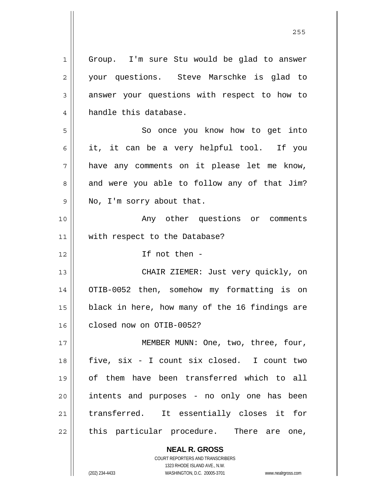**NEAL R. GROSS** 1 2 3 4 5 6 7 8 9 10 11 12 13 14 15 16 17 18 19 20 21 22 Group. I'm sure Stu would be glad to answer your questions. Steve Marschke is glad to answer your questions with respect to how to handle this database. So once you know how to get into it, it can be a very helpful tool. If you have any comments on it please let me know, and were you able to follow any of that Jim? No, I'm sorry about that. Any other questions or comments with respect to the Database? If not then - CHAIR ZIEMER: Just very quickly, on OTIB-0052 then, somehow my formatting is on black in here, how many of the 16 findings are closed now on OTIB-0052? MEMBER MUNN: One, two, three, four, five, six - I count six closed. I count two of them have been transferred which to all intents and purposes - no only one has been transferred. It essentially closes it for this particular procedure. There are one,

<u>255</u>

1323 RHODE ISLAND AVE., N.W. (202) 234-4433 WASHINGTON, D.C. 20005-3701 www.nealrgross.com

COURT REPORTERS AND TRANSCRIBERS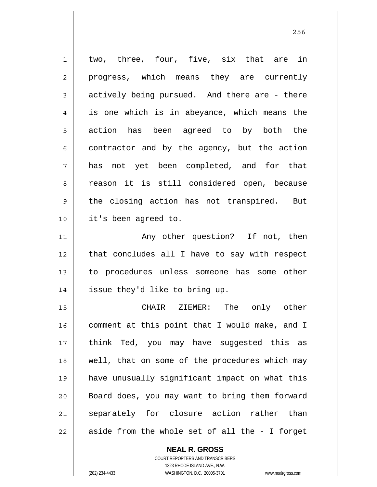1 2 3 4 5 6 7 8 9 10 11 12 13 14 two, three, four, five, six that are in progress, which means they are currently actively being pursued. And there are - there is one which is in abeyance, which means the action has been agreed to by both the contractor and by the agency, but the action has not yet been completed, and for that reason it is still considered open, because the closing action has not transpired. But it's been agreed to. Any other question? If not, then that concludes all I have to say with respect to procedures unless someone has some other issue they'd like to bring up.

15 16 17 18 19 20 21 22 CHAIR ZIEMER: The only other comment at this point that I would make, and I think Ted, you may have suggested this as well, that on some of the procedures which may have unusually significant impact on what this Board does, you may want to bring them forward separately for closure action rather than aside from the whole set of all the - I forget

> **NEAL R. GROSS** COURT REPORTERS AND TRANSCRIBERS

> > 1323 RHODE ISLAND AVE., N.W.

(202) 234-4433 WASHINGTON, D.C. 20005-3701 www.nealrgross.com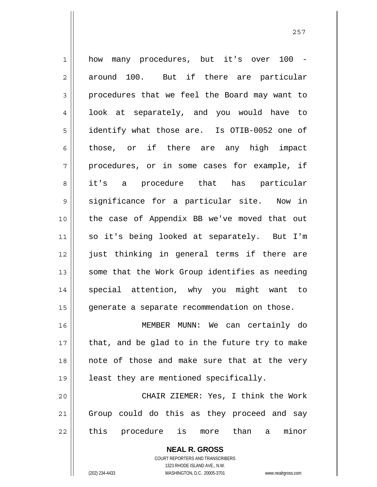| $\mathbf 1$ | how many procedures, but it's over 100 -       |
|-------------|------------------------------------------------|
| 2           | around 100. But if there are particular        |
| 3           | procedures that we feel the Board may want to  |
| 4           | look at separately, and you would have to      |
| 5           | identify what those are. Is OTIB-0052 one of   |
| 6           | those, or if there are any high impact         |
| 7           | procedures, or in some cases for example, if   |
| 8           | it's a procedure that has particular           |
| 9           | significance for a particular site. Now in     |
| 10          | the case of Appendix BB we've moved that out   |
| 11          | so it's being looked at separately. But I'm    |
| 12          | just thinking in general terms if there are    |
| 13          | some that the Work Group identifies as needing |
| 14          | special attention, why you might want to       |
| 15          | generate a separate recommendation on those.   |
| 16          | MEMBER MUNN: We can certainly do               |
| 17          | that, and be glad to in the future try to make |
| 18          | note of those and make sure that at the very   |
| 19          | least they are mentioned specifically.         |
| 20          | CHAIR ZIEMER: Yes, I think the Work            |
| 21          | Group could do this as they proceed and say    |
| 22          | this procedure is more than a<br>minor         |
|             | <b>NEAL R. GROSS</b>                           |

COURT REPORTERS AND TRANSCRIBERS 1323 RHODE ISLAND AVE., N.W.

 $\mathsf{II}$ 

(202) 234-4433 WASHINGTON, D.C. 20005-3701 www.nealrgross.com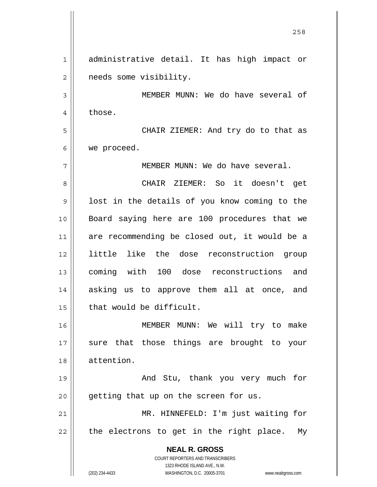**NEAL R. GROSS** COURT REPORTERS AND TRANSCRIBERS 1323 RHODE ISLAND AVE., N.W. (202) 234-4433 WASHINGTON, D.C. 20005-3701 www.nealrgross.com <u>258</u> 1 2 3 4 5 6 7 8 9 10 11 12 13 14 15 16 17 18 19 20 21 22 administrative detail. It has high impact or needs some visibility. MEMBER MUNN: We do have several of those. CHAIR ZIEMER: And try do to that as we proceed. MEMBER MUNN: We do have several. CHAIR ZIEMER: So it doesn't get lost in the details of you know coming to the Board saying here are 100 procedures that we are recommending be closed out, it would be a little like the dose reconstruction group coming with 100 dose reconstructions and asking us to approve them all at once, and that would be difficult. MEMBER MUNN: We will try to make sure that those things are brought to your attention. And Stu, thank you very much for getting that up on the screen for us. MR. HINNEFELD: I'm just waiting for the electrons to get in the right place. My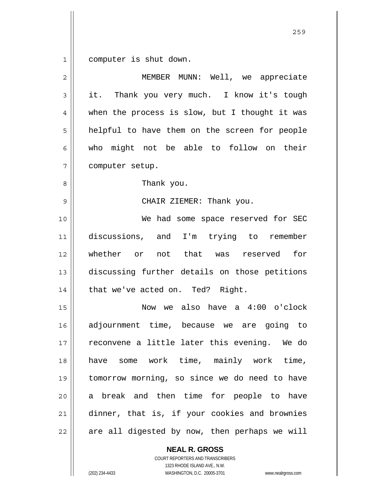1 computer is shut down.

| $\overline{2}$ | MEMBER MUNN: Well, we appreciate               |
|----------------|------------------------------------------------|
| 3              | it. Thank you very much. I know it's tough     |
| 4              | when the process is slow, but I thought it was |
| 5              | helpful to have them on the screen for people  |
| 6              | who might not be able to follow on their       |
| 7              | computer setup.                                |
| 8              | Thank you.                                     |
| 9              | CHAIR ZIEMER: Thank you.                       |
| 10             | We had some space reserved for SEC             |
| 11             | discussions, and I'm trying to remember        |
| 12             | whether or not that was reserved<br>for        |
| 13             | discussing further details on those petitions  |
| 14             | that we've acted on. Ted? Right.               |
| 15             | Now we also have a 4:00 o'clock                |
| 16             | adjournment time, because we are going to      |
| 17             | reconvene a little later this evening. We do   |
| 18             | some work time, mainly work time,<br>have      |
| 19             | tomorrow morning, so since we do need to have  |
| 20             | break and then time for people to have<br>a l  |
| 21             | dinner, that is, if your cookies and brownies  |
| 22             | are all digested by now, then perhaps we will  |

**NEAL R. GROSS** COURT REPORTERS AND TRANSCRIBERS

1323 RHODE ISLAND AVE., N.W.

(202) 234-4433 WASHINGTON, D.C. 20005-3701 www.nealrgross.com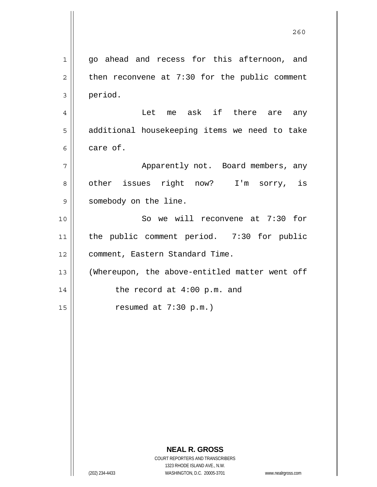|                | 260                                                                 |
|----------------|---------------------------------------------------------------------|
| $\mathbf{1}$   | go ahead and recess for this afternoon, and                         |
| $\overline{c}$ | then reconvene at $7:30$ for the public comment                     |
| 3              | period.                                                             |
| 4              | Let me ask if there are any                                         |
| 5              | additional housekeeping items we need to take                       |
| 6              | care of.                                                            |
| 7              | Apparently not. Board members, any                                  |
| 8              | other issues right now? I'm sorry, is                               |
| 9              | somebody on the line.                                               |
| 10             | So we will reconvene at 7:30 for                                    |
| 11             | the public comment period. 7:30 for public                          |
| 12             | comment, Eastern Standard Time.                                     |
| 13             | (Whereupon, the above-entitled matter went off                      |
| 14             | the record at 4:00 p.m. and                                         |
| 15             | resumed at 7:30 p.m.)                                               |
|                |                                                                     |
|                |                                                                     |
|                |                                                                     |
|                |                                                                     |
|                |                                                                     |
|                |                                                                     |
|                |                                                                     |
|                | <b>NEAL R. GROSS</b><br>COURT REPORTERS AND TRANSCRIBERS            |
|                | 1323 RHODE ISLAND AVE., N.W.                                        |
|                | WASHINGTON, D.C. 20005-3701<br>(202) 234-4433<br>www.nealrgross.com |

 $\mathsf{I}$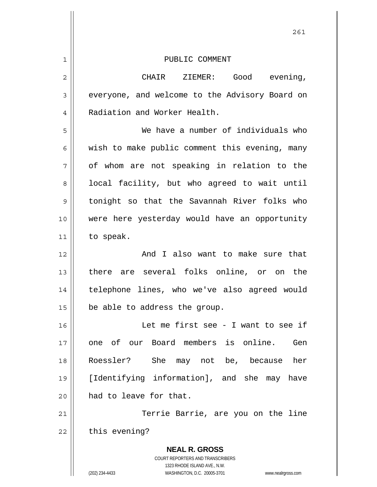|                | 261                                                                                                                                                                    |
|----------------|------------------------------------------------------------------------------------------------------------------------------------------------------------------------|
| $\mathbf 1$    | PUBLIC COMMENT                                                                                                                                                         |
| $\overline{c}$ | CHAIR ZIEMER: Good evening,                                                                                                                                            |
| 3              | everyone, and welcome to the Advisory Board on                                                                                                                         |
| $\overline{4}$ | Radiation and Worker Health.                                                                                                                                           |
| 5              | We have a number of individuals who                                                                                                                                    |
| 6              | wish to make public comment this evening, many                                                                                                                         |
| 7              | of whom are not speaking in relation to the                                                                                                                            |
| 8              | local facility, but who agreed to wait until                                                                                                                           |
| 9              | tonight so that the Savannah River folks who                                                                                                                           |
| 10             | were here yesterday would have an opportunity                                                                                                                          |
| 11             | to speak.                                                                                                                                                              |
| 12             | And I also want to make sure that                                                                                                                                      |
| 13             | there are several folks online, or on the                                                                                                                              |
| 14             | telephone lines, who we've also agreed would                                                                                                                           |
| 15             | be able to address the group.                                                                                                                                          |
| 16             | Let me first see - I want to see if                                                                                                                                    |
| 17             | one of our Board members is online. Gen                                                                                                                                |
| 18             | Roessler?<br>She may not be, because<br>her                                                                                                                            |
| 19             | [Identifying information], and she may have                                                                                                                            |
| 20             | had to leave for that.                                                                                                                                                 |
| 21             | Terrie Barrie, are you on the line                                                                                                                                     |
| 22             | this evening?                                                                                                                                                          |
|                | <b>NEAL R. GROSS</b><br><b>COURT REPORTERS AND TRANSCRIBERS</b><br>1323 RHODE ISLAND AVE., N.W.<br>(202) 234-4433<br>WASHINGTON, D.C. 20005-3701<br>www.nealrgross.com |

 $\mathbf{I}$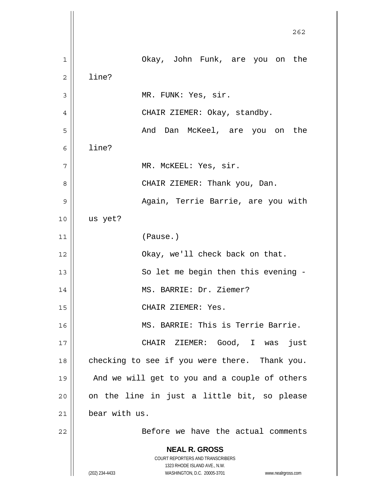**NEAL R. GROSS** COURT REPORTERS AND TRANSCRIBERS 1323 RHODE ISLAND AVE., N.W. (202) 234-4433 WASHINGTON, D.C. 20005-3701 www.nealrgross.com проставление в село в 1962 године в 262 године в 262 године в 262 године в 262 године в 262 године в 262 годин<br>В 262 године в 262 године в 262 године в 262 године в 262 године в 262 године в 262 године в 262 године в 262 1 2 3 4 5 6 7 8 9 10 11 12 13 14 15 16 17 18 19 20 21 22 Okay, John Funk, are you on the line? MR. FUNK: Yes, sir. CHAIR ZIEMER: Okay, standby. And Dan McKeel, are you on the line? MR. McKEEL: Yes, sir. CHAIR ZIEMER: Thank you, Dan. Again, Terrie Barrie, are you with us yet? (Pause.) Okay, we'll check back on that. So let me begin then this evening - MS. BARRIE: Dr. Ziemer? CHAIR ZIEMER: Yes. MS. BARRIE: This is Terrie Barrie. CHAIR ZIEMER: Good, I was just checking to see if you were there. Thank you. And we will get to you and a couple of others on the line in just a little bit, so please bear with us. Before we have the actual comments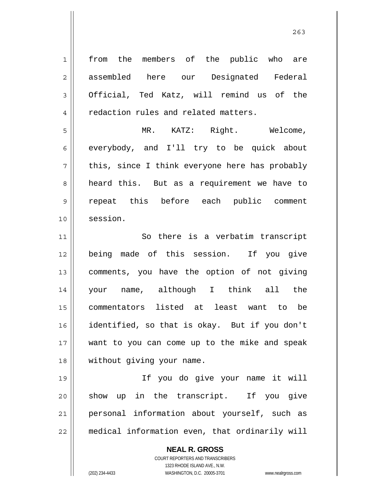1 2 3 4 5 6 7 8 9 10 11 12 13 14 15 16 17 18 19 20 21 22 from the members of the public who are assembled here our Designated Federal Official, Ted Katz, will remind us of the redaction rules and related matters. MR. KATZ: Right. Welcome, everybody, and I'll try to be quick about this, since I think everyone here has probably heard this. But as a requirement we have to repeat this before each public comment session. So there is a verbatim transcript being made of this session. If you give comments, you have the option of not giving your name, although I think all the commentators listed at least want to be identified, so that is okay. But if you don't want to you can come up to the mike and speak without giving your name. If you do give your name it will show up in the transcript. If you give personal information about yourself, such as medical information even, that ordinarily will

<u>263</u>

**NEAL R. GROSS** COURT REPORTERS AND TRANSCRIBERS 1323 RHODE ISLAND AVE., N.W.

(202) 234-4433 WASHINGTON, D.C. 20005-3701 www.nealrgross.com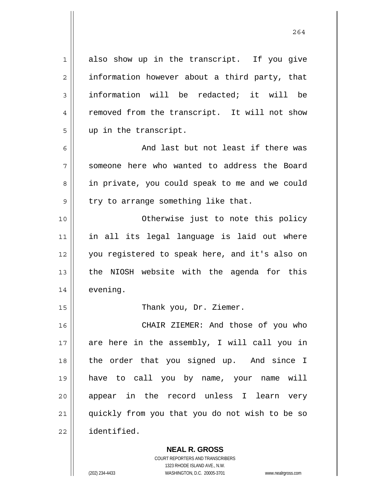1 2 3 4 5 6 7 8 9 10 11 12 13 14 15 16 17 18 19 20 21 22 also show up in the transcript. If you give information however about a third party, that information will be redacted; it will be removed from the transcript. It will not show up in the transcript. And last but not least if there was someone here who wanted to address the Board in private, you could speak to me and we could try to arrange something like that. Otherwise just to note this policy in all its legal language is laid out where you registered to speak here, and it's also on the NIOSH website with the agenda for this evening. Thank you, Dr. Ziemer. CHAIR ZIEMER: And those of you who are here in the assembly, I will call you in the order that you signed up. And since I have to call you by name, your name will appear in the record unless I learn very quickly from you that you do not wish to be so identified.

> COURT REPORTERS AND TRANSCRIBERS 1323 RHODE ISLAND AVE., N.W. (202) 234-4433 WASHINGTON, D.C. 20005-3701 www.nealrgross.com

**NEAL R. GROSS**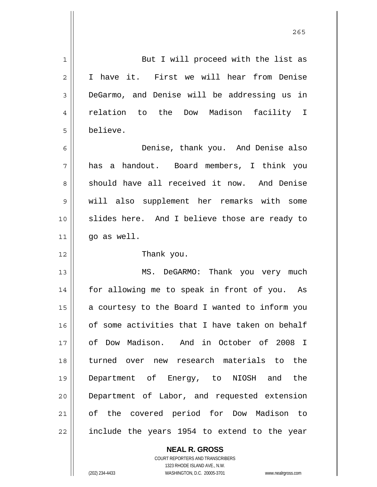| $\mathbf{1}$   | But I will proceed with the list as            |
|----------------|------------------------------------------------|
| $\overline{2}$ | I have it. First we will hear from Denise      |
| 3              | DeGarmo, and Denise will be addressing us in   |
| 4              | relation to the Dow Madison facility I         |
| 5              | believe.                                       |
| 6              | Denise, thank you. And Denise also             |
| 7              | has a handout. Board members, I think you      |
| 8              | should have all received it now. And Denise    |
| 9              | will also supplement her remarks with some     |
| 10             | slides here. And I believe those are ready to  |
| 11             | go as well.                                    |
| 12             | Thank you.                                     |
| 13             | MS. DeGARMO: Thank you very much               |
| 14             | for allowing me to speak in front of you. As   |
| 15             | a courtesy to the Board I wanted to inform you |
| 16             | of some activities that I have taken on behalf |
| 17             | of Dow Madison. And in October of 2008 I       |
| 18             | turned over new research materials to the      |
| 19             | Department of Energy, to NIOSH and the         |
| 20             | Department of Labor, and requested extension   |
|                |                                                |
| 21             | of the covered period for Dow Madison to       |

**NEAL R. GROSS** COURT REPORTERS AND TRANSCRIBERS 1323 RHODE ISLAND AVE., N.W.

(202) 234-4433 WASHINGTON, D.C. 20005-3701 www.nealrgross.com

 $\mathsf{II}$ 

<u>265</u>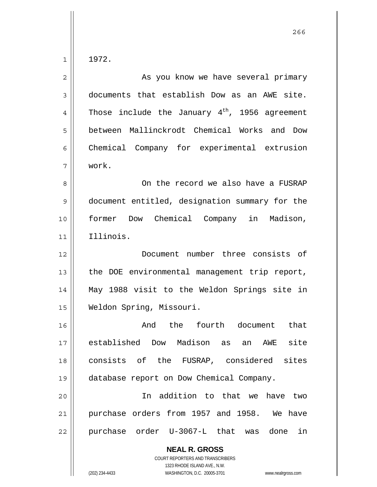1

| $\mathbf{2}$ | As you know we have several primary                        |
|--------------|------------------------------------------------------------|
| 3            | documents that establish Dow as an AWE site.               |
| 4            | Those include the January $4^{\text{th}}$ , 1956 agreement |
| 5            | between Mallinckrodt Chemical Works and Dow                |
| 6            | Chemical Company for experimental extrusion                |
| 7            | work.                                                      |
| 8            | On the record we also have a FUSRAP                        |
| $\mathsf 9$  | document entitled, designation summary for the             |
| 10           | former Dow Chemical Company in Madison,                    |
| 11           | Illinois.                                                  |
| 12           | Document number three consists of                          |
| 13           | the DOE environmental management trip report,              |
| 14           | May 1988 visit to the Weldon Springs site in               |
| 15           | Weldon Spring, Missouri.                                   |
| 16           | And the fourth document<br>that                            |
| 17           | established Dow Madison as an AWE site                     |
| 18           | consists of the FUSRAP, considered sites                   |
| 19           | database report on Dow Chemical Company.                   |
| 20           | In addition to that we have two                            |
| 21           | purchase orders from 1957 and 1958. We have                |
| 22           | purchase order U-3067-L that was done<br>in                |
|              | <b>NEAL R. GROSS</b><br>COURT REPORTERS AND TRANSCRIBERS   |

1323 RHODE ISLAND AVE., N.W.

 $\prod$ 

(202) 234-4433 WASHINGTON, D.C. 20005-3701 www.nealrgross.com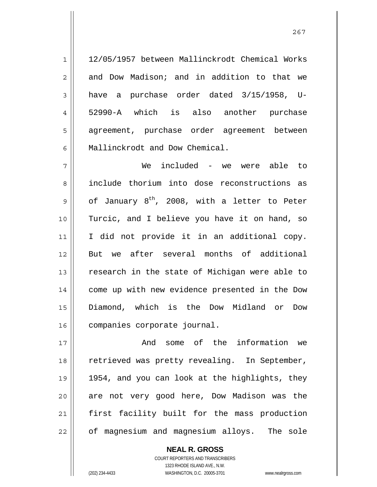12/05/1957 between Mallinckrodt Chemical Works and Dow Madison; and in addition to that we have a purchase order dated 3/15/1958, U-52990-A which is also another purchase agreement, purchase order agreement between Mallinckrodt and Dow Chemical.

1

2

3

4

5

6

7 8 9 10 11 12 13 14 15 16 We included - we were able to include thorium into dose reconstructions as of January  $8^{th}$ , 2008, with a letter to Peter Turcic, and I believe you have it on hand, so I did not provide it in an additional copy. But we after several months of additional research in the state of Michigan were able to come up with new evidence presented in the Dow Diamond, which is the Dow Midland or Dow companies corporate journal.

17 18 19 20 21 22 And some of the information we retrieved was pretty revealing. In September, 1954, and you can look at the highlights, they are not very good here, Dow Madison was the first facility built for the mass production of magnesium and magnesium alloys. The sole

> **NEAL R. GROSS** COURT REPORTERS AND TRANSCRIBERS 1323 RHODE ISLAND AVE., N.W. (202) 234-4433 WASHINGTON, D.C. 20005-3701 www.nealrgross.com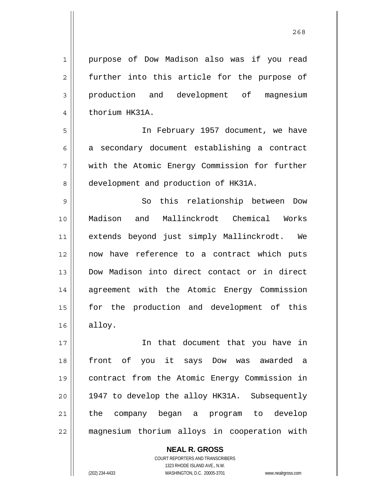purpose of Dow Madison also was if you read further into this article for the purpose of production and development of magnesium thorium HK31A.

5 6 7 8 In February 1957 document, we have a secondary document establishing a contract with the Atomic Energy Commission for further development and production of HK31A.

9 10 11 12 13 14 15 16 So this relationship between Dow Madison and Mallinckrodt Chemical Works extends beyond just simply Mallinckrodt. We now have reference to a contract which puts Dow Madison into direct contact or in direct agreement with the Atomic Energy Commission for the production and development of this alloy.

17 18 19 20 21 22 In that document that you have in front of you it says Dow was awarded a contract from the Atomic Energy Commission in 1947 to develop the alloy HK31A. Subsequently the company began a program to develop magnesium thorium alloys in cooperation with

> **NEAL R. GROSS** COURT REPORTERS AND TRANSCRIBERS 1323 RHODE ISLAND AVE., N.W. (202) 234-4433 WASHINGTON, D.C. 20005-3701 www.nealrgross.com

1

2

3

4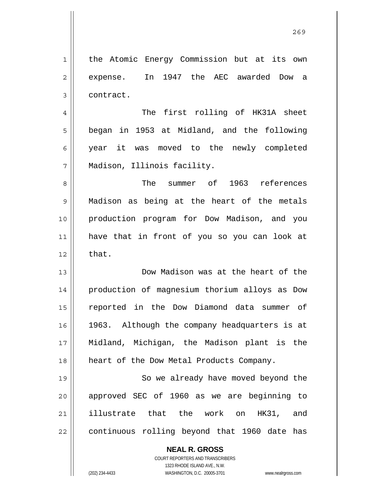1 2 3 the Atomic Energy Commission but at its own expense. In 1947 the AEC awarded Dow a contract.

4 5 6 7 The first rolling of HK31A sheet began in 1953 at Midland, and the following year it was moved to the newly completed Madison, Illinois facility.

8 9 10 11 12 The summer of 1963 references Madison as being at the heart of the metals production program for Dow Madison, and you have that in front of you so you can look at that.

13 14 15 16 17 18 Dow Madison was at the heart of the production of magnesium thorium alloys as Dow reported in the Dow Diamond data summer of 1963. Although the company headquarters is at Midland, Michigan, the Madison plant is the heart of the Dow Metal Products Company.

19 20 21 22 So we already have moved beyond the approved SEC of 1960 as we are beginning to illustrate that the work on HK31, and continuous rolling beyond that 1960 date has

## **NEAL R. GROSS**

COURT REPORTERS AND TRANSCRIBERS 1323 RHODE ISLAND AVE., N.W. (202) 234-4433 WASHINGTON, D.C. 20005-3701 www.nealrgross.com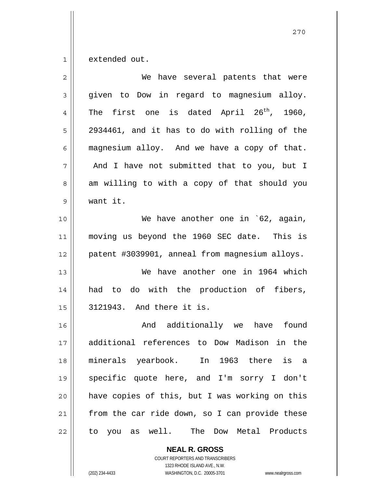1 extended out.

| $\overline{2}$ | We have several patents that were                     |
|----------------|-------------------------------------------------------|
| 3              | given to Dow in regard to magnesium alloy.            |
| 4              | The first one is dated April 26 <sup>th</sup> , 1960, |
| 5              | 2934461, and it has to do with rolling of the         |
| 6              | magnesium alloy. And we have a copy of that.          |
| 7              | And I have not submitted that to you, but I           |
| 8              | am willing to with a copy of that should you          |
| 9              | want it.                                              |
| 10             | We have another one in `62, again,                    |
| 11             | moving us beyond the 1960 SEC date. This is           |
| 12             | patent #3039901, anneal from magnesium alloys.        |
| 13             | We have another one in 1964 which                     |
| 14             | had to do with the production of fibers,              |
| 15             | 3121943. And there it is.                             |
| 16             | And additionally we have found                        |
| 17             | additional references to Dow Madison in the           |
| 18             | minerals yearbook. In 1963 there<br>is a              |
| 19             | specific quote here, and I'm sorry I don't            |
| 20             | have copies of this, but I was working on this        |
| 21             | from the car ride down, so I can provide these        |
| 22             | to you as well. The<br>Dow Metal Products             |

**NEAL R. GROSS** COURT REPORTERS AND TRANSCRIBERS 1323 RHODE ISLAND AVE., N.W. (202) 234-4433 WASHINGTON, D.C. 20005-3701 www.nealrgross.com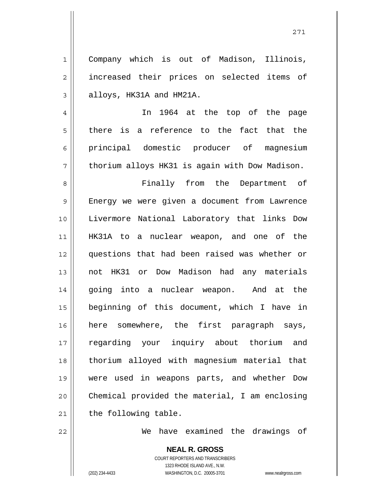Company which is out of Madison, Illinois, increased their prices on selected items of alloys, HK31A and HM21A.

7 In 1964 at the top of the page there is a reference to the fact that the principal domestic producer of magnesium thorium alloys HK31 is again with Dow Madison.

8 9 10 11 12 13 14 15 16 17 18 19 20 21 Finally from the Department of Energy we were given a document from Lawrence Livermore National Laboratory that links Dow HK31A to a nuclear weapon, and one of the questions that had been raised was whether or not HK31 or Dow Madison had any materials going into a nuclear weapon. And at the beginning of this document, which I have in here somewhere, the first paragraph says, regarding your inquiry about thorium and thorium alloyed with magnesium material that were used in weapons parts, and whether Dow Chemical provided the material, I am enclosing the following table.

We have examined the drawings of

**NEAL R. GROSS** COURT REPORTERS AND TRANSCRIBERS 1323 RHODE ISLAND AVE., N.W. (202) 234-4433 WASHINGTON, D.C. 20005-3701 www.nealrgross.com

22

1

2

3

4

5

6

271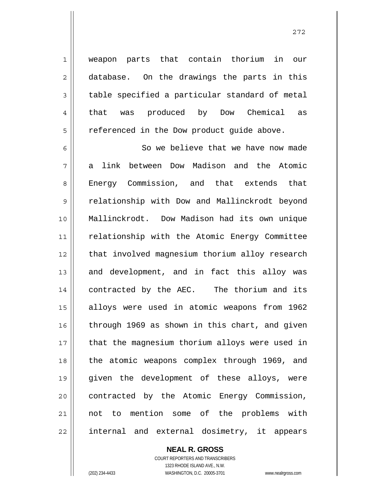weapon parts that contain thorium in our database. On the drawings the parts in this table specified a particular standard of metal that was produced by Dow Chemical as referenced in the Dow product guide above.

6 7 8 9 10 11 12 13 14 15 16 17 18 19 20 21 22 So we believe that we have now made a link between Dow Madison and the Atomic Energy Commission, and that extends that relationship with Dow and Mallinckrodt beyond Mallinckrodt. Dow Madison had its own unique relationship with the Atomic Energy Committee that involved magnesium thorium alloy research and development, and in fact this alloy was contracted by the AEC. The thorium and its alloys were used in atomic weapons from 1962 through 1969 as shown in this chart, and given that the magnesium thorium alloys were used in the atomic weapons complex through 1969, and given the development of these alloys, were contracted by the Atomic Energy Commission, not to mention some of the problems with internal and external dosimetry, it appears

> **NEAL R. GROSS** COURT REPORTERS AND TRANSCRIBERS 1323 RHODE ISLAND AVE., N.W. (202) 234-4433 WASHINGTON, D.C. 20005-3701 www.nealrgross.com

1

2

3

4

5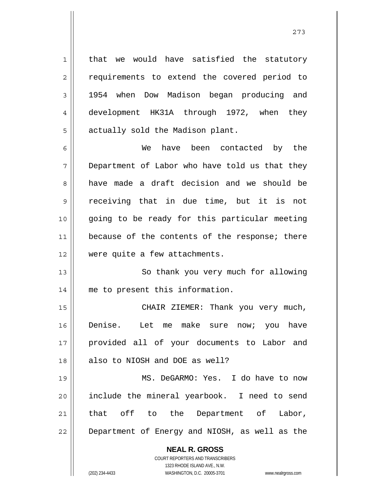that we would have satisfied the statutory requirements to extend the covered period to 1954 when Dow Madison began producing and development HK31A through 1972, when they actually sold the Madison plant.

1

2

3

4

5

6 7 8 9 10 11 12 We have been contacted by the Department of Labor who have told us that they have made a draft decision and we should be receiving that in due time, but it is not going to be ready for this particular meeting because of the contents of the response; there were quite a few attachments.

13 14 So thank you very much for allowing me to present this information.

15 16 17 18 CHAIR ZIEMER: Thank you very much, Denise. Let me make sure now; you have provided all of your documents to Labor and also to NIOSH and DOE as well?

19 20 21 22 MS. DeGARMO: Yes. I do have to now include the mineral yearbook. I need to send that off to the Department of Labor, Department of Energy and NIOSH, as well as the

## **NEAL R. GROSS**

COURT REPORTERS AND TRANSCRIBERS 1323 RHODE ISLAND AVE., N.W. (202) 234-4433 WASHINGTON, D.C. 20005-3701 www.nealrgross.com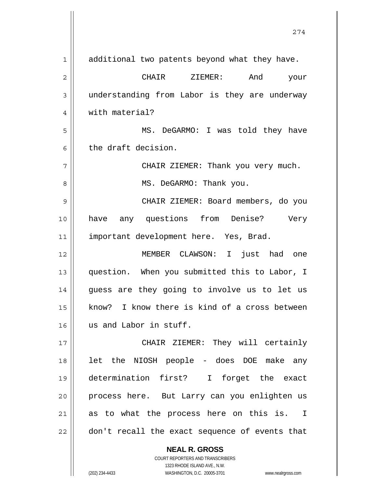| $\mathbf 1$ | additional two patents beyond what they have.  |
|-------------|------------------------------------------------|
| 2           | And<br>CHAIR<br>ZIEMER:<br>your                |
| 3           | understanding from Labor is they are underway  |
| 4           | with material?                                 |
| 5           | MS. DeGARMO: I was told they have              |
| 6           | the draft decision.                            |
| 7           | CHAIR ZIEMER: Thank you very much.             |
| 8           | MS. DeGARMO: Thank you.                        |
| 9           | CHAIR ZIEMER: Board members, do you            |
| 10          | any questions from Denise?<br>have<br>Very     |
| 11          | important development here. Yes, Brad.         |
| 12          | MEMBER CLAWSON: I just had one                 |
| 13          | question. When you submitted this to Labor, I  |
| 14          | guess are they going to involve us to let us   |
| 15          | know? I know there is kind of a cross between  |
| 16          | us and Labor in stuff.                         |
| 17          | CHAIR ZIEMER: They will certainly              |
| 18          | let the NIOSH people - does DOE make any       |
| 19          | determination first? I forget the exact        |
| 20          | process here. But Larry can you enlighten us   |
| 21          | as to what the process here on this is. I      |
| 22          | don't recall the exact sequence of events that |
|             | <b>NEAL R. GROSS</b>                           |

274

COURT REPORTERS AND TRANSCRIBERS 1323 RHODE ISLAND AVE., N.W. (202) 234-4433 WASHINGTON, D.C. 20005-3701 www.nealrgross.com

 $\mathsf{II}$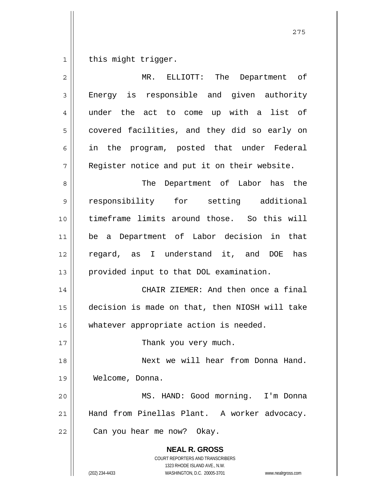1 this might trigger.

| $\overline{2}$ | $MR$ .<br>ELLIOTT: The Department of                                                                                                                            |
|----------------|-----------------------------------------------------------------------------------------------------------------------------------------------------------------|
| 3              | Energy is responsible and given authority                                                                                                                       |
| 4              | under the act to come up with a list of                                                                                                                         |
| 5              | covered facilities, and they did so early on                                                                                                                    |
| 6              | in the program, posted that under Federal                                                                                                                       |
| 7              | Register notice and put it on their website.                                                                                                                    |
| 8              | Department of Labor has the<br>The                                                                                                                              |
| 9              | responsibility for setting additional                                                                                                                           |
| 10             | timeframe limits around those. So this will                                                                                                                     |
| 11             | be a Department of Labor decision in that                                                                                                                       |
| 12             | regard, as I understand it, and DOE has                                                                                                                         |
| 13             | provided input to that DOL examination.                                                                                                                         |
| 14             | CHAIR ZIEMER: And then once a final                                                                                                                             |
| 15             | decision is made on that, then NIOSH will take                                                                                                                  |
| 16             | whatever appropriate action is needed.                                                                                                                          |
| 17             | Thank you very much.                                                                                                                                            |
| 18             | Next we will hear from Donna Hand.                                                                                                                              |
| 19             | Welcome, Donna.                                                                                                                                                 |
| 20             | MS. HAND: Good morning. I'm Donna                                                                                                                               |
| 21             | Hand from Pinellas Plant. A worker advocacy.                                                                                                                    |
| 22             | Can you hear me now? Okay.                                                                                                                                      |
|                | <b>NEAL R. GROSS</b><br>COURT REPORTERS AND TRANSCRIBERS<br>1323 RHODE ISLAND AVE., N.W.<br>(202) 234-4433<br>WASHINGTON, D.C. 20005-3701<br>www.nealrgross.com |

<u>275</u>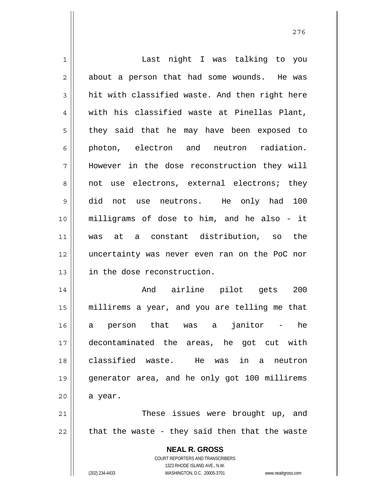**NEAL R. GROSS** COURT REPORTERS AND TRANSCRIBERS 1323 RHODE ISLAND AVE., N.W. 1 2 3 4 5 6 7 8 9 10 11 12 13 14 15 16 17 18 19 20 21 22 Last night I was talking to you about a person that had some wounds. He was hit with classified waste. And then right here with his classified waste at Pinellas Plant, they said that he may have been exposed to photon, electron and neutron radiation. However in the dose reconstruction they will not use electrons, external electrons; they did not use neutrons. He only had 100 milligrams of dose to him, and he also - it was at a constant distribution, so the uncertainty was never even ran on the PoC nor in the dose reconstruction. And airline pilot gets 200 millirems a year, and you are telling me that a person that was a janitor - he decontaminated the areas, he got cut with classified waste. He was in a neutron generator area, and he only got 100 millirems a year. These issues were brought up, and that the waste - they said then that the waste

(202) 234-4433 WASHINGTON, D.C. 20005-3701 www.nealrgross.com

276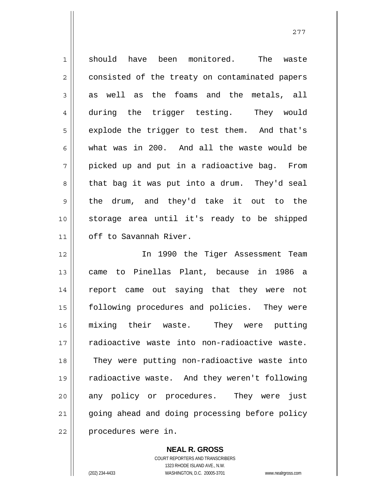1 2 3 4 5 6 7 8 9 10 11 12 13 14 15 16 17 18 19 20 21 22 should have been monitored. The waste consisted of the treaty on contaminated papers as well as the foams and the metals, all during the trigger testing. They would explode the trigger to test them. And that's what was in 200. And all the waste would be picked up and put in a radioactive bag. From that bag it was put into a drum. They'd seal the drum, and they'd take it out to the storage area until it's ready to be shipped off to Savannah River. In 1990 the Tiger Assessment Team came to Pinellas Plant, because in 1986 a report came out saying that they were not following procedures and policies. They were mixing their waste. They were putting radioactive waste into non-radioactive waste. They were putting non-radioactive waste into radioactive waste. And they weren't following any policy or procedures. They were just going ahead and doing processing before policy procedures were in.

277

**NEAL R. GROSS**

COURT REPORTERS AND TRANSCRIBERS 1323 RHODE ISLAND AVE., N.W. (202) 234-4433 WASHINGTON, D.C. 20005-3701 www.nealrgross.com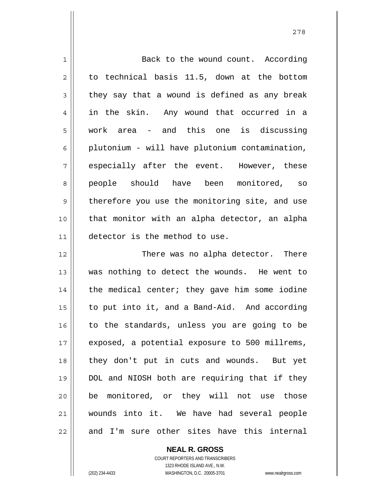| $\mathbf 1$    | Back to the wound count. According             |
|----------------|------------------------------------------------|
| $\overline{2}$ | to technical basis 11.5, down at the bottom    |
| $\mathsf 3$    | they say that a wound is defined as any break  |
| 4              | in the skin. Any wound that occurred in a      |
| 5              | work area - and this one is discussing         |
| 6              | plutonium - will have plutonium contamination, |
| 7              | especially after the event. However, these     |
| 8              | people should have been monitored, so          |
| $\mathsf 9$    | therefore you use the monitoring site, and use |
| 10             | that monitor with an alpha detector, an alpha  |
| 11             | detector is the method to use.                 |
| 12             | There was no alpha detector. There             |
| 13             | was nothing to detect the wounds. He went to   |
| 14             | the medical center; they gave him some iodine  |
| 15             | to put into it, and a Band-Aid. And according  |
| 16             | to the standards, unless you are going to be   |
| 17             | exposed, a potential exposure to 500 millrems, |
| 18             | they don't put in cuts and wounds. But yet     |
| 19             | DOL and NIOSH both are requiring that if they  |
| 20             | be monitored, or they will not use those       |
| 21             | wounds into it. We have had several people     |
|                |                                                |

**NEAL R. GROSS** COURT REPORTERS AND TRANSCRIBERS 1323 RHODE ISLAND AVE., N.W.

 $\mathsf{II}$ 

(202) 234-4433 WASHINGTON, D.C. 20005-3701 www.nealrgross.com

278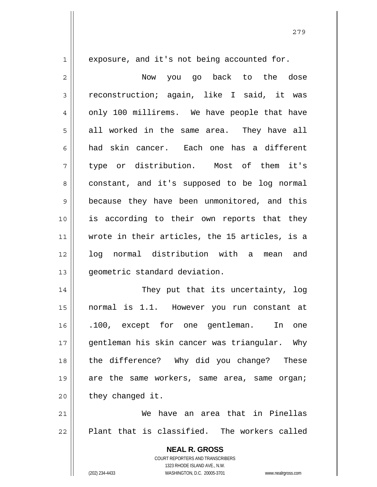exposure, and it's not being accounted for.

1

2 3 4 5 6 7 8 9 10 11 12 13 14 15 16 17 Now you go back to the dose reconstruction; again, like I said, it was only 100 millirems. We have people that have all worked in the same area. They have all had skin cancer. Each one has a different type or distribution. Most of them it's constant, and it's supposed to be log normal because they have been unmonitored, and this is according to their own reports that they wrote in their articles, the 15 articles, is a log normal distribution with a mean and geometric standard deviation. They put that its uncertainty, log normal is 1.1. However you run constant at .100, except for one gentleman. In one

18 19 20 gentleman his skin cancer was triangular. Why the difference? Why did you change? These are the same workers, same area, same organ; they changed it.

21 22 We have an area that in Pinellas Plant that is classified. The workers called

> **NEAL R. GROSS** COURT REPORTERS AND TRANSCRIBERS 1323 RHODE ISLAND AVE., N.W. (202) 234-4433 WASHINGTON, D.C. 20005-3701 www.nealrgross.com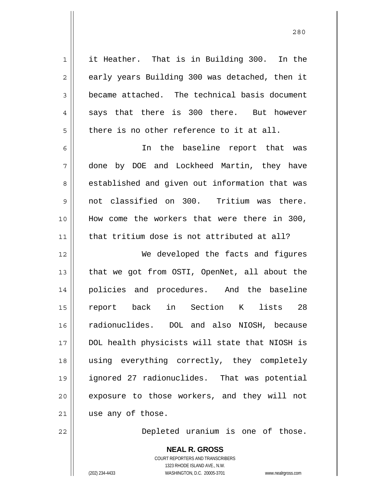1 2 3 4 5 6 7 8 9 10 11 12 13 14 15 16 17 18 19 20 21 it Heather. That is in Building 300. In the early years Building 300 was detached, then it became attached. The technical basis document says that there is 300 there. But however there is no other reference to it at all. In the baseline report that was done by DOE and Lockheed Martin, they have established and given out information that was not classified on 300. Tritium was there. How come the workers that were there in 300, that tritium dose is not attributed at all? We developed the facts and figures that we got from OSTI, OpenNet, all about the policies and procedures. And the baseline report back in Section K lists 28 radionuclides. DOL and also NIOSH, because DOL health physicists will state that NIOSH is using everything correctly, they completely ignored 27 radionuclides. That was potential exposure to those workers, and they will not use any of those.

Depleted uranium is one of those.

**NEAL R. GROSS** COURT REPORTERS AND TRANSCRIBERS 1323 RHODE ISLAND AVE., N.W. (202) 234-4433 WASHINGTON, D.C. 20005-3701 www.nealrgross.com

22

<u>280</u>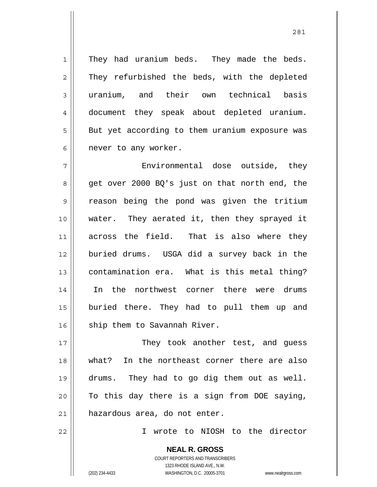They had uranium beds. They made the beds. They refurbished the beds, with the depleted uranium, and their own technical basis document they speak about depleted uranium. But yet according to them uranium exposure was never to any worker.

7 8 9 10 11 12 13 14 15 16 Environmental dose outside, they get over 2000 BQ's just on that north end, the reason being the pond was given the tritium water. They aerated it, then they sprayed it across the field. That is also where they buried drums. USGA did a survey back in the contamination era. What is this metal thing? In the northwest corner there were drums buried there. They had to pull them up and ship them to Savannah River.

17 18 19 20 21 They took another test, and guess what? In the northeast corner there are also drums. They had to go dig them out as well. To this day there is a sign from DOE saying, hazardous area, do not enter.

22

1

2

3

4

5

6

I wrote to NIOSH to the director

281

**NEAL R. GROSS**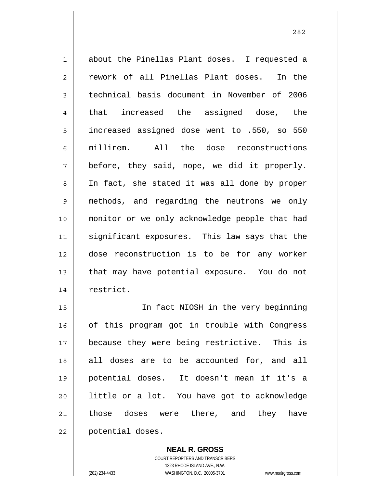1 2 3 4 5 6 7 8 9 10 11 12 13 14 about the Pinellas Plant doses. I requested a rework of all Pinellas Plant doses. In the technical basis document in November of 2006 that increased the assigned dose, the increased assigned dose went to .550, so 550 millirem. All the dose reconstructions before, they said, nope, we did it properly. In fact, she stated it was all done by proper methods, and regarding the neutrons we only monitor or we only acknowledge people that had significant exposures. This law says that the dose reconstruction is to be for any worker that may have potential exposure. You do not restrict.

<u>282</u>

15 16 17 18 19 20 21 22 In fact NIOSH in the very beginning of this program got in trouble with Congress because they were being restrictive. This is all doses are to be accounted for, and all potential doses. It doesn't mean if it's a little or a lot. You have got to acknowledge those doses were there, and they have potential doses.

> **NEAL R. GROSS** COURT REPORTERS AND TRANSCRIBERS 1323 RHODE ISLAND AVE., N.W. (202) 234-4433 WASHINGTON, D.C. 20005-3701 www.nealrgross.com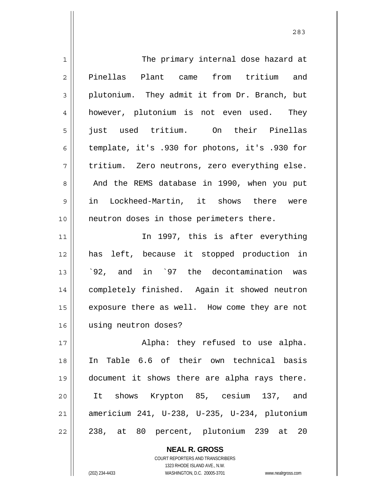| $\mathbf 1$    | The primary internal dose hazard at            |
|----------------|------------------------------------------------|
| $\overline{2}$ | Pinellas Plant came from tritium and           |
| 3              | plutonium. They admit it from Dr. Branch, but  |
| 4              | however, plutonium is not even used. They      |
| 5              | just used tritium. On their Pinellas           |
| 6              | template, it's .930 for photons, it's .930 for |
| 7              | tritium. Zero neutrons, zero everything else.  |
| 8              | And the REMS database in 1990, when you put    |
| 9              | in Lockheed-Martin, it shows there were        |
| 10             | neutron doses in those perimeters there.       |
| 11             | In 1997, this is after everything              |
| 12             | has left, because it stopped production in     |
| 13             | '92, and in '97 the decontamination was        |
| 14             | completely finished. Again it showed neutron   |
| 15             | exposure there as well. How come they are not  |
| 16             | using neutron doses?                           |
| 17             | Alpha: they refused to use alpha.              |
| 18             | In Table 6.6 of their own technical basis      |
| 19             | document it shows there are alpha rays there.  |
| 20             | It shows Krypton 85, cesium 137, and           |
| 21             | americium 241, U-238, U-235, U-234, plutonium  |
| 22             | 238, at 80 percent, plutonium 239 at 20        |

**NEAL R. GROSS** COURT REPORTERS AND TRANSCRIBERS

1323 RHODE ISLAND AVE., N.W.

(202) 234-4433 WASHINGTON, D.C. 20005-3701 www.nealrgross.com

 $\mathsf{II}$ 

<u>283</u>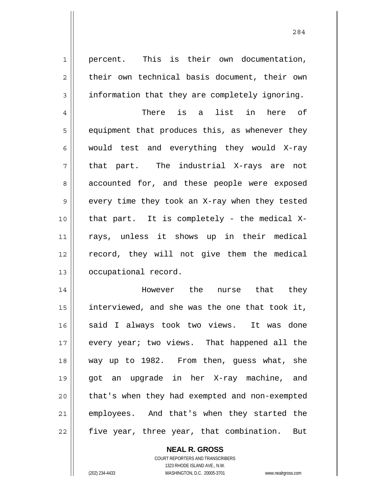percent. This is their own documentation, their own technical basis document, their own information that they are completely ignoring.

1

2

3

284

4 5 6 7 8 9 10 11 12 13 There is a list in here of equipment that produces this, as whenever they would test and everything they would X-ray that part. The industrial X-rays are not accounted for, and these people were exposed every time they took an X-ray when they tested that part. It is completely - the medical Xrays, unless it shows up in their medical record, they will not give them the medical occupational record.

14 15 16 17 18 19 20 21 22 However the nurse that they interviewed, and she was the one that took it, said I always took two views. It was done every year; two views. That happened all the way up to 1982. From then, guess what, she got an upgrade in her X-ray machine, and that's when they had exempted and non-exempted employees. And that's when they started the five year, three year, that combination. But

> **NEAL R. GROSS** COURT REPORTERS AND TRANSCRIBERS

1323 RHODE ISLAND AVE., N.W. (202) 234-4433 WASHINGTON, D.C. 20005-3701 www.nealrgross.com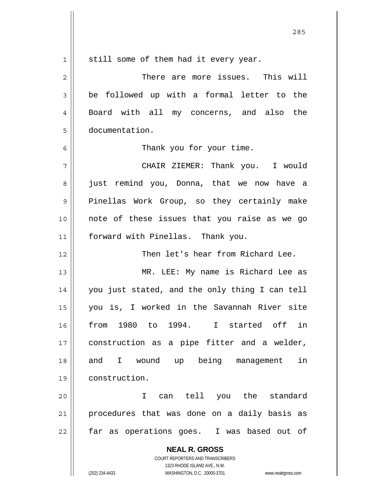| $\mathbf 1$    | still some of them had it every year.                                                               |
|----------------|-----------------------------------------------------------------------------------------------------|
| $\overline{2}$ | There are more issues. This will                                                                    |
| 3              | be followed up with a formal letter to the                                                          |
| 4              | Board with all my concerns, and also the                                                            |
| 5              | documentation.                                                                                      |
| 6              | Thank you for your time.                                                                            |
| 7              | CHAIR ZIEMER: Thank you. I would                                                                    |
| 8              | just remind you, Donna, that we now have a                                                          |
| 9              | Pinellas Work Group, so they certainly make                                                         |
| 10             | note of these issues that you raise as we go                                                        |
| 11             | forward with Pinellas. Thank you.                                                                   |
| 12             | Then let's hear from Richard Lee.                                                                   |
| 13             | MR. LEE: My name is Richard Lee as                                                                  |
| 14             | you just stated, and the only thing I can tell                                                      |
| 15             | you is, I worked in the Savannah River site                                                         |
| 16             | 1980 to 1994. I started off<br>in<br>from                                                           |
| 17             | construction as a pipe fitter and a welder,                                                         |
| 18             | I wound up being<br>in<br>and<br>management                                                         |
| 19             | construction.                                                                                       |
| 20             | can tell you the standard<br>I.                                                                     |
| 21             | procedures that was done on a daily basis as                                                        |
| 22             | far as operations goes. I was based out of                                                          |
|                | <b>NEAL R. GROSS</b>                                                                                |
|                | COURT REPORTERS AND TRANSCRIBERS                                                                    |
|                | 1323 RHODE ISLAND AVE., N.W.<br>(202) 234-4433<br>WASHINGTON, D.C. 20005-3701<br>www.nealrgross.com |

 $\mathsf{I}$ 

<u>285</u>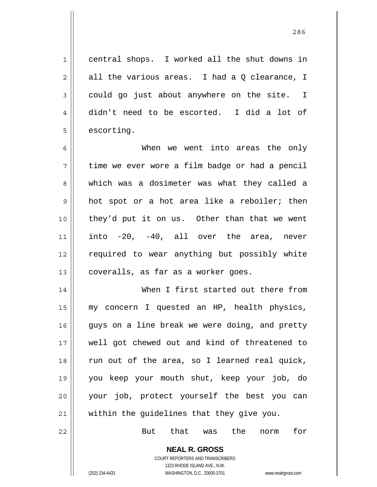central shops. I worked all the shut downs in all the various areas. I had a Q clearance, I could go just about anywhere on the site. I didn't need to be escorted. I did a lot of escorting.

6 7 8 9 10 11 12 13 When we went into areas the only time we ever wore a film badge or had a pencil which was a dosimeter was what they called a hot spot or a hot area like a reboiler; then they'd put it on us. Other than that we went into -20, -40, all over the area, never required to wear anything but possibly white coveralls, as far as a worker goes.

14 15 16 17 18 19 20 21 When I first started out there from my concern I quested an HP, health physics, guys on a line break we were doing, and pretty well got chewed out and kind of threatened to run out of the area, so I learned real quick, you keep your mouth shut, keep your job, do your job, protect yourself the best you can within the guidelines that they give you.

But that was the norm for

**NEAL R. GROSS** COURT REPORTERS AND TRANSCRIBERS

1323 RHODE ISLAND AVE., N.W.

22

1

2

3

4

5

(202) 234-4433 WASHINGTON, D.C. 20005-3701 www.nealrgross.com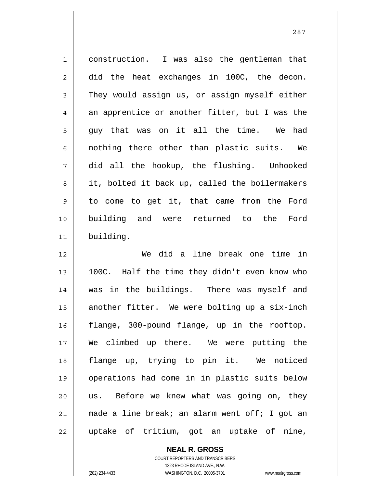1 2 3 4 5 6 7 8 9 10 11 12 construction. I was also the gentleman that did the heat exchanges in 100C, the decon. They would assign us, or assign myself either an apprentice or another fitter, but I was the guy that was on it all the time. We had nothing there other than plastic suits. We did all the hookup, the flushing. Unhooked it, bolted it back up, called the boilermakers to come to get it, that came from the Ford building and were returned to the Ford building. We did a line break one time in

13 14 15 16 17 18 19 20 21 22 100C. Half the time they didn't even know who was in the buildings. There was myself and another fitter. We were bolting up a six-inch flange, 300-pound flange, up in the rooftop. We climbed up there. We were putting the flange up, trying to pin it. We noticed operations had come in in plastic suits below us. Before we knew what was going on, they made a line break; an alarm went off; I got an uptake of tritium, got an uptake of nine,

> **NEAL R. GROSS** COURT REPORTERS AND TRANSCRIBERS

> > 1323 RHODE ISLAND AVE., N.W.

(202) 234-4433 WASHINGTON, D.C. 20005-3701 www.nealrgross.com

<u>287 and 287</u>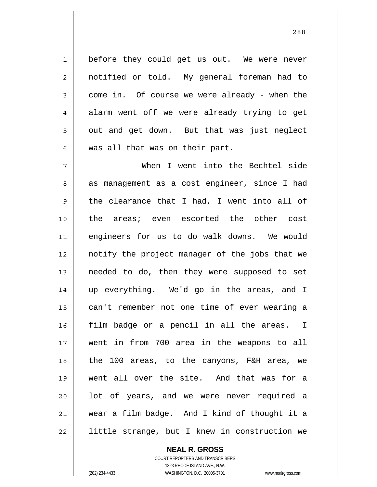before they could get us out. We were never notified or told. My general foreman had to come in. Of course we were already - when the alarm went off we were already trying to get out and get down. But that was just neglect was all that was on their part.

<u>288</u>

7 8 9 10 11 12 13 14 15 16 17 18 19 20 21 22 When I went into the Bechtel side as management as a cost engineer, since I had the clearance that I had, I went into all of the areas; even escorted the other cost engineers for us to do walk downs. We would notify the project manager of the jobs that we needed to do, then they were supposed to set up everything. We'd go in the areas, and I can't remember not one time of ever wearing a film badge or a pencil in all the areas. I went in from 700 area in the weapons to all the 100 areas, to the canyons, F&H area, we went all over the site. And that was for a lot of years, and we were never required a wear a film badge. And I kind of thought it a little strange, but I knew in construction we

## **NEAL R. GROSS**

COURT REPORTERS AND TRANSCRIBERS 1323 RHODE ISLAND AVE., N.W. (202) 234-4433 WASHINGTON, D.C. 20005-3701 www.nealrgross.com

1

2

3

4

5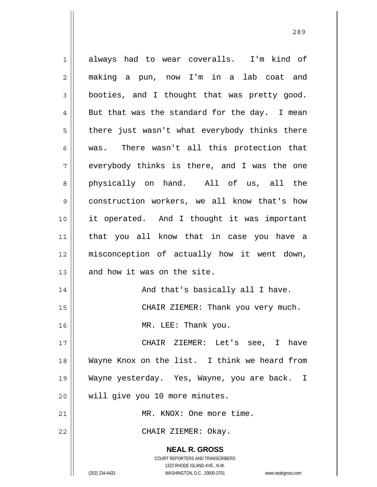**NEAL R. GROSS** COURT REPORTERS AND TRANSCRIBERS 1323 RHODE ISLAND AVE., N.W. (202) 234-4433 WASHINGTON, D.C. 20005-3701 www.nealrgross.com 1 2 3 4 5 6 7 8 9 10 11 12 13 14 15 16 17 18 19 20 21 22 always had to wear coveralls. I'm kind of making a pun, now I'm in a lab coat and booties, and I thought that was pretty good. But that was the standard for the day. I mean there just wasn't what everybody thinks there was. There wasn't all this protection that everybody thinks is there, and I was the one physically on hand. All of us, all the construction workers, we all know that's how it operated. And I thought it was important that you all know that in case you have a misconception of actually how it went down, and how it was on the site. And that's basically all I have. CHAIR ZIEMER: Thank you very much. MR. LEE: Thank you. CHAIR ZIEMER: Let's see, I have Wayne Knox on the list. I think we heard from Wayne yesterday. Yes, Wayne, you are back. I will give you 10 more minutes. MR. KNOX: One more time. CHAIR ZIEMER: Okay.

<u>289 and 289 and 289 and 289 and 289 and 289 and 289 and 289 and 289 and 289 and 289 and 289 and 289 and 289 and 289 and 289 and 289 and 289 and 289 and 289 and 289 and 289 and 289 and 289 and 289 and 289 and 289 and 289 a</u>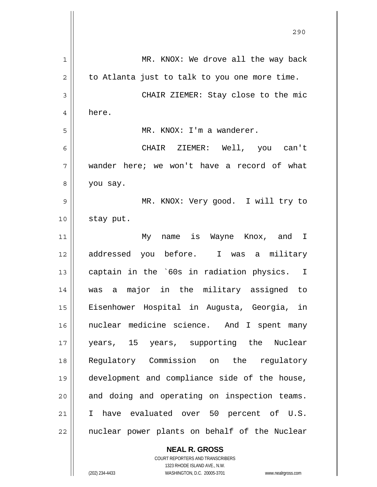|    | 290                                           |
|----|-----------------------------------------------|
| 1  | MR. KNOX: We drove all the way back           |
| 2  | to Atlanta just to talk to you one more time. |
| 3  | CHAIR ZIEMER: Stay close to the mic           |
| 4  | here.                                         |
| 5  | MR. KNOX: I'm a wanderer.                     |
| 6  | CHAIR ZIEMER: Well, you can't                 |
| 7  | wander here; we won't have a record of what   |
| 8  | you say.                                      |
| 9  | MR. KNOX: Very good. I will try to            |
| 10 | stay put.                                     |
| 11 | My name is Wayne Knox, and I                  |
| 12 | addressed you before. I was a military        |
| 13 | captain in the `60s in radiation physics. I   |
| 14 | major in the military assigned to<br>a<br>was |
| 15 | Eisenhower Hospital in Augusta, Georgia, in   |
| 16 | nuclear medicine science. And I spent many    |
| 17 | years, 15 years, supporting the<br>Nuclear    |
| 18 | Regulatory Commission on the<br>regulatory    |
| 19 | development and compliance side of the house, |
| 20 | and doing and operating on inspection teams.  |
| 21 | have evaluated over 50 percent of U.S.<br>I.  |
| 22 | nuclear power plants on behalf of the Nuclear |

**NEAL R. GROSS** COURT REPORTERS AND TRANSCRIBERS 1323 RHODE ISLAND AVE., N.W.

 $\mathbf{I}$ 

(202) 234-4433 WASHINGTON, D.C. 20005-3701 www.nealrgross.com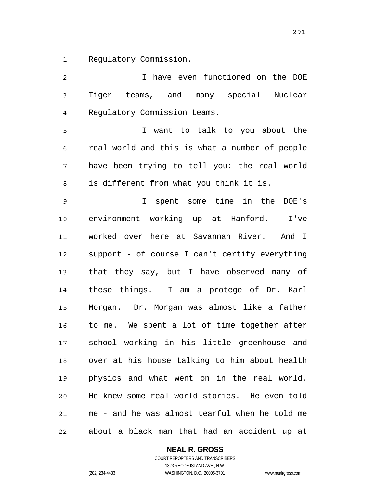1 Regulatory Commission.

| $\overline{c}$ | I have even functioned on the DOE              |
|----------------|------------------------------------------------|
| $\mathfrak{Z}$ | Tiger teams, and many special<br>Nuclear       |
| $\overline{4}$ | Regulatory Commission teams.                   |
| 5              | I want to talk to you about the                |
| 6              | real world and this is what a number of people |
| 7              | have been trying to tell you: the real world   |
| 8              | is different from what you think it is.        |
| 9              | I spent some time in the DOE's                 |
| 10             | environment working up at Hanford.<br>I've     |
| 11             | worked over here at Savannah River. And I      |
| 12             | support - of course I can't certify everything |
| 13             | that they say, but I have observed many of     |
| 14             | these things. I am a protege of Dr. Karl       |
| 15             | Morgan. Dr. Morgan was almost like a father    |
| 16             | to me. We spent a lot of time together after   |
| $17$           | school working in his little greenhouse and    |
| 18             | over at his house talking to him about health  |
| 19             | physics and what went on in the real world.    |
| 20             | He knew some real world stories. He even told  |
| 21             | me - and he was almost tearful when he told me |
| 22             | about a black man that had an accident up at   |

**NEAL R. GROSS**

COURT REPORTERS AND TRANSCRIBERS 1323 RHODE ISLAND AVE., N.W. (202) 234-4433 WASHINGTON, D.C. 20005-3701 www.nealrgross.com

<u>291</u>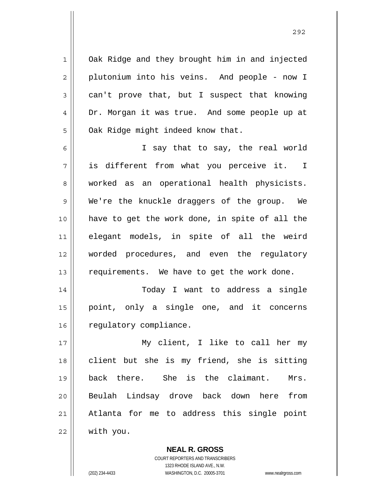Oak Ridge and they brought him in and injected plutonium into his veins. And people - now I can't prove that, but I suspect that knowing Dr. Morgan it was true. And some people up at Oak Ridge might indeed know that.

6 7 8 9 10 11 12 13 I say that to say, the real world is different from what you perceive it. I worked as an operational health physicists. We're the knuckle draggers of the group. We have to get the work done, in spite of all the elegant models, in spite of all the weird worded procedures, and even the regulatory requirements. We have to get the work done.

14 15 16 Today I want to address a single point, only a single one, and it concerns regulatory compliance.

17 18 19 20 21 22 My client, I like to call her my client but she is my friend, she is sitting back there. She is the claimant. Mrs. Beulah Lindsay drove back down here from Atlanta for me to address this single point with you.

> **NEAL R. GROSS** COURT REPORTERS AND TRANSCRIBERS 1323 RHODE ISLAND AVE., N.W. (202) 234-4433 WASHINGTON, D.C. 20005-3701 www.nealrgross.com

1

2

3

4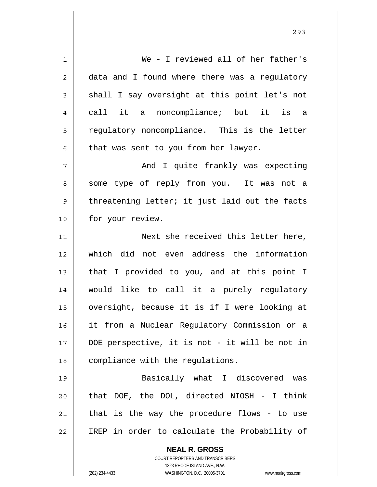**NEAL R. GROSS** COURT REPORTERS AND TRANSCRIBERS 1 2 3 4 5 6 7 8 9 10 11 12 13 14 15 16 17 18 19 20 21 22 We - I reviewed all of her father's data and I found where there was a regulatory shall I say oversight at this point let's not call it a noncompliance; but it is a regulatory noncompliance. This is the letter that was sent to you from her lawyer. And I quite frankly was expecting some type of reply from you. It was not a threatening letter; it just laid out the facts for your review. Next she received this letter here, which did not even address the information that I provided to you, and at this point I would like to call it a purely regulatory oversight, because it is if I were looking at it from a Nuclear Regulatory Commission or a DOE perspective, it is not - it will be not in compliance with the regulations. Basically what I discovered was that DOE, the DOL, directed NIOSH - I think that is the way the procedure flows - to use IREP in order to calculate the Probability of

<u>293</u>

1323 RHODE ISLAND AVE., N.W.

(202) 234-4433 WASHINGTON, D.C. 20005-3701 www.nealrgross.com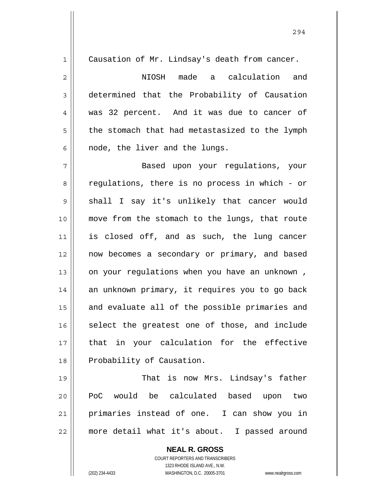| $\mathbf 1$    | Causation of Mr. Lindsay's death from cancer.  |
|----------------|------------------------------------------------|
| 2              | NIOSH made a calculation<br>and                |
| $\mathfrak{Z}$ | determined that the Probability of Causation   |
| $\overline{4}$ | was 32 percent. And it was due to cancer of    |
| 5              | the stomach that had metastasized to the lymph |
| 6              | node, the liver and the lungs.                 |
| 7              | Based upon your regulations, your              |
| 8              | regulations, there is no process in which - or |
| 9              | shall I say it's unlikely that cancer would    |
| 10             | move from the stomach to the lungs, that route |
| 11             | is closed off, and as such, the lung cancer    |
| 12             | now becomes a secondary or primary, and based  |
| 13             | on your regulations when you have an unknown,  |
| 14             | an unknown primary, it requires you to go back |
| 15             | and evaluate all of the possible primaries and |
| 16             | select the greatest one of those, and include  |
| 17             | that in your calculation for the effective     |
| 18             | Probability of Causation.                      |
| 19             | That is now Mrs. Lindsay's father              |
| 20             | PoC would be calculated based upon<br>two      |
| 21             | primaries instead of one. I can show you in    |
| 22             | more detail what it's about. I passed around   |

**NEAL R. GROSS** COURT REPORTERS AND TRANSCRIBERS 1323 RHODE ISLAND AVE., N.W. (202) 234-4433 WASHINGTON, D.C. 20005-3701 www.nealrgross.com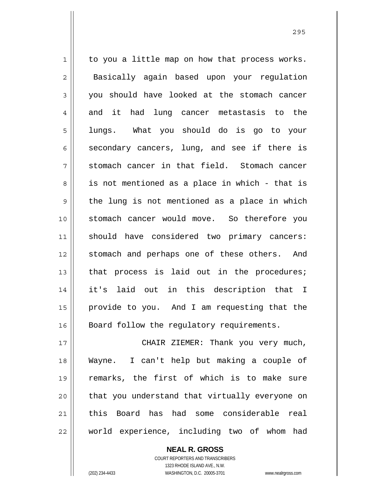1 2 3 4 5 6 7 8 9 10 11 12 13 14 15 16 to you a little map on how that process works. Basically again based upon your regulation you should have looked at the stomach cancer and it had lung cancer metastasis to the lungs. What you should do is go to your secondary cancers, lung, and see if there is stomach cancer in that field. Stomach cancer is not mentioned as a place in which - that is the lung is not mentioned as a place in which stomach cancer would move. So therefore you should have considered two primary cancers: stomach and perhaps one of these others. And that process is laid out in the procedures; it's laid out in this description that I provide to you. And I am requesting that the Board follow the regulatory requirements.

17 18 19 20 21 22 CHAIR ZIEMER: Thank you very much, Wayne. I can't help but making a couple of remarks, the first of which is to make sure that you understand that virtually everyone on this Board has had some considerable real world experience, including two of whom had

> COURT REPORTERS AND TRANSCRIBERS 1323 RHODE ISLAND AVE., N.W. (202) 234-4433 WASHINGTON, D.C. 20005-3701 www.nealrgross.com

**NEAL R. GROSS**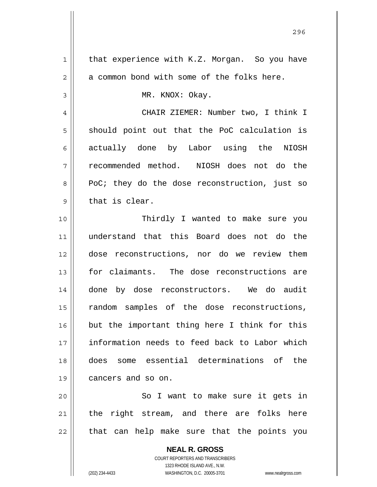| $\mathbf 1$    | that experience with K.Z. Morgan. So you have            |
|----------------|----------------------------------------------------------|
| $\overline{2}$ | a common bond with some of the folks here.               |
| 3              | MR. KNOX: Okay.                                          |
| 4              | CHAIR ZIEMER: Number two, I think I                      |
| 5              | should point out that the PoC calculation is             |
| 6              | actually done by Labor using the NIOSH                   |
| 7              | recommended method. NIOSH does not do the                |
| 8              | PoC; they do the dose reconstruction, just so            |
| 9              | that is clear.                                           |
| 10             | Thirdly I wanted to make sure you                        |
| 11             | understand that this Board does not do the               |
| 12             | dose reconstructions, nor do we review them              |
| 13             | for claimants. The dose reconstructions are              |
| 14             | done by dose reconstructors. We do audit                 |
| 15             | random samples of the dose reconstructions,              |
| 16             | but the important thing here I think for this            |
| 17             | information needs to feed back to Labor which            |
| 18             | does some essential determinations of<br>the             |
| 19             | cancers and so on.                                       |
| 20             | So I want to make sure it gets in                        |
| 21             | the right stream, and there are folks here               |
| 22             | that can help make sure that the points you              |
|                | <b>NEAL R. GROSS</b><br>COURT REPORTERS AND TRANSCRIBERS |

1323 RHODE ISLAND AVE., N.W.

 $\begin{array}{c} \hline \end{array}$ 

(202) 234-4433 WASHINGTON, D.C. 20005-3701 www.nealrgross.com

<u>296 - Andrej Amerikaanse konstantinoplera (</u>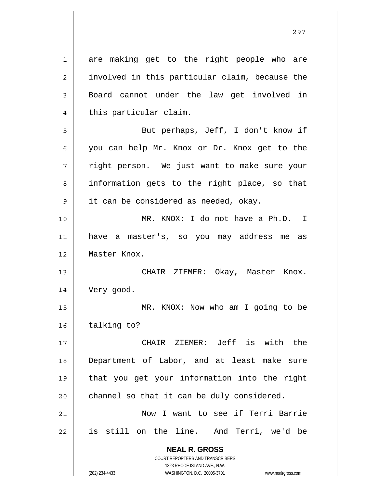**NEAL R. GROSS** COURT REPORTERS AND TRANSCRIBERS 1 2 3 4 5 6 7 8 9 10 11 12 13 14 15 16 17 18 19 20 21 22 are making get to the right people who are involved in this particular claim, because the Board cannot under the law get involved in this particular claim. But perhaps, Jeff, I don't know if you can help Mr. Knox or Dr. Knox get to the right person. We just want to make sure your information gets to the right place, so that it can be considered as needed, okay. MR. KNOX: I do not have a Ph.D. I have a master's, so you may address me as Master Knox. CHAIR ZIEMER: Okay, Master Knox. Very good. MR. KNOX: Now who am I going to be talking to? CHAIR ZIEMER: Jeff is with the Department of Labor, and at least make sure that you get your information into the right channel so that it can be duly considered. Now I want to see if Terri Barrie is still on the line. And Terri, we'd be

1323 RHODE ISLAND AVE., N.W.

(202) 234-4433 WASHINGTON, D.C. 20005-3701 www.nealrgross.com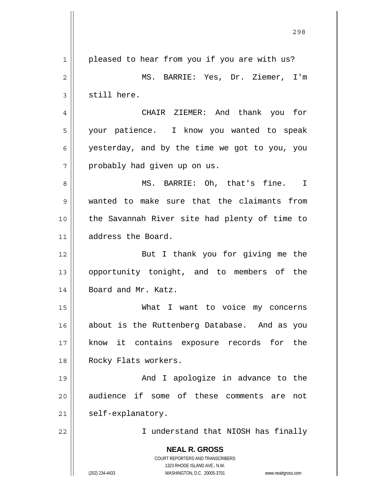**NEAL R. GROSS** COURT REPORTERS AND TRANSCRIBERS 1323 RHODE ISLAND AVE., N.W. (202) 234-4433 WASHINGTON, D.C. 20005-3701 www.nealrgross.com <u>298</u> 1 2 3 4 5 6 7 8 9 10 11 12 13 14 15 16 17 18 19 20 21 22 pleased to hear from you if you are with us? MS. BARRIE: Yes, Dr. Ziemer, I'm still here. CHAIR ZIEMER: And thank you for your patience. I know you wanted to speak yesterday, and by the time we got to you, you probably had given up on us. MS. BARRIE: Oh, that's fine. I wanted to make sure that the claimants from the Savannah River site had plenty of time to address the Board. But I thank you for giving me the opportunity tonight, and to members of the Board and Mr. Katz. What I want to voice my concerns about is the Ruttenberg Database. And as you know it contains exposure records for the Rocky Flats workers. And I apologize in advance to the audience if some of these comments are not self-explanatory. I understand that NIOSH has finally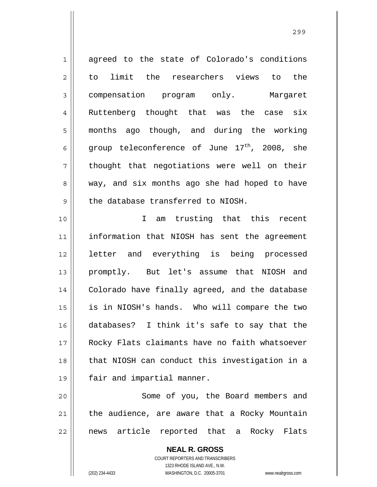1 2 3 4 5 6 7 8 9 10 11 12 13 14 15 16 17 18 19 20 21 22 agreed to the state of Colorado's conditions to limit the researchers views to the compensation program only. Margaret Ruttenberg thought that was the case six months ago though, and during the working group teleconference of June  $17<sup>th</sup>$ , 2008, she thought that negotiations were well on their way, and six months ago she had hoped to have the database transferred to NIOSH. I am trusting that this recent information that NIOSH has sent the agreement letter and everything is being processed promptly. But let's assume that NIOSH and Colorado have finally agreed, and the database is in NIOSH's hands. Who will compare the two databases? I think it's safe to say that the Rocky Flats claimants have no faith whatsoever that NIOSH can conduct this investigation in a fair and impartial manner. Some of you, the Board members and the audience, are aware that a Rocky Mountain news article reported that a Rocky Flats

<u>299 - Andrej Amerikaanse konstantinoplera (</u>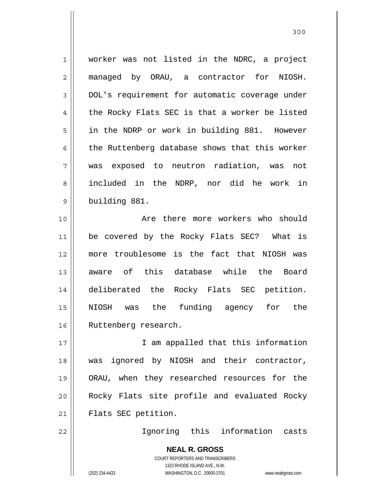| $\mathbf 1$    | worker was not listed in the NDRC, a project                                                                                                                    |
|----------------|-----------------------------------------------------------------------------------------------------------------------------------------------------------------|
| $\mathbf 2$    | managed by ORAU, a contractor for NIOSH.                                                                                                                        |
| 3              | DOL's requirement for automatic coverage under                                                                                                                  |
| $\overline{4}$ | the Rocky Flats SEC is that a worker be listed                                                                                                                  |
| 5              | in the NDRP or work in building 881. However                                                                                                                    |
| 6              | the Ruttenberg database shows that this worker                                                                                                                  |
| 7              | was exposed to neutron radiation, was not                                                                                                                       |
| 8              | included in the NDRP, nor did he work in                                                                                                                        |
| $\mathsf 9$    | building 881.                                                                                                                                                   |
| 10             | Are there more workers who should                                                                                                                               |
| 11             | be covered by the Rocky Flats SEC? What is                                                                                                                      |
| 12             | more troublesome is the fact that NIOSH was                                                                                                                     |
| 13             | aware of this database while the Board                                                                                                                          |
| 14             | deliberated the Rocky Flats SEC petition.                                                                                                                       |
| 15             | NIOSH was the funding agency for the                                                                                                                            |
| 16             | Ruttenberg research.                                                                                                                                            |
| 17             | I am appalled that this information                                                                                                                             |
| 18             | ignored by NIOSH and their contractor,<br>was                                                                                                                   |
| 19             | ORAU, when they researched resources for the                                                                                                                    |
| 20             | Rocky Flats site profile and evaluated Rocky                                                                                                                    |
| 21             | Flats SEC petition.                                                                                                                                             |
| 22             | Ignoring this information casts                                                                                                                                 |
|                | <b>NEAL R. GROSS</b><br>COURT REPORTERS AND TRANSCRIBERS<br>1323 RHODE ISLAND AVE., N.W.<br>WASHINGTON, D.C. 20005-3701<br>(202) 234-4433<br>www.nealrgross.com |
|                |                                                                                                                                                                 |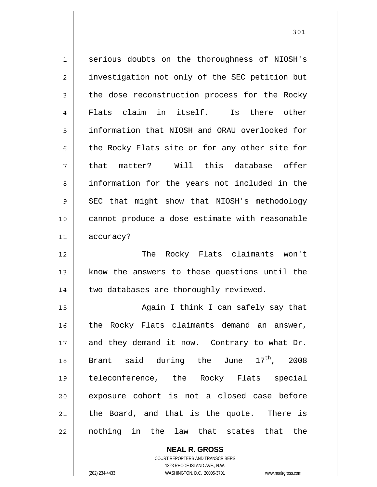1 2 3 4 5 6 7 8 9 10 11 12 serious doubts on the thoroughness of NIOSH's investigation not only of the SEC petition but the dose reconstruction process for the Rocky Flats claim in itself. Is there other information that NIOSH and ORAU overlooked for the Rocky Flats site or for any other site for that matter? Will this database offer information for the years not included in the SEC that might show that NIOSH's methodology cannot produce a dose estimate with reasonable accuracy? The Rocky Flats claimants won't

know the answers to these questions until the two databases are thoroughly reviewed.

15 16 17 18 19 20 21 22 Again I think I can safely say that the Rocky Flats claimants demand an answer, and they demand it now. Contrary to what Dr. Brant said during the June  $17<sup>th</sup>$ , 2008 teleconference, the Rocky Flats special exposure cohort is not a closed case before the Board, and that is the quote. There is nothing in the law that states that the

> **NEAL R. GROSS** COURT REPORTERS AND TRANSCRIBERS 1323 RHODE ISLAND AVE., N.W. (202) 234-4433 WASHINGTON, D.C. 20005-3701 www.nealrgross.com

13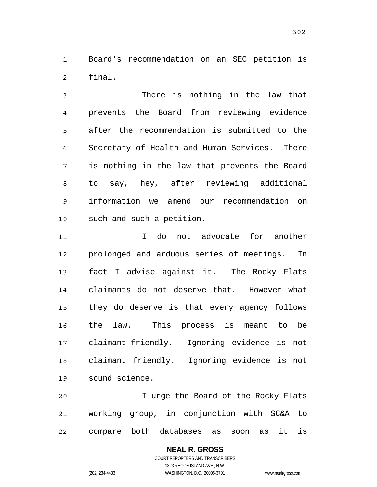1 2 Board's recommendation on an SEC petition is final.

3 4 5 6 7 8 9 10 There is nothing in the law that prevents the Board from reviewing evidence after the recommendation is submitted to the Secretary of Health and Human Services. There is nothing in the law that prevents the Board to say, hey, after reviewing additional information we amend our recommendation on such and such a petition.

11 12 13 14 15 16 17 18 19 I do not advocate for another prolonged and arduous series of meetings. In fact I advise against it. The Rocky Flats claimants do not deserve that. However what they do deserve is that every agency follows the law. This process is meant to be claimant-friendly. Ignoring evidence is not claimant friendly. Ignoring evidence is not sound science.

20 21 22 I urge the Board of the Rocky Flats working group, in conjunction with SC&A to compare both databases as soon as it is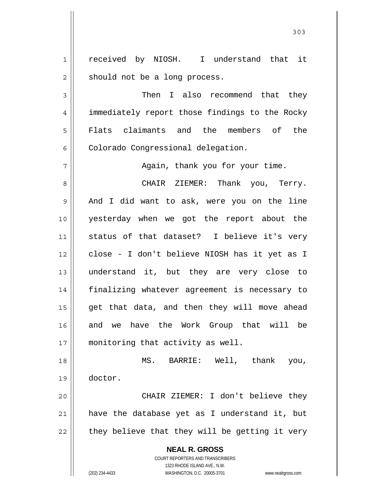1 2 received by NIOSH. I understand that it should not be a long process.

3 4 5 6 Then I also recommend that they immediately report those findings to the Rocky Flats claimants and the members of the Colorado Congressional delegation.

Again, thank you for your time.

8 9 10 11 12 13 14 15 16 17 CHAIR ZIEMER: Thank you, Terry. And I did want to ask, were you on the line yesterday when we got the report about the status of that dataset? I believe it's very close - I don't believe NIOSH has it yet as I understand it, but they are very close to finalizing whatever agreement is necessary to get that data, and then they will move ahead and we have the Work Group that will be monitoring that activity as well.

18 19 MS. BARRIE: Well, thank you, doctor.

20 21 22 CHAIR ZIEMER: I don't believe they have the database yet as I understand it, but they believe that they will be getting it very

> **NEAL R. GROSS** COURT REPORTERS AND TRANSCRIBERS

7

1323 RHODE ISLAND AVE., N.W. (202) 234-4433 WASHINGTON, D.C. 20005-3701 www.nealrgross.com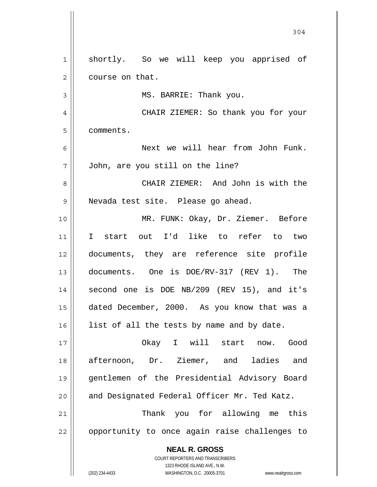**NEAL R. GROSS** COURT REPORTERS AND TRANSCRIBERS 1323 RHODE ISLAND AVE., N.W. 304 1 2 3 4 5 6 7 8 9 10 11 12 13 14 15 16 17 18 19 20 21 22 shortly. So we will keep you apprised of course on that. MS. BARRIE: Thank you. CHAIR ZIEMER: So thank you for your comments. Next we will hear from John Funk. John, are you still on the line? CHAIR ZIEMER: And John is with the Nevada test site. Please go ahead. MR. FUNK: Okay, Dr. Ziemer. Before I start out I'd like to refer to two documents, they are reference site profile documents. One is DOE/RV-317 (REV 1). The second one is DOE NB/209 (REV 15), and it's dated December, 2000. As you know that was a list of all the tests by name and by date. Okay I will start now. Good afternoon, Dr. Ziemer, and ladies and gentlemen of the Presidential Advisory Board and Designated Federal Officer Mr. Ted Katz. Thank you for allowing me this opportunity to once again raise challenges to

(202) 234-4433 WASHINGTON, D.C. 20005-3701 www.nealrgross.com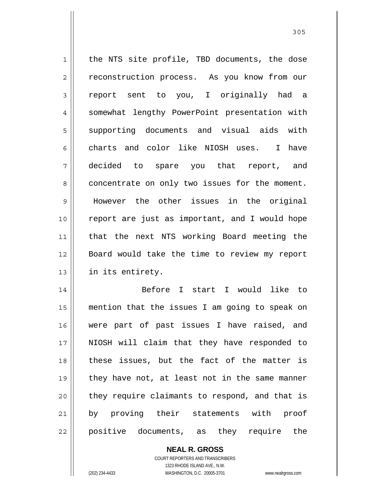1 2 3 4 5 6 7 8 9 10 11 12 13 14 the NTS site profile, TBD documents, the dose reconstruction process. As you know from our report sent to you, I originally had a somewhat lengthy PowerPoint presentation with supporting documents and visual aids with charts and color like NIOSH uses. I have decided to spare you that report, and concentrate on only two issues for the moment. However the other issues in the original report are just as important, and I would hope that the next NTS working Board meeting the Board would take the time to review my report in its entirety. Before I start I would like to

15 16 17 18 19 20 21 22 mention that the issues I am going to speak on were part of past issues I have raised, and NIOSH will claim that they have responded to these issues, but the fact of the matter is they have not, at least not in the same manner they require claimants to respond, and that is by proving their statements with proof positive documents, as they require the

**NEAL R. GROSS**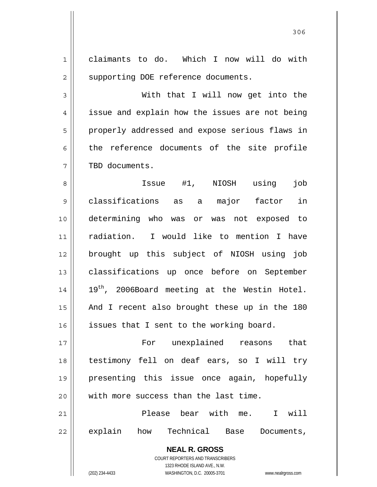1 2 3 4 5 6 7 8 9 claimants to do. Which I now will do with supporting DOE reference documents. With that I will now get into the issue and explain how the issues are not being properly addressed and expose serious flaws in the reference documents of the site profile TBD documents. Issue #1, NIOSH using job classifications as a major factor in

10 11 12 13 14 15 16 determining who was or was not exposed to radiation. I would like to mention I have brought up this subject of NIOSH using job classifications up once before on September 19<sup>th</sup>, 2006Board meeting at the Westin Hotel. And I recent also brought these up in the 180 issues that I sent to the working board.

17 18 19 20 For unexplained reasons that testimony fell on deaf ears, so I will try presenting this issue once again, hopefully with more success than the last time.

21 22 Please bear with me. I will explain how Technical Base Documents,

> **NEAL R. GROSS** COURT REPORTERS AND TRANSCRIBERS 1323 RHODE ISLAND AVE., N.W.

(202) 234-4433 WASHINGTON, D.C. 20005-3701 www.nealrgross.com

<u>306</u>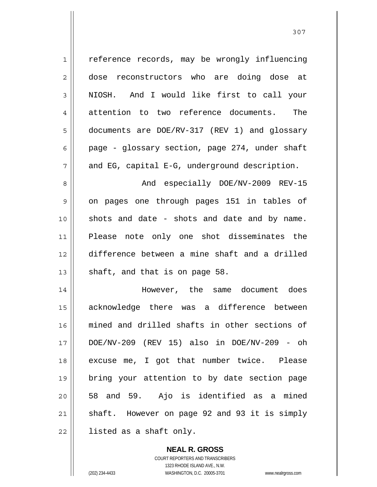1 2 3 4 5 6 7 8 9 10 11 12 13 14 15 16 17 18 19 20 21 22 reference records, may be wrongly influencing dose reconstructors who are doing dose at NIOSH. And I would like first to call your attention to two reference documents. The documents are DOE/RV-317 (REV 1) and glossary page - glossary section, page 274, under shaft and EG, capital E-G, underground description. And especially DOE/NV-2009 REV-15 on pages one through pages 151 in tables of shots and date - shots and date and by name. Please note only one shot disseminates the difference between a mine shaft and a drilled shaft, and that is on page 58. However, the same document does acknowledge there was a difference between mined and drilled shafts in other sections of DOE/NV-209 (REV 15) also in DOE/NV-209 - oh excuse me, I got that number twice. Please bring your attention to by date section page 58 and 59. Ajo is identified as a mined shaft. However on page 92 and 93 it is simply listed as a shaft only.

> COURT REPORTERS AND TRANSCRIBERS 1323 RHODE ISLAND AVE., N.W. (202) 234-4433 WASHINGTON, D.C. 20005-3701 www.nealrgross.com

**NEAL R. GROSS**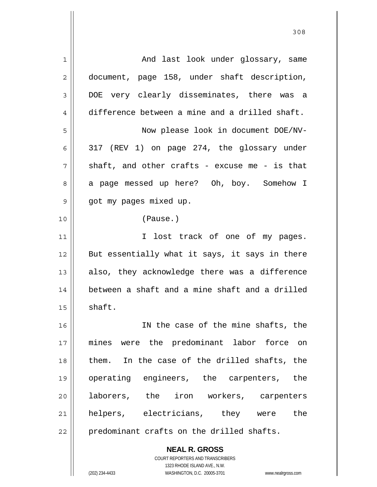| 1  | And last look under glossary, same             |
|----|------------------------------------------------|
| 2  | document, page 158, under shaft description,   |
| 3  | DOE very clearly disseminates, there was a     |
| 4  | difference between a mine and a drilled shaft. |
| 5  | Now please look in document DOE/NV-            |
| 6  | 317 (REV 1) on page 274, the glossary under    |
| 7  | shaft, and other crafts - excuse me - is that  |
| 8  | a page messed up here? Oh, boy. Somehow I      |
| 9  | got my pages mixed up.                         |
| 10 | (Pause.)                                       |
| 11 | I lost track of one of my pages.               |
| 12 | But essentially what it says, it says in there |
| 13 | also, they acknowledge there was a difference  |
| 14 | between a shaft and a mine shaft and a drilled |
| 15 | shaft.                                         |
| 16 | IN the case of the mine shafts, the            |
| 17 | mines were the predominant labor force on      |
| 18 | them. In the case of the drilled shafts, the   |
| 19 | operating engineers, the carpenters, the       |
| 20 | laborers, the iron workers, carpenters         |
| 21 | helpers, electricians, they were the           |
| 22 | predominant crafts on the drilled shafts.      |
|    | <b>NEAL R. GROSS</b>                           |

308

 $\mathsf{II}$ 

1323 RHODE ISLAND AVE., N.W. (202) 234-4433 WASHINGTON, D.C. 20005-3701 www.nealrgross.com

COURT REPORTERS AND TRANSCRIBERS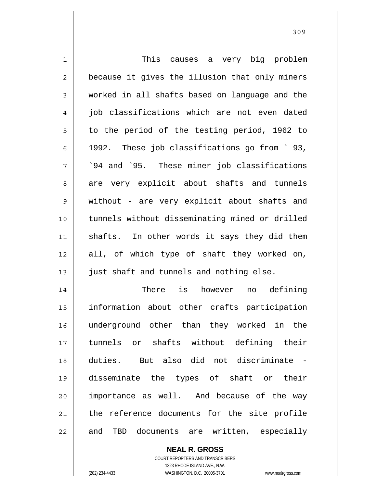| 1           | This<br>causes a very big problem              |
|-------------|------------------------------------------------|
| 2           | because it gives the illusion that only miners |
| 3           | worked in all shafts based on language and the |
| 4           | job classifications which are not even dated   |
| 5           | to the period of the testing period, 1962 to   |
| 6           | 1992. These job classifications go from `93,   |
| 7           | '94 and '95. These miner job classifications   |
| 8           | are very explicit about shafts and tunnels     |
| $\mathsf 9$ | without - are very explicit about shafts and   |
| 10          | tunnels without disseminating mined or drilled |
| 11          | shafts. In other words it says they did them   |
| 12          | all, of which type of shaft they worked on,    |
| 13          | just shaft and tunnels and nothing else.       |
| 14          | There is however no defining                   |
| 15          | information about other crafts participation   |
| 16          | underground other than they worked in the      |
| 17          | tunnels or shafts without defining their       |
| 18          | duties. But also did not discriminate -        |
| 19          | disseminate the types of shaft or their        |
| 20          | importance as well. And because of the way     |
| 21          | the reference documents for the site profile   |
| 22          | TBD documents are written, especially<br>and   |

**NEAL R. GROSS** COURT REPORTERS AND TRANSCRIBERS

1323 RHODE ISLAND AVE., N.W.

(202) 234-4433 WASHINGTON, D.C. 20005-3701 www.nealrgross.com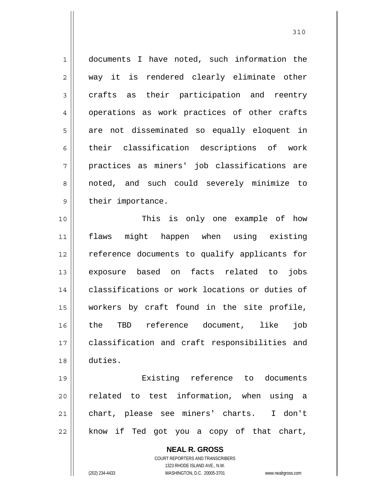1 2 3 4 5 6 7 8 9 10 documents I have noted, such information the way it is rendered clearly eliminate other crafts as their participation and reentry operations as work practices of other crafts are not disseminated so equally eloquent in their classification descriptions of work practices as miners' job classifications are noted, and such could severely minimize to their importance. This is only one example of how

11 12 13 14 15 16 17 18 flaws might happen when using existing reference documents to qualify applicants for exposure based on facts related to jobs classifications or work locations or duties of workers by craft found in the site profile, the TBD reference document, like job classification and craft responsibilities and duties.

19 20 21 22 Existing reference to documents related to test information, when using a chart, please see miners' charts. I don't know if Ted got you a copy of that chart,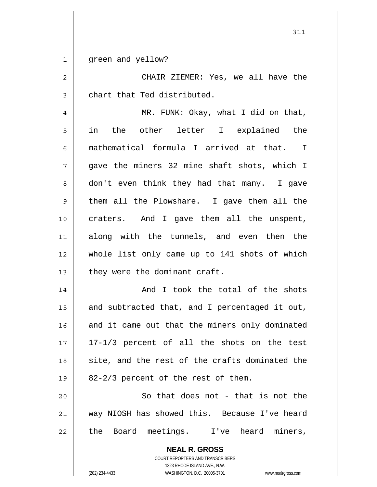1 green and yellow?

2 3 CHAIR ZIEMER: Yes, we all have the chart that Ted distributed.

311

4 5 6 7 8 9 10 11 12 13 MR. FUNK: Okay, what I did on that, in the other letter I explained the mathematical formula I arrived at that. I gave the miners 32 mine shaft shots, which I don't even think they had that many. I gave them all the Plowshare. I gave them all the craters. And I gave them all the unspent, along with the tunnels, and even then the whole list only came up to 141 shots of which they were the dominant craft.

14 15 16 17 18 19 And I took the total of the shots and subtracted that, and I percentaged it out, and it came out that the miners only dominated 17-1/3 percent of all the shots on the test site, and the rest of the crafts dominated the 82-2/3 percent of the rest of them.

20 21 22 So that does not - that is not the way NIOSH has showed this. Because I've heard the Board meetings. I've heard miners,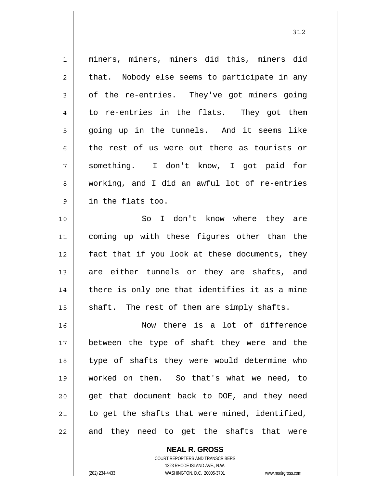1 2 3 4 5 6 7 8 9 10 11 12 13 14 15 16 17 18 19 20 21 22 miners, miners, miners did this, miners did that. Nobody else seems to participate in any of the re-entries. They've got miners going to re-entries in the flats. They got them going up in the tunnels. And it seems like the rest of us were out there as tourists or something. I don't know, I got paid for working, and I did an awful lot of re-entries in the flats too. So I don't know where they are coming up with these figures other than the fact that if you look at these documents, they are either tunnels or they are shafts, and there is only one that identifies it as a mine shaft. The rest of them are simply shafts. Now there is a lot of difference between the type of shaft they were and the type of shafts they were would determine who worked on them. So that's what we need, to get that document back to DOE, and they need to get the shafts that were mined, identified, and they need to get the shafts that were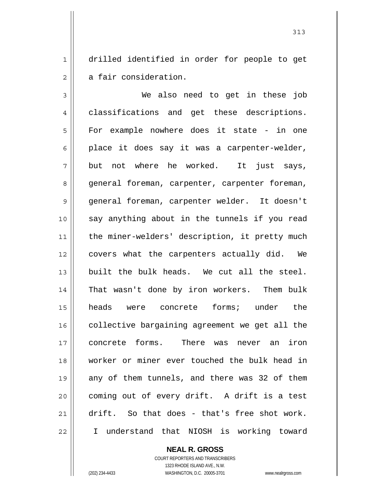1 2 drilled identified in order for people to get a fair consideration.

3 4 5 6 7 8 9 10 11 12 13 14 15 16 17 18 19 20 21 22 We also need to get in these job classifications and get these descriptions. For example nowhere does it state - in one place it does say it was a carpenter-welder, but not where he worked. It just says, general foreman, carpenter, carpenter foreman, general foreman, carpenter welder. It doesn't say anything about in the tunnels if you read the miner-welders' description, it pretty much covers what the carpenters actually did. We built the bulk heads. We cut all the steel. That wasn't done by iron workers. Them bulk heads were concrete forms; under the collective bargaining agreement we get all the concrete forms. There was never an iron worker or miner ever touched the bulk head in any of them tunnels, and there was 32 of them coming out of every drift. A drift is a test drift. So that does - that's free shot work. I understand that NIOSH is working toward

**NEAL R. GROSS**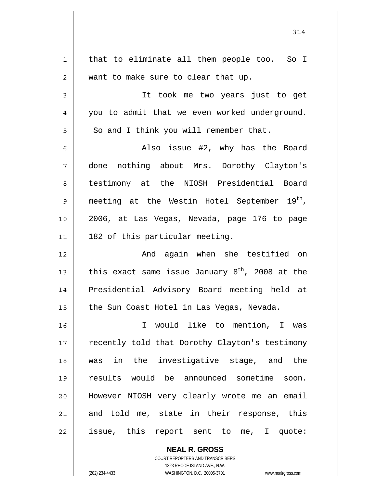| 1           | that to eliminate all them people too. So I                 |
|-------------|-------------------------------------------------------------|
| 2           | want to make sure to clear that up.                         |
| 3           | It took me two years just to get                            |
| 4           | you to admit that we even worked underground.               |
| 5           | So and I think you will remember that.                      |
| 6           | Also issue #2, why has the Board                            |
| 7           | done nothing about Mrs. Dorothy Clayton's                   |
| 8           | testimony at the NIOSH Presidential Board                   |
| $\mathsf 9$ | meeting at the Westin Hotel September 19 <sup>th</sup> ,    |
| 10          | 2006, at Las Vegas, Nevada, page 176 to page                |
| 11          | 182 of this particular meeting.                             |
| 12          | And again when she testified on                             |
| 13          | this exact same issue January 8 <sup>th</sup> , 2008 at the |
| 14          | Presidential Advisory Board meeting held at                 |
| 15          | the Sun Coast Hotel in Las Vegas, Nevada.                   |
| 16          | I would like to mention, I was                              |
| 17          | recently told that Dorothy Clayton's testimony              |
| 18          | was in the investigative stage, and the                     |
| 19          | results would be announced sometime soon.                   |
| 20          | However NIOSH very clearly wrote me an email                |
| 21          | and told me, state in their response, this                  |
| 22          | issue, this report sent to me, I quote:                     |
|             |                                                             |

314

**NEAL R. GROSS** COURT REPORTERS AND TRANSCRIBERS 1323 RHODE ISLAND AVE., N.W.

 $\mathbf{I}$ 

(202) 234-4433 WASHINGTON, D.C. 20005-3701 www.nealrgross.com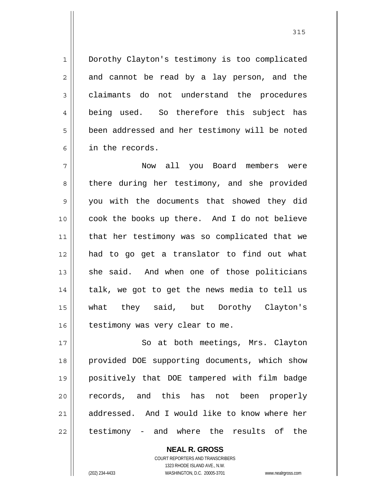Dorothy Clayton's testimony is too complicated and cannot be read by a lay person, and the claimants do not understand the procedures being used. So therefore this subject has been addressed and her testimony will be noted in the records.

7 8 9 10 11 12 13 14 15 16 Now all you Board members were there during her testimony, and she provided you with the documents that showed they did cook the books up there. And I do not believe that her testimony was so complicated that we had to go get a translator to find out what she said. And when one of those politicians talk, we got to get the news media to tell us what they said, but Dorothy Clayton's testimony was very clear to me.

17 18 19 20 21 22 So at both meetings, Mrs. Clayton provided DOE supporting documents, which show positively that DOE tampered with film badge records, and this has not been properly addressed. And I would like to know where her testimony - and where the results of the

> COURT REPORTERS AND TRANSCRIBERS 1323 RHODE ISLAND AVE., N.W. (202) 234-4433 WASHINGTON, D.C. 20005-3701 www.nealrgross.com

**NEAL R. GROSS**

1

2

3

4

5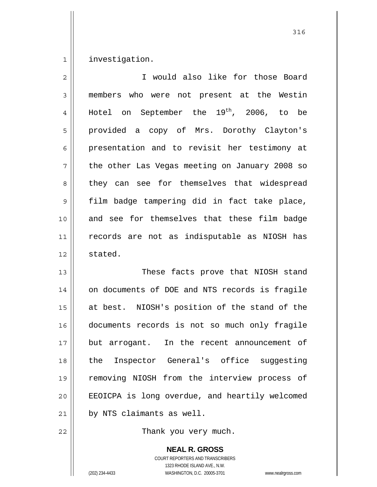1 investigation.

| $\overline{2}$ | I would also like for those Board              |
|----------------|------------------------------------------------|
| 3              | members who were not present at the Westin     |
| 4              | Hotel on September the $19^{th}$ , 2006, to be |
| 5              | provided a copy of Mrs. Dorothy Clayton's      |
| 6              | presentation and to revisit her testimony at   |
| 7              | the other Las Vegas meeting on January 2008 so |
| 8              | they can see for themselves that widespread    |
| 9              | film badge tampering did in fact take place,   |
| 10             | and see for themselves that these film badge   |
| 11             | records are not as indisputable as NIOSH has   |
| 12             | stated.                                        |
| 13             | These facts prove that NIOSH stand             |
| 14             | on documents of DOE and NTS records is fragile |
| 15             | at best. NIOSH's position of the stand of the  |
| 16             | documents records is not so much only fragile  |
| 17             | but arrogant. In the recent announcement of    |
| 18             | the Inspector General's office suggesting      |
| 19             | removing NIOSH from the interview process of   |
| 20             | EEOICPA is long overdue, and heartily welcomed |
| 21             | by NTS claimants as well.                      |

Thank you very much.

**NEAL R. GROSS** COURT REPORTERS AND TRANSCRIBERS

1323 RHODE ISLAND AVE., N.W.

22

(202) 234-4433 WASHINGTON, D.C. 20005-3701 www.nealrgross.com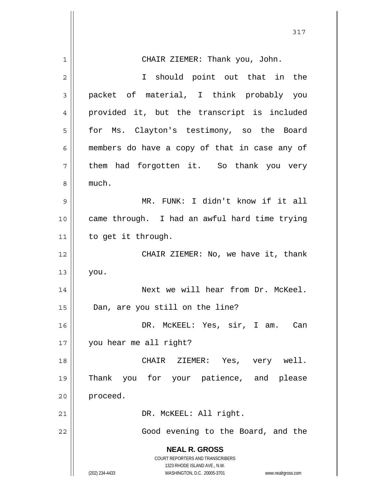|    | 317                                                                 |
|----|---------------------------------------------------------------------|
| 1  | CHAIR ZIEMER: Thank you, John.                                      |
| 2  | I should point out that in the                                      |
| 3  | packet of material, I think probably you                            |
| 4  | provided it, but the transcript is included                         |
| 5  | for Ms. Clayton's testimony, so the Board                           |
| 6  | members do have a copy of that in case any of                       |
| 7  | them had forgotten it. So thank you very                            |
| 8  | much.                                                               |
| 9  | MR. FUNK: I didn't know if it all                                   |
| 10 | came through. I had an awful hard time trying                       |
| 11 | to get it through.                                                  |
| 12 | CHAIR ZIEMER: No, we have it, thank                                 |
| 13 | you.                                                                |
| 14 | Next we will hear from Dr. McKeel.                                  |
| 15 | Dan, are you still on the line?                                     |
| 16 | DR. MCKEEL: Yes, sir, I am. Can                                     |
| 17 | you hear me all right?                                              |
| 18 | CHAIR ZIEMER: Yes, very well.                                       |
| 19 | Thank you for your patience, and please                             |
| 20 | proceed.                                                            |
| 21 | DR. MCKEEL: All right.                                              |
| 22 | Good evening to the Board, and the                                  |
|    | <b>NEAL R. GROSS</b>                                                |
|    | COURT REPORTERS AND TRANSCRIBERS<br>1323 RHODE ISLAND AVE., N.W.    |
|    | (202) 234-4433<br>WASHINGTON, D.C. 20005-3701<br>www.nealrgross.com |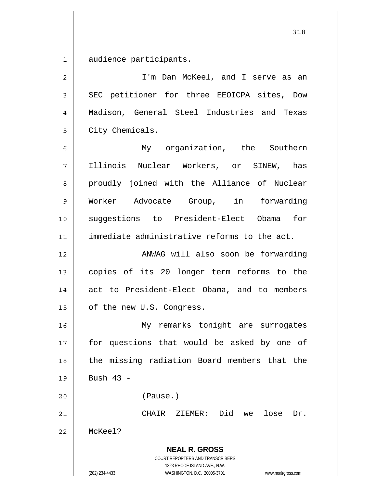1 audience participants.

**NEAL R. GROSS** COURT REPORTERS AND TRANSCRIBERS 1323 RHODE ISLAND AVE., N.W. (202) 234-4433 WASHINGTON, D.C. 20005-3701 www.nealrgross.com 2 3 4 5 6 7 8 9 10 11 12 13 14 15 16 17 18 19 20 21 22 I'm Dan McKeel, and I serve as an SEC petitioner for three EEOICPA sites, Dow Madison, General Steel Industries and Texas City Chemicals. My organization, the Southern Illinois Nuclear Workers, or SINEW, has proudly joined with the Alliance of Nuclear Worker Advocate Group, in forwarding suggestions to President-Elect Obama for immediate administrative reforms to the act. ANWAG will also soon be forwarding copies of its 20 longer term reforms to the act to President-Elect Obama, and to members of the new U.S. Congress. My remarks tonight are surrogates for questions that would be asked by one of the missing radiation Board members that the Bush  $43 -$  (Pause.) CHAIR ZIEMER: Did we lose Dr. McKeel?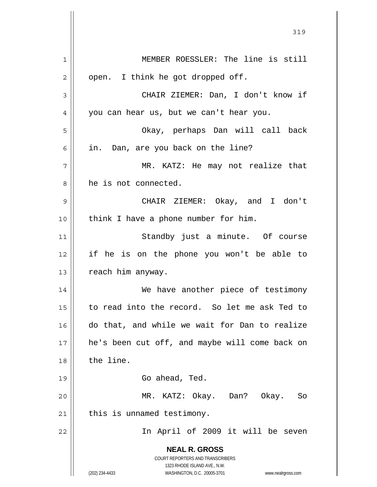**NEAL R. GROSS** COURT REPORTERS AND TRANSCRIBERS 1323 RHODE ISLAND AVE., N.W. (202) 234-4433 WASHINGTON, D.C. 20005-3701 www.nealrgross.com 1 2 3 4 5 6 7 8 9 10 11 12 13 14 15 16 17 18 19 20 21 22 MEMBER ROESSLER: The line is still open. I think he got dropped off. CHAIR ZIEMER: Dan, I don't know if you can hear us, but we can't hear you. Okay, perhaps Dan will call back in. Dan, are you back on the line? MR. KATZ: He may not realize that he is not connected. CHAIR ZIEMER: Okay, and I don't think I have a phone number for him. Standby just a minute. Of course if he is on the phone you won't be able to reach him anyway. We have another piece of testimony to read into the record. So let me ask Ted to do that, and while we wait for Dan to realize he's been cut off, and maybe will come back on the line. Go ahead, Ted. MR. KATZ: Okay. Dan? Okay. So this is unnamed testimony. In April of 2009 it will be seven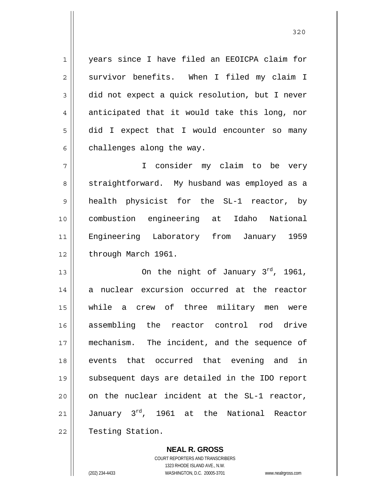years since I have filed an EEOICPA claim for survivor benefits. When I filed my claim I did not expect a quick resolution, but I never anticipated that it would take this long, nor did I expect that I would encounter so many challenges along the way.

7 8 9 10 11 12 I consider my claim to be very straightforward. My husband was employed as a health physicist for the SL-1 reactor, by combustion engineering at Idaho National Engineering Laboratory from January 1959 through March 1961.

13 14 15 16 17 18 19 20 21 22 On the night of January  $3^{rd}$ , 1961, a nuclear excursion occurred at the reactor while a crew of three military men were assembling the reactor control rod drive mechanism. The incident, and the sequence of events that occurred that evening and in subsequent days are detailed in the IDO report on the nuclear incident at the SL-1 reactor, January 3<sup>rd</sup>, 1961 at the National Reactor Testing Station.

> **NEAL R. GROSS** COURT REPORTERS AND TRANSCRIBERS 1323 RHODE ISLAND AVE., N.W. (202) 234-4433 WASHINGTON, D.C. 20005-3701 www.nealrgross.com

1

2

3

4

5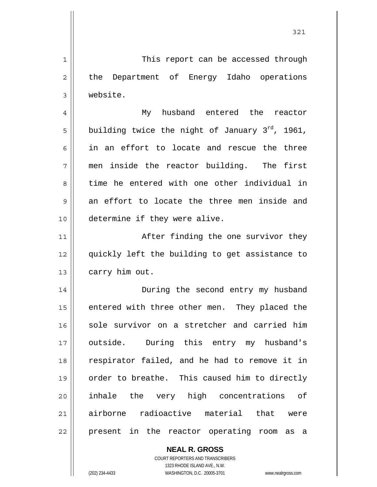1 2 3 4 5 6 7 8 9 10 11 12 13 14 15 16 17 18 19 This report can be accessed through the Department of Energy Idaho operations website. My husband entered the reactor building twice the night of January  $3^{rd}$ , 1961, in an effort to locate and rescue the three men inside the reactor building. The first time he entered with one other individual in an effort to locate the three men inside and determine if they were alive. After finding the one survivor they quickly left the building to get assistance to carry him out. During the second entry my husband entered with three other men. They placed the sole survivor on a stretcher and carried him outside. During this entry my husband's respirator failed, and he had to remove it in order to breathe. This caused him to directly

21 22 airborne radioactive material that were present in the reactor operating room as a

> **NEAL R. GROSS** COURT REPORTERS AND TRANSCRIBERS

inhale the very high concentrations of

1323 RHODE ISLAND AVE., N.W.

(202) 234-4433 WASHINGTON, D.C. 20005-3701 www.nealrgross.com

20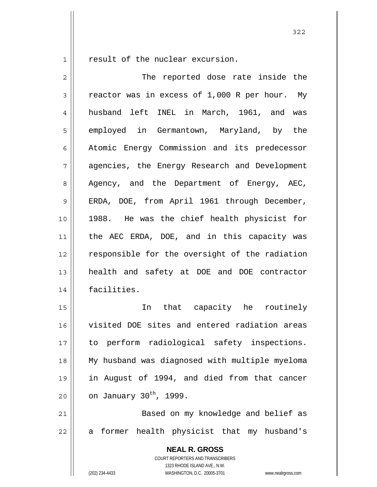1 result of the nuclear excursion.

| $\overline{c}$ | The reported dose rate inside the                                                                                                                               |
|----------------|-----------------------------------------------------------------------------------------------------------------------------------------------------------------|
| $\mathfrak{Z}$ | reactor was in excess of 1,000 R per hour. My                                                                                                                   |
| $\overline{4}$ | husband left INEL in March, 1961, and was                                                                                                                       |
| 5              | employed in Germantown, Maryland, by the                                                                                                                        |
| 6              | Atomic Energy Commission and its predecessor                                                                                                                    |
| 7              | agencies, the Energy Research and Development                                                                                                                   |
| 8              | Agency, and the Department of Energy, AEC,                                                                                                                      |
| 9              | ERDA, DOE, from April 1961 through December,                                                                                                                    |
| 10             | 1988. He was the chief health physicist for                                                                                                                     |
| 11             | the AEC ERDA, DOE, and in this capacity was                                                                                                                     |
| 12             | responsible for the oversight of the radiation                                                                                                                  |
| 13             | health and safety at DOE and DOE contractor                                                                                                                     |
| 14             | facilities.                                                                                                                                                     |
| 15             | In that capacity he routinely                                                                                                                                   |
| 16             | visited DOE sites and entered radiation areas                                                                                                                   |
| 17             | to perform radiological safety inspections.                                                                                                                     |
| 18             | My husband was diagnosed with multiple myeloma                                                                                                                  |
| 19             | in August of 1994, and died from that cancer                                                                                                                    |
| 20             | on January 30 <sup>th</sup> , 1999.                                                                                                                             |
| 21             | Based on my knowledge and belief as                                                                                                                             |
| 22             | former health physicist that my husband's<br>a                                                                                                                  |
|                | <b>NEAL R. GROSS</b><br>COURT REPORTERS AND TRANSCRIBERS<br>1323 RHODE ISLAND AVE., N.W.<br>(202) 234-4433<br>WASHINGTON, D.C. 20005-3701<br>www.nealrgross.com |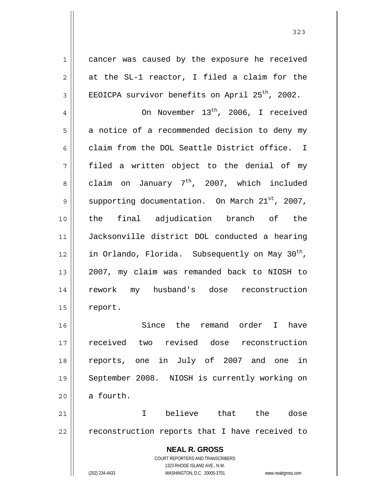1 2 3 4 5 6 7 8 9 10 11 12 13 14 15 16 17 18 19 20 21 cancer was caused by the exposure he received at the SL-1 reactor, I filed a claim for the EEOICPA survivor benefits on April  $25<sup>th</sup>$ , 2002. On November 13<sup>th</sup>, 2006, I received a notice of a recommended decision to deny my claim from the DOL Seattle District office. I filed a written object to the denial of my claim on January  $7<sup>th</sup>$ , 2007, which included supporting documentation. On March 21st, 2007, the final adjudication branch of the Jacksonville district DOL conducted a hearing in Orlando, Florida. Subsequently on May 30<sup>th</sup>, 2007, my claim was remanded back to NIOSH to rework my husband's dose reconstruction report. Since the remand order I have received two revised dose reconstruction reports, one in July of 2007 and one in September 2008. NIOSH is currently working on a fourth. I believe that the dose

reconstruction reports that I have received to

**NEAL R. GROSS** COURT REPORTERS AND TRANSCRIBERS 1323 RHODE ISLAND AVE., N.W. (202) 234-4433 WASHINGTON, D.C. 20005-3701 www.nealrgross.com

22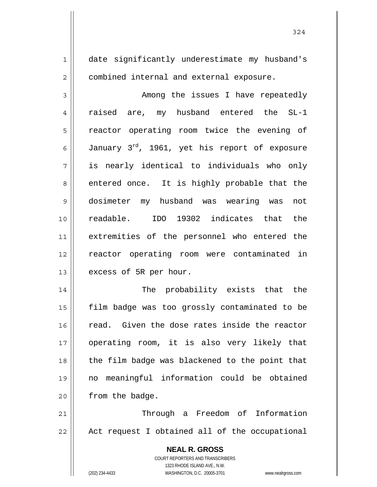date significantly underestimate my husband's combined internal and external exposure.

3 4 5 6 7 8 9 10 11 12 13 Among the issues I have repeatedly raised are, my husband entered the SL-1 reactor operating room twice the evening of January 3rd, 1961, yet his report of exposure is nearly identical to individuals who only entered once. It is highly probable that the dosimeter my husband was wearing was not readable. IDO 19302 indicates that the extremities of the personnel who entered the reactor operating room were contaminated in excess of 5R per hour.

14 15 16 17 18 19 20 The probability exists that the film badge was too grossly contaminated to be read. Given the dose rates inside the reactor operating room, it is also very likely that the film badge was blackened to the point that no meaningful information could be obtained from the badge.

21 22 Through a Freedom of Information Act request I obtained all of the occupational

> **NEAL R. GROSS** COURT REPORTERS AND TRANSCRIBERS 1323 RHODE ISLAND AVE., N.W. (202) 234-4433 WASHINGTON, D.C. 20005-3701 www.nealrgross.com

1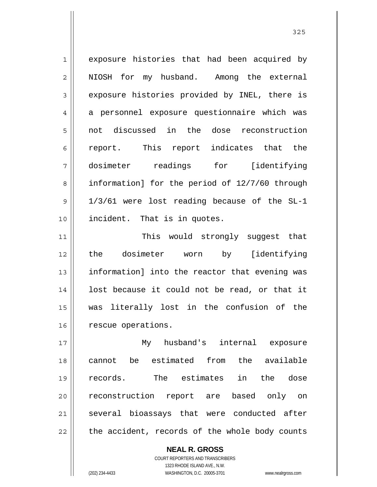1 2 3 4 5 6 7 8 9 10 exposure histories that had been acquired by NIOSH for my husband. Among the external exposure histories provided by INEL, there is a personnel exposure questionnaire which was not discussed in the dose reconstruction report. This report indicates that the dosimeter readings for [identifying information] for the period of 12/7/60 through 1/3/61 were lost reading because of the SL-1 incident. That is in quotes.

11 12 13 14 15 16 This would strongly suggest that the dosimeter worn by [identifying information] into the reactor that evening was lost because it could not be read, or that it was literally lost in the confusion of the rescue operations.

17 18 19 20 21 22 My husband's internal exposure cannot be estimated from the available records. The estimates in the dose reconstruction report are based only on several bioassays that were conducted after the accident, records of the whole body counts

> COURT REPORTERS AND TRANSCRIBERS 1323 RHODE ISLAND AVE., N.W. (202) 234-4433 WASHINGTON, D.C. 20005-3701 www.nealrgross.com

**NEAL R. GROSS**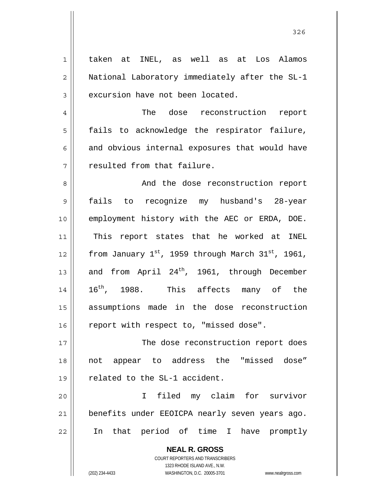| $\mathbf 1$    | taken at INEL, as well as at Los Alamos                             |
|----------------|---------------------------------------------------------------------|
| $\overline{2}$ | National Laboratory immediately after the SL-1                      |
| 3              | excursion have not been located.                                    |
| $\overline{4}$ | The dose reconstruction report                                      |
| 5              | fails to acknowledge the respirator failure,                        |
| 6              | and obvious internal exposures that would have                      |
| 7              | resulted from that failure.                                         |
| 8              | And the dose reconstruction report                                  |
| 9              | fails to recognize my husband's 28-year                             |
| 10             | employment history with the AEC or ERDA, DOE.                       |
| 11             | This report states that he worked at INEL                           |
| 12             | from January 1st, 1959 through March 31st, 1961,                    |
| 13             | and from April 24 <sup>th</sup> , 1961, through December            |
| 14             | 16 <sup>th</sup> , 1988. This affects many of the                   |
| 15             | assumptions made in the dose reconstruction                         |
| 16             | report with respect to, "missed dose".                              |
| 17             | The dose reconstruction report does                                 |
| 18             | not appear to address the "missed dose"                             |
| 19             | related to the SL-1 accident.                                       |
| 20             | filed my claim for survivor<br>I.                                   |
| 21             | benefits under EEOICPA nearly seven years ago.                      |
| 22             | In that period of time I have promptly                              |
|                | <b>NEAL R. GROSS</b>                                                |
|                | COURT REPORTERS AND TRANSCRIBERS                                    |
|                | 1323 RHODE ISLAND AVE., N.W.                                        |
|                | (202) 234-4433<br>WASHINGTON, D.C. 20005-3701<br>www.nealrgross.com |

<u>326</u>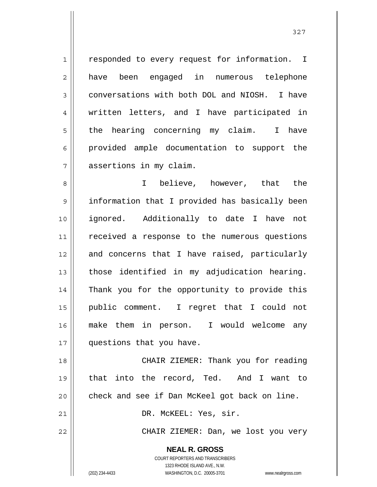1 7 responded to every request for information. I have been engaged in numerous telephone conversations with both DOL and NIOSH. I have written letters, and I have participated in the hearing concerning my claim. I have provided ample documentation to support the assertions in my claim.

8 9 10 11 12 13 14 15 16 17 I believe, however, that the information that I provided has basically been ignored. Additionally to date I have not received a response to the numerous questions and concerns that I have raised, particularly those identified in my adjudication hearing. Thank you for the opportunity to provide this public comment. I regret that I could not make them in person. I would welcome any questions that you have.

 CHAIR ZIEMER: Thank you for reading that into the record, Ted. And I want to check and see if Dan McKeel got back on line.

DR. McKEEL: Yes, sir.

CHAIR ZIEMER: Dan, we lost you very

**NEAL R. GROSS** COURT REPORTERS AND TRANSCRIBERS 1323 RHODE ISLAND AVE., N.W.

2

3

4

5

6

18

19

20

21

22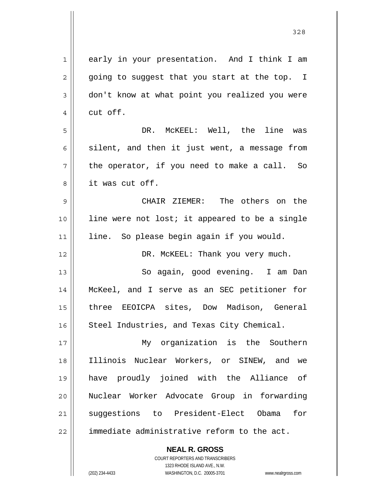| 1           | early in your presentation. And I think I am   |
|-------------|------------------------------------------------|
| 2           | going to suggest that you start at the top. I  |
| 3           | don't know at what point you realized you were |
| 4           | cut off.                                       |
| 5           | DR. MCKEEL: Well, the line was                 |
| 6           | silent, and then it just went, a message from  |
| 7           | the operator, if you need to make a call. So   |
| 8           | it was cut off.                                |
| $\mathsf 9$ | CHAIR ZIEMER: The others on the                |
| 10          | line were not lost; it appeared to be a single |
| 11          | line. So please begin again if you would.      |
| 12          | DR. MCKEEL: Thank you very much.               |
| 13          | So again, good evening. I am Dan               |
| 14          | McKeel, and I serve as an SEC petitioner for   |
| 15          | three EEOICPA sites, Dow Madison, General      |
| 16          | Steel Industries, and Texas City Chemical.     |
| 17          | My organization is the Southern                |
| 18          | Illinois Nuclear Workers, or SINEW, and we     |
| 19          | have proudly joined with the Alliance of       |
| 20          | Nuclear Worker Advocate Group in forwarding    |
| 21          | suggestions to President-Elect Obama<br>for    |
| 22          | immediate administrative reform to the act.    |
|             | <b>NEAL R. GROSS</b>                           |
|             |                                                |

328

 $\mathbf{I}$ 

1323 RHODE ISLAND AVE., N.W. (202) 234-4433 WASHINGTON, D.C. 20005-3701 www.nealrgross.com

COURT REPORTERS AND TRANSCRIBERS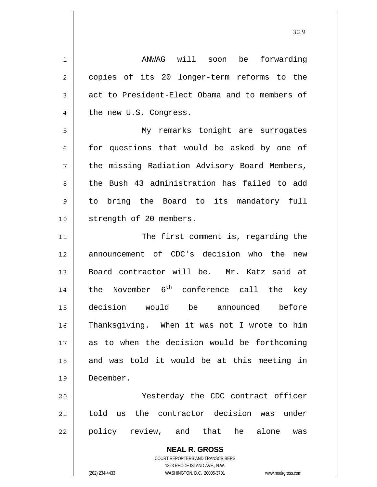1 2 3 4 5 6 7 8 9 10 11 12 13 14 15 16 17 18 19 20 21 ANWAG will soon be forwarding copies of its 20 longer-term reforms to the act to President-Elect Obama and to members of the new U.S. Congress. My remarks tonight are surrogates for questions that would be asked by one of the missing Radiation Advisory Board Members, the Bush 43 administration has failed to add to bring the Board to its mandatory full strength of 20 members. The first comment is, regarding the announcement of CDC's decision who the new Board contractor will be. Mr. Katz said at the November  $6^{th}$  conference call the key decision would be announced before Thanksgiving. When it was not I wrote to him as to when the decision would be forthcoming and was told it would be at this meeting in December. Yesterday the CDC contract officer told us the contractor decision was under

22 policy review, and that he alone was

> **NEAL R. GROSS** COURT REPORTERS AND TRANSCRIBERS 1323 RHODE ISLAND AVE., N.W.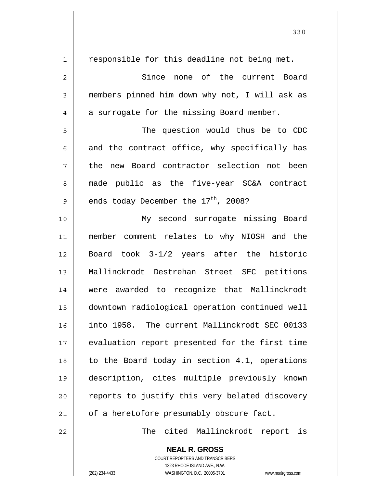1 2 3 4 5 6 7 8 9 10 11 12 13 14 15 16 17 18 19 20 21 responsible for this deadline not being met. Since none of the current Board members pinned him down why not, I will ask as a surrogate for the missing Board member. The question would thus be to CDC and the contract office, why specifically has the new Board contractor selection not been made public as the five-year SC&A contract ends today December the  $17<sup>th</sup>$ , 2008? My second surrogate missing Board member comment relates to why NIOSH and the Board took 3-1/2 years after the historic Mallinckrodt Destrehan Street SEC petitions were awarded to recognize that Mallinckrodt downtown radiological operation continued well into 1958. The current Mallinckrodt SEC 00133 evaluation report presented for the first time to the Board today in section 4.1, operations description, cites multiple previously known reports to justify this very belated discovery of a heretofore presumably obscure fact.

The cited Mallinckrodt report is

**NEAL R. GROSS** COURT REPORTERS AND TRANSCRIBERS 1323 RHODE ISLAND AVE., N.W.

22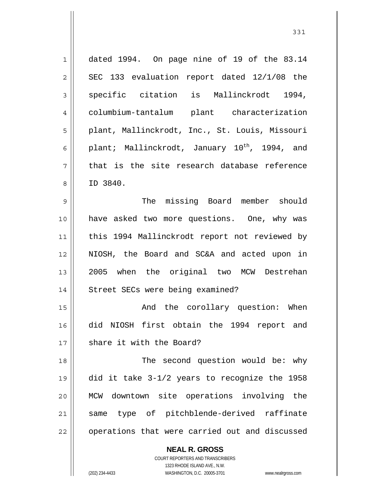| $\mathbf 1$    | dated 1994. On page nine of 19 of the 83.14               |
|----------------|-----------------------------------------------------------|
| $\overline{c}$ | SEC 133 evaluation report dated 12/1/08 the               |
| 3              | specific citation is Mallinckrodt 1994,                   |
| $\overline{4}$ | columbium-tantalum plant characterization                 |
| 5              | plant, Mallinckrodt, Inc., St. Louis, Missouri            |
| 6              | plant; Mallinckrodt, January 10 <sup>th</sup> , 1994, and |
| 7              | that is the site research database reference              |
| 8              | ID 3840.                                                  |
| 9              | The missing Board member should                           |
| 10             | have asked two more questions. One, why was               |
| 11             | this 1994 Mallinckrodt report not reviewed by             |
| 12             | NIOSH, the Board and SC&A and acted upon in               |
| 13             | 2005 when the original two MCW Destrehan                  |
| 14             | Street SECs were being examined?                          |
| 15             | And the corollary question: When                          |
| 16             | did NIOSH first obtain the 1994 report and                |
| 17             | share it with the Board?                                  |
| 18             | The second question would be: why                         |
| 19             | did it take 3-1/2 years to recognize the 1958             |
| 20             | MCW downtown site operations involving the                |
| 21             | same type of pitchblende-derived raffinate                |
| 22             | operations that were carried out and discussed            |
|                | <b>NEAL R. GROSS</b>                                      |

COURT REPORTERS AND TRANSCRIBERS 1323 RHODE ISLAND AVE., N.W.

 $\mathbf{\mathbf{\mathsf{I}}}\mathbf{\mathsf{I}}$ 

(202) 234-4433 WASHINGTON, D.C. 20005-3701 www.nealrgross.com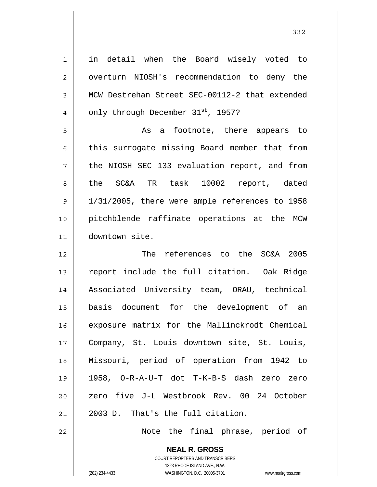| 1              | in detail when the Board wisely voted to       |
|----------------|------------------------------------------------|
| 2              | overturn NIOSH's recommendation to deny the    |
| 3              | MCW Destrehan Street SEC-00112-2 that extended |
| $\overline{4}$ | only through December 31st, 1957?              |
| 5              | As a footnote, there appears to                |
| 6              | this surrogate missing Board member that from  |
| 7              | the NIOSH SEC 133 evaluation report, and from  |
| 8              | the SC&A TR task 10002 report, dated           |
| 9              | 1/31/2005, there were ample references to 1958 |
| 10             | pitchblende raffinate operations at the MCW    |
| 11             | downtown site.                                 |
|                |                                                |
|                | The references to the SC&A 2005                |
|                | report include the full citation. Oak Ridge    |
| 12<br>13<br>14 | Associated University team, ORAU, technical    |
| 15             | basis document for the development of an       |
| 16             | exposure matrix for the Mallinckrodt Chemical  |
| 17             | Company, St. Louis downtown site, St. Louis,   |
| 18             | Missouri, period of operation from 1942 to     |
| 19             | 1958, O-R-A-U-T dot T-K-B-S dash zero zero     |
|                | zero five J-L Westbrook Rev. 00 24 October     |
| 20<br>21       | 2003 D. That's the full citation.              |

**NEAL R. GROSS** COURT REPORTERS AND TRANSCRIBERS 1323 RHODE ISLAND AVE., N.W.

(202) 234-4433 WASHINGTON, D.C. 20005-3701 www.nealrgross.com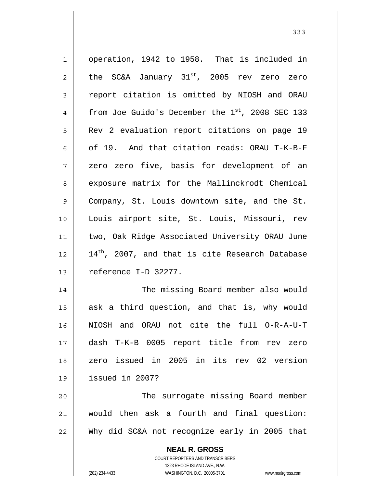| $\mathbf{1}$ | operation, 1942 to 1958. That is included in                                                  |
|--------------|-----------------------------------------------------------------------------------------------|
| $\mathbf{2}$ | the SC&A January 31 <sup>st</sup> , 2005 rev zero zero                                        |
| 3            | report citation is omitted by NIOSH and ORAU                                                  |
| 4            | from Joe Guido's December the $1st$ , 2008 SEC 133                                            |
| 5            | Rev 2 evaluation report citations on page 19                                                  |
| 6            | of 19. And that citation reads: ORAU T-K-B-F                                                  |
| 7            | zero zero five, basis for development of an                                                   |
| 8            | exposure matrix for the Mallinckrodt Chemical                                                 |
| $\mathsf 9$  | Company, St. Louis downtown site, and the St.                                                 |
| 10           | Louis airport site, St. Louis, Missouri, rev                                                  |
| 11           | two, Oak Ridge Associated University ORAU June                                                |
| 12           | 14 <sup>th</sup> , 2007, and that is cite Research Database                                   |
| 13           | reference I-D 32277.                                                                          |
| 14           | The missing Board member also would                                                           |
| 15           | ask a third question, and that is, why would                                                  |
| 16           | NIOSH and ORAU not cite the full O-R-A-U-T                                                    |
| 17           | dash T-K-B 0005 report title from rev zero                                                    |
| 18           | zero issued in 2005 in its rev 02 version                                                     |
| 19           | issued in 2007?                                                                               |
| 20           | The surrogate missing Board member                                                            |
| 21           | would then ask a fourth and final question:                                                   |
| 22           | Why did SC&A not recognize early in 2005 that                                                 |
|              | <b>NEAL R. GROSS</b><br><b>COURT REPORTERS AND TRANSCRIBERS</b><br>1323 RHODE ISLAND AVE N.W. |

1323 RHODE ISLAND AVE., N.W.

 $\prod_{i=1}^{n}$ 

(202) 234-4433 WASHINGTON, D.C. 20005-3701 www.nealrgross.com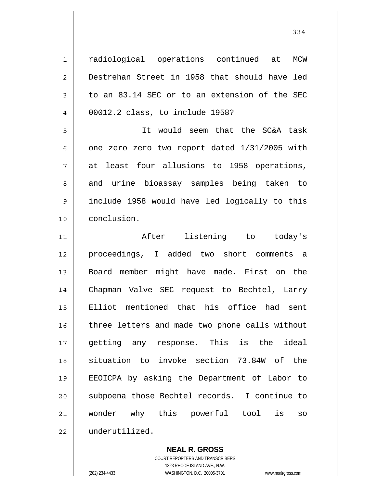1 2 3 4 5 6 7 8 9 10 11 12 13 14 15 16 17 18 19 20 21 22 radiological operations continued at MCW Destrehan Street in 1958 that should have led to an 83.14 SEC or to an extension of the SEC 00012.2 class, to include 1958? It would seem that the SC&A task one zero zero two report dated 1/31/2005 with at least four allusions to 1958 operations, and urine bioassay samples being taken to include 1958 would have led logically to this conclusion. After listening to today's proceedings, I added two short comments a Board member might have made. First on the Chapman Valve SEC request to Bechtel, Larry Elliot mentioned that his office had sent three letters and made two phone calls without getting any response. This is the ideal situation to invoke section 73.84W of the EEOICPA by asking the Department of Labor to subpoena those Bechtel records. I continue to wonder why this powerful tool is so underutilized.

**NEAL R. GROSS**

COURT REPORTERS AND TRANSCRIBERS 1323 RHODE ISLAND AVE., N.W. (202) 234-4433 WASHINGTON, D.C. 20005-3701 www.nealrgross.com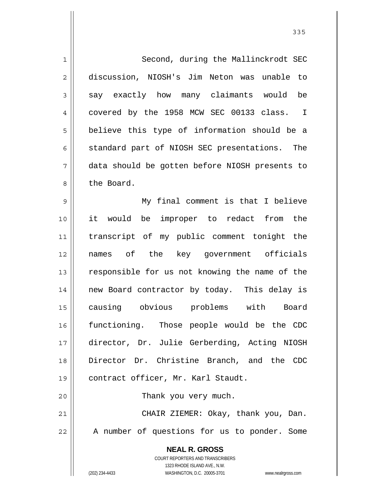| $\mathbf 1$    | Second, during the Mallinckrodt SEC                                 |
|----------------|---------------------------------------------------------------------|
| $\overline{2}$ | discussion, NIOSH's Jim Neton was unable to                         |
| 3              | say exactly how many claimants would be                             |
| 4              | covered by the 1958 MCW SEC 00133 class. I                          |
| 5              | believe this type of information should be a                        |
| 6              | standard part of NIOSH SEC presentations. The                       |
| 7              | data should be gotten before NIOSH presents to                      |
| 8              | the Board.                                                          |
| 9              | My final comment is that I believe                                  |
| 10             | it would be improper to redact from the                             |
| 11             | transcript of my public comment tonight the                         |
| 12             | names of the key government officials                               |
| 13             | responsible for us not knowing the name of the                      |
| 14             | new Board contractor by today. This delay is                        |
| 15             | causing obvious problems with Board                                 |
| 16             | functioning. Those people would be the CDC                          |
| 17             | director, Dr. Julie Gerberding, Acting NIOSH                        |
| 18             | Director Dr. Christine Branch, and the CDC                          |
| 19             | contract officer, Mr. Karl Staudt.                                  |
| 20             | Thank you very much.                                                |
| 21             | CHAIR ZIEMER: Okay, thank you, Dan.                                 |
| 22             | A number of questions for us to ponder. Some                        |
|                | <b>NEAL R. GROSS</b>                                                |
|                | COURT REPORTERS AND TRANSCRIBERS                                    |
|                | 1323 RHODE ISLAND AVE., N.W.                                        |
|                | (202) 234-4433<br>WASHINGTON, D.C. 20005-3701<br>www.nealrgross.com |

<u>335</u>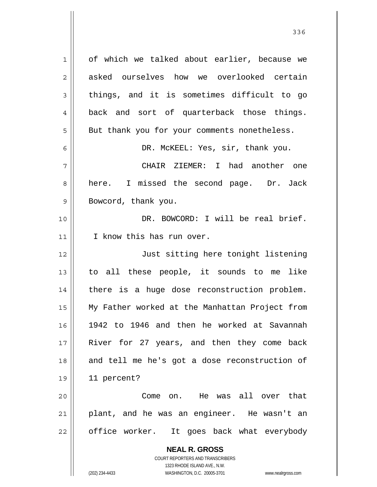**NEAL R. GROSS** COURT REPORTERS AND TRANSCRIBERS 1323 RHODE ISLAND AVE., N.W. (202) 234-4433 WASHINGTON, D.C. 20005-3701 www.nealrgross.com 1 2 3 4 5 6 7 8 9 10 11 12 13 14 15 16 17 18 19 20 21 22 of which we talked about earlier, because we asked ourselves how we overlooked certain things, and it is sometimes difficult to go back and sort of quarterback those things. But thank you for your comments nonetheless. DR. McKEEL: Yes, sir, thank you. CHAIR ZIEMER: I had another one here. I missed the second page. Dr. Jack Bowcord, thank you. DR. BOWCORD: I will be real brief. I know this has run over. Just sitting here tonight listening to all these people, it sounds to me like there is a huge dose reconstruction problem. My Father worked at the Manhattan Project from 1942 to 1946 and then he worked at Savannah River for 27 years, and then they come back and tell me he's got a dose reconstruction of 11 percent? Come on. He was all over that plant, and he was an engineer. He wasn't an office worker. It goes back what everybody

<u>336</u>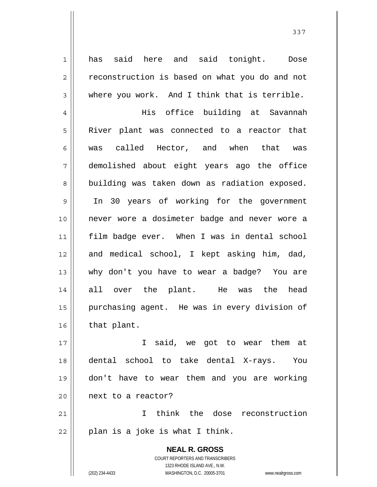has said here and said tonight. Dose reconstruction is based on what you do and not where you work. And I think that is terrible.

4 5 6 7 8 9 10 11 12 13 14 15 16 His office building at Savannah River plant was connected to a reactor that was called Hector, and when that was demolished about eight years ago the office building was taken down as radiation exposed. In 30 years of working for the government never wore a dosimeter badge and never wore a film badge ever. When I was in dental school and medical school, I kept asking him, dad, why don't you have to wear a badge? You are all over the plant. He was the head purchasing agent. He was in every division of that plant.

17 18 19 20 I said, we got to wear them at dental school to take dental X-rays. You don't have to wear them and you are working next to a reactor?

21 22 I think the dose reconstruction plan is a joke is what I think.

> **NEAL R. GROSS** COURT REPORTERS AND TRANSCRIBERS 1323 RHODE ISLAND AVE., N.W. (202) 234-4433 WASHINGTON, D.C. 20005-3701 www.nealrgross.com

1

2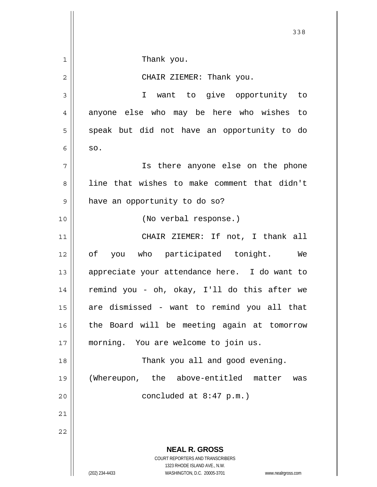|    | 338                                                                                                 |
|----|-----------------------------------------------------------------------------------------------------|
| 1  | Thank you.                                                                                          |
| 2  | CHAIR ZIEMER: Thank you.                                                                            |
| 3  | I want to give opportunity to                                                                       |
| 4  | anyone else who may be here who wishes to                                                           |
|    |                                                                                                     |
| 5  | speak but did not have an opportunity to do                                                         |
| 6  | SO.                                                                                                 |
| 7  | Is there anyone else on the phone                                                                   |
| 8  | line that wishes to make comment that didn't                                                        |
| 9  | have an opportunity to do so?                                                                       |
| 10 | (No verbal response.)                                                                               |
| 11 | CHAIR ZIEMER: If not, I thank all                                                                   |
| 12 | of<br>you who participated tonight. We                                                              |
| 13 | appreciate your attendance here. I do want to                                                       |
| 14 | remind you - oh, okay, I'll do this after we                                                        |
| 15 | are dismissed - want to remind you all that                                                         |
| 16 | the Board will be meeting again at tomorrow                                                         |
| 17 | morning. You are welcome to join us.                                                                |
| 18 | Thank you all and good evening.                                                                     |
| 19 | (Whereupon, the above-entitled matter<br>was                                                        |
| 20 | concluded at $8:47$ p.m.)                                                                           |
| 21 |                                                                                                     |
| 22 |                                                                                                     |
|    | <b>NEAL R. GROSS</b><br>COURT REPORTERS AND TRANSCRIBERS                                            |
|    | 1323 RHODE ISLAND AVE., N.W.<br>(202) 234-4433<br>WASHINGTON, D.C. 20005-3701<br>www.nealrgross.com |
|    |                                                                                                     |